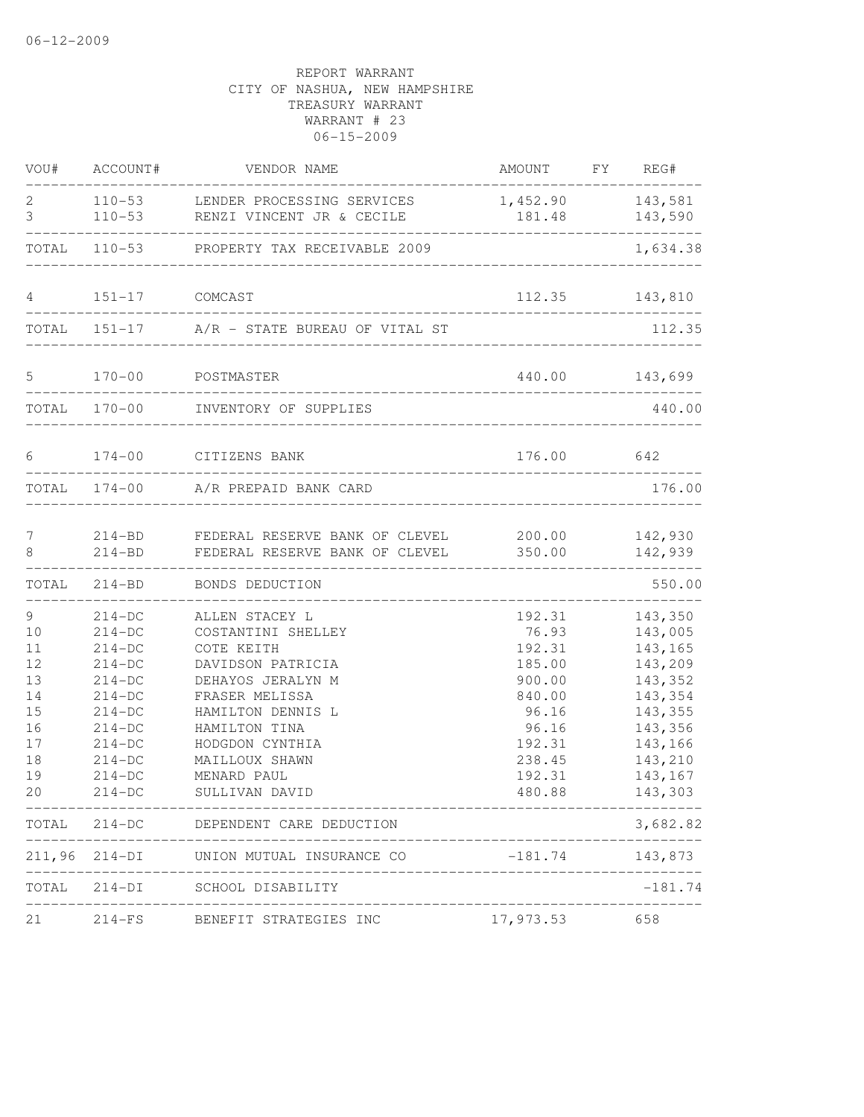| VOU#   | ACCOUNT#       | VENDOR NAME                                                                                                                                                         | AMOUNT FY REG#                     |                |
|--------|----------------|---------------------------------------------------------------------------------------------------------------------------------------------------------------------|------------------------------------|----------------|
| 2<br>3 |                | 110-53 LENDER PROCESSING SERVICES<br>110-53 RENZI VINCENT JR & CECILE                                                                                               | 1,452.90 143,581<br>181.48 143,590 |                |
|        |                | TOTAL 110-53 PROPERTY TAX RECEIVABLE 2009                                                                                                                           | ------------------------------     | 1,634.38       |
| 4      | 151-17 COMCAST |                                                                                                                                                                     |                                    | 112.35 143,810 |
|        |                | <u> 1989 - Antonio Alemania, prima postala de la provincia de la provincia de la provincia de la provincia de la</u><br>TOTAL 151-17 A/R - STATE BUREAU OF VITAL ST |                                    | 112.35         |
|        |                |                                                                                                                                                                     |                                    |                |
| 5      |                | 170-00 POSTMASTER                                                                                                                                                   |                                    | 440.00 143,699 |
|        |                | TOTAL 170-00 INVENTORY OF SUPPLIES                                                                                                                                  |                                    | 440.00         |
| 6      |                | 174-00 CITIZENS BANK                                                                                                                                                | 176.00 642                         |                |
|        |                | TOTAL 174-00 A/R PREPAID BANK CARD                                                                                                                                  |                                    | 176.00         |
| 7      |                | 214-BD FEDERAL RESERVE BANK OF CLEVEL 200.00 142,930                                                                                                                |                                    |                |
| 8      | $214 - BD$     | FEDERAL RESERVE BANK OF CLEVEL                                                                                                                                      |                                    | 350.00 142,939 |
| TOTAL  | $214 - BD$     | BONDS DEDUCTION                                                                                                                                                     |                                    | 550.00         |
| 9      | $214-DC$       | ALLEN STACEY L                                                                                                                                                      | 192.31                             | 143,350        |
| 10     | $214-DC$       | COSTANTINI SHELLEY                                                                                                                                                  | 76.93                              | 143,005        |
| 11     | $214-DC$       | COTE KEITH                                                                                                                                                          | 192.31                             | 143,165        |
| 12     | $214-DC$       | DAVIDSON PATRICIA                                                                                                                                                   | 185.00                             | 143,209        |
| 13     | $214-DC$       | DEHAYOS JERALYN M                                                                                                                                                   | 900.00                             | 143,352        |
| 14     | $214-DC$       | FRASER MELISSA                                                                                                                                                      | 840.00                             | 143,354        |
| 15     | $214-DC$       | HAMILTON DENNIS L                                                                                                                                                   | 96.16                              | 143,355        |
| 16     | $214-DC$       | HAMILTON TINA                                                                                                                                                       | 96.16                              | 143,356        |
| 17     | $214-DC$       | HODGDON CYNTHIA                                                                                                                                                     | 192.31                             | 143,166        |
| 18     | $214-DC$       | MAILLOUX SHAWN                                                                                                                                                      | 238.45                             | 143,210        |
| 19     | $214-DC$       | MENARD PAUL                                                                                                                                                         | 192.31                             | 143,167        |
| 20     | $214 - DC$     | SULLIVAN DAVID<br>_________________________________                                                                                                                 | 480.88                             | 143,303        |
|        |                | TOTAL 214-DC DEPENDENT CARE DEDUCTION                                                                                                                               | __________________                 | 3,682.82       |
|        |                | 211,96 214-DI UNION MUTUAL INSURANCE CO                                                                                                                             | $-181.74$                          | 143,873        |
| TOTAL  |                | 214-DI SCHOOL DISABILITY                                                                                                                                            | _______________________________    | $-181.74$      |
| 21     |                | 214-FS BENEFIT STRATEGIES INC                                                                                                                                       | 17,973.53 658                      |                |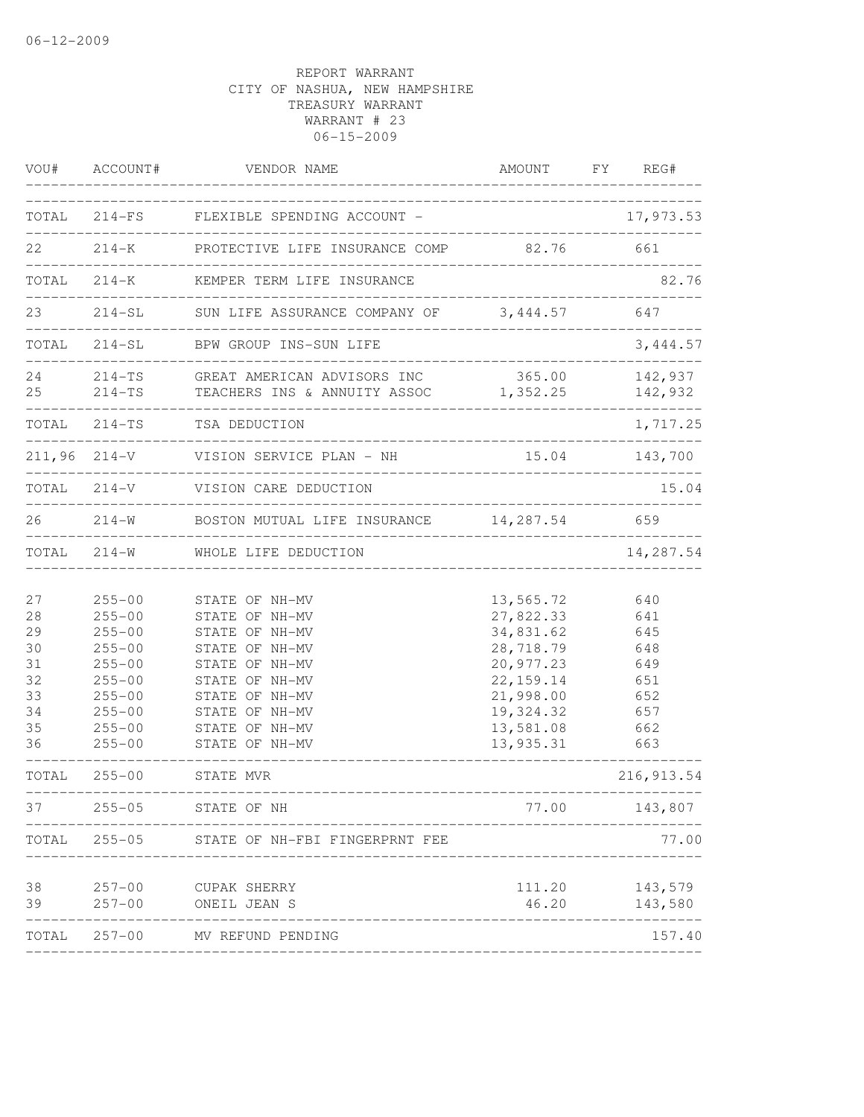| VOU#                                                                             | ACCOUNT#                                                                                                                                                                           | VENDOR NAME                                                                                                                                                                                                                                                     |                                                                                                                                          | AMOUNT FY REG#                                                                                        |
|----------------------------------------------------------------------------------|------------------------------------------------------------------------------------------------------------------------------------------------------------------------------------|-----------------------------------------------------------------------------------------------------------------------------------------------------------------------------------------------------------------------------------------------------------------|------------------------------------------------------------------------------------------------------------------------------------------|-------------------------------------------------------------------------------------------------------|
|                                                                                  |                                                                                                                                                                                    | TOTAL 214-FS FLEXIBLE SPENDING ACCOUNT -                                                                                                                                                                                                                        |                                                                                                                                          | 17,973.53                                                                                             |
| 22                                                                               |                                                                                                                                                                                    | ___________________________________<br>214-K PROTECTIVE LIFE INSURANCE COMP 82.76                                                                                                                                                                               |                                                                                                                                          | 661                                                                                                   |
|                                                                                  |                                                                                                                                                                                    | TOTAL 214-K KEMPER TERM LIFE INSURANCE                                                                                                                                                                                                                          |                                                                                                                                          | 82.76                                                                                                 |
| 23                                                                               |                                                                                                                                                                                    | 214-SL SUN LIFE ASSURANCE COMPANY OF 3,444.57<br>_________________________                                                                                                                                                                                      |                                                                                                                                          | 647                                                                                                   |
|                                                                                  |                                                                                                                                                                                    | TOTAL 214-SL BPW GROUP INS-SUN LIFE                                                                                                                                                                                                                             | ------------------------------                                                                                                           | 3,444.57                                                                                              |
| 24                                                                               |                                                                                                                                                                                    | 214-TS GREAT AMERICAN ADVISORS INC<br>25 214-TS TEACHERS INS & ANNUITY ASSOC 1,352.25 142,932                                                                                                                                                                   |                                                                                                                                          | 365.00 142,937                                                                                        |
|                                                                                  |                                                                                                                                                                                    | TOTAL 214-TS TSA DEDUCTION                                                                                                                                                                                                                                      |                                                                                                                                          | 1,717.25                                                                                              |
|                                                                                  |                                                                                                                                                                                    | 211,96 214-V VISION SERVICE PLAN - NH                                                                                                                                                                                                                           |                                                                                                                                          | 15.04 143,700                                                                                         |
|                                                                                  |                                                                                                                                                                                    | TOTAL 214-V VISION CARE DEDUCTION                                                                                                                                                                                                                               |                                                                                                                                          | 15.04                                                                                                 |
|                                                                                  |                                                                                                                                                                                    | 26 214-W BOSTON MUTUAL LIFE INSURANCE 14,287.54                                                                                                                                                                                                                 |                                                                                                                                          | 659                                                                                                   |
|                                                                                  |                                                                                                                                                                                    | TOTAL 214-W WHOLE LIFE DEDUCTION                                                                                                                                                                                                                                |                                                                                                                                          | 14,287.54                                                                                             |
| 27<br>28<br>29<br>30<br>31<br>32<br>33<br>34<br>35<br>36<br>TOTAL<br>37<br>TOTAL | $255 - 00$<br>$255 - 00$<br>$255 - 00$<br>$255 - 00$<br>$255 - 00$<br>$255 - 00$<br>$255 - 00$<br>$255 - 00$<br>$255 - 00$<br>$255 - 00$<br>$255 - 00$<br>$255 - 05$<br>$255 - 05$ | STATE OF NH-MV<br>STATE OF NH-MV<br>STATE OF NH-MV<br>STATE OF NH-MV<br>STATE OF NH-MV<br>STATE OF NH-MV<br>STATE OF NH-MV<br>STATE OF NH-MV<br>STATE OF NH-MV<br>STATE OF NH-MV<br>STATE MVR<br>-------------<br>STATE OF NH<br>STATE OF NH-FBI FINGERPRNT FEE | 13,565.72<br>27,822.33<br>34,831.62<br>28,718.79<br>20,977.23<br>22, 159.14<br>21,998.00<br>19,324.32<br>13,581.08<br>13,935.31<br>77.00 | 640<br>641<br>645<br>648<br>649<br>651<br>652<br>657<br>662<br>663<br>216, 913.54<br>143,807<br>77.00 |
|                                                                                  |                                                                                                                                                                                    |                                                                                                                                                                                                                                                                 |                                                                                                                                          |                                                                                                       |
| 38<br>39                                                                         | $257 - 00$<br>$257 - 00$                                                                                                                                                           | CUPAK SHERRY<br>ONEIL JEAN S                                                                                                                                                                                                                                    | 111.20<br>46.20                                                                                                                          | 143,579<br>143,580                                                                                    |
|                                                                                  | TOTAL 257-00                                                                                                                                                                       | MV REFUND PENDING                                                                                                                                                                                                                                               |                                                                                                                                          | 157.40                                                                                                |
|                                                                                  |                                                                                                                                                                                    |                                                                                                                                                                                                                                                                 |                                                                                                                                          |                                                                                                       |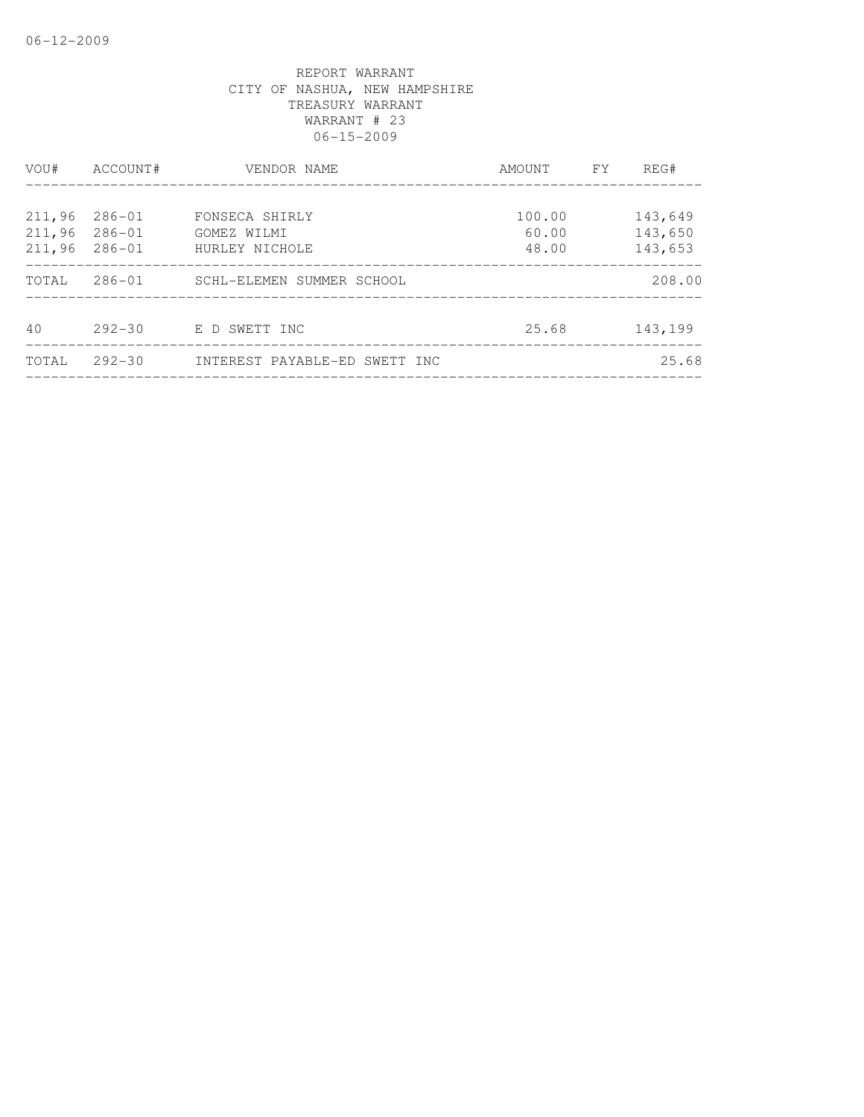| VOU#   | ACCOUNT#   | VENDOR NAME                   | AMOUNT | FY. | REG#    |
|--------|------------|-------------------------------|--------|-----|---------|
|        |            |                               |        |     |         |
| 211,96 | $286 - 01$ | FONSECA SHIRLY                | 100.00 |     | 143,649 |
| 211,96 | $286 - 01$ | GOMEZ WILMI                   | 60.00  |     | 143,650 |
| 211,96 | $286 - 01$ | HURLEY NICHOLE                | 48.00  |     | 143,653 |
| TOTAL  | $286 - 01$ | SCHL-ELEMEN SUMMER SCHOOL     |        |     | 208.00  |
|        |            |                               |        |     |         |
| 40     | $292 - 30$ | E D SWETT INC                 | 25.68  |     | 143,199 |
| TOTAL  | $292 - 30$ | INTEREST PAYABLE-ED SWETT INC |        |     | 25.68   |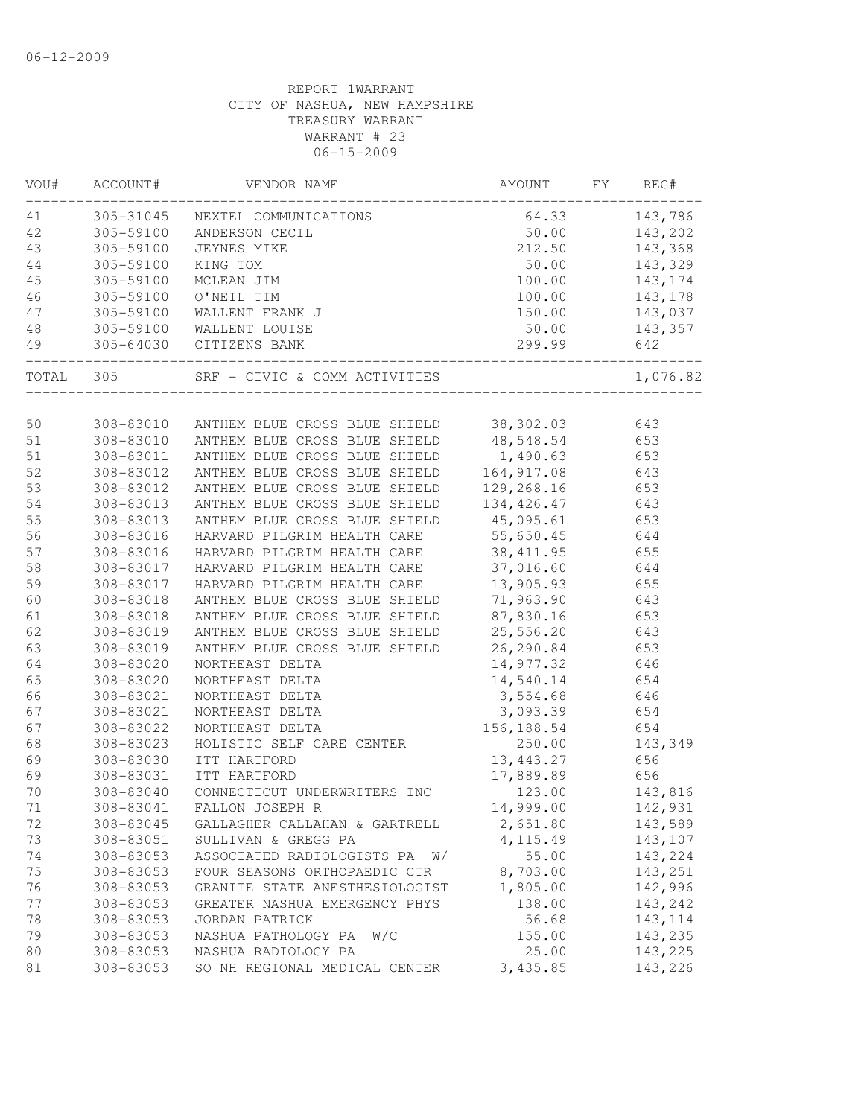| WOU# | ACCOUNT#            | VENDOR NAME                                                              | AMOUNT                                      | FY | REG#       |
|------|---------------------|--------------------------------------------------------------------------|---------------------------------------------|----|------------|
| 41   |                     | 305-31045 NEXTEL COMMUNICATIONS                                          | 64.33                                       |    | 143,786    |
| 42   | 305-59100           | ANDERSON CECIL                                                           | 50.00                                       |    | 143,202    |
| 43   | 305-59100           | JEYNES MIKE                                                              | 212.50                                      |    | 143,368    |
| 44   | 305-59100           | KING TOM                                                                 | 50.00                                       |    | 143,329    |
| 45   | 305-59100           | MCLEAN JIM                                                               | 100.00                                      |    | 143,174    |
| 46   | 305-59100           | O'NEIL TIM                                                               | 100.00                                      |    | 143,178    |
| 47   | 305-59100           | WALLENT FRANK J                                                          | 150.00                                      |    | 143,037    |
| 48   |                     | 305-59100 WALLENT LOUISE                                                 | 50.00                                       |    | 143,357    |
| 49   | ___________________ | 305-64030 CITIZENS BANK                                                  | 299.99<br>_________________________________ |    | 642        |
|      |                     | TOTAL 305 SRF - CIVIC & COMM ACTIVITIES                                  |                                             |    | 1,076.82   |
|      |                     |                                                                          |                                             |    |            |
| 50   |                     | 308-83010 ANTHEM BLUE CROSS BLUE SHIELD 38,302.03                        |                                             |    | 643        |
| 51   |                     | 308-83010 ANTHEM BLUE CROSS BLUE SHIELD                                  | 48,548.54<br>1,490.63                       |    | 653        |
| 51   | 308-83011           | ANTHEM BLUE CROSS BLUE SHIELD<br>ANTHEM BLUE CROSS BLUE SHIELD           |                                             |    | 653<br>643 |
| 52   | 308-83012           |                                                                          | 164,917.08                                  |    |            |
| 53   | 308-83012           | ANTHEM BLUE CROSS BLUE SHIELD                                            | 129,268.16                                  |    | 653        |
| 54   | 308-83013           | ANTHEM BLUE CROSS BLUE SHIELD                                            | 134, 426.47                                 |    | 643        |
| 55   | 308-83013           | ANTHEM BLUE CROSS BLUE SHIELD                                            | 45,095.61                                   |    | 653        |
| 56   | 308-83016           | HARVARD PILGRIM HEALTH CARE                                              | 55,650.45                                   |    | 644        |
| 57   | 308-83016           | HARVARD PILGRIM HEALTH CARE 38,411.95                                    |                                             |    | 655        |
| 58   | 308-83017           | HARVARD PILGRIM HEALTH CARE                                              | 37,016.60                                   |    | 644        |
| 59   | 308-83017           | HARVARD PILGRIM HEALTH CARE                                              | 13,905.93                                   |    | 655        |
| 60   | 308-83018           | ANTHEM BLUE CROSS BLUE SHIELD                                            | 71,963.90                                   |    | 643        |
| 61   | 308-83018           | ANTHEM BLUE CROSS BLUE SHIELD<br>ANTHEM BLUE CROSS BLUE SHIELD 25,556.20 | 87,830.16                                   |    | 653        |
| 62   | 308-83019           |                                                                          |                                             |    | 643        |
| 63   | 308-83019           | ANTHEM BLUE CROSS BLUE SHIELD 26,290.84                                  |                                             |    | 653        |
| 64   | 308-83020           | NORTHEAST DELTA                                                          | 14,977.32                                   |    | 646        |
| 65   | 308-83020           | NORTHEAST DELTA                                                          | 14,540.14                                   |    | 654        |
| 66   | 308-83021           | NORTHEAST DELTA                                                          | 3,554.68                                    |    | 646        |
| 67   | 308-83021           | NORTHEAST DELTA                                                          | 3,093.39                                    |    | 654        |
| 67   | 308-83022           | NORTHEAST DELTA                                                          | 156,188.54                                  |    | 654        |
| 68   | 308-83023           | HOLISTIC SELF CARE CENTER                                                | 250.00                                      |    | 143,349    |
| 69   | 308-83030           | ITT HARTFORD                                                             | 13,443.27                                   |    | 656        |
| 69   | 308-83031           | ITT HARTFORD                                                             | 17,889.89                                   |    | 656        |
| 70   | 308-83040           | CONNECTICUT UNDERWRITERS INC                                             | 123.00                                      |    | 143,816    |
| 71   | 308-83041           | FALLON JOSEPH R                                                          | 14,999.00                                   |    | 142,931    |
| 72   | 308-83045           | GALLAGHER CALLAHAN & GARTRELL                                            | 2,651.80                                    |    | 143,589    |
| 73   | 308-83051           | SULLIVAN & GREGG PA                                                      | 4, 115.49                                   |    | 143,107    |
| 74   | 308-83053           | ASSOCIATED RADIOLOGISTS PA W/                                            | 55.00                                       |    | 143,224    |
| 75   | 308-83053           | FOUR SEASONS ORTHOPAEDIC CTR                                             | 8,703.00                                    |    | 143,251    |
| 76   | 308-83053           | GRANITE STATE ANESTHESIOLOGIST                                           | 1,805.00                                    |    | 142,996    |
| 77   | 308-83053           | GREATER NASHUA EMERGENCY PHYS                                            | 138.00                                      |    | 143,242    |
| 78   | 308-83053           | JORDAN PATRICK                                                           | 56.68                                       |    | 143, 114   |
| 79   | 308-83053           | NASHUA PATHOLOGY PA<br>W/C                                               | 155.00                                      |    | 143,235    |
| 80   | 308-83053           | NASHUA RADIOLOGY PA                                                      | 25.00                                       |    | 143,225    |
| 81   | 308-83053           | SO NH REGIONAL MEDICAL CENTER                                            | 3,435.85                                    |    | 143,226    |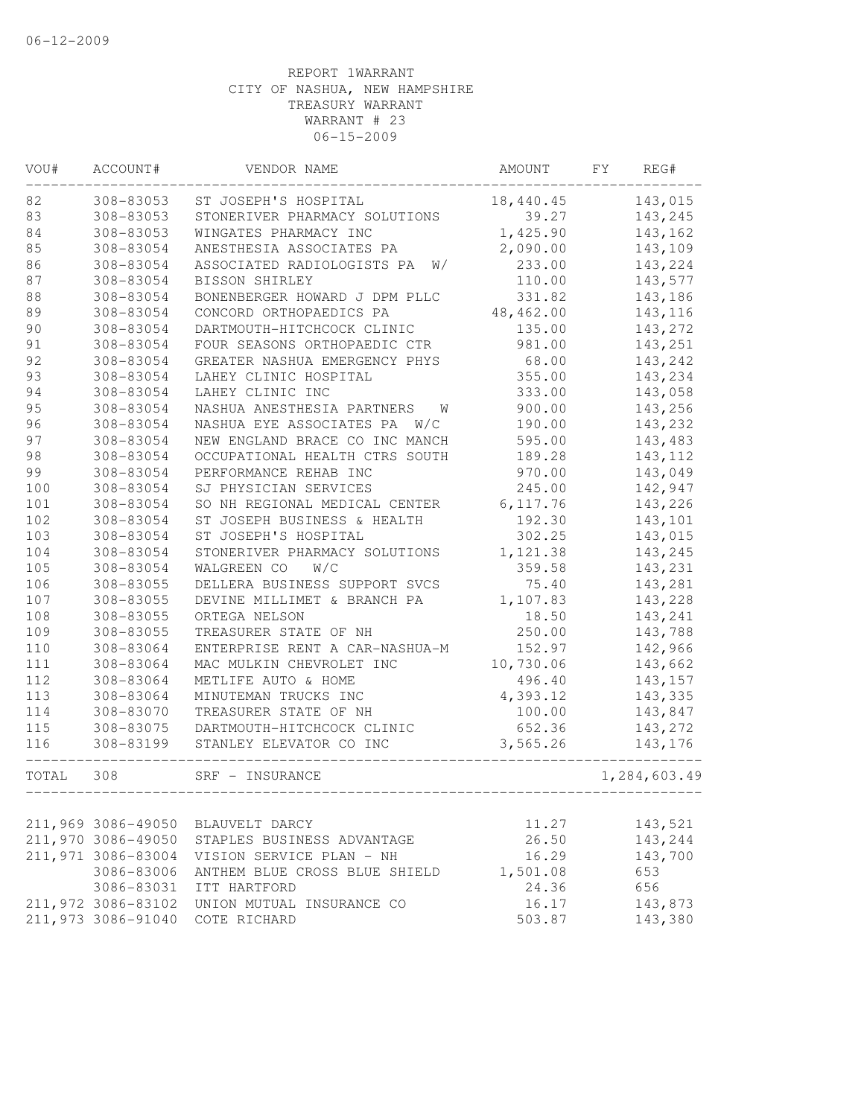| VOU#  | ACCOUNT#           | VENDOR NAME                      | AMOUNT     | FΥ | REG#         |
|-------|--------------------|----------------------------------|------------|----|--------------|
| 82    | 308-83053          | ST JOSEPH'S HOSPITAL             | 18,440.45  |    | 143,015      |
| 83    | 308-83053          | STONERIVER PHARMACY SOLUTIONS    | 39.27      |    | 143,245      |
| 84    | 308-83053          | WINGATES PHARMACY INC            | 1,425.90   |    | 143,162      |
| 85    | 308-83054          | ANESTHESIA ASSOCIATES PA         | 2,090.00   |    | 143,109      |
| 86    | 308-83054          | ASSOCIATED RADIOLOGISTS PA<br>W/ | 233.00     |    | 143,224      |
| 87    | 308-83054          | BISSON SHIRLEY                   | 110.00     |    | 143,577      |
| 88    | 308-83054          | BONENBERGER HOWARD J DPM PLLC    | 331.82     |    | 143,186      |
| 89    | 308-83054          | CONCORD ORTHOPAEDICS PA          | 48, 462.00 |    | 143,116      |
| 90    | 308-83054          | DARTMOUTH-HITCHCOCK CLINIC       | 135.00     |    | 143,272      |
| 91    | 308-83054          | FOUR SEASONS ORTHOPAEDIC CTR     | 981.00     |    | 143,251      |
| 92    | 308-83054          | GREATER NASHUA EMERGENCY PHYS    | 68.00      |    | 143,242      |
| 93    | 308-83054          | LAHEY CLINIC HOSPITAL            | 355.00     |    | 143,234      |
| 94    | 308-83054          | LAHEY CLINIC INC                 | 333.00     |    | 143,058      |
| 95    | 308-83054          | NASHUA ANESTHESIA PARTNERS<br>W  | 900.00     |    | 143,256      |
| 96    | 308-83054          | NASHUA EYE ASSOCIATES PA<br>W/C  | 190.00     |    | 143,232      |
| 97    | 308-83054          | NEW ENGLAND BRACE CO INC MANCH   | 595.00     |    | 143,483      |
| 98    | 308-83054          | OCCUPATIONAL HEALTH CTRS SOUTH   | 189.28     |    | 143, 112     |
| 99    | 308-83054          | PERFORMANCE REHAB INC            | 970.00     |    | 143,049      |
| 100   | 308-83054          | SJ PHYSICIAN SERVICES            | 245.00     |    | 142,947      |
| 101   | 308-83054          | SO NH REGIONAL MEDICAL CENTER    | 6, 117.76  |    | 143,226      |
| 102   | 308-83054          | ST JOSEPH BUSINESS & HEALTH      | 192.30     |    | 143,101      |
| 103   | 308-83054          | ST JOSEPH'S HOSPITAL             | 302.25     |    | 143,015      |
| 104   | 308-83054          | STONERIVER PHARMACY SOLUTIONS    | 1,121.38   |    | 143,245      |
| 105   | 308-83054          | W/C<br>WALGREEN CO               | 359.58     |    | 143,231      |
| 106   | 308-83055          | DELLERA BUSINESS SUPPORT SVCS    | 75.40      |    | 143,281      |
| 107   | 308-83055          | DEVINE MILLIMET & BRANCH PA      | 1,107.83   |    | 143,228      |
| 108   | 308-83055          | ORTEGA NELSON                    | 18.50      |    | 143,241      |
| 109   | 308-83055          | TREASURER STATE OF NH            | 250.00     |    | 143,788      |
| 110   | 308-83064          | ENTERPRISE RENT A CAR-NASHUA-M   | 152.97     |    | 142,966      |
| 111   | 308-83064          | MAC MULKIN CHEVROLET INC         | 10,730.06  |    | 143,662      |
| 112   | 308-83064          | METLIFE AUTO & HOME              | 496.40     |    | 143,157      |
| 113   | 308-83064          | MINUTEMAN TRUCKS INC             | 4,393.12   |    | 143,335      |
| 114   | 308-83070          | TREASURER STATE OF NH            | 100.00     |    | 143,847      |
| 115   | 308-83075          | DARTMOUTH-HITCHCOCK CLINIC       | 652.36     |    | 143,272      |
| 116   | 308-83199          | STANLEY ELEVATOR CO INC          | 3,565.26   |    | 143,176      |
| TOTAL | 308                | SRF - INSURANCE                  |            |    | 1,284,603.49 |
|       |                    |                                  |            |    |              |
|       | 211,969 3086-49050 | BLAUVELT DARCY                   | 11.27      |    | 143,521      |
|       | 211,970 3086-49050 | STAPLES BUSINESS ADVANTAGE       | 26.50      |    | 143,244      |
|       | 211,971 3086-83004 | VISION SERVICE PLAN - NH         | 16.29      |    | 143,700      |
|       | 3086-83006         | ANTHEM BLUE CROSS BLUE SHIELD    | 1,501.08   |    | 653          |
|       | 3086-83031         | ITT HARTFORD                     | 24.36      |    | 656          |
|       | 211,972 3086-83102 | UNION MUTUAL INSURANCE CO        | 16.17      |    | 143,873      |
|       | 211,973 3086-91040 | COTE RICHARD                     | 503.87     |    | 143,380      |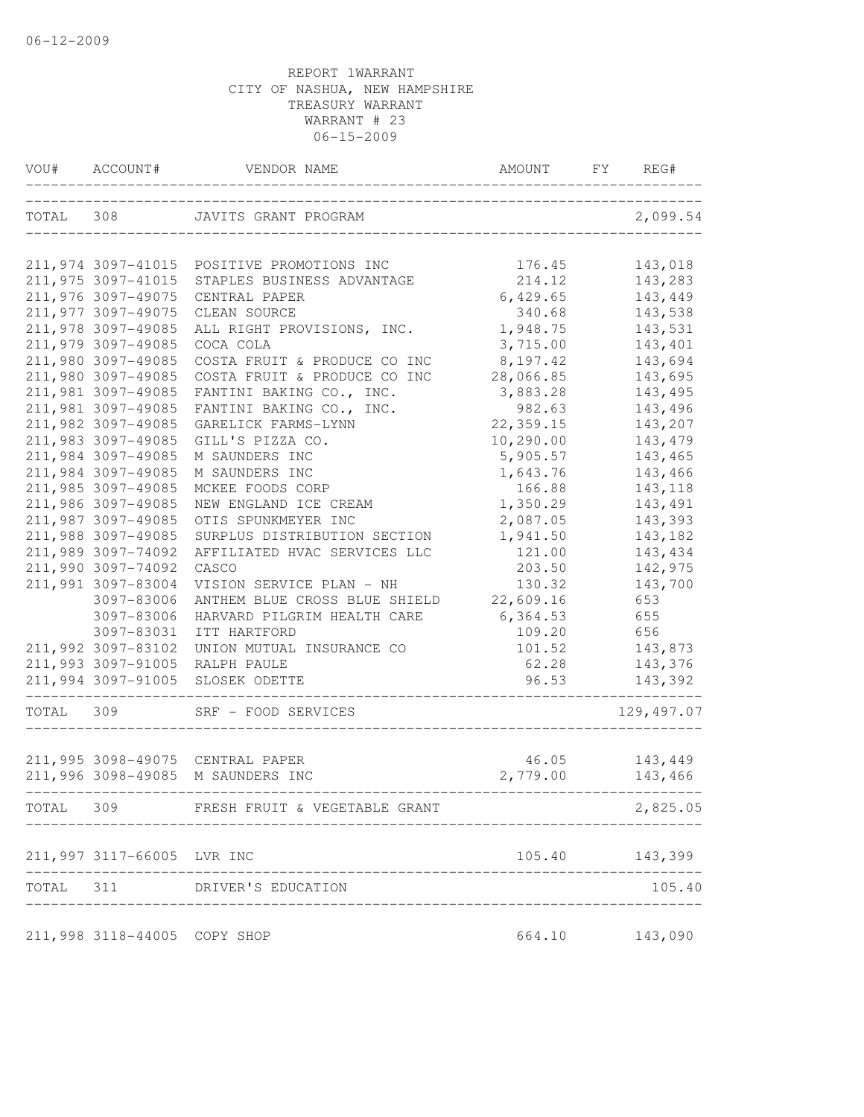| VOU#      | ACCOUNT#                     | VENDOR NAME<br>________________   | AMOUNT FY      | REG#        |
|-----------|------------------------------|-----------------------------------|----------------|-------------|
| TOTAL 308 |                              | JAVITS GRANT PROGRAM              |                | 2,099.54    |
|           | 211,974 3097-41015           | POSITIVE PROMOTIONS INC           | 176.45         | 143,018     |
|           | 211,975 3097-41015           | STAPLES BUSINESS ADVANTAGE        | 214.12         | 143,283     |
|           | 211,976 3097-49075           | CENTRAL PAPER                     | 6,429.65       | 143,449     |
|           | 211,977 3097-49075           | CLEAN SOURCE                      | 340.68         | 143,538     |
|           | 211,978 3097-49085           | ALL RIGHT PROVISIONS, INC.        | 1,948.75       | 143,531     |
|           | 211,979 3097-49085           | COCA COLA                         | 3,715.00       | 143,401     |
|           | 211,980 3097-49085           | COSTA FRUIT & PRODUCE CO INC      | 8,197.42       | 143,694     |
|           | 211,980 3097-49085           | COSTA FRUIT & PRODUCE CO INC      | 28,066.85      | 143,695     |
|           | 211,981 3097-49085           | FANTINI BAKING CO., INC.          | 3,883.28       | 143,495     |
|           | 211,981 3097-49085           | FANTINI BAKING CO., INC.          | 982.63         | 143,496     |
|           | 211,982 3097-49085           | GARELICK FARMS-LYNN               | 22,359.15      | 143,207     |
|           | 211,983 3097-49085           | GILL'S PIZZA CO.                  | 10,290.00      | 143,479     |
|           | 211,984 3097-49085           | M SAUNDERS INC                    | 5,905.57       | 143,465     |
|           | 211,984 3097-49085           | M SAUNDERS INC                    | 1,643.76       | 143,466     |
|           | 211,985 3097-49085           | MCKEE FOODS CORP                  | 166.88         | 143,118     |
|           | 211,986 3097-49085           | NEW ENGLAND ICE CREAM             | 1,350.29       | 143,491     |
|           | 211,987 3097-49085           | OTIS SPUNKMEYER INC               | 2,087.05       | 143,393     |
|           | 211,988 3097-49085           | SURPLUS DISTRIBUTION SECTION      | 1,941.50       | 143,182     |
|           | 211,989 3097-74092           | AFFILIATED HVAC SERVICES LLC      | 121.00         | 143,434     |
|           | 211,990 3097-74092           | CASCO                             | 203.50         | 142,975     |
|           | 211,991 3097-83004           | VISION SERVICE PLAN - NH          | 130.32         | 143,700     |
|           | 3097-83006                   | ANTHEM BLUE CROSS BLUE SHIELD     | 22,609.16      | 653         |
|           | 3097-83006                   | HARVARD PILGRIM HEALTH CARE       | 6,364.53       | 655         |
|           | 3097-83031                   | ITT HARTFORD                      | 109.20         | 656         |
|           | 211,992 3097-83102           | UNION MUTUAL INSURANCE CO         | 101.52         | 143,873     |
|           | 211,993 3097-91005           | RALPH PAULE                       | 62.28          | 143,376     |
|           | 211,994 3097-91005           | SLOSEK ODETTE                     | 96.53          | 143,392     |
| TOTAL 309 |                              | SRF - FOOD SERVICES               |                | 129, 497.07 |
|           |                              | 211,995 3098-49075 CENTRAL PAPER  | 46.05          | 143,449     |
|           |                              | 211,996 3098-49085 M SAUNDERS INC | 2,779.00       | 143,466     |
| TOTAL 309 |                              | FRESH FRUIT & VEGETABLE GRANT     |                | 2,825.05    |
|           | 211,997 3117-66005 LVR INC   |                                   | 105.40         | 143,399     |
| TOTAL 311 |                              | DRIVER'S EDUCATION                |                | 105.40      |
|           | 211,998 3118-44005 COPY SHOP |                                   | 664.10 143,090 |             |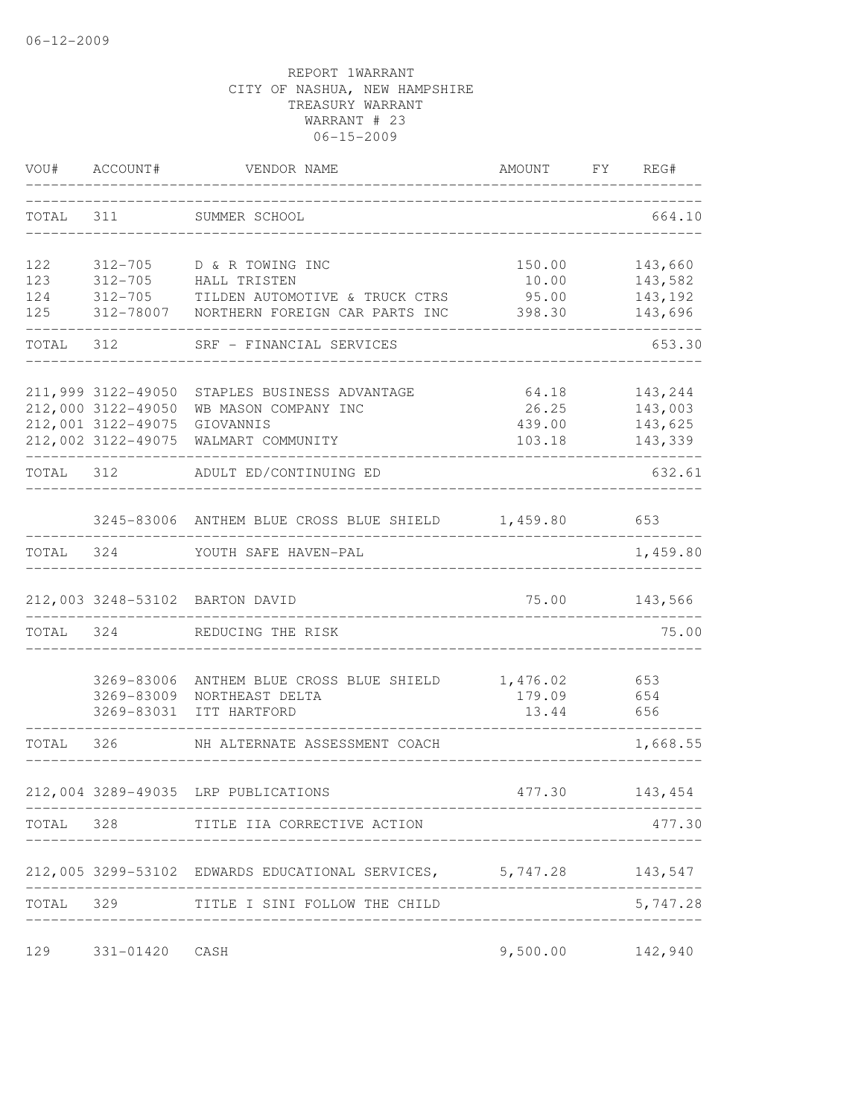| VOU#      | ACCOUNT#           | VENDOR NAME                                                       | AMOUNT     | FY  | REG#          |
|-----------|--------------------|-------------------------------------------------------------------|------------|-----|---------------|
| TOTAL 311 |                    | SUMMER SCHOOL                                                     |            |     | 664.10        |
| 122       | 312-705            | D & R TOWING INC                                                  | 150.00     |     | 143,660       |
| 123       | $312 - 705$        | HALL TRISTEN                                                      | 10.00      |     | 143,582       |
| 124       |                    | 312-705 TILDEN AUTOMOTIVE & TRUCK CTRS                            | 95.00      |     | 143,192       |
| 125       |                    | 312-78007 NORTHERN FOREIGN CAR PARTS INC                          | 398.30     |     | 143,696       |
|           | TOTAL 312          | SRF - FINANCIAL SERVICES                                          |            |     | 653.30        |
|           | 211,999 3122-49050 | STAPLES BUSINESS ADVANTAGE                                        | 64.18      |     | 143,244       |
|           | 212,000 3122-49050 | WB MASON COMPANY INC                                              | 26.25      |     | 143,003       |
|           | 212,001 3122-49075 | GIOVANNIS                                                         | 439.00     |     | 143,625       |
|           |                    | 212,002 3122-49075 WALMART COMMUNITY                              | 103.18     |     | 143,339       |
| TOTAL 312 |                    | ADULT ED/CONTINUING ED                                            |            |     | 632.61        |
|           |                    | 3245-83006 ANTHEM BLUE CROSS BLUE SHIELD 1,459.80 653             |            |     |               |
|           |                    | TOTAL 324 YOUTH SAFE HAVEN-PAL                                    |            |     | 1,459.80      |
|           |                    | 212,003 3248-53102 BARTON DAVID                                   |            |     | 75.00 143,566 |
| TOTAL 324 |                    | REDUCING THE RISK                                                 |            |     | 75.00         |
|           | 3269-83006         | ANTHEM BLUE CROSS BLUE SHIELD                                     | 1,476.02   | 653 |               |
|           | 3269-83009         | NORTHEAST DELTA                                                   | 179.09 654 |     |               |
|           | 3269-83031         | ITT HARTFORD                                                      | 13.44 656  |     |               |
| TOTAL 326 |                    | NH ALTERNATE ASSESSMENT COACH                                     |            |     | 1,668.55      |
|           |                    | 212,004 3289-49035 LRP PUBLICATIONS                               | 477.30     |     | 143,454       |
|           |                    | -----------------<br>TOTAL 328 TITLE IIA CORRECTIVE ACTION        |            |     | 477.30        |
|           |                    | 212,005 3299-53102 EDWARDS EDUCATIONAL SERVICES, 5,747.28 143,547 |            |     |               |
| TOTAL 329 |                    | TITLE I SINI FOLLOW THE CHILD                                     |            |     | 5,747.28      |
|           |                    |                                                                   |            |     |               |
| 129       | 331-01420          | CASH                                                              | 9,500.00   |     | 142,940       |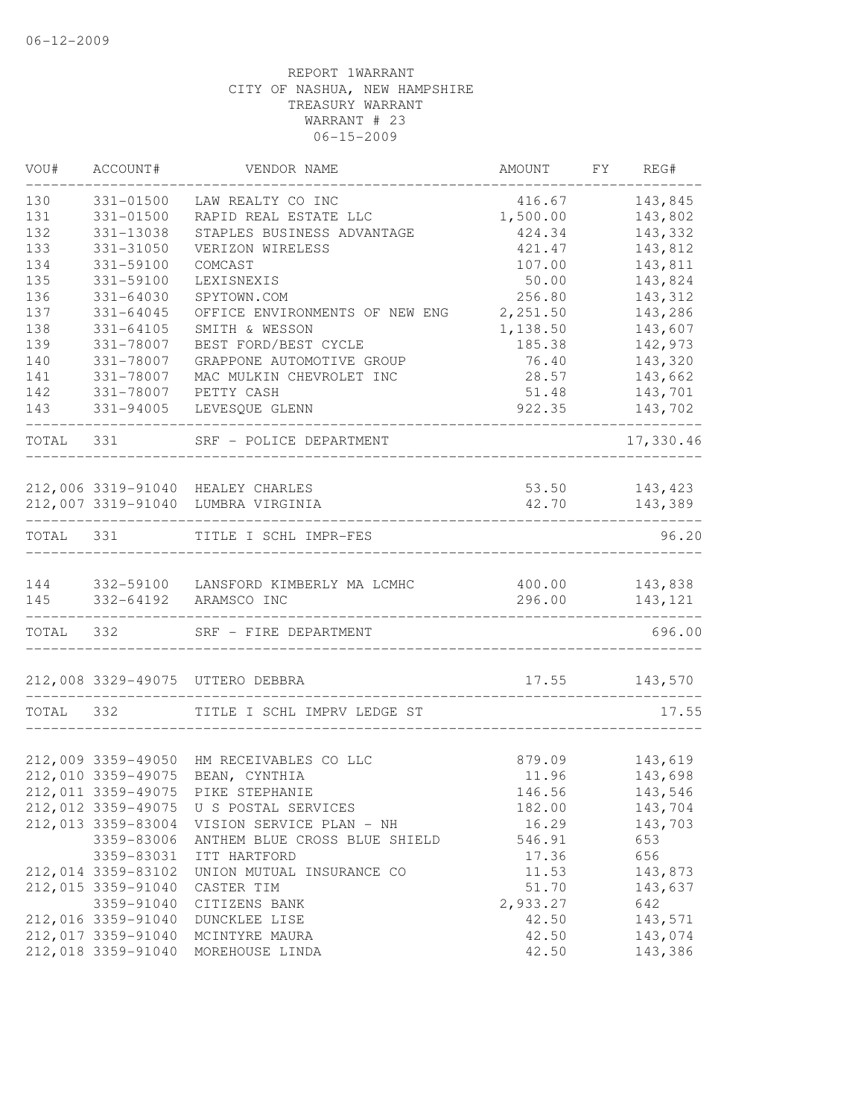| 143,845<br>331-01500<br>LAW REALTY CO INC<br>416.67<br>143,802<br>331-01500<br>RAPID REAL ESTATE LLC<br>1,500.00<br>STAPLES BUSINESS ADVANTAGE<br>331-13038<br>424.34<br>143,332<br>133<br>331-31050<br>VERIZON WIRELESS<br>421.47<br>143,812<br>134<br>331-59100<br>COMCAST<br>107.00<br>143,811<br>135<br>143,824<br>331-59100<br>LEXISNEXIS<br>50.00<br>136<br>143,312<br>331-64030<br>SPYTOWN.COM<br>256.80<br>137<br>2,251.50<br>143,286<br>331-64045<br>OFFICE ENVIRONMENTS OF NEW ENG<br>138<br>331-64105<br>SMITH & WESSON<br>1,138.50<br>143,607<br>139<br>142,973<br>331-78007<br>BEST FORD/BEST CYCLE<br>185.38<br>140<br>331-78007<br>143,320<br>GRAPPONE AUTOMOTIVE GROUP<br>76.40<br>143,662<br>141<br>331-78007<br>MAC MULKIN CHEVROLET INC<br>28.57<br>142<br>331-78007<br>PETTY CASH<br>51.48<br>143,701<br>922.35<br>143<br>331-94005<br>LEVESQUE GLENN<br>143,702<br>TOTAL<br>331<br>SRF - POLICE DEPARTMENT<br>212,006 3319-91040 HEALEY CHARLES<br>53.50<br>143,423<br>212,007 3319-91040 LUMBRA VIRGINIA<br>143,389<br>42.70<br>_____________________________________<br>TITLE I SCHL IMPR-FES<br>TOTAL 331<br>332-59100 LANSFORD KIMBERLY MA LCMHC<br>400.00<br>143,838<br>332-64192 ARAMSCO INC<br>296.00<br>143,121<br>145<br>------------------<br>TOTAL 332<br>696.00<br>SRF - FIRE DEPARTMENT<br>212,008 3329-49075 UTTERO DEBBRA<br>17.55 143,570<br>---------------------------------<br>TOTAL<br>332<br>TITLE I SCHL IMPRV LEDGE ST<br>143,619<br>212,009 3359-49050 HM RECEIVABLES CO LLC<br>879.09<br>212,010 3359-49075<br>BEAN, CYNTHIA<br>11.96<br>143,698<br>212,011 3359-49075 PIKE STEPHANIE<br>146.56<br>143,546<br>212,012 3359-49075 U S POSTAL SERVICES<br>143,704<br>182.00<br>212,013 3359-83004<br>16.29<br>143,703<br>VISION SERVICE PLAN - NH<br>3359-83006<br>546.91<br>ANTHEM BLUE CROSS BLUE SHIELD<br>653<br>656<br>3359-83031<br>ITT HARTFORD<br>17.36<br>212,014 3359-83102<br>11.53<br>143,873<br>UNION MUTUAL INSURANCE CO<br>212,015 3359-91040<br>51.70<br>143,637<br>CASTER TIM<br>2,933.27<br>642<br>3359-91040<br>CITIZENS BANK<br>212,016 3359-91040<br>42.50<br>143,571<br>DUNCKLEE LISE<br>212,017 3359-91040<br>42.50<br>143,074<br>MCINTYRE MAURA<br>212,018 3359-91040<br>MOREHOUSE LINDA<br>42.50<br>143,386 | VOU# | ACCOUNT# | VENDOR NAME | AMOUNT | FY REG#   |
|----------------------------------------------------------------------------------------------------------------------------------------------------------------------------------------------------------------------------------------------------------------------------------------------------------------------------------------------------------------------------------------------------------------------------------------------------------------------------------------------------------------------------------------------------------------------------------------------------------------------------------------------------------------------------------------------------------------------------------------------------------------------------------------------------------------------------------------------------------------------------------------------------------------------------------------------------------------------------------------------------------------------------------------------------------------------------------------------------------------------------------------------------------------------------------------------------------------------------------------------------------------------------------------------------------------------------------------------------------------------------------------------------------------------------------------------------------------------------------------------------------------------------------------------------------------------------------------------------------------------------------------------------------------------------------------------------------------------------------------------------------------------------------------------------------------------------------------------------------------------------------------------------------------------------------------------------------------------------------------------------------------------------------------------------------------------------------------------------------------------------------------------------------------------------------------------------------------------------------------------------------------------------------|------|----------|-------------|--------|-----------|
|                                                                                                                                                                                                                                                                                                                                                                                                                                                                                                                                                                                                                                                                                                                                                                                                                                                                                                                                                                                                                                                                                                                                                                                                                                                                                                                                                                                                                                                                                                                                                                                                                                                                                                                                                                                                                                                                                                                                                                                                                                                                                                                                                                                                                                                                                  | 130  |          |             |        |           |
|                                                                                                                                                                                                                                                                                                                                                                                                                                                                                                                                                                                                                                                                                                                                                                                                                                                                                                                                                                                                                                                                                                                                                                                                                                                                                                                                                                                                                                                                                                                                                                                                                                                                                                                                                                                                                                                                                                                                                                                                                                                                                                                                                                                                                                                                                  | 131  |          |             |        |           |
|                                                                                                                                                                                                                                                                                                                                                                                                                                                                                                                                                                                                                                                                                                                                                                                                                                                                                                                                                                                                                                                                                                                                                                                                                                                                                                                                                                                                                                                                                                                                                                                                                                                                                                                                                                                                                                                                                                                                                                                                                                                                                                                                                                                                                                                                                  | 132  |          |             |        |           |
|                                                                                                                                                                                                                                                                                                                                                                                                                                                                                                                                                                                                                                                                                                                                                                                                                                                                                                                                                                                                                                                                                                                                                                                                                                                                                                                                                                                                                                                                                                                                                                                                                                                                                                                                                                                                                                                                                                                                                                                                                                                                                                                                                                                                                                                                                  |      |          |             |        |           |
|                                                                                                                                                                                                                                                                                                                                                                                                                                                                                                                                                                                                                                                                                                                                                                                                                                                                                                                                                                                                                                                                                                                                                                                                                                                                                                                                                                                                                                                                                                                                                                                                                                                                                                                                                                                                                                                                                                                                                                                                                                                                                                                                                                                                                                                                                  |      |          |             |        |           |
|                                                                                                                                                                                                                                                                                                                                                                                                                                                                                                                                                                                                                                                                                                                                                                                                                                                                                                                                                                                                                                                                                                                                                                                                                                                                                                                                                                                                                                                                                                                                                                                                                                                                                                                                                                                                                                                                                                                                                                                                                                                                                                                                                                                                                                                                                  |      |          |             |        |           |
|                                                                                                                                                                                                                                                                                                                                                                                                                                                                                                                                                                                                                                                                                                                                                                                                                                                                                                                                                                                                                                                                                                                                                                                                                                                                                                                                                                                                                                                                                                                                                                                                                                                                                                                                                                                                                                                                                                                                                                                                                                                                                                                                                                                                                                                                                  |      |          |             |        |           |
|                                                                                                                                                                                                                                                                                                                                                                                                                                                                                                                                                                                                                                                                                                                                                                                                                                                                                                                                                                                                                                                                                                                                                                                                                                                                                                                                                                                                                                                                                                                                                                                                                                                                                                                                                                                                                                                                                                                                                                                                                                                                                                                                                                                                                                                                                  |      |          |             |        |           |
|                                                                                                                                                                                                                                                                                                                                                                                                                                                                                                                                                                                                                                                                                                                                                                                                                                                                                                                                                                                                                                                                                                                                                                                                                                                                                                                                                                                                                                                                                                                                                                                                                                                                                                                                                                                                                                                                                                                                                                                                                                                                                                                                                                                                                                                                                  |      |          |             |        |           |
|                                                                                                                                                                                                                                                                                                                                                                                                                                                                                                                                                                                                                                                                                                                                                                                                                                                                                                                                                                                                                                                                                                                                                                                                                                                                                                                                                                                                                                                                                                                                                                                                                                                                                                                                                                                                                                                                                                                                                                                                                                                                                                                                                                                                                                                                                  |      |          |             |        |           |
|                                                                                                                                                                                                                                                                                                                                                                                                                                                                                                                                                                                                                                                                                                                                                                                                                                                                                                                                                                                                                                                                                                                                                                                                                                                                                                                                                                                                                                                                                                                                                                                                                                                                                                                                                                                                                                                                                                                                                                                                                                                                                                                                                                                                                                                                                  |      |          |             |        |           |
|                                                                                                                                                                                                                                                                                                                                                                                                                                                                                                                                                                                                                                                                                                                                                                                                                                                                                                                                                                                                                                                                                                                                                                                                                                                                                                                                                                                                                                                                                                                                                                                                                                                                                                                                                                                                                                                                                                                                                                                                                                                                                                                                                                                                                                                                                  |      |          |             |        |           |
|                                                                                                                                                                                                                                                                                                                                                                                                                                                                                                                                                                                                                                                                                                                                                                                                                                                                                                                                                                                                                                                                                                                                                                                                                                                                                                                                                                                                                                                                                                                                                                                                                                                                                                                                                                                                                                                                                                                                                                                                                                                                                                                                                                                                                                                                                  |      |          |             |        |           |
|                                                                                                                                                                                                                                                                                                                                                                                                                                                                                                                                                                                                                                                                                                                                                                                                                                                                                                                                                                                                                                                                                                                                                                                                                                                                                                                                                                                                                                                                                                                                                                                                                                                                                                                                                                                                                                                                                                                                                                                                                                                                                                                                                                                                                                                                                  |      |          |             |        |           |
|                                                                                                                                                                                                                                                                                                                                                                                                                                                                                                                                                                                                                                                                                                                                                                                                                                                                                                                                                                                                                                                                                                                                                                                                                                                                                                                                                                                                                                                                                                                                                                                                                                                                                                                                                                                                                                                                                                                                                                                                                                                                                                                                                                                                                                                                                  |      |          |             |        | 17,330.46 |
|                                                                                                                                                                                                                                                                                                                                                                                                                                                                                                                                                                                                                                                                                                                                                                                                                                                                                                                                                                                                                                                                                                                                                                                                                                                                                                                                                                                                                                                                                                                                                                                                                                                                                                                                                                                                                                                                                                                                                                                                                                                                                                                                                                                                                                                                                  |      |          |             |        |           |
|                                                                                                                                                                                                                                                                                                                                                                                                                                                                                                                                                                                                                                                                                                                                                                                                                                                                                                                                                                                                                                                                                                                                                                                                                                                                                                                                                                                                                                                                                                                                                                                                                                                                                                                                                                                                                                                                                                                                                                                                                                                                                                                                                                                                                                                                                  |      |          |             |        |           |
|                                                                                                                                                                                                                                                                                                                                                                                                                                                                                                                                                                                                                                                                                                                                                                                                                                                                                                                                                                                                                                                                                                                                                                                                                                                                                                                                                                                                                                                                                                                                                                                                                                                                                                                                                                                                                                                                                                                                                                                                                                                                                                                                                                                                                                                                                  |      |          |             |        | 96.20     |
|                                                                                                                                                                                                                                                                                                                                                                                                                                                                                                                                                                                                                                                                                                                                                                                                                                                                                                                                                                                                                                                                                                                                                                                                                                                                                                                                                                                                                                                                                                                                                                                                                                                                                                                                                                                                                                                                                                                                                                                                                                                                                                                                                                                                                                                                                  | 144  |          |             |        |           |
|                                                                                                                                                                                                                                                                                                                                                                                                                                                                                                                                                                                                                                                                                                                                                                                                                                                                                                                                                                                                                                                                                                                                                                                                                                                                                                                                                                                                                                                                                                                                                                                                                                                                                                                                                                                                                                                                                                                                                                                                                                                                                                                                                                                                                                                                                  |      |          |             |        |           |
|                                                                                                                                                                                                                                                                                                                                                                                                                                                                                                                                                                                                                                                                                                                                                                                                                                                                                                                                                                                                                                                                                                                                                                                                                                                                                                                                                                                                                                                                                                                                                                                                                                                                                                                                                                                                                                                                                                                                                                                                                                                                                                                                                                                                                                                                                  |      |          |             |        |           |
|                                                                                                                                                                                                                                                                                                                                                                                                                                                                                                                                                                                                                                                                                                                                                                                                                                                                                                                                                                                                                                                                                                                                                                                                                                                                                                                                                                                                                                                                                                                                                                                                                                                                                                                                                                                                                                                                                                                                                                                                                                                                                                                                                                                                                                                                                  |      |          |             |        |           |
|                                                                                                                                                                                                                                                                                                                                                                                                                                                                                                                                                                                                                                                                                                                                                                                                                                                                                                                                                                                                                                                                                                                                                                                                                                                                                                                                                                                                                                                                                                                                                                                                                                                                                                                                                                                                                                                                                                                                                                                                                                                                                                                                                                                                                                                                                  |      |          |             |        | 17.55     |
|                                                                                                                                                                                                                                                                                                                                                                                                                                                                                                                                                                                                                                                                                                                                                                                                                                                                                                                                                                                                                                                                                                                                                                                                                                                                                                                                                                                                                                                                                                                                                                                                                                                                                                                                                                                                                                                                                                                                                                                                                                                                                                                                                                                                                                                                                  |      |          |             |        |           |
|                                                                                                                                                                                                                                                                                                                                                                                                                                                                                                                                                                                                                                                                                                                                                                                                                                                                                                                                                                                                                                                                                                                                                                                                                                                                                                                                                                                                                                                                                                                                                                                                                                                                                                                                                                                                                                                                                                                                                                                                                                                                                                                                                                                                                                                                                  |      |          |             |        |           |
|                                                                                                                                                                                                                                                                                                                                                                                                                                                                                                                                                                                                                                                                                                                                                                                                                                                                                                                                                                                                                                                                                                                                                                                                                                                                                                                                                                                                                                                                                                                                                                                                                                                                                                                                                                                                                                                                                                                                                                                                                                                                                                                                                                                                                                                                                  |      |          |             |        |           |
|                                                                                                                                                                                                                                                                                                                                                                                                                                                                                                                                                                                                                                                                                                                                                                                                                                                                                                                                                                                                                                                                                                                                                                                                                                                                                                                                                                                                                                                                                                                                                                                                                                                                                                                                                                                                                                                                                                                                                                                                                                                                                                                                                                                                                                                                                  |      |          |             |        |           |
|                                                                                                                                                                                                                                                                                                                                                                                                                                                                                                                                                                                                                                                                                                                                                                                                                                                                                                                                                                                                                                                                                                                                                                                                                                                                                                                                                                                                                                                                                                                                                                                                                                                                                                                                                                                                                                                                                                                                                                                                                                                                                                                                                                                                                                                                                  |      |          |             |        |           |
|                                                                                                                                                                                                                                                                                                                                                                                                                                                                                                                                                                                                                                                                                                                                                                                                                                                                                                                                                                                                                                                                                                                                                                                                                                                                                                                                                                                                                                                                                                                                                                                                                                                                                                                                                                                                                                                                                                                                                                                                                                                                                                                                                                                                                                                                                  |      |          |             |        |           |
|                                                                                                                                                                                                                                                                                                                                                                                                                                                                                                                                                                                                                                                                                                                                                                                                                                                                                                                                                                                                                                                                                                                                                                                                                                                                                                                                                                                                                                                                                                                                                                                                                                                                                                                                                                                                                                                                                                                                                                                                                                                                                                                                                                                                                                                                                  |      |          |             |        |           |
|                                                                                                                                                                                                                                                                                                                                                                                                                                                                                                                                                                                                                                                                                                                                                                                                                                                                                                                                                                                                                                                                                                                                                                                                                                                                                                                                                                                                                                                                                                                                                                                                                                                                                                                                                                                                                                                                                                                                                                                                                                                                                                                                                                                                                                                                                  |      |          |             |        |           |
|                                                                                                                                                                                                                                                                                                                                                                                                                                                                                                                                                                                                                                                                                                                                                                                                                                                                                                                                                                                                                                                                                                                                                                                                                                                                                                                                                                                                                                                                                                                                                                                                                                                                                                                                                                                                                                                                                                                                                                                                                                                                                                                                                                                                                                                                                  |      |          |             |        |           |
|                                                                                                                                                                                                                                                                                                                                                                                                                                                                                                                                                                                                                                                                                                                                                                                                                                                                                                                                                                                                                                                                                                                                                                                                                                                                                                                                                                                                                                                                                                                                                                                                                                                                                                                                                                                                                                                                                                                                                                                                                                                                                                                                                                                                                                                                                  |      |          |             |        |           |
|                                                                                                                                                                                                                                                                                                                                                                                                                                                                                                                                                                                                                                                                                                                                                                                                                                                                                                                                                                                                                                                                                                                                                                                                                                                                                                                                                                                                                                                                                                                                                                                                                                                                                                                                                                                                                                                                                                                                                                                                                                                                                                                                                                                                                                                                                  |      |          |             |        |           |
|                                                                                                                                                                                                                                                                                                                                                                                                                                                                                                                                                                                                                                                                                                                                                                                                                                                                                                                                                                                                                                                                                                                                                                                                                                                                                                                                                                                                                                                                                                                                                                                                                                                                                                                                                                                                                                                                                                                                                                                                                                                                                                                                                                                                                                                                                  |      |          |             |        |           |
|                                                                                                                                                                                                                                                                                                                                                                                                                                                                                                                                                                                                                                                                                                                                                                                                                                                                                                                                                                                                                                                                                                                                                                                                                                                                                                                                                                                                                                                                                                                                                                                                                                                                                                                                                                                                                                                                                                                                                                                                                                                                                                                                                                                                                                                                                  |      |          |             |        |           |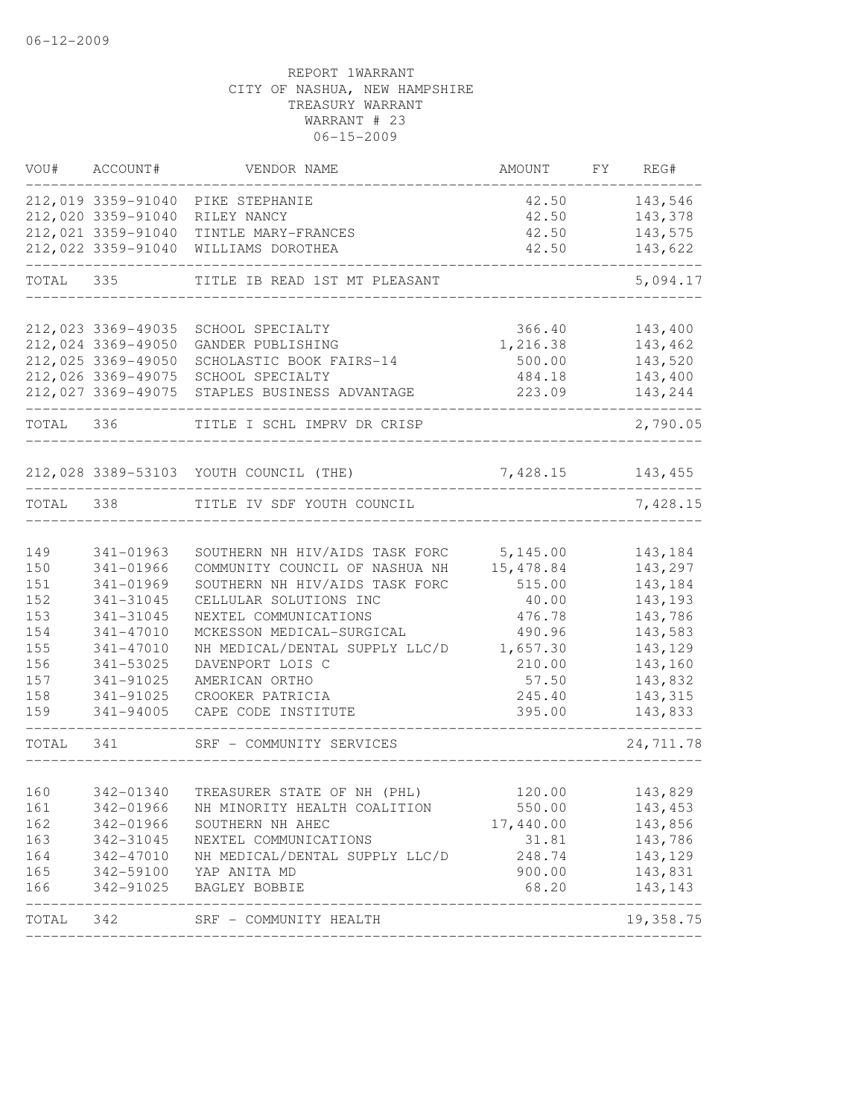| VOU#       | ACCOUNT#               | VENDOR NAME                                   | AMOUNT             | FY REG#           |
|------------|------------------------|-----------------------------------------------|--------------------|-------------------|
|            |                        | 212,019 3359-91040 PIKE STEPHANIE             | 42.50              | 143,546           |
|            | 212,020 3359-91040     | RILEY NANCY                                   | 42.50              | 143,378           |
|            | 212,021 3359-91040     | TINTLE MARY-FRANCES                           | 42.50              | 143,575           |
|            | 212,022 3359-91040     | WILLIAMS DOROTHEA                             | 42.50              | 143,622           |
| TOTAL 335  |                        | TITLE IB READ 1ST MT PLEASANT                 |                    | 5,094.17          |
|            | 212,023 3369-49035     | SCHOOL SPECIALTY                              | 366.40             | 143,400           |
|            | 212,024 3369-49050     | GANDER PUBLISHING                             | 1,216.38           | 143,462           |
|            | 212,025 3369-49050     | SCHOLASTIC BOOK FAIRS-14                      | 500.00             | 143,520           |
|            | 212,026 3369-49075     | SCHOOL SPECIALTY                              | 484.18             | 143,400           |
|            | 212,027 3369-49075     | STAPLES BUSINESS ADVANTAGE                    | 223.09             | 143,244           |
|            | TOTAL 336              | TITLE I SCHL IMPRV DR CRISP                   |                    | 2,790.05          |
|            |                        | 212,028 3389-53103 YOUTH COUNCIL (THE)        | 7, 428.15 143, 455 |                   |
|            |                        | TOTAL 338 TITLE IV SDF YOUTH COUNCIL          |                    | 7,428.15          |
|            |                        |                                               |                    |                   |
| 149        | 341-01963              | SOUTHERN NH HIV/AIDS TASK FORC 5,145.00       |                    | 143,184           |
| 150        | 341-01966              | COMMUNITY COUNCIL OF NASHUA NH                | 15,478.84          | 143,297           |
| 151        | 341-01969              | SOUTHERN NH HIV/AIDS TASK FORC                | 515.00             | 143,184           |
| 152        | 341-31045              | CELLULAR SOLUTIONS INC                        | 40.00              | 143,193           |
| 153        | 341-31045              | NEXTEL COMMUNICATIONS                         | 476.78             | 143,786           |
| 154        | 341-47010              | MCKESSON MEDICAL-SURGICAL                     | 490.96             | 143,583           |
| 155        | $341 - 47010$          | NH MEDICAL/DENTAL SUPPLY LLC/D                | 1,657.30           | 143,129           |
| 156        | 341-53025              | DAVENPORT LOIS C                              | 210.00             | 143,160           |
| 157        | 341-91025              | AMERICAN ORTHO                                | 57.50              | 143,832           |
| 158<br>159 | 341-91025<br>341-94005 | CROOKER PATRICIA                              | 245.40<br>395.00   | 143,315           |
|            |                        | CAPE CODE INSTITUTE                           |                    | 143,833           |
| TOTAL 341  |                        | SRF - COMMUNITY SERVICES                      |                    | 24,711.78         |
| 160        | 342-01340              | TREASURER STATE OF NH (PHL)                   | 120.00             | 143,829           |
| 161        | 342-01966              | NH MINORITY HEALTH COALITION                  | 550.00             | 143, 453          |
| 162        | 342-01966              | SOUTHERN NH AHEC                              | 17,440.00          | 143,856           |
| 163        | 342-31045              | NEXTEL COMMUNICATIONS                         | 31.81              | 143,786           |
| 164        | 342-47010              | NH MEDICAL/DENTAL SUPPLY LLC/D                | 248.74             | 143,129           |
| 165        | 342-59100              | YAP ANITA MD                                  | 900.00             | 143,831           |
| 166        | 342-91025              | BAGLEY BOBBIE<br>____________________________ | 68.20              | 143,143<br>------ |
| TOTAL      | 342                    | SRF - COMMUNITY HEALTH                        |                    | 19,358.75         |
|            |                        |                                               |                    |                   |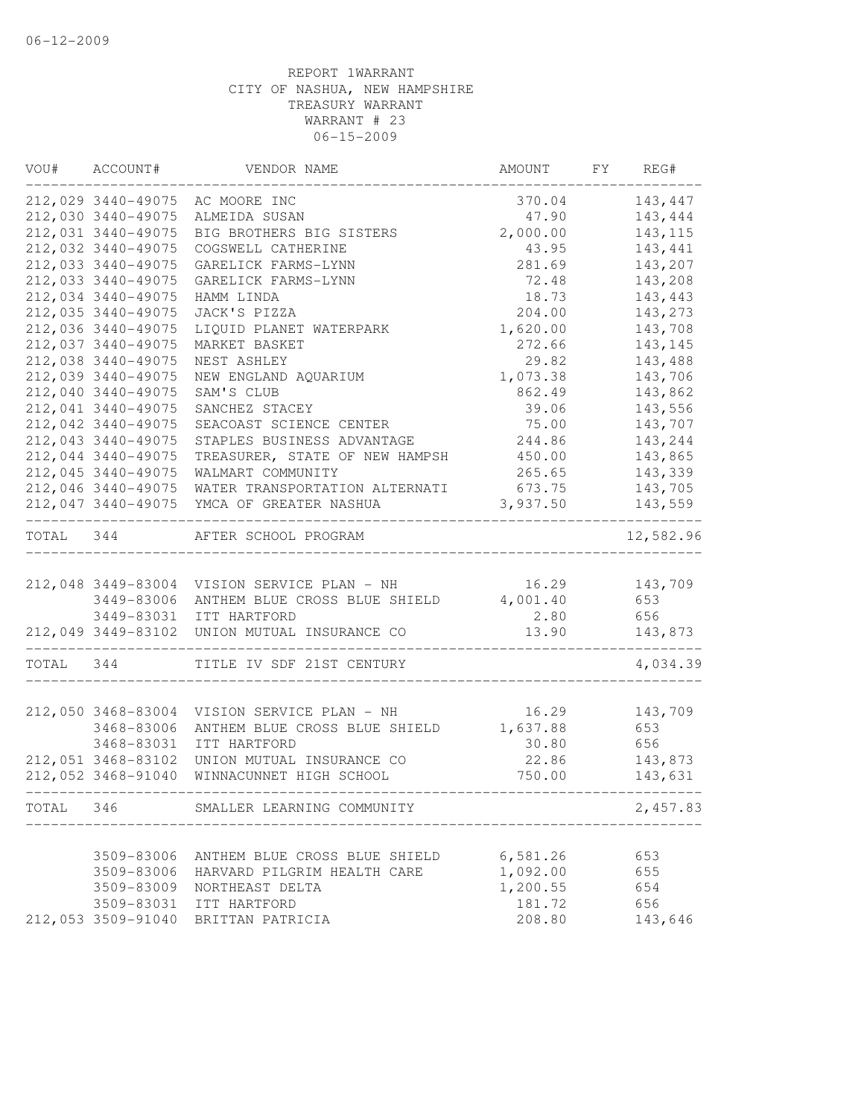| VOU#      | ACCOUNT#           | VENDOR NAME                                 | AMOUNT   | FY | REG#      |
|-----------|--------------------|---------------------------------------------|----------|----|-----------|
|           | 212,029 3440-49075 | AC MOORE INC                                | 370.04   |    | 143,447   |
|           | 212,030 3440-49075 | ALMEIDA SUSAN                               | 47.90    |    | 143,444   |
|           | 212,031 3440-49075 | BIG BROTHERS BIG SISTERS                    | 2,000.00 |    | 143, 115  |
|           | 212,032 3440-49075 | COGSWELL CATHERINE                          | 43.95    |    | 143,441   |
|           | 212,033 3440-49075 | GARELICK FARMS-LYNN                         | 281.69   |    | 143,207   |
|           | 212,033 3440-49075 | GARELICK FARMS-LYNN                         | 72.48    |    | 143,208   |
|           | 212,034 3440-49075 | HAMM LINDA                                  | 18.73    |    | 143,443   |
|           | 212,035 3440-49075 | JACK'S PIZZA                                | 204.00   |    | 143,273   |
|           | 212,036 3440-49075 | LIQUID PLANET WATERPARK                     | 1,620.00 |    | 143,708   |
|           | 212,037 3440-49075 | MARKET BASKET                               | 272.66   |    | 143,145   |
|           | 212,038 3440-49075 | NEST ASHLEY                                 | 29.82    |    | 143,488   |
|           | 212,039 3440-49075 | NEW ENGLAND AQUARIUM                        | 1,073.38 |    | 143,706   |
|           | 212,040 3440-49075 | SAM'S CLUB                                  | 862.49   |    | 143,862   |
|           | 212,041 3440-49075 | SANCHEZ STACEY                              | 39.06    |    | 143,556   |
|           | 212,042 3440-49075 | SEACOAST SCIENCE CENTER                     | 75.00    |    | 143,707   |
|           | 212,043 3440-49075 | STAPLES BUSINESS ADVANTAGE                  | 244.86   |    | 143,244   |
|           | 212,044 3440-49075 | TREASURER, STATE OF NEW HAMPSH              | 450.00   |    | 143,865   |
|           | 212,045 3440-49075 | WALMART COMMUNITY                           | 265.65   |    | 143,339   |
|           | 212,046 3440-49075 | WATER TRANSPORTATION ALTERNATI              | 673.75   |    | 143,705   |
|           | 212,047 3440-49075 | YMCA OF GREATER NASHUA                      | 3,937.50 |    | 143,559   |
| TOTAL 344 |                    | AFTER SCHOOL PROGRAM                        |          |    | 12,582.96 |
|           |                    |                                             |          |    |           |
|           |                    | 212,048 3449-83004 VISION SERVICE PLAN - NH | 16.29    |    | 143,709   |
|           | 3449-83006         | ANTHEM BLUE CROSS BLUE SHIELD               | 4,001.40 |    | 653       |
|           | 3449-83031         | ITT HARTFORD                                | 2.80     |    | 656       |
|           | 212,049 3449-83102 | UNION MUTUAL INSURANCE CO                   | 13.90    |    | 143,873   |
| TOTAL 344 |                    | TITLE IV SDF 21ST CENTURY                   |          |    | 4,034.39  |
|           |                    |                                             |          |    |           |
|           | 212,050 3468-83004 | VISION SERVICE PLAN - NH                    | 16.29    |    | 143,709   |
|           | 3468-83006         | ANTHEM BLUE CROSS BLUE SHIELD               | 1,637.88 |    | 653       |
|           | 3468-83031         | ITT HARTFORD                                | 30.80    |    | 656       |
|           | 212,051 3468-83102 | UNION MUTUAL INSURANCE CO                   | 22.86    |    | 143,873   |
|           | 212,052 3468-91040 | WINNACUNNET HIGH SCHOOL                     | 750.00   |    | 143,631   |
| TOTAL     | 346                | SMALLER LEARNING COMMUNITY                  |          |    | 2,457.83  |
|           |                    |                                             |          |    |           |
|           | 3509-83006         | ANTHEM BLUE CROSS BLUE SHIELD               | 6,581.26 |    | 653       |
|           | 3509-83006         | HARVARD PILGRIM HEALTH CARE                 | 1,092.00 |    | 655       |
|           | 3509-83009         | NORTHEAST DELTA                             | 1,200.55 |    | 654       |
|           | 3509-83031         | ITT HARTFORD                                | 181.72   |    | 656       |
|           | 212,053 3509-91040 | BRITTAN PATRICIA                            | 208.80   |    | 143,646   |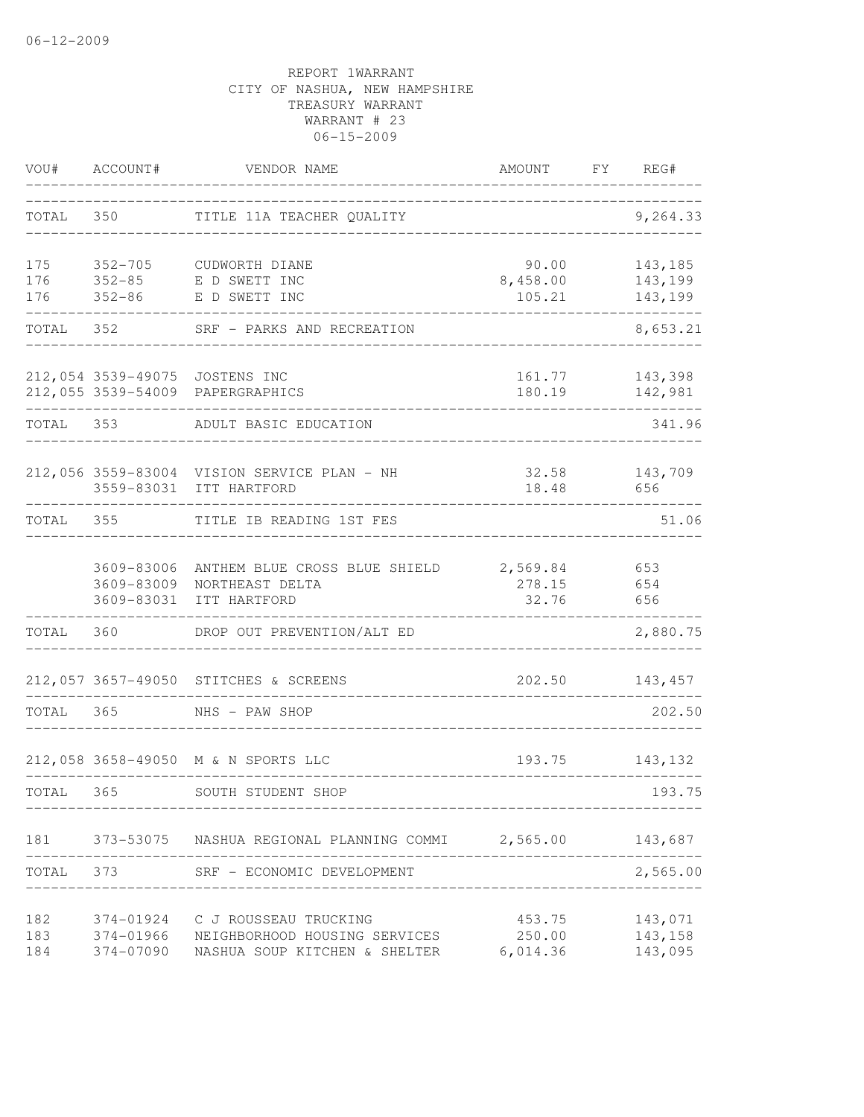| VOU#              | ACCOUNT#                               | VENDOR NAME                                                                             | AMOUNT                       | FY REG#                       |
|-------------------|----------------------------------------|-----------------------------------------------------------------------------------------|------------------------------|-------------------------------|
| TOTAL             |                                        | TITLE 11A TEACHER QUALITY                                                               |                              | 9,264.33                      |
| 175<br>176<br>176 | $352 - 86$                             | 352-705 CUDWORTH DIANE<br>352-85 E D SWETT INC<br>E D SWETT INC                         | 90.00<br>8,458.00<br>105.21  | 143,185<br>143,199<br>143,199 |
| TOTAL             | 352                                    | SRF - PARKS AND RECREATION                                                              |                              | 8,653.21                      |
|                   |                                        | 212,054 3539-49075 JOSTENS INC<br>212,055 3539-54009 PAPERGRAPHICS                      | 161.77<br>180.19             | 143,398<br>142,981            |
| TOTAL             | 353                                    | ADULT BASIC EDUCATION                                                                   |                              | 341.96                        |
|                   | 3559-83031                             | 212,056 3559-83004 VISION SERVICE PLAN - NH<br>ITT HARTFORD                             | 32.58<br>18.48               | 143,709<br>656                |
| TOTAL 355         |                                        | TITLE IB READING 1ST FES                                                                |                              | 51.06                         |
|                   | 3609-83006<br>3609-83009<br>3609-83031 | ANTHEM BLUE CROSS BLUE SHIELD 2,569.84 653<br>NORTHEAST DELTA<br>ITT HARTFORD           | 278.15<br>32.76              | 654<br>656                    |
| TOTAL             | 360                                    | DROP OUT PREVENTION/ALT ED                                                              |                              | 2,880.75                      |
|                   |                                        | 212,057 3657-49050 STITCHES & SCREENS                                                   | 202.50                       | 143,457                       |
| TOTAL             | 365                                    | NHS - PAW SHOP                                                                          |                              | 202.50                        |
|                   |                                        | 212,058 3658-49050 M & N SPORTS LLC                                                     | 193.75                       | 143,132                       |
| TOTAL             | 365                                    | SOUTH STUDENT SHOP                                                                      |                              | 193.75                        |
|                   |                                        | 181 373-53075 NASHUA REGIONAL PLANNING COMMI 2,565.00                                   |                              | 143,687                       |
|                   |                                        | TOTAL 373 SRF - ECONOMIC DEVELOPMENT                                                    |                              | 2,565.00                      |
| 182<br>183<br>184 | 374-01924<br>374-01966<br>374-07090    | C J ROUSSEAU TRUCKING<br>NEIGHBORHOOD HOUSING SERVICES<br>NASHUA SOUP KITCHEN & SHELTER | 453.75<br>250.00<br>6,014.36 | 143,071<br>143,158<br>143,095 |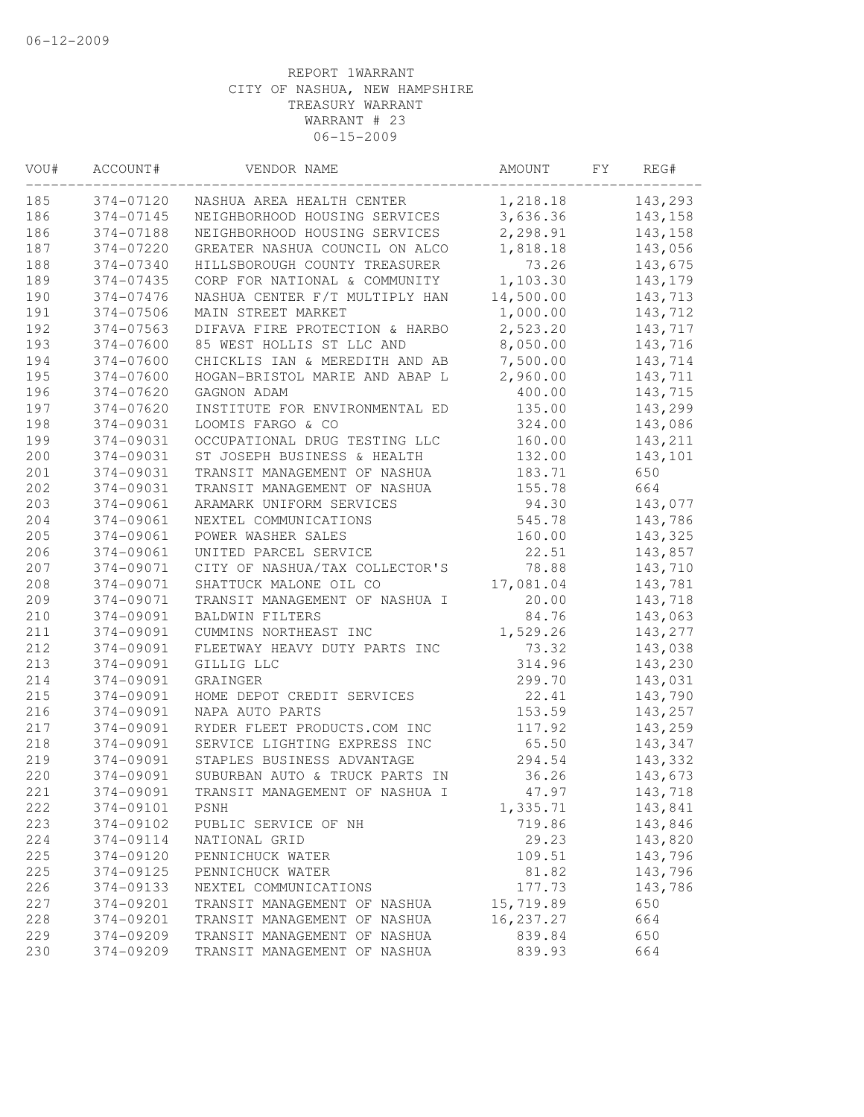| VOU# | ACCOUNT#  | VENDOR NAME                    | AMOUNT    | FY. | REG#    |
|------|-----------|--------------------------------|-----------|-----|---------|
| 185  | 374-07120 | NASHUA AREA HEALTH CENTER      | 1,218.18  |     | 143,293 |
| 186  | 374-07145 | NEIGHBORHOOD HOUSING SERVICES  | 3,636.36  |     | 143,158 |
| 186  | 374-07188 | NEIGHBORHOOD HOUSING SERVICES  | 2,298.91  |     | 143,158 |
| 187  | 374-07220 | GREATER NASHUA COUNCIL ON ALCO | 1,818.18  |     | 143,056 |
| 188  | 374-07340 | HILLSBOROUGH COUNTY TREASURER  | 73.26     |     | 143,675 |
| 189  | 374-07435 | CORP FOR NATIONAL & COMMUNITY  | 1,103.30  |     | 143,179 |
| 190  | 374-07476 | NASHUA CENTER F/T MULTIPLY HAN | 14,500.00 |     | 143,713 |
| 191  | 374-07506 | MAIN STREET MARKET             | 1,000.00  |     | 143,712 |
| 192  | 374-07563 | DIFAVA FIRE PROTECTION & HARBO | 2,523.20  |     | 143,717 |
| 193  | 374-07600 | 85 WEST HOLLIS ST LLC AND      | 8,050.00  |     | 143,716 |
| 194  | 374-07600 | CHICKLIS IAN & MEREDITH AND AB | 7,500.00  |     | 143,714 |
| 195  | 374-07600 | HOGAN-BRISTOL MARIE AND ABAP L | 2,960.00  |     | 143,711 |
| 196  | 374-07620 | GAGNON ADAM                    | 400.00    |     | 143,715 |
| 197  | 374-07620 | INSTITUTE FOR ENVIRONMENTAL ED | 135.00    |     | 143,299 |
| 198  | 374-09031 | LOOMIS FARGO & CO              | 324.00    |     | 143,086 |
| 199  | 374-09031 | OCCUPATIONAL DRUG TESTING LLC  | 160.00    |     | 143,211 |
| 200  | 374-09031 | ST JOSEPH BUSINESS & HEALTH    | 132.00    |     | 143,101 |
| 201  | 374-09031 | TRANSIT MANAGEMENT OF NASHUA   | 183.71    |     | 650     |
| 202  | 374-09031 | TRANSIT MANAGEMENT OF NASHUA   | 155.78    |     | 664     |
| 203  | 374-09061 | ARAMARK UNIFORM SERVICES       | 94.30     |     | 143,077 |
| 204  | 374-09061 | NEXTEL COMMUNICATIONS          | 545.78    |     | 143,786 |
| 205  | 374-09061 | POWER WASHER SALES             | 160.00    |     | 143,325 |
| 206  | 374-09061 | UNITED PARCEL SERVICE          | 22.51     |     | 143,857 |
| 207  | 374-09071 | CITY OF NASHUA/TAX COLLECTOR'S | 78.88     |     | 143,710 |
| 208  | 374-09071 | SHATTUCK MALONE OIL CO         | 17,081.04 |     | 143,781 |
| 209  | 374-09071 | TRANSIT MANAGEMENT OF NASHUA I | 20.00     |     | 143,718 |
| 210  | 374-09091 | BALDWIN FILTERS                | 84.76     |     | 143,063 |
| 211  | 374-09091 | CUMMINS NORTHEAST INC          | 1,529.26  |     | 143,277 |
| 212  | 374-09091 | FLEETWAY HEAVY DUTY PARTS INC  | 73.32     |     | 143,038 |
| 213  | 374-09091 | GILLIG LLC                     | 314.96    |     | 143,230 |
| 214  | 374-09091 | GRAINGER                       | 299.70    |     | 143,031 |
| 215  | 374-09091 | HOME DEPOT CREDIT SERVICES     | 22.41     |     | 143,790 |
| 216  | 374-09091 | NAPA AUTO PARTS                | 153.59    |     | 143,257 |
| 217  | 374-09091 | RYDER FLEET PRODUCTS.COM INC   | 117.92    |     | 143,259 |
| 218  | 374-09091 | SERVICE LIGHTING EXPRESS INC   | 65.50     |     | 143,347 |
| 219  | 374-09091 | STAPLES BUSINESS ADVANTAGE     | 294.54    |     | 143,332 |
| 220  | 374-09091 | SUBURBAN AUTO & TRUCK PARTS IN | 36.26     |     | 143,673 |
| 221  | 374-09091 | TRANSIT MANAGEMENT OF NASHUA I | 47.97     |     | 143,718 |
| 222  | 374-09101 | PSNH                           | 1,335.71  |     | 143,841 |
| 223  | 374-09102 | PUBLIC SERVICE OF NH           | 719.86    |     | 143,846 |
| 224  | 374-09114 | NATIONAL GRID                  | 29.23     |     | 143,820 |
| 225  | 374-09120 | PENNICHUCK WATER               | 109.51    |     | 143,796 |
| 225  | 374-09125 | PENNICHUCK WATER               | 81.82     |     | 143,796 |
| 226  | 374-09133 | NEXTEL COMMUNICATIONS          | 177.73    |     | 143,786 |
| 227  | 374-09201 | TRANSIT MANAGEMENT OF NASHUA   | 15,719.89 |     | 650     |
| 228  | 374-09201 | TRANSIT MANAGEMENT OF NASHUA   | 16,237.27 |     | 664     |
| 229  | 374-09209 | TRANSIT MANAGEMENT OF NASHUA   | 839.84    |     | 650     |
| 230  | 374-09209 | TRANSIT MANAGEMENT OF NASHUA   | 839.93    |     | 664     |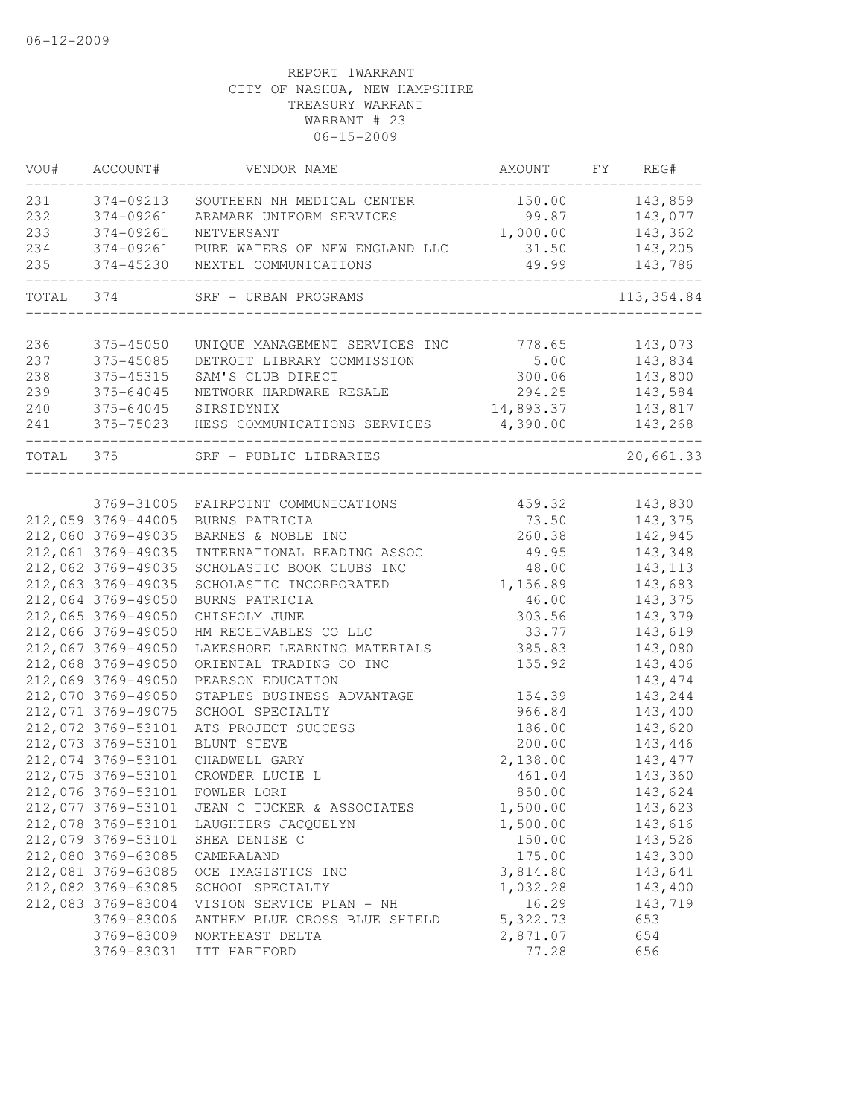| VOU#      | ACCOUNT#           | VENDOR NAME                    | AMOUNT    | FY REG#     |
|-----------|--------------------|--------------------------------|-----------|-------------|
| 231       | 374-09213          | SOUTHERN NH MEDICAL CENTER     | 150.00    | 143,859     |
| 232       | 374-09261          | ARAMARK UNIFORM SERVICES       | 99.87     | 143,077     |
| 233       | 374-09261          | NETVERSANT                     | 1,000.00  | 143,362     |
| 234       | 374-09261          | PURE WATERS OF NEW ENGLAND LLC | 31.50     | 143,205     |
| 235       | 374-45230          | NEXTEL COMMUNICATIONS          | 49.99     | 143,786     |
| TOTAL 374 |                    | SRF - URBAN PROGRAMS           |           | 113, 354.84 |
| 236       | 375-45050          | UNIQUE MANAGEMENT SERVICES INC | 778.65    | 143,073     |
| 237       | 375-45085          | DETROIT LIBRARY COMMISSION     | 5.00      | 143,834     |
| 238       | 375-45315          | SAM'S CLUB DIRECT              | 300.06    | 143,800     |
| 239       | 375-64045          | NETWORK HARDWARE RESALE        | 294.25    | 143,584     |
| 240       | 375-64045          | SIRSIDYNIX                     | 14,893.37 | 143,817     |
| 241       | 375-75023          | HESS COMMUNICATIONS SERVICES   | 4,390.00  | 143,268     |
| TOTAL 375 |                    | SRF - PUBLIC LIBRARIES         |           | 20,661.33   |
|           |                    |                                |           |             |
|           | 3769-31005         | FAIRPOINT COMMUNICATIONS       | 459.32    | 143,830     |
|           | 212,059 3769-44005 | BURNS PATRICIA                 | 73.50     | 143,375     |
|           | 212,060 3769-49035 | BARNES & NOBLE INC             | 260.38    | 142,945     |
|           | 212,061 3769-49035 | INTERNATIONAL READING ASSOC    | 49.95     | 143,348     |
|           | 212,062 3769-49035 | SCHOLASTIC BOOK CLUBS INC      | 48.00     | 143, 113    |
|           | 212,063 3769-49035 | SCHOLASTIC INCORPORATED        | 1,156.89  | 143,683     |
|           | 212,064 3769-49050 | BURNS PATRICIA                 | 46.00     | 143,375     |
|           | 212,065 3769-49050 | CHISHOLM JUNE                  | 303.56    | 143,379     |
|           | 212,066 3769-49050 | HM RECEIVABLES CO LLC          | 33.77     | 143,619     |
|           | 212,067 3769-49050 | LAKESHORE LEARNING MATERIALS   | 385.83    | 143,080     |
|           | 212,068 3769-49050 | ORIENTAL TRADING CO INC        | 155.92    | 143,406     |
|           | 212,069 3769-49050 | PEARSON EDUCATION              |           | 143, 474    |
|           | 212,070 3769-49050 | STAPLES BUSINESS ADVANTAGE     | 154.39    | 143,244     |
|           | 212,071 3769-49075 | SCHOOL SPECIALTY               | 966.84    | 143,400     |
|           | 212,072 3769-53101 | ATS PROJECT SUCCESS            | 186.00    | 143,620     |
|           | 212,073 3769-53101 | BLUNT STEVE                    | 200.00    | 143,446     |
|           | 212,074 3769-53101 | CHADWELL GARY                  | 2,138.00  | 143, 477    |
|           | 212,075 3769-53101 | CROWDER LUCIE L                | 461.04    | 143,360     |
|           | 212,076 3769-53101 | FOWLER LORI                    | 850.00    | 143,624     |
|           | 212,077 3769-53101 | JEAN C TUCKER & ASSOCIATES     | 1,500.00  | 143,623     |
|           | 212,078 3769-53101 | LAUGHTERS JACQUELYN            | 1,500.00  | 143,616     |
|           | 212,079 3769-53101 | SHEA DENISE C                  | 150.00    | 143,526     |
|           | 212,080 3769-63085 | CAMERALAND                     | 175.00    | 143,300     |
|           | 212,081 3769-63085 | OCE IMAGISTICS INC             | 3,814.80  | 143,641     |
|           | 212,082 3769-63085 | SCHOOL SPECIALTY               | 1,032.28  | 143,400     |
|           | 212,083 3769-83004 | VISION SERVICE PLAN - NH       | 16.29     | 143,719     |
|           | 3769-83006         | ANTHEM BLUE CROSS BLUE SHIELD  | 5,322.73  | 653         |
|           | 3769-83009         | NORTHEAST DELTA                | 2,871.07  | 654         |
|           | 3769-83031         | ITT HARTFORD                   | 77.28     | 656         |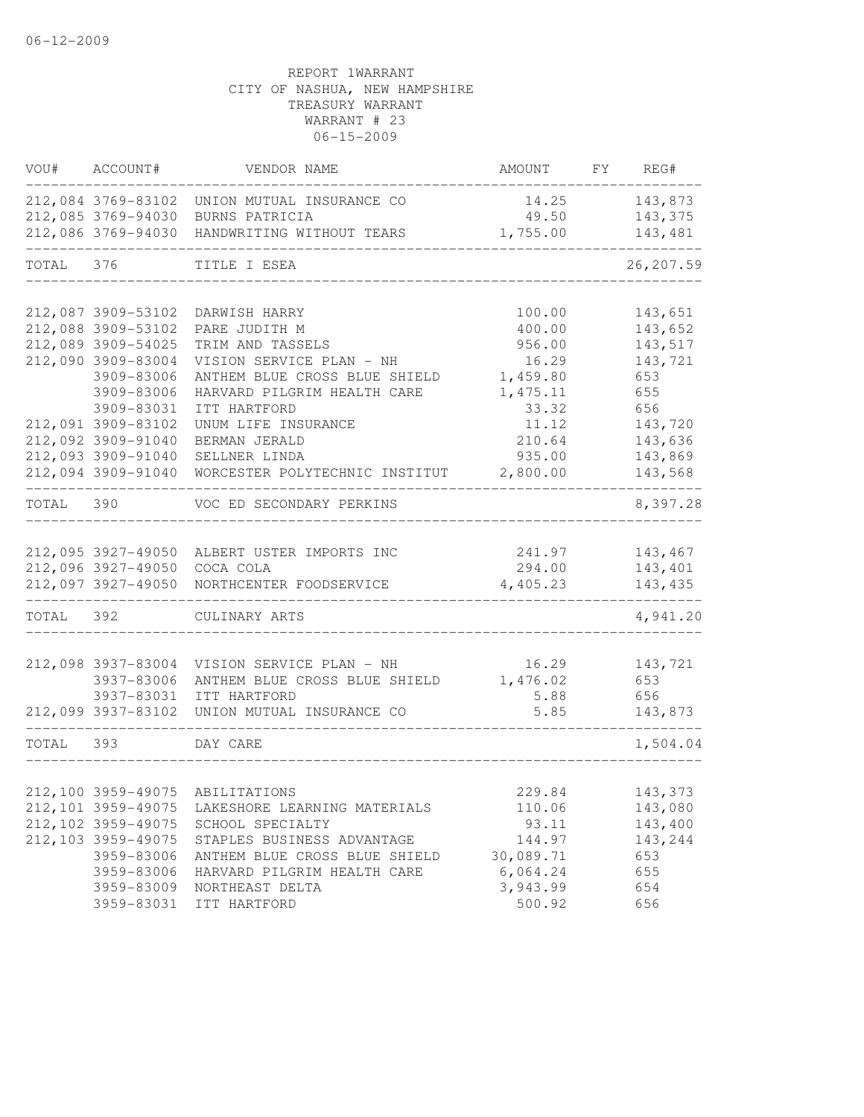| VOU#      | ACCOUNT#            | VENDOR NAME                                  | AMOUNT    | FY | REG#       |
|-----------|---------------------|----------------------------------------------|-----------|----|------------|
|           |                     | 212,084 3769-83102 UNION MUTUAL INSURANCE CO | 14.25     |    | 143,873    |
|           |                     | 212,085 3769-94030 BURNS PATRICIA            | 49.50     |    | 143,375    |
|           |                     | 212,086 3769-94030 HANDWRITING WITHOUT TEARS | 1,755.00  |    | 143,481    |
| TOTAL 376 |                     | TITLE I ESEA                                 |           |    | 26, 207.59 |
|           | 212,087 3909-53102  | DARWISH HARRY                                | 100.00    |    | 143,651    |
|           | 212,088 3909-53102  | PARE JUDITH M                                | 400.00    |    | 143,652    |
|           | 212,089 3909-54025  | TRIM AND TASSELS                             | 956.00    |    | 143,517    |
|           | 212,090 3909-83004  | VISION SERVICE PLAN - NH                     | 16.29     |    | 143,721    |
|           | 3909-83006          | ANTHEM BLUE CROSS BLUE SHIELD                | 1,459.80  |    | 653        |
|           | 3909-83006          | HARVARD PILGRIM HEALTH CARE                  | 1, 475.11 |    | 655        |
|           | 3909-83031          | ITT HARTFORD                                 | 33.32     |    | 656        |
|           | 212,091 3909-83102  | UNUM LIFE INSURANCE                          | 11.12     |    | 143,720    |
|           | 212,092 3909-91040  | BERMAN JERALD                                | 210.64    |    | 143,636    |
|           | 212,093 3909-91040  | SELLNER LINDA                                | 935.00    |    | 143,869    |
|           | 212,094 3909-91040  | WORCESTER POLYTECHNIC INSTITUT               | 2,800.00  |    | 143,568    |
| TOTAL 390 |                     | VOC ED SECONDARY PERKINS                     |           |    | 8,397.28   |
|           |                     |                                              |           |    |            |
|           |                     | 212,095 3927-49050 ALBERT USTER IMPORTS INC  | 241.97    |    | 143,467    |
|           | 212,096 3927-49050  | COCA COLA                                    | 294.00    |    | 143,401    |
|           | 212,097 3927-49050  | NORTHCENTER FOODSERVICE                      | 4,405.23  |    | 143,435    |
| TOTAL 392 |                     | CULINARY ARTS                                |           |    | 4,941.20   |
|           | 212,098 3937-83004  | VISION SERVICE PLAN - NH                     | 16.29     |    | 143,721    |
|           | 3937-83006          | ANTHEM BLUE CROSS BLUE SHIELD                | 1,476.02  |    | 653        |
|           | 3937-83031          | ITT HARTFORD                                 | 5.88      |    | 656        |
|           | 212,099 3937-83102  | UNION MUTUAL INSURANCE CO                    | 5.85      |    | 143,873    |
| TOTAL     | 393                 | DAY CARE                                     |           |    | 1,504.04   |
|           |                     |                                              |           |    |            |
|           |                     | 212,100 3959-49075 ABILITATIONS              | 229.84    |    | 143,373    |
|           | 212, 101 3959-49075 | LAKESHORE LEARNING MATERIALS                 | 110.06    |    | 143,080    |
|           | 212, 102 3959-49075 | SCHOOL SPECIALTY                             | 93.11     |    | 143,400    |
|           | 212,103 3959-49075  | STAPLES BUSINESS ADVANTAGE                   | 144.97    |    | 143,244    |
|           | 3959-83006          | ANTHEM BLUE CROSS BLUE SHIELD                | 30,089.71 |    | 653        |
|           | 3959-83006          | HARVARD PILGRIM HEALTH CARE                  | 6,064.24  |    | 655        |
|           | 3959-83009          | NORTHEAST DELTA                              | 3,943.99  |    | 654        |
|           | 3959-83031          | ITT HARTFORD                                 | 500.92    |    | 656        |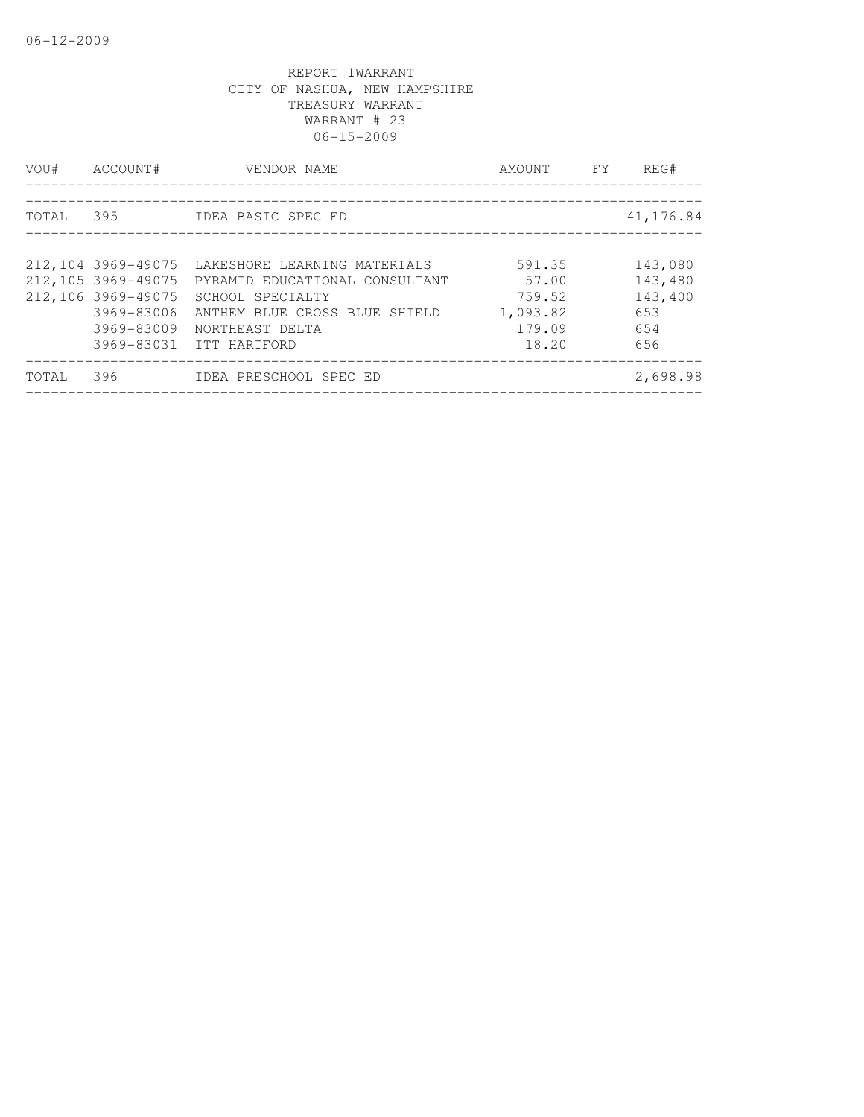| VOU#  | ACCOUNT#           | VENDOR NAME                    | AMOUNT   | FY. | REG#      |
|-------|--------------------|--------------------------------|----------|-----|-----------|
| TOTAL | 395                | IDEA BASIC SPEC ED             |          |     | 41,176.84 |
|       |                    |                                |          |     |           |
|       | 212,104 3969-49075 | LAKESHORE LEARNING MATERIALS   | 591.35   |     | 143,080   |
|       | 212,105 3969-49075 | PYRAMID EDUCATIONAL CONSULTANT | 57.00    |     | 143,480   |
|       | 212,106 3969-49075 | SCHOOL SPECIALTY               | 759.52   |     | 143,400   |
|       | 3969-83006         | ANTHEM BLUE CROSS BLUE SHIELD  | 1,093.82 |     | 653       |
|       | 3969-83009         | NORTHEAST DELTA                | 179.09   |     | 654       |
|       |                    | 3969-83031 ITT HARTFORD        | 18.20    |     | 656       |
| TOTAL | 396                | IDEA PRESCHOOL SPEC ED         |          |     | 2,698.98  |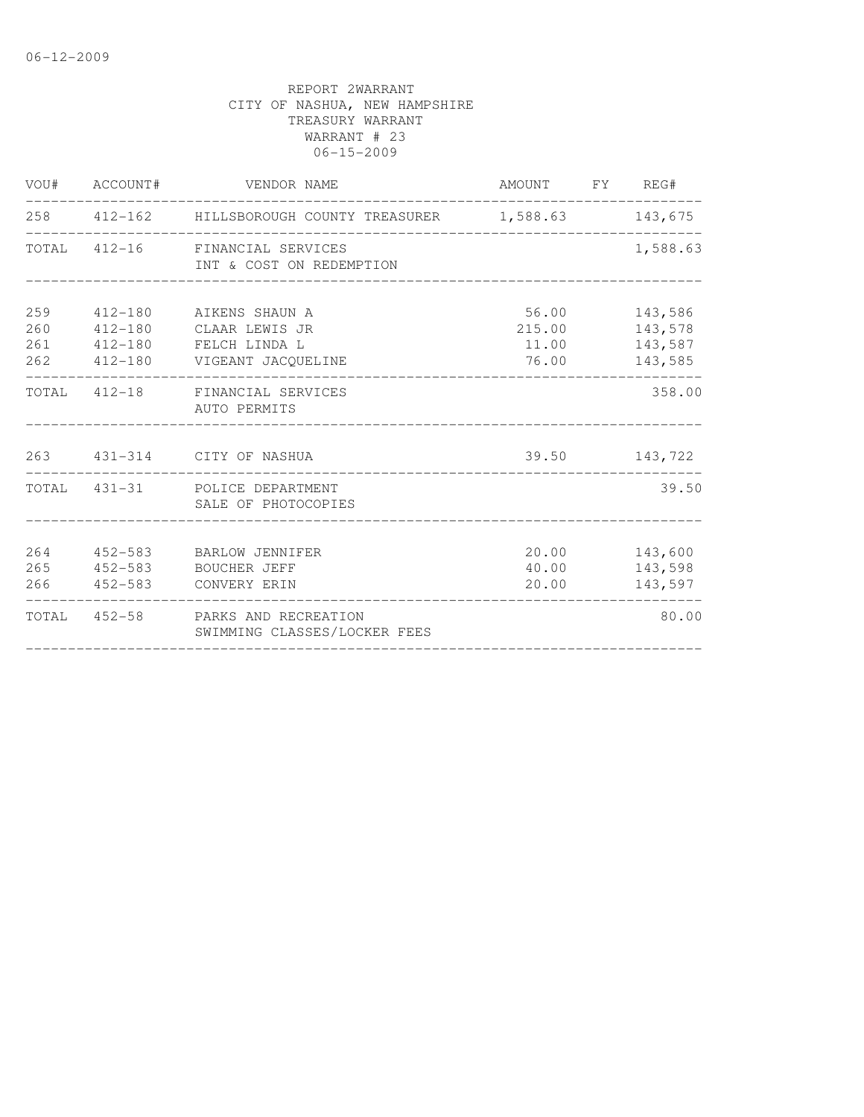|                   | VOU# ACCOUNT# | VENDOR NAME                                                                                                     | AMOUNT FY REG#                          |                                           |
|-------------------|---------------|-----------------------------------------------------------------------------------------------------------------|-----------------------------------------|-------------------------------------------|
|                   |               | 258 412-162 HILLSBOROUGH COUNTY TREASURER 1,588.63 143,675                                                      |                                         |                                           |
|                   |               | TOTAL 412-16 FINANCIAL SERVICES<br>INT & COST ON REDEMPTION                                                     |                                         | 1,588.63                                  |
| 259<br>260<br>261 |               | 412-180 AIKENS SHAUN A<br>412-180 CLAAR LEWIS JR<br>412-180 FELCH LINDA L<br>262   412-180   VIGEANT JACQUELINE | 56.00 143,586<br>11.00 143,587<br>76.00 | 215.00 143,578<br>143,585                 |
|                   |               | TOTAL 412-18 FINANCIAL SERVICES<br>AUTO PERMITS<br>________________________________                             |                                         | 358.00                                    |
|                   |               | 263 431-314 CITY OF NASHUA<br>_____________________________                                                     |                                         | 39.50 143,722                             |
|                   |               | TOTAL 431-31 POLICE DEPARTMENT<br>SALE OF PHOTOCOPIES                                                           |                                         | 39.50                                     |
| 264<br>265        |               | 452-583 BARLOW JENNIFER<br>452-583 BOUCHER JEFF<br>266  452-583  CONVERY ERIN                                   | 20.00                                   | 20.00 143,600<br>40.00 143,598<br>143,597 |
|                   |               | TOTAL 452-58 PARKS AND RECREATION<br>SWIMMING CLASSES/LOCKER FEES                                               |                                         | 80.00                                     |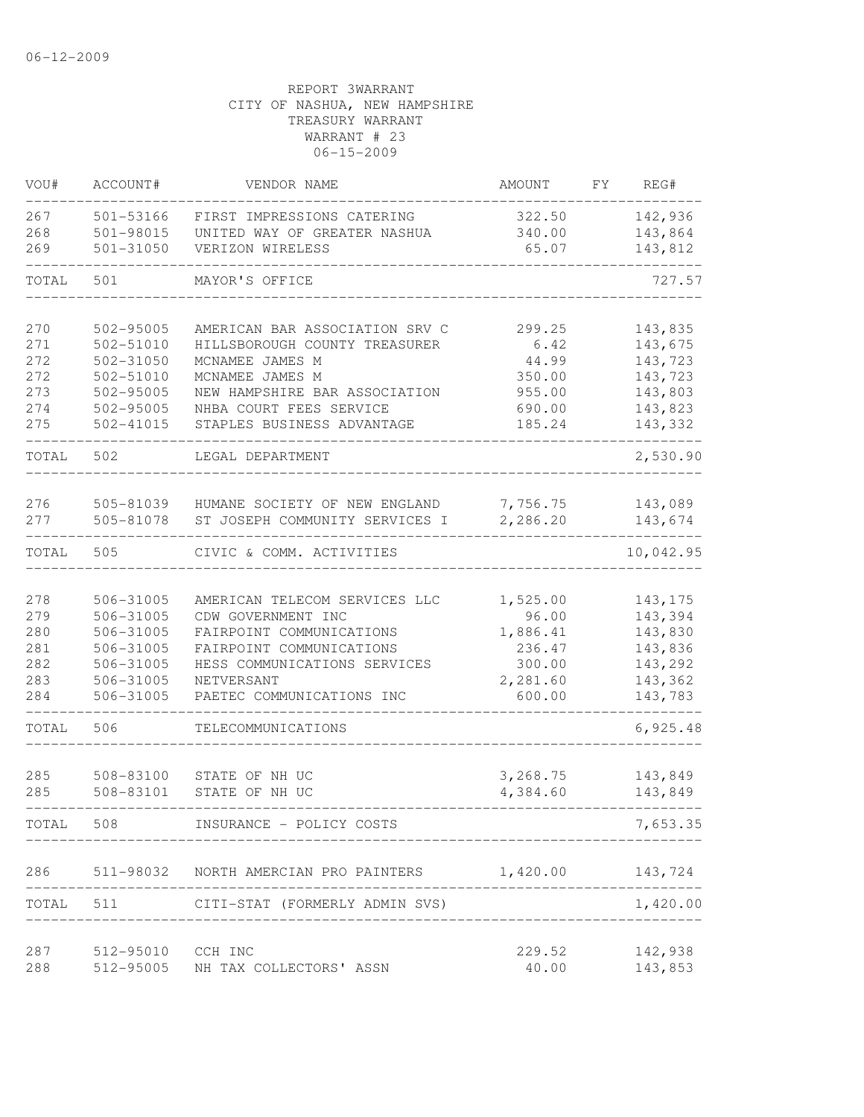| VOU#  | ACCOUNT#      | VENDOR NAME                    | AMOUNT               | FΥ | REG#               |
|-------|---------------|--------------------------------|----------------------|----|--------------------|
| 267   | 501-53166     | FIRST IMPRESSIONS CATERING     | 322.50               |    | 142,936            |
| 268   | 501-98015     | UNITED WAY OF GREATER NASHUA   | 340.00               |    | 143,864            |
| 269   | 501-31050     | VERIZON WIRELESS               | 65.07                |    | 143,812            |
| TOTAL | 501           | MAYOR'S OFFICE                 |                      |    | 727.57             |
| 270   | 502-95005     | AMERICAN BAR ASSOCIATION SRV C | 299.25               |    | 143,835            |
| 271   | 502-51010     | HILLSBOROUGH COUNTY TREASURER  | 6.42                 |    | 143,675            |
| 272   | 502-31050     | MCNAMEE JAMES M                | 44.99                |    | 143,723            |
| 272   | 502-51010     | MCNAMEE JAMES M                | 350.00               |    | 143,723            |
| 273   | 502-95005     | NEW HAMPSHIRE BAR ASSOCIATION  | 955.00               |    | 143,803            |
| 274   | 502-95005     | NHBA COURT FEES SERVICE        | 690.00               |    | 143,823            |
| 275   | $502 - 41015$ | STAPLES BUSINESS ADVANTAGE     | 185.24               |    | 143,332            |
| TOTAL | 502           | LEGAL DEPARTMENT               |                      |    | 2,530.90           |
| 276   | 505-81039     | HUMANE SOCIETY OF NEW ENGLAND  | 7,756.75             |    | 143,089            |
| 277   | 505-81078     | ST JOSEPH COMMUNITY SERVICES I | 2,286.20             |    | 143,674            |
| TOTAL | 505           | CIVIC & COMM. ACTIVITIES       |                      |    | 10,042.95          |
| 278   | 506-31005     | AMERICAN TELECOM SERVICES LLC  | 1,525.00             |    | 143, 175           |
| 279   | 506-31005     | CDW GOVERNMENT INC             | 96.00                |    | 143,394            |
| 280   | 506-31005     | FAIRPOINT COMMUNICATIONS       | 1,886.41             |    | 143,830            |
| 281   | 506-31005     | FAIRPOINT COMMUNICATIONS       | 236.47               |    | 143,836            |
| 282   | 506-31005     | HESS COMMUNICATIONS SERVICES   | 300.00               |    | 143,292            |
| 283   | 506-31005     | NETVERSANT                     | 2,281.60             |    | 143,362            |
| 284   | 506-31005     | PAETEC COMMUNICATIONS INC      | 600.00               |    | 143,783            |
| TOTAL | 506           | TELECOMMUNICATIONS             |                      |    | 6,925.48           |
| 285   | 508-83100     | STATE OF NH UC                 |                      |    |                    |
| 285   | 508-83101     | STATE OF NH UC                 | 3,268.75<br>4,384.60 |    | 143,849<br>143,849 |
| TOTAL | 508           | INSURANCE - POLICY COSTS       |                      |    | 7,653.35           |
|       |               |                                |                      |    |                    |
| 286   | 511-98032     | NORTH AMERCIAN PRO PAINTERS    | 1,420.00             |    | 143,724            |
| TOTAL | 511           | CITI-STAT (FORMERLY ADMIN SVS) |                      |    | 1,420.00           |
| 287   | 512-95010     | CCH INC                        | 229.52               |    | 142,938            |
| 288   | 512-95005     | NH TAX COLLECTORS' ASSN        | 40.00                |    | 143,853            |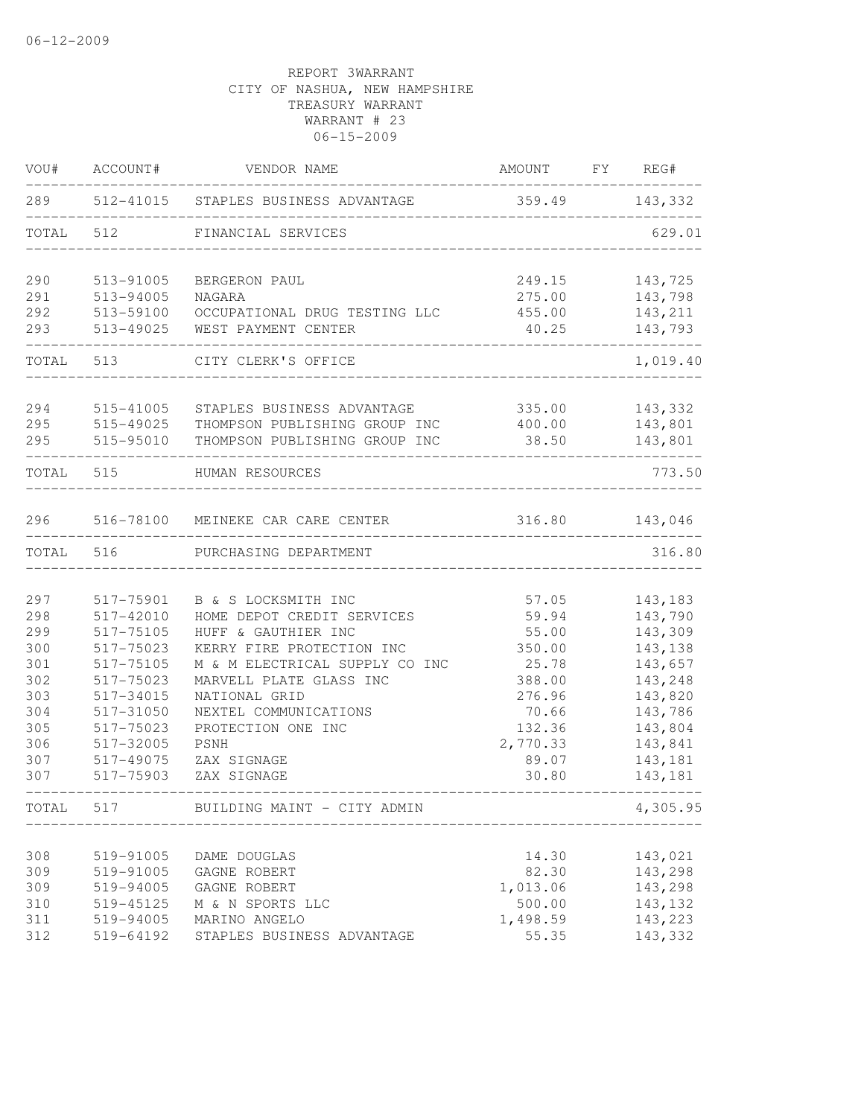| VOU#       | ACCOUNT#               | VENDOR NAME                              | AMOUNT FY REG#                   |                    |
|------------|------------------------|------------------------------------------|----------------------------------|--------------------|
|            |                        | 289 512-41015 STAPLES BUSINESS ADVANTAGE | 359.49 143,332                   |                    |
| TOTAL      | 512                    | FINANCIAL SERVICES                       |                                  | 629.01             |
| 290        | 513-91005              | BERGERON PAUL                            | 249.15                           | 143,725            |
| 291        | 513-94005              | NAGARA                                   | 275.00                           | 143,798            |
| 292        | 513-59100              | OCCUPATIONAL DRUG TESTING LLC            | 455.00                           | 143,211            |
| 293        | 513-49025              | WEST PAYMENT CENTER                      | 40.25<br>_______________________ | 143,793            |
|            | TOTAL 513              | CITY CLERK'S OFFICE                      |                                  | 1,019.40           |
| 294        | 515-41005              | STAPLES BUSINESS ADVANTAGE               | 335.00                           | 143,332            |
| 295        | 515-49025              | THOMPSON PUBLISHING GROUP INC            | 400.00                           | 143,801            |
| 295        | 515-95010              | THOMPSON PUBLISHING GROUP INC            | 38.50                            | 143,801            |
|            | TOTAL 515              | HUMAN RESOURCES                          |                                  | 773.50             |
| 296        |                        | 516-78100 MEINEKE CAR CARE CENTER        | 316.80                           | 143,046            |
| TOTAL      | 516                    | PURCHASING DEPARTMENT                    |                                  | 316.80             |
|            |                        |                                          |                                  |                    |
| 297        | 517-75901              | B & S LOCKSMITH INC                      | 57.05                            | 143,183            |
| 298        | 517-42010              | HOME DEPOT CREDIT SERVICES               | 59.94                            | 143,790            |
| 299        | 517-75105              | HUFF & GAUTHIER INC                      | 55.00                            | 143,309            |
| 300        | 517-75023              | KERRY FIRE PROTECTION INC                | 350.00                           | 143,138            |
| 301        | 517-75105              | M & M ELECTRICAL SUPPLY CO INC           | 25.78                            | 143,657            |
| 302        | 517-75023              | MARVELL PLATE GLASS INC                  | 388.00                           | 143,248            |
| 303        | 517-34015              | NATIONAL GRID                            | 276.96                           | 143,820            |
| 304        | 517-31050              | NEXTEL COMMUNICATIONS                    | 70.66                            | 143,786            |
| 305        | 517-75023              | PROTECTION ONE INC                       | 132.36                           | 143,804            |
| 306        | 517-32005              | PSNH                                     | 2,770.33                         | 143,841            |
| 307<br>307 | 517-49075<br>517-75903 | ZAX SIGNAGE<br>ZAX SIGNAGE               | 89.07<br>30.80                   | 143,181<br>143,181 |
| TOTAL      | 517                    | BUILDING MAINT - CITY ADMIN              |                                  | 4,305.95           |
|            |                        |                                          |                                  |                    |
| 308        | 519-91005              | DAME DOUGLAS                             | 14.30                            | 143,021            |
| 309        | 519-91005              | GAGNE ROBERT                             | 82.30                            | 143,298            |
| 309        | 519-94005              | GAGNE ROBERT                             | 1,013.06                         | 143,298            |
| 310        | 519-45125              | M & N SPORTS LLC                         | 500.00                           | 143,132            |
| 311        | 519-94005              | MARINO ANGELO                            | 1,498.59                         | 143,223            |
| 312        | 519-64192              | STAPLES BUSINESS ADVANTAGE               | 55.35                            | 143,332            |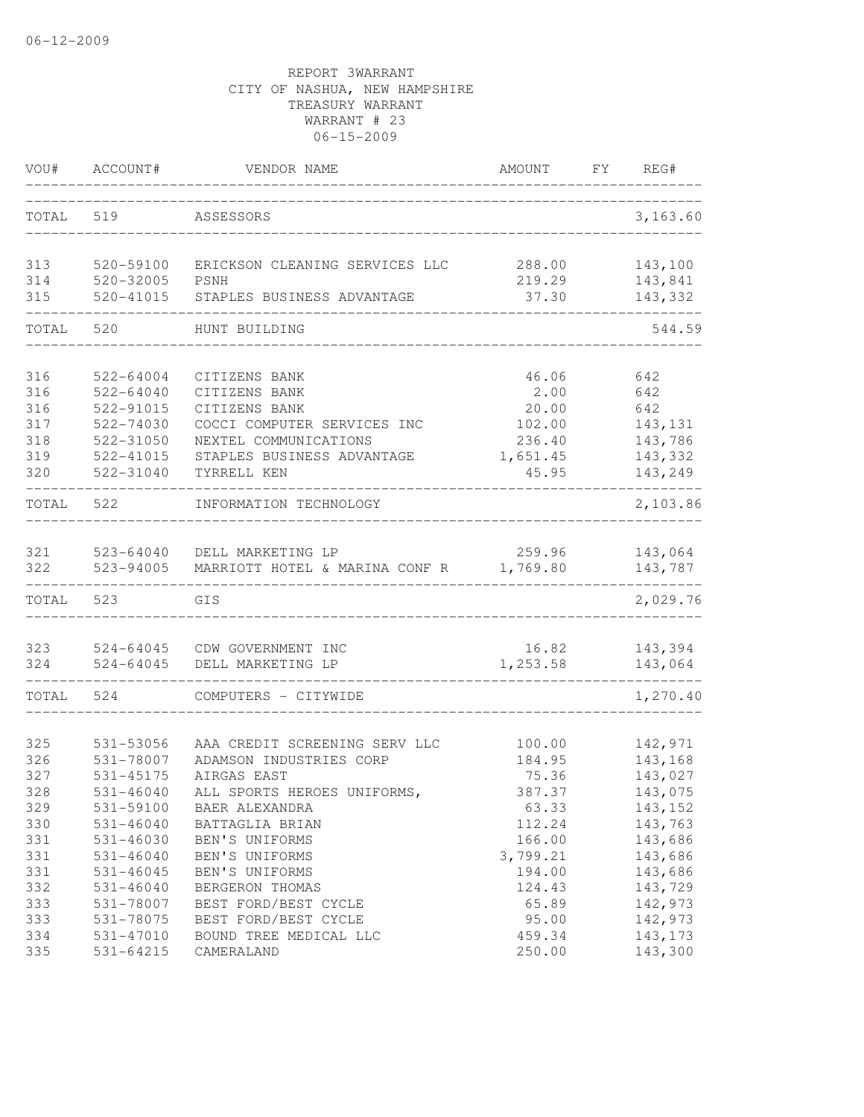| VOU#      | ACCOUNT#      | VENDOR NAME                    | AMOUNT   | FY REG#  |
|-----------|---------------|--------------------------------|----------|----------|
| TOTAL 519 |               | ASSESSORS                      |          | 3,163.60 |
| 313       | 520-59100     | ERICKSON CLEANING SERVICES LLC | 288.00   | 143,100  |
| 314       | 520-32005     | PSNH                           | 219.29   | 143,841  |
| 315       | 520-41015     | STAPLES BUSINESS ADVANTAGE     | 37.30    | 143,332  |
| TOTAL     | 520           | HUNT BUILDING                  |          | 544.59   |
| 316       | 522-64004     | CITIZENS BANK                  | 46.06    | 642      |
| 316       | 522-64040     | CITIZENS BANK                  | 2.00     | 642      |
| 316       | 522-91015     | CITIZENS BANK                  | 20.00    | 642      |
| 317       | 522-74030     | COCCI COMPUTER SERVICES INC    | 102.00   | 143, 131 |
| 318       | 522-31050     | NEXTEL COMMUNICATIONS          | 236.40   | 143,786  |
| 319       | 522-41015     | STAPLES BUSINESS ADVANTAGE     | 1,651.45 | 143,332  |
| 320       | 522-31040     | TYRRELL KEN                    | 45.95    | 143,249  |
| TOTAL     | 522           | INFORMATION TECHNOLOGY         |          | 2,103.86 |
| 321       | 523-64040     | DELL MARKETING LP              | 259.96   | 143,064  |
| 322       | 523-94005     | MARRIOTT HOTEL & MARINA CONF R | 1,769.80 | 143,787  |
| TOTAL     | 523           | GIS                            |          | 2,029.76 |
| 323       | 524-64045     | CDW GOVERNMENT INC             | 16.82    | 143,394  |
| 324       | 524-64045     | DELL MARKETING LP              | 1,253.58 | 143,064  |
| TOTAL     | 524           | COMPUTERS - CITYWIDE           |          | 1,270.40 |
| 325       | 531-53056     | AAA CREDIT SCREENING SERV LLC  | 100.00   | 142,971  |
| 326       | 531-78007     | ADAMSON INDUSTRIES CORP        | 184.95   | 143,168  |
| 327       | 531-45175     | AIRGAS EAST                    | 75.36    | 143,027  |
| 328       | 531-46040     | ALL SPORTS HEROES UNIFORMS,    | 387.37   | 143,075  |
| 329       | 531-59100     | BAER ALEXANDRA                 | 63.33    | 143, 152 |
| 330       | $531 - 46040$ | BATTAGLIA BRIAN                | 112.24   | 143,763  |
| 331       | 531-46030     | BEN'S UNIFORMS                 | 166.00   | 143,686  |
| 331       | $531 - 46040$ | BEN'S UNIFORMS                 | 3,799.21 | 143,686  |
| 331       | $531 - 46045$ | BEN'S UNIFORMS                 | 194.00   | 143,686  |
| 332       | $531 - 46040$ | BERGERON THOMAS                | 124.43   | 143,729  |
| 333       | 531-78007     | BEST FORD/BEST CYCLE           | 65.89    | 142,973  |
| 333       | 531-78075     | BEST FORD/BEST CYCLE           | 95.00    | 142,973  |
| 334       | 531-47010     | BOUND TREE MEDICAL LLC         | 459.34   | 143, 173 |
| 335       | 531-64215     | CAMERALAND                     | 250.00   | 143,300  |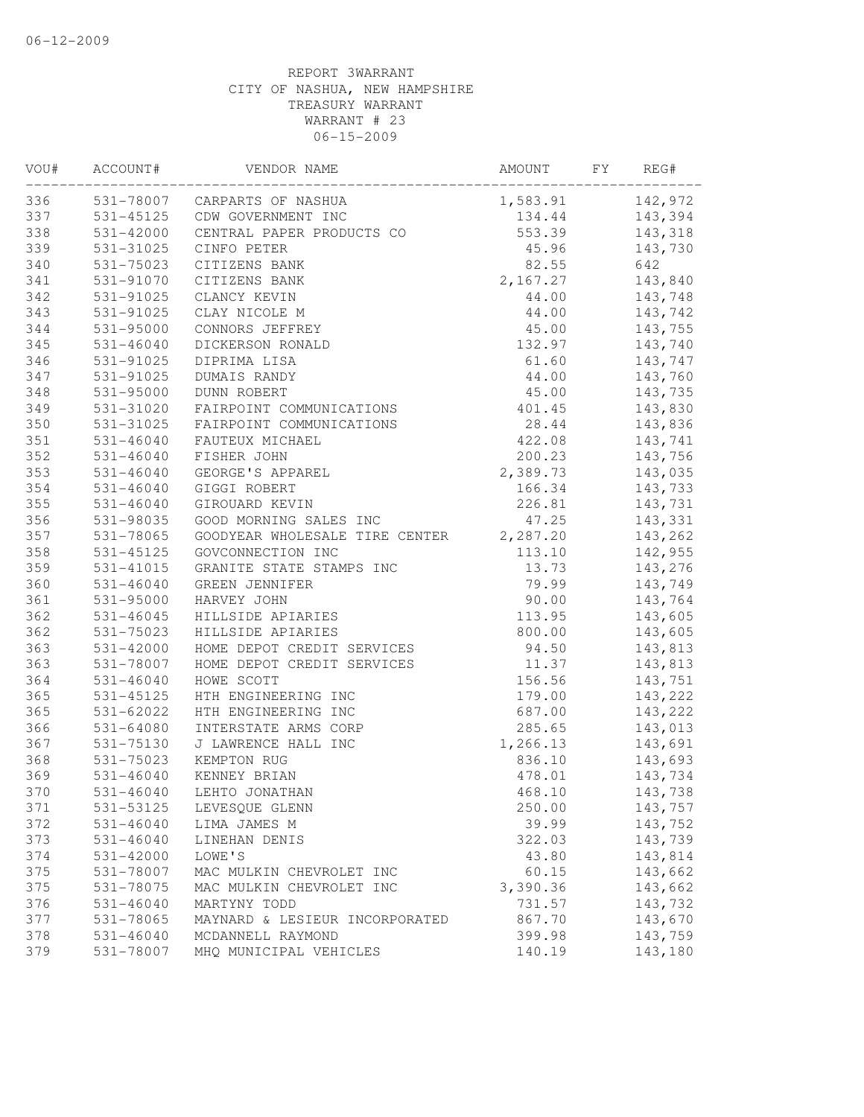| 142,972<br>531-78007 CARPARTS OF NASHUA<br>1,583.91<br>337<br>531-45125 CDW GOVERNMENT INC<br>134.44<br>143,394<br>553.39<br>338<br>$531 - 42000$<br>CENTRAL PAPER PRODUCTS CO<br>143,318<br>339<br>531-31025<br>CINFO PETER<br>45.96<br>143,730<br>340<br>82.55<br>531-75023<br>CITIZENS BANK<br>642<br>341<br>531-91070<br>CITIZENS BANK<br>2,167.27<br>143,840<br>342<br>531-91025<br>CLANCY KEVIN<br>44.00<br>143,748<br>343<br>143,742<br>531-91025<br>CLAY NICOLE M<br>44.00<br>344<br>531-95000<br>CONNORS JEFFREY<br>45.00<br>143,755<br>345<br>$531 - 46040$<br>132.97<br>143,740<br>DICKERSON RONALD<br>346<br>531-91025<br>DIPRIMA LISA<br>61.60<br>143,747<br>347<br>531-91025<br>DUMAIS RANDY<br>44.00<br>143,760<br>348<br>531-95000<br>45.00<br>DUNN ROBERT<br>143,735<br>349<br>143,830<br>531-31020<br>FAIRPOINT COMMUNICATIONS<br>401.45<br>350<br>531-31025<br>28.44<br>143,836<br>FAIRPOINT COMMUNICATIONS<br>351<br>$531 - 46040$<br>FAUTEUX MICHAEL<br>422.08<br>143,741<br>352<br>200.23<br>143,756<br>531-46040<br>FISHER JOHN<br>353<br>2,389.73<br>531-46040<br>GEORGE'S APPAREL<br>143,035<br>354<br>$531 - 46040$<br>143,733<br>GIGGI ROBERT<br>166.34<br>355<br>$531 - 46040$<br>GIROUARD KEVIN<br>226.81<br>143,731<br>356<br>531-98035<br>GOOD MORNING SALES INC<br>47.25<br>143,331<br>357<br>2,287.20<br>531-78065<br>GOODYEAR WHOLESALE TIRE CENTER<br>143,262<br>358<br>531-45125<br>GOVCONNECTION INC<br>113.10<br>142,955<br>359<br>531-41015<br>13.73<br>143,276<br>GRANITE STATE STAMPS INC<br>360<br>$531 - 46040$<br>79.99<br>143,749<br>GREEN JENNIFER<br>361<br>90.00<br>143,764<br>531-95000<br>HARVEY JOHN<br>362<br>143,605<br>531-46045<br>HILLSIDE APIARIES<br>113.95<br>362<br>$531 - 75023$<br>HILLSIDE APIARIES<br>800.00<br>143,605<br>363<br>531-42000<br>HOME DEPOT CREDIT SERVICES<br>94.50<br>143,813<br>363<br>531-78007<br>HOME DEPOT CREDIT SERVICES<br>11.37<br>143,813<br>364<br>156.56<br>531-46040<br>HOWE SCOTT<br>143,751<br>365<br>143,222<br>531-45125<br>HTH ENGINEERING INC<br>179.00<br>365<br>531-62022<br>HTH ENGINEERING INC<br>143,222<br>687.00<br>366<br>$531 - 64080$<br>INTERSTATE ARMS CORP<br>285.65<br>143,013<br>367<br>1,266.13<br>143,691<br>531-75130<br>J LAWRENCE HALL INC<br>368<br>531-75023<br>836.10<br>KEMPTON RUG<br>143,693<br>369<br>$531 - 46040$<br>KENNEY BRIAN<br>478.01<br>143,734<br>370<br>531-46040<br>468.10<br>LEHTO JONATHAN<br>143,738<br>371<br>531-53125<br>LEVESQUE GLENN<br>250.00<br>143,757<br>372<br>531-46040<br>LIMA JAMES M<br>39.99<br>143,752<br>373<br>$531 - 46040$<br>322.03<br>143,739<br>LINEHAN DENIS<br>374<br>531-42000<br>LOWE'S<br>43.80<br>143,814<br>375<br>60.15<br>143,662<br>531-78007<br>MAC MULKIN CHEVROLET INC<br>375<br>143,662<br>MAC MULKIN CHEVROLET INC<br>3,390.36<br>531-78075<br>376<br>$531 - 46040$<br>731.57<br>143,732<br>MARTYNY TODD<br>377<br>531-78065<br>867.70<br>143,670<br>MAYNARD & LESIEUR INCORPORATED<br>378<br>531-46040<br>MCDANNELL RAYMOND<br>399.98<br>143,759<br>379<br>531-78007<br>MHQ MUNICIPAL VEHICLES<br>140.19<br>143,180 | VOU# | ACCOUNT# | VENDOR NAME | AMOUNT | FY | REG# |
|----------------------------------------------------------------------------------------------------------------------------------------------------------------------------------------------------------------------------------------------------------------------------------------------------------------------------------------------------------------------------------------------------------------------------------------------------------------------------------------------------------------------------------------------------------------------------------------------------------------------------------------------------------------------------------------------------------------------------------------------------------------------------------------------------------------------------------------------------------------------------------------------------------------------------------------------------------------------------------------------------------------------------------------------------------------------------------------------------------------------------------------------------------------------------------------------------------------------------------------------------------------------------------------------------------------------------------------------------------------------------------------------------------------------------------------------------------------------------------------------------------------------------------------------------------------------------------------------------------------------------------------------------------------------------------------------------------------------------------------------------------------------------------------------------------------------------------------------------------------------------------------------------------------------------------------------------------------------------------------------------------------------------------------------------------------------------------------------------------------------------------------------------------------------------------------------------------------------------------------------------------------------------------------------------------------------------------------------------------------------------------------------------------------------------------------------------------------------------------------------------------------------------------------------------------------------------------------------------------------------------------------------------------------------------------------------------------------------------------------------------------------------------------------------------------------------------------------------------------------------------------------------------------------------------------------------------------------------------------------------------------------------------------------------------------------------------------------------------------|------|----------|-------------|--------|----|------|
|                                                                                                                                                                                                                                                                                                                                                                                                                                                                                                                                                                                                                                                                                                                                                                                                                                                                                                                                                                                                                                                                                                                                                                                                                                                                                                                                                                                                                                                                                                                                                                                                                                                                                                                                                                                                                                                                                                                                                                                                                                                                                                                                                                                                                                                                                                                                                                                                                                                                                                                                                                                                                                                                                                                                                                                                                                                                                                                                                                                                                                                                                                          | 336  |          |             |        |    |      |
|                                                                                                                                                                                                                                                                                                                                                                                                                                                                                                                                                                                                                                                                                                                                                                                                                                                                                                                                                                                                                                                                                                                                                                                                                                                                                                                                                                                                                                                                                                                                                                                                                                                                                                                                                                                                                                                                                                                                                                                                                                                                                                                                                                                                                                                                                                                                                                                                                                                                                                                                                                                                                                                                                                                                                                                                                                                                                                                                                                                                                                                                                                          |      |          |             |        |    |      |
|                                                                                                                                                                                                                                                                                                                                                                                                                                                                                                                                                                                                                                                                                                                                                                                                                                                                                                                                                                                                                                                                                                                                                                                                                                                                                                                                                                                                                                                                                                                                                                                                                                                                                                                                                                                                                                                                                                                                                                                                                                                                                                                                                                                                                                                                                                                                                                                                                                                                                                                                                                                                                                                                                                                                                                                                                                                                                                                                                                                                                                                                                                          |      |          |             |        |    |      |
|                                                                                                                                                                                                                                                                                                                                                                                                                                                                                                                                                                                                                                                                                                                                                                                                                                                                                                                                                                                                                                                                                                                                                                                                                                                                                                                                                                                                                                                                                                                                                                                                                                                                                                                                                                                                                                                                                                                                                                                                                                                                                                                                                                                                                                                                                                                                                                                                                                                                                                                                                                                                                                                                                                                                                                                                                                                                                                                                                                                                                                                                                                          |      |          |             |        |    |      |
|                                                                                                                                                                                                                                                                                                                                                                                                                                                                                                                                                                                                                                                                                                                                                                                                                                                                                                                                                                                                                                                                                                                                                                                                                                                                                                                                                                                                                                                                                                                                                                                                                                                                                                                                                                                                                                                                                                                                                                                                                                                                                                                                                                                                                                                                                                                                                                                                                                                                                                                                                                                                                                                                                                                                                                                                                                                                                                                                                                                                                                                                                                          |      |          |             |        |    |      |
|                                                                                                                                                                                                                                                                                                                                                                                                                                                                                                                                                                                                                                                                                                                                                                                                                                                                                                                                                                                                                                                                                                                                                                                                                                                                                                                                                                                                                                                                                                                                                                                                                                                                                                                                                                                                                                                                                                                                                                                                                                                                                                                                                                                                                                                                                                                                                                                                                                                                                                                                                                                                                                                                                                                                                                                                                                                                                                                                                                                                                                                                                                          |      |          |             |        |    |      |
|                                                                                                                                                                                                                                                                                                                                                                                                                                                                                                                                                                                                                                                                                                                                                                                                                                                                                                                                                                                                                                                                                                                                                                                                                                                                                                                                                                                                                                                                                                                                                                                                                                                                                                                                                                                                                                                                                                                                                                                                                                                                                                                                                                                                                                                                                                                                                                                                                                                                                                                                                                                                                                                                                                                                                                                                                                                                                                                                                                                                                                                                                                          |      |          |             |        |    |      |
|                                                                                                                                                                                                                                                                                                                                                                                                                                                                                                                                                                                                                                                                                                                                                                                                                                                                                                                                                                                                                                                                                                                                                                                                                                                                                                                                                                                                                                                                                                                                                                                                                                                                                                                                                                                                                                                                                                                                                                                                                                                                                                                                                                                                                                                                                                                                                                                                                                                                                                                                                                                                                                                                                                                                                                                                                                                                                                                                                                                                                                                                                                          |      |          |             |        |    |      |
|                                                                                                                                                                                                                                                                                                                                                                                                                                                                                                                                                                                                                                                                                                                                                                                                                                                                                                                                                                                                                                                                                                                                                                                                                                                                                                                                                                                                                                                                                                                                                                                                                                                                                                                                                                                                                                                                                                                                                                                                                                                                                                                                                                                                                                                                                                                                                                                                                                                                                                                                                                                                                                                                                                                                                                                                                                                                                                                                                                                                                                                                                                          |      |          |             |        |    |      |
|                                                                                                                                                                                                                                                                                                                                                                                                                                                                                                                                                                                                                                                                                                                                                                                                                                                                                                                                                                                                                                                                                                                                                                                                                                                                                                                                                                                                                                                                                                                                                                                                                                                                                                                                                                                                                                                                                                                                                                                                                                                                                                                                                                                                                                                                                                                                                                                                                                                                                                                                                                                                                                                                                                                                                                                                                                                                                                                                                                                                                                                                                                          |      |          |             |        |    |      |
|                                                                                                                                                                                                                                                                                                                                                                                                                                                                                                                                                                                                                                                                                                                                                                                                                                                                                                                                                                                                                                                                                                                                                                                                                                                                                                                                                                                                                                                                                                                                                                                                                                                                                                                                                                                                                                                                                                                                                                                                                                                                                                                                                                                                                                                                                                                                                                                                                                                                                                                                                                                                                                                                                                                                                                                                                                                                                                                                                                                                                                                                                                          |      |          |             |        |    |      |
|                                                                                                                                                                                                                                                                                                                                                                                                                                                                                                                                                                                                                                                                                                                                                                                                                                                                                                                                                                                                                                                                                                                                                                                                                                                                                                                                                                                                                                                                                                                                                                                                                                                                                                                                                                                                                                                                                                                                                                                                                                                                                                                                                                                                                                                                                                                                                                                                                                                                                                                                                                                                                                                                                                                                                                                                                                                                                                                                                                                                                                                                                                          |      |          |             |        |    |      |
|                                                                                                                                                                                                                                                                                                                                                                                                                                                                                                                                                                                                                                                                                                                                                                                                                                                                                                                                                                                                                                                                                                                                                                                                                                                                                                                                                                                                                                                                                                                                                                                                                                                                                                                                                                                                                                                                                                                                                                                                                                                                                                                                                                                                                                                                                                                                                                                                                                                                                                                                                                                                                                                                                                                                                                                                                                                                                                                                                                                                                                                                                                          |      |          |             |        |    |      |
|                                                                                                                                                                                                                                                                                                                                                                                                                                                                                                                                                                                                                                                                                                                                                                                                                                                                                                                                                                                                                                                                                                                                                                                                                                                                                                                                                                                                                                                                                                                                                                                                                                                                                                                                                                                                                                                                                                                                                                                                                                                                                                                                                                                                                                                                                                                                                                                                                                                                                                                                                                                                                                                                                                                                                                                                                                                                                                                                                                                                                                                                                                          |      |          |             |        |    |      |
|                                                                                                                                                                                                                                                                                                                                                                                                                                                                                                                                                                                                                                                                                                                                                                                                                                                                                                                                                                                                                                                                                                                                                                                                                                                                                                                                                                                                                                                                                                                                                                                                                                                                                                                                                                                                                                                                                                                                                                                                                                                                                                                                                                                                                                                                                                                                                                                                                                                                                                                                                                                                                                                                                                                                                                                                                                                                                                                                                                                                                                                                                                          |      |          |             |        |    |      |
|                                                                                                                                                                                                                                                                                                                                                                                                                                                                                                                                                                                                                                                                                                                                                                                                                                                                                                                                                                                                                                                                                                                                                                                                                                                                                                                                                                                                                                                                                                                                                                                                                                                                                                                                                                                                                                                                                                                                                                                                                                                                                                                                                                                                                                                                                                                                                                                                                                                                                                                                                                                                                                                                                                                                                                                                                                                                                                                                                                                                                                                                                                          |      |          |             |        |    |      |
|                                                                                                                                                                                                                                                                                                                                                                                                                                                                                                                                                                                                                                                                                                                                                                                                                                                                                                                                                                                                                                                                                                                                                                                                                                                                                                                                                                                                                                                                                                                                                                                                                                                                                                                                                                                                                                                                                                                                                                                                                                                                                                                                                                                                                                                                                                                                                                                                                                                                                                                                                                                                                                                                                                                                                                                                                                                                                                                                                                                                                                                                                                          |      |          |             |        |    |      |
|                                                                                                                                                                                                                                                                                                                                                                                                                                                                                                                                                                                                                                                                                                                                                                                                                                                                                                                                                                                                                                                                                                                                                                                                                                                                                                                                                                                                                                                                                                                                                                                                                                                                                                                                                                                                                                                                                                                                                                                                                                                                                                                                                                                                                                                                                                                                                                                                                                                                                                                                                                                                                                                                                                                                                                                                                                                                                                                                                                                                                                                                                                          |      |          |             |        |    |      |
|                                                                                                                                                                                                                                                                                                                                                                                                                                                                                                                                                                                                                                                                                                                                                                                                                                                                                                                                                                                                                                                                                                                                                                                                                                                                                                                                                                                                                                                                                                                                                                                                                                                                                                                                                                                                                                                                                                                                                                                                                                                                                                                                                                                                                                                                                                                                                                                                                                                                                                                                                                                                                                                                                                                                                                                                                                                                                                                                                                                                                                                                                                          |      |          |             |        |    |      |
|                                                                                                                                                                                                                                                                                                                                                                                                                                                                                                                                                                                                                                                                                                                                                                                                                                                                                                                                                                                                                                                                                                                                                                                                                                                                                                                                                                                                                                                                                                                                                                                                                                                                                                                                                                                                                                                                                                                                                                                                                                                                                                                                                                                                                                                                                                                                                                                                                                                                                                                                                                                                                                                                                                                                                                                                                                                                                                                                                                                                                                                                                                          |      |          |             |        |    |      |
|                                                                                                                                                                                                                                                                                                                                                                                                                                                                                                                                                                                                                                                                                                                                                                                                                                                                                                                                                                                                                                                                                                                                                                                                                                                                                                                                                                                                                                                                                                                                                                                                                                                                                                                                                                                                                                                                                                                                                                                                                                                                                                                                                                                                                                                                                                                                                                                                                                                                                                                                                                                                                                                                                                                                                                                                                                                                                                                                                                                                                                                                                                          |      |          |             |        |    |      |
|                                                                                                                                                                                                                                                                                                                                                                                                                                                                                                                                                                                                                                                                                                                                                                                                                                                                                                                                                                                                                                                                                                                                                                                                                                                                                                                                                                                                                                                                                                                                                                                                                                                                                                                                                                                                                                                                                                                                                                                                                                                                                                                                                                                                                                                                                                                                                                                                                                                                                                                                                                                                                                                                                                                                                                                                                                                                                                                                                                                                                                                                                                          |      |          |             |        |    |      |
|                                                                                                                                                                                                                                                                                                                                                                                                                                                                                                                                                                                                                                                                                                                                                                                                                                                                                                                                                                                                                                                                                                                                                                                                                                                                                                                                                                                                                                                                                                                                                                                                                                                                                                                                                                                                                                                                                                                                                                                                                                                                                                                                                                                                                                                                                                                                                                                                                                                                                                                                                                                                                                                                                                                                                                                                                                                                                                                                                                                                                                                                                                          |      |          |             |        |    |      |
|                                                                                                                                                                                                                                                                                                                                                                                                                                                                                                                                                                                                                                                                                                                                                                                                                                                                                                                                                                                                                                                                                                                                                                                                                                                                                                                                                                                                                                                                                                                                                                                                                                                                                                                                                                                                                                                                                                                                                                                                                                                                                                                                                                                                                                                                                                                                                                                                                                                                                                                                                                                                                                                                                                                                                                                                                                                                                                                                                                                                                                                                                                          |      |          |             |        |    |      |
|                                                                                                                                                                                                                                                                                                                                                                                                                                                                                                                                                                                                                                                                                                                                                                                                                                                                                                                                                                                                                                                                                                                                                                                                                                                                                                                                                                                                                                                                                                                                                                                                                                                                                                                                                                                                                                                                                                                                                                                                                                                                                                                                                                                                                                                                                                                                                                                                                                                                                                                                                                                                                                                                                                                                                                                                                                                                                                                                                                                                                                                                                                          |      |          |             |        |    |      |
|                                                                                                                                                                                                                                                                                                                                                                                                                                                                                                                                                                                                                                                                                                                                                                                                                                                                                                                                                                                                                                                                                                                                                                                                                                                                                                                                                                                                                                                                                                                                                                                                                                                                                                                                                                                                                                                                                                                                                                                                                                                                                                                                                                                                                                                                                                                                                                                                                                                                                                                                                                                                                                                                                                                                                                                                                                                                                                                                                                                                                                                                                                          |      |          |             |        |    |      |
|                                                                                                                                                                                                                                                                                                                                                                                                                                                                                                                                                                                                                                                                                                                                                                                                                                                                                                                                                                                                                                                                                                                                                                                                                                                                                                                                                                                                                                                                                                                                                                                                                                                                                                                                                                                                                                                                                                                                                                                                                                                                                                                                                                                                                                                                                                                                                                                                                                                                                                                                                                                                                                                                                                                                                                                                                                                                                                                                                                                                                                                                                                          |      |          |             |        |    |      |
|                                                                                                                                                                                                                                                                                                                                                                                                                                                                                                                                                                                                                                                                                                                                                                                                                                                                                                                                                                                                                                                                                                                                                                                                                                                                                                                                                                                                                                                                                                                                                                                                                                                                                                                                                                                                                                                                                                                                                                                                                                                                                                                                                                                                                                                                                                                                                                                                                                                                                                                                                                                                                                                                                                                                                                                                                                                                                                                                                                                                                                                                                                          |      |          |             |        |    |      |
|                                                                                                                                                                                                                                                                                                                                                                                                                                                                                                                                                                                                                                                                                                                                                                                                                                                                                                                                                                                                                                                                                                                                                                                                                                                                                                                                                                                                                                                                                                                                                                                                                                                                                                                                                                                                                                                                                                                                                                                                                                                                                                                                                                                                                                                                                                                                                                                                                                                                                                                                                                                                                                                                                                                                                                                                                                                                                                                                                                                                                                                                                                          |      |          |             |        |    |      |
|                                                                                                                                                                                                                                                                                                                                                                                                                                                                                                                                                                                                                                                                                                                                                                                                                                                                                                                                                                                                                                                                                                                                                                                                                                                                                                                                                                                                                                                                                                                                                                                                                                                                                                                                                                                                                                                                                                                                                                                                                                                                                                                                                                                                                                                                                                                                                                                                                                                                                                                                                                                                                                                                                                                                                                                                                                                                                                                                                                                                                                                                                                          |      |          |             |        |    |      |
|                                                                                                                                                                                                                                                                                                                                                                                                                                                                                                                                                                                                                                                                                                                                                                                                                                                                                                                                                                                                                                                                                                                                                                                                                                                                                                                                                                                                                                                                                                                                                                                                                                                                                                                                                                                                                                                                                                                                                                                                                                                                                                                                                                                                                                                                                                                                                                                                                                                                                                                                                                                                                                                                                                                                                                                                                                                                                                                                                                                                                                                                                                          |      |          |             |        |    |      |
|                                                                                                                                                                                                                                                                                                                                                                                                                                                                                                                                                                                                                                                                                                                                                                                                                                                                                                                                                                                                                                                                                                                                                                                                                                                                                                                                                                                                                                                                                                                                                                                                                                                                                                                                                                                                                                                                                                                                                                                                                                                                                                                                                                                                                                                                                                                                                                                                                                                                                                                                                                                                                                                                                                                                                                                                                                                                                                                                                                                                                                                                                                          |      |          |             |        |    |      |
|                                                                                                                                                                                                                                                                                                                                                                                                                                                                                                                                                                                                                                                                                                                                                                                                                                                                                                                                                                                                                                                                                                                                                                                                                                                                                                                                                                                                                                                                                                                                                                                                                                                                                                                                                                                                                                                                                                                                                                                                                                                                                                                                                                                                                                                                                                                                                                                                                                                                                                                                                                                                                                                                                                                                                                                                                                                                                                                                                                                                                                                                                                          |      |          |             |        |    |      |
|                                                                                                                                                                                                                                                                                                                                                                                                                                                                                                                                                                                                                                                                                                                                                                                                                                                                                                                                                                                                                                                                                                                                                                                                                                                                                                                                                                                                                                                                                                                                                                                                                                                                                                                                                                                                                                                                                                                                                                                                                                                                                                                                                                                                                                                                                                                                                                                                                                                                                                                                                                                                                                                                                                                                                                                                                                                                                                                                                                                                                                                                                                          |      |          |             |        |    |      |
|                                                                                                                                                                                                                                                                                                                                                                                                                                                                                                                                                                                                                                                                                                                                                                                                                                                                                                                                                                                                                                                                                                                                                                                                                                                                                                                                                                                                                                                                                                                                                                                                                                                                                                                                                                                                                                                                                                                                                                                                                                                                                                                                                                                                                                                                                                                                                                                                                                                                                                                                                                                                                                                                                                                                                                                                                                                                                                                                                                                                                                                                                                          |      |          |             |        |    |      |
|                                                                                                                                                                                                                                                                                                                                                                                                                                                                                                                                                                                                                                                                                                                                                                                                                                                                                                                                                                                                                                                                                                                                                                                                                                                                                                                                                                                                                                                                                                                                                                                                                                                                                                                                                                                                                                                                                                                                                                                                                                                                                                                                                                                                                                                                                                                                                                                                                                                                                                                                                                                                                                                                                                                                                                                                                                                                                                                                                                                                                                                                                                          |      |          |             |        |    |      |
|                                                                                                                                                                                                                                                                                                                                                                                                                                                                                                                                                                                                                                                                                                                                                                                                                                                                                                                                                                                                                                                                                                                                                                                                                                                                                                                                                                                                                                                                                                                                                                                                                                                                                                                                                                                                                                                                                                                                                                                                                                                                                                                                                                                                                                                                                                                                                                                                                                                                                                                                                                                                                                                                                                                                                                                                                                                                                                                                                                                                                                                                                                          |      |          |             |        |    |      |
|                                                                                                                                                                                                                                                                                                                                                                                                                                                                                                                                                                                                                                                                                                                                                                                                                                                                                                                                                                                                                                                                                                                                                                                                                                                                                                                                                                                                                                                                                                                                                                                                                                                                                                                                                                                                                                                                                                                                                                                                                                                                                                                                                                                                                                                                                                                                                                                                                                                                                                                                                                                                                                                                                                                                                                                                                                                                                                                                                                                                                                                                                                          |      |          |             |        |    |      |
|                                                                                                                                                                                                                                                                                                                                                                                                                                                                                                                                                                                                                                                                                                                                                                                                                                                                                                                                                                                                                                                                                                                                                                                                                                                                                                                                                                                                                                                                                                                                                                                                                                                                                                                                                                                                                                                                                                                                                                                                                                                                                                                                                                                                                                                                                                                                                                                                                                                                                                                                                                                                                                                                                                                                                                                                                                                                                                                                                                                                                                                                                                          |      |          |             |        |    |      |
|                                                                                                                                                                                                                                                                                                                                                                                                                                                                                                                                                                                                                                                                                                                                                                                                                                                                                                                                                                                                                                                                                                                                                                                                                                                                                                                                                                                                                                                                                                                                                                                                                                                                                                                                                                                                                                                                                                                                                                                                                                                                                                                                                                                                                                                                                                                                                                                                                                                                                                                                                                                                                                                                                                                                                                                                                                                                                                                                                                                                                                                                                                          |      |          |             |        |    |      |
|                                                                                                                                                                                                                                                                                                                                                                                                                                                                                                                                                                                                                                                                                                                                                                                                                                                                                                                                                                                                                                                                                                                                                                                                                                                                                                                                                                                                                                                                                                                                                                                                                                                                                                                                                                                                                                                                                                                                                                                                                                                                                                                                                                                                                                                                                                                                                                                                                                                                                                                                                                                                                                                                                                                                                                                                                                                                                                                                                                                                                                                                                                          |      |          |             |        |    |      |
|                                                                                                                                                                                                                                                                                                                                                                                                                                                                                                                                                                                                                                                                                                                                                                                                                                                                                                                                                                                                                                                                                                                                                                                                                                                                                                                                                                                                                                                                                                                                                                                                                                                                                                                                                                                                                                                                                                                                                                                                                                                                                                                                                                                                                                                                                                                                                                                                                                                                                                                                                                                                                                                                                                                                                                                                                                                                                                                                                                                                                                                                                                          |      |          |             |        |    |      |
|                                                                                                                                                                                                                                                                                                                                                                                                                                                                                                                                                                                                                                                                                                                                                                                                                                                                                                                                                                                                                                                                                                                                                                                                                                                                                                                                                                                                                                                                                                                                                                                                                                                                                                                                                                                                                                                                                                                                                                                                                                                                                                                                                                                                                                                                                                                                                                                                                                                                                                                                                                                                                                                                                                                                                                                                                                                                                                                                                                                                                                                                                                          |      |          |             |        |    |      |
|                                                                                                                                                                                                                                                                                                                                                                                                                                                                                                                                                                                                                                                                                                                                                                                                                                                                                                                                                                                                                                                                                                                                                                                                                                                                                                                                                                                                                                                                                                                                                                                                                                                                                                                                                                                                                                                                                                                                                                                                                                                                                                                                                                                                                                                                                                                                                                                                                                                                                                                                                                                                                                                                                                                                                                                                                                                                                                                                                                                                                                                                                                          |      |          |             |        |    |      |
|                                                                                                                                                                                                                                                                                                                                                                                                                                                                                                                                                                                                                                                                                                                                                                                                                                                                                                                                                                                                                                                                                                                                                                                                                                                                                                                                                                                                                                                                                                                                                                                                                                                                                                                                                                                                                                                                                                                                                                                                                                                                                                                                                                                                                                                                                                                                                                                                                                                                                                                                                                                                                                                                                                                                                                                                                                                                                                                                                                                                                                                                                                          |      |          |             |        |    |      |
|                                                                                                                                                                                                                                                                                                                                                                                                                                                                                                                                                                                                                                                                                                                                                                                                                                                                                                                                                                                                                                                                                                                                                                                                                                                                                                                                                                                                                                                                                                                                                                                                                                                                                                                                                                                                                                                                                                                                                                                                                                                                                                                                                                                                                                                                                                                                                                                                                                                                                                                                                                                                                                                                                                                                                                                                                                                                                                                                                                                                                                                                                                          |      |          |             |        |    |      |
|                                                                                                                                                                                                                                                                                                                                                                                                                                                                                                                                                                                                                                                                                                                                                                                                                                                                                                                                                                                                                                                                                                                                                                                                                                                                                                                                                                                                                                                                                                                                                                                                                                                                                                                                                                                                                                                                                                                                                                                                                                                                                                                                                                                                                                                                                                                                                                                                                                                                                                                                                                                                                                                                                                                                                                                                                                                                                                                                                                                                                                                                                                          |      |          |             |        |    |      |
|                                                                                                                                                                                                                                                                                                                                                                                                                                                                                                                                                                                                                                                                                                                                                                                                                                                                                                                                                                                                                                                                                                                                                                                                                                                                                                                                                                                                                                                                                                                                                                                                                                                                                                                                                                                                                                                                                                                                                                                                                                                                                                                                                                                                                                                                                                                                                                                                                                                                                                                                                                                                                                                                                                                                                                                                                                                                                                                                                                                                                                                                                                          |      |          |             |        |    |      |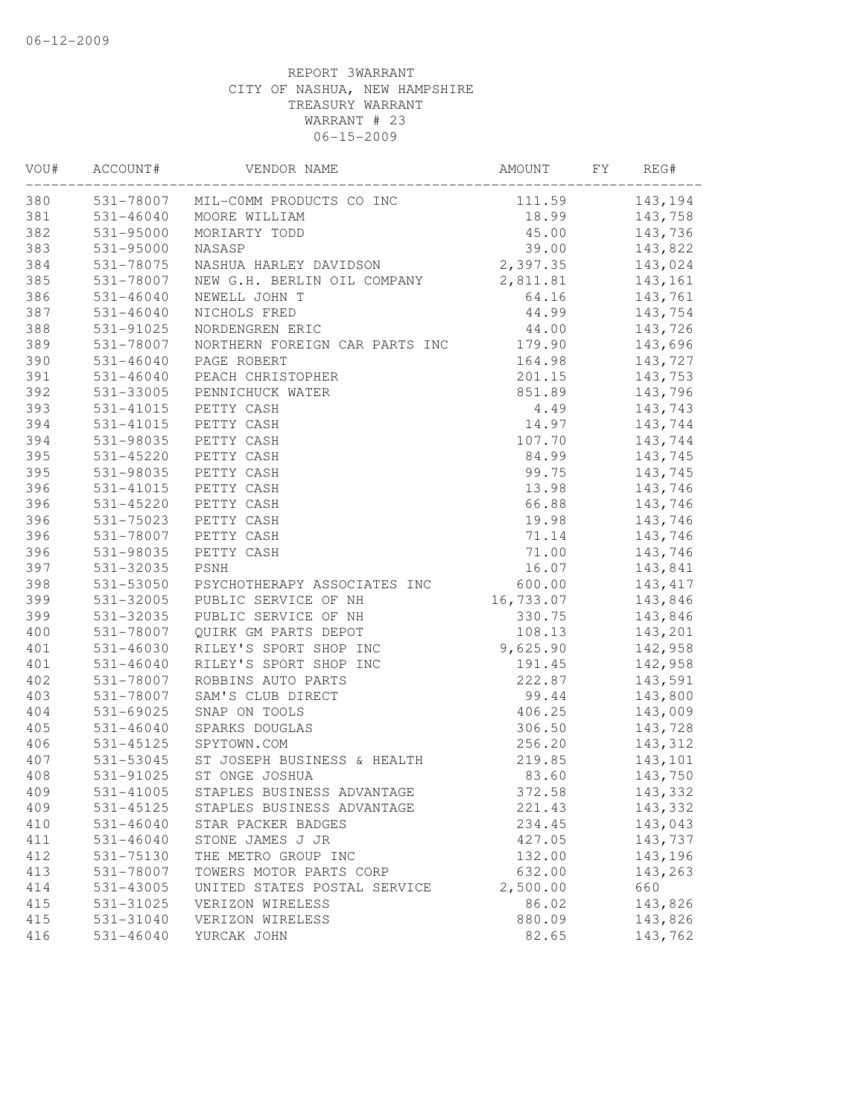| VOU# | ACCOUNT#      | VENDOR NAME                        | AMOUNT    | FY | REG#     |
|------|---------------|------------------------------------|-----------|----|----------|
| 380  |               | 531-78007 MIL-COMM PRODUCTS CO INC | 111.59    |    | 143,194  |
| 381  | 531-46040     | MOORE WILLIAM                      | 18.99     |    | 143,758  |
| 382  | 531-95000     | MORIARTY TODD                      | 45.00     |    | 143,736  |
| 383  | 531-95000     | NASASP                             | 39.00     |    | 143,822  |
| 384  | 531-78075     | NASHUA HARLEY DAVIDSON             | 2,397.35  |    | 143,024  |
| 385  | 531-78007     | NEW G.H. BERLIN OIL COMPANY        | 2,811.81  |    | 143,161  |
| 386  | 531-46040     | NEWELL JOHN T                      | 64.16     |    | 143,761  |
| 387  | $531 - 46040$ | NICHOLS FRED                       | 44.99     |    | 143,754  |
| 388  | 531-91025     | NORDENGREN ERIC                    | 44.00     |    | 143,726  |
| 389  | 531-78007     | NORTHERN FOREIGN CAR PARTS INC     | 179.90    |    | 143,696  |
| 390  | $531 - 46040$ | PAGE ROBERT                        | 164.98    |    | 143,727  |
| 391  | 531-46040     | PEACH CHRISTOPHER                  | 201.15    |    | 143,753  |
| 392  | 531-33005     | PENNICHUCK WATER                   | 851.89    |    | 143,796  |
| 393  | 531-41015     | PETTY CASH                         | 4.49      |    | 143,743  |
| 394  | 531-41015     | PETTY CASH                         | 14.97     |    | 143,744  |
| 394  | 531-98035     | PETTY CASH                         | 107.70    |    | 143,744  |
| 395  | 531-45220     | PETTY CASH                         | 84.99     |    | 143,745  |
| 395  | 531-98035     | PETTY CASH                         | 99.75     |    | 143,745  |
| 396  | $531 - 41015$ | PETTY CASH                         | 13.98     |    | 143,746  |
| 396  | 531-45220     | PETTY CASH                         | 66.88     |    | 143,746  |
| 396  | 531-75023     | PETTY CASH                         | 19.98     |    | 143,746  |
| 396  | 531-78007     | PETTY CASH                         | 71.14     |    | 143,746  |
| 396  | 531-98035     | PETTY CASH                         | 71.00     |    | 143,746  |
| 397  | 531-32035     | PSNH                               | 16.07     |    | 143,841  |
| 398  | 531-53050     | PSYCHOTHERAPY ASSOCIATES INC       | 600.00    |    | 143, 417 |
| 399  | 531-32005     | PUBLIC SERVICE OF NH               | 16,733.07 |    | 143,846  |
| 399  | 531-32035     | PUBLIC SERVICE OF NH               | 330.75    |    | 143,846  |
| 400  | 531-78007     | QUIRK GM PARTS DEPOT               | 108.13    |    | 143,201  |
| 401  | 531-46030     | RILEY'S SPORT SHOP INC             | 9,625.90  |    | 142,958  |
| 401  | 531-46040     | RILEY'S SPORT SHOP INC             | 191.45    |    | 142,958  |
| 402  | 531-78007     | ROBBINS AUTO PARTS                 | 222.87    |    | 143,591  |
| 403  | 531-78007     | SAM'S CLUB DIRECT                  | 99.44     |    | 143,800  |
| 404  | 531-69025     | SNAP ON TOOLS                      | 406.25    |    | 143,009  |
| 405  | $531 - 46040$ | SPARKS DOUGLAS                     | 306.50    |    | 143,728  |
| 406  | 531-45125     | SPYTOWN.COM                        | 256.20    |    | 143,312  |
| 407  | 531-53045     | ST JOSEPH BUSINESS & HEALTH        | 219.85    |    | 143,101  |
| 408  | 531-91025     | ST ONGE JOSHUA                     | 83.60     |    | 143,750  |
| 409  | 531-41005     | STAPLES BUSINESS ADVANTAGE         | 372.58    |    | 143,332  |
| 409  | 531-45125     | STAPLES BUSINESS ADVANTAGE         | 221.43    |    | 143,332  |
| 410  | $531 - 46040$ | STAR PACKER BADGES                 | 234.45    |    | 143,043  |
| 411  | $531 - 46040$ | STONE JAMES J JR                   | 427.05    |    | 143,737  |
| 412  | 531-75130     | THE METRO GROUP INC                | 132.00    |    | 143,196  |
| 413  | 531-78007     | TOWERS MOTOR PARTS CORP            | 632.00    |    | 143,263  |
| 414  | 531-43005     | UNITED STATES POSTAL SERVICE       | 2,500.00  |    | 660      |
| 415  | 531-31025     | VERIZON WIRELESS                   | 86.02     |    | 143,826  |
| 415  | 531-31040     | VERIZON WIRELESS                   | 880.09    |    | 143,826  |
| 416  | $531 - 46040$ | YURCAK JOHN                        | 82.65     |    | 143,762  |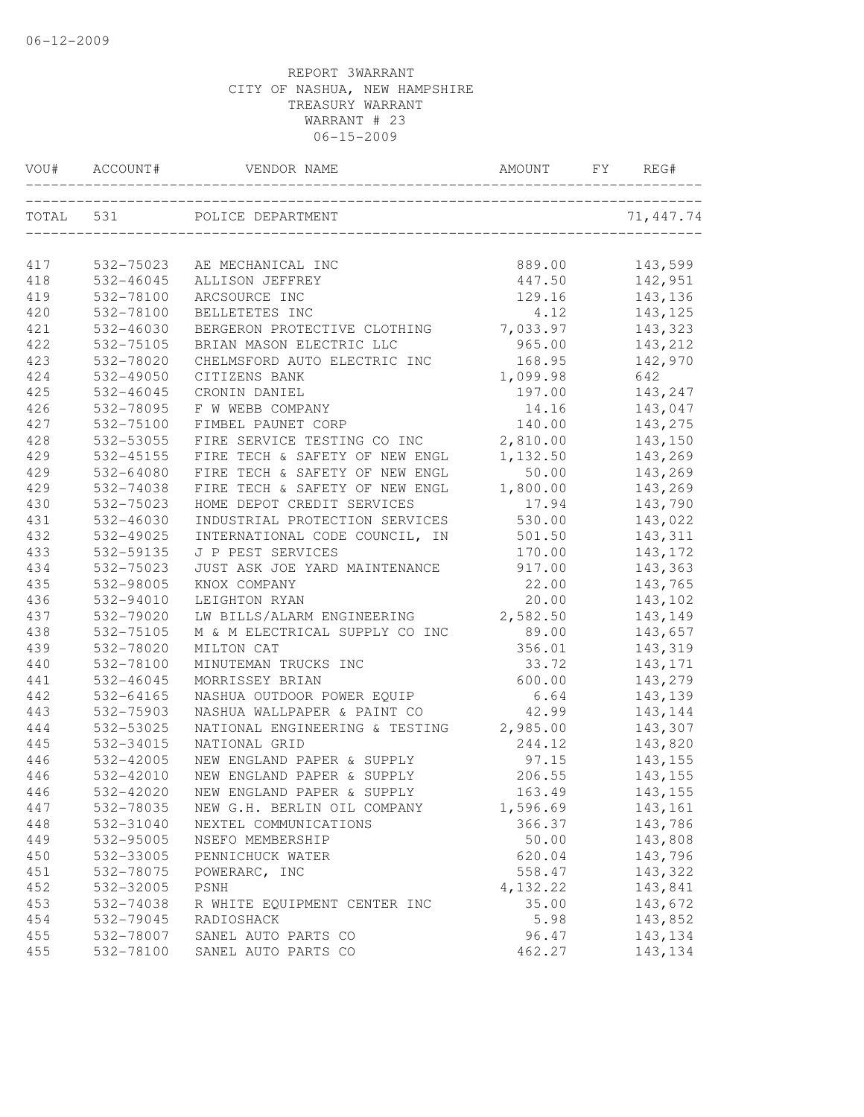|     | VOU# ACCOUNT# | VENDOR NAME                                                | AMOUNT   | ${\rm F}\,{\rm Y}$ | REG#       |
|-----|---------------|------------------------------------------------------------|----------|--------------------|------------|
|     | TOTAL 531     | POLICE DEPARTMENT<br>_____________________________________ |          |                    | 71, 447.74 |
| 417 | 532-75023     | AE MECHANICAL INC                                          | 889.00   |                    | 143,599    |
| 418 | 532-46045     | ALLISON JEFFREY                                            | 447.50   |                    | 142,951    |
| 419 | 532-78100     | ARCSOURCE INC                                              | 129.16   |                    | 143,136    |
| 420 | 532-78100     | BELLETETES INC                                             | 4.12     |                    | 143, 125   |
| 421 | 532-46030     | BERGERON PROTECTIVE CLOTHING                               | 7,033.97 |                    | 143,323    |
| 422 | 532-75105     | BRIAN MASON ELECTRIC LLC                                   | 965.00   |                    | 143,212    |
| 423 | 532-78020     | CHELMSFORD AUTO ELECTRIC INC                               | 168.95   |                    | 142,970    |
| 424 | 532-49050     | CITIZENS BANK                                              |          |                    | 642        |
| 425 | 532-46045     | CRONIN DANIEL                                              | 1,099.98 |                    | 143,247    |
| 426 | 532-78095     | F W WEBB COMPANY                                           | 197.00   |                    |            |
|     |               |                                                            | 14.16    |                    | 143,047    |
| 427 | 532-75100     | FIMBEL PAUNET CORP                                         | 140.00   |                    | 143,275    |
| 428 | 532-53055     | FIRE SERVICE TESTING CO INC                                | 2,810.00 |                    | 143,150    |
| 429 | 532-45155     | FIRE TECH & SAFETY OF NEW ENGL                             | 1,132.50 |                    | 143,269    |
| 429 | 532-64080     | FIRE TECH & SAFETY OF NEW ENGL                             | 50.00    |                    | 143,269    |
| 429 | 532-74038     | FIRE TECH & SAFETY OF NEW ENGL                             | 1,800.00 |                    | 143,269    |
| 430 | 532-75023     | HOME DEPOT CREDIT SERVICES                                 | 17.94    |                    | 143,790    |
| 431 | 532-46030     | INDUSTRIAL PROTECTION SERVICES                             | 530.00   |                    | 143,022    |
| 432 | 532-49025     | INTERNATIONAL CODE COUNCIL, IN                             | 501.50   |                    | 143,311    |
| 433 | 532-59135     | J P PEST SERVICES                                          | 170.00   |                    | 143, 172   |
| 434 | 532-75023     | JUST ASK JOE YARD MAINTENANCE                              | 917.00   |                    | 143,363    |
| 435 | 532-98005     | KNOX COMPANY                                               | 22.00    |                    | 143,765    |
| 436 | 532-94010     | LEIGHTON RYAN                                              | 20.00    |                    | 143,102    |
| 437 | 532-79020     | LW BILLS/ALARM ENGINEERING                                 | 2,582.50 |                    | 143,149    |
| 438 | 532-75105     | M & M ELECTRICAL SUPPLY CO INC                             | 89.00    |                    | 143,657    |
| 439 | 532-78020     | MILTON CAT                                                 | 356.01   |                    | 143,319    |
| 440 | 532-78100     | MINUTEMAN TRUCKS INC                                       | 33.72    |                    | 143, 171   |
| 441 | 532-46045     | MORRISSEY BRIAN                                            | 600.00   |                    | 143,279    |
| 442 | 532-64165     | NASHUA OUTDOOR POWER EQUIP                                 | 6.64     |                    | 143,139    |
| 443 | 532-75903     | NASHUA WALLPAPER & PAINT CO                                | 42.99    |                    | 143,144    |
| 444 | 532-53025     | NATIONAL ENGINEERING & TESTING                             | 2,985.00 |                    | 143,307    |
| 445 | 532-34015     | NATIONAL GRID                                              | 244.12   |                    | 143,820    |
| 446 | 532-42005     | NEW ENGLAND PAPER & SUPPLY                                 | 97.15    |                    | 143,155    |
| 446 | 532-42010     | NEW ENGLAND PAPER & SUPPLY                                 | 206.55   |                    | 143,155    |
| 446 | 532-42020     | NEW ENGLAND PAPER & SUPPLY                                 | 163.49   |                    | 143,155    |
| 447 | 532-78035     | NEW G.H. BERLIN OIL COMPANY                                | 1,596.69 |                    | 143,161    |
| 448 | 532-31040     | NEXTEL COMMUNICATIONS                                      | 366.37   |                    | 143,786    |
| 449 | 532-95005     | NSEFO MEMBERSHIP                                           | 50.00    |                    | 143,808    |
| 450 | 532-33005     | PENNICHUCK WATER                                           | 620.04   |                    | 143,796    |
| 451 | 532-78075     | POWERARC, INC                                              | 558.47   |                    | 143,322    |
| 452 | 532-32005     | PSNH                                                       | 4,132.22 |                    | 143,841    |
| 453 | 532-74038     | R WHITE EQUIPMENT CENTER INC                               | 35.00    |                    | 143,672    |
| 454 | 532-79045     | RADIOSHACK                                                 | 5.98     |                    | 143,852    |
| 455 | 532-78007     | SANEL AUTO PARTS CO                                        | 96.47    |                    | 143, 134   |
| 455 | 532-78100     | SANEL AUTO PARTS CO                                        | 462.27   |                    | 143, 134   |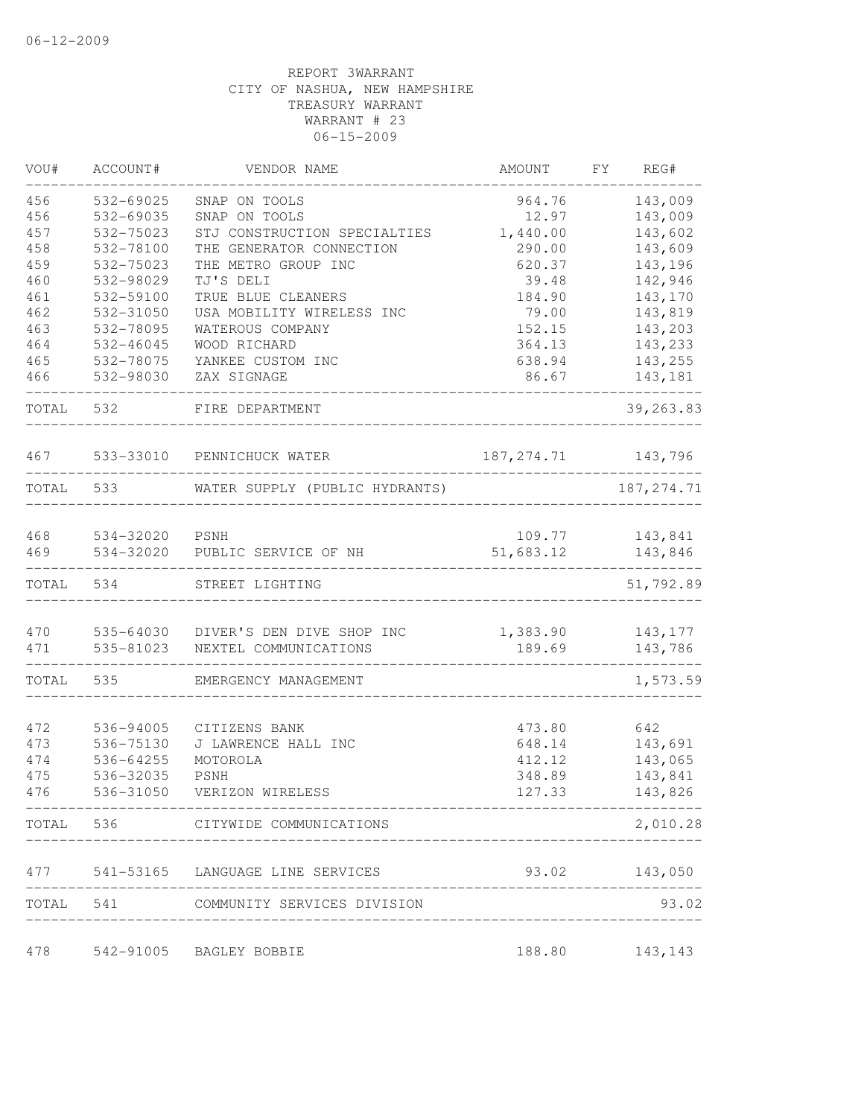| 456<br>532-69025<br>964.76<br>SNAP ON TOOLS<br>456<br>532-69035<br>SNAP ON TOOLS<br>12.97<br>457<br>532-75023<br>STJ CONSTRUCTION SPECIALTIES<br>1,440.00<br>458<br>532-78100<br>THE GENERATOR CONNECTION<br>290.00<br>459<br>532-75023<br>THE METRO GROUP INC<br>620.37<br>460<br>TJ'S DELI<br>532-98029<br>39.48<br>461<br>532-59100<br>TRUE BLUE CLEANERS<br>184.90<br>462<br>532-31050<br>USA MOBILITY WIRELESS INC<br>79.00<br>463<br>143,203<br>532-78095<br>WATEROUS COMPANY<br>152.15<br>464<br>364.13<br>532-46045<br>WOOD RICHARD<br>465<br>532-78075<br>YANKEE CUSTOM INC<br>638.94<br>466<br>532-98030<br>ZAX SIGNAGE<br>86.67<br>TOTAL<br>532<br>FIRE DEPARTMENT<br>467<br>533-33010<br>187, 274.71 143, 796<br>PENNICHUCK WATER<br>533<br>187, 274.71<br>TOTAL<br>WATER SUPPLY (PUBLIC HYDRANTS)<br>468<br>534-32020<br>PSNH<br>109.77<br>143,841<br>469<br>534-32020<br>51,683.12<br>PUBLIC SERVICE OF NH<br>TOTAL<br>534<br>STREET LIGHTING<br>470<br>535-64030 DIVER'S DEN DIVE SHOP INC<br>1,383.90<br>143,177<br>471<br>535-81023<br>189.69<br>NEXTEL COMMUNICATIONS<br>535<br>TOTAL<br>EMERGENCY MANAGEMENT<br>536-94005<br>642<br>472<br>CITIZENS BANK<br>473.80<br>143,691<br>473<br>536-75130<br>J LAWRENCE HALL INC<br>648.14<br>143,065<br>474<br>536-64255<br>412.12<br>MOTOROLA | REG#      |
|------------------------------------------------------------------------------------------------------------------------------------------------------------------------------------------------------------------------------------------------------------------------------------------------------------------------------------------------------------------------------------------------------------------------------------------------------------------------------------------------------------------------------------------------------------------------------------------------------------------------------------------------------------------------------------------------------------------------------------------------------------------------------------------------------------------------------------------------------------------------------------------------------------------------------------------------------------------------------------------------------------------------------------------------------------------------------------------------------------------------------------------------------------------------------------------------------------------------------------------------------------------------------------------------------------|-----------|
|                                                                                                                                                                                                                                                                                                                                                                                                                                                                                                                                                                                                                                                                                                                                                                                                                                                                                                                                                                                                                                                                                                                                                                                                                                                                                                            | 143,009   |
|                                                                                                                                                                                                                                                                                                                                                                                                                                                                                                                                                                                                                                                                                                                                                                                                                                                                                                                                                                                                                                                                                                                                                                                                                                                                                                            | 143,009   |
|                                                                                                                                                                                                                                                                                                                                                                                                                                                                                                                                                                                                                                                                                                                                                                                                                                                                                                                                                                                                                                                                                                                                                                                                                                                                                                            | 143,602   |
|                                                                                                                                                                                                                                                                                                                                                                                                                                                                                                                                                                                                                                                                                                                                                                                                                                                                                                                                                                                                                                                                                                                                                                                                                                                                                                            | 143,609   |
|                                                                                                                                                                                                                                                                                                                                                                                                                                                                                                                                                                                                                                                                                                                                                                                                                                                                                                                                                                                                                                                                                                                                                                                                                                                                                                            | 143,196   |
|                                                                                                                                                                                                                                                                                                                                                                                                                                                                                                                                                                                                                                                                                                                                                                                                                                                                                                                                                                                                                                                                                                                                                                                                                                                                                                            | 142,946   |
|                                                                                                                                                                                                                                                                                                                                                                                                                                                                                                                                                                                                                                                                                                                                                                                                                                                                                                                                                                                                                                                                                                                                                                                                                                                                                                            | 143,170   |
|                                                                                                                                                                                                                                                                                                                                                                                                                                                                                                                                                                                                                                                                                                                                                                                                                                                                                                                                                                                                                                                                                                                                                                                                                                                                                                            | 143,819   |
|                                                                                                                                                                                                                                                                                                                                                                                                                                                                                                                                                                                                                                                                                                                                                                                                                                                                                                                                                                                                                                                                                                                                                                                                                                                                                                            |           |
|                                                                                                                                                                                                                                                                                                                                                                                                                                                                                                                                                                                                                                                                                                                                                                                                                                                                                                                                                                                                                                                                                                                                                                                                                                                                                                            | 143,233   |
|                                                                                                                                                                                                                                                                                                                                                                                                                                                                                                                                                                                                                                                                                                                                                                                                                                                                                                                                                                                                                                                                                                                                                                                                                                                                                                            | 143,255   |
|                                                                                                                                                                                                                                                                                                                                                                                                                                                                                                                                                                                                                                                                                                                                                                                                                                                                                                                                                                                                                                                                                                                                                                                                                                                                                                            | 143,181   |
|                                                                                                                                                                                                                                                                                                                                                                                                                                                                                                                                                                                                                                                                                                                                                                                                                                                                                                                                                                                                                                                                                                                                                                                                                                                                                                            | 39,263.83 |
|                                                                                                                                                                                                                                                                                                                                                                                                                                                                                                                                                                                                                                                                                                                                                                                                                                                                                                                                                                                                                                                                                                                                                                                                                                                                                                            |           |
|                                                                                                                                                                                                                                                                                                                                                                                                                                                                                                                                                                                                                                                                                                                                                                                                                                                                                                                                                                                                                                                                                                                                                                                                                                                                                                            |           |
|                                                                                                                                                                                                                                                                                                                                                                                                                                                                                                                                                                                                                                                                                                                                                                                                                                                                                                                                                                                                                                                                                                                                                                                                                                                                                                            |           |
|                                                                                                                                                                                                                                                                                                                                                                                                                                                                                                                                                                                                                                                                                                                                                                                                                                                                                                                                                                                                                                                                                                                                                                                                                                                                                                            | 143,846   |
|                                                                                                                                                                                                                                                                                                                                                                                                                                                                                                                                                                                                                                                                                                                                                                                                                                                                                                                                                                                                                                                                                                                                                                                                                                                                                                            | 51,792.89 |
|                                                                                                                                                                                                                                                                                                                                                                                                                                                                                                                                                                                                                                                                                                                                                                                                                                                                                                                                                                                                                                                                                                                                                                                                                                                                                                            |           |
|                                                                                                                                                                                                                                                                                                                                                                                                                                                                                                                                                                                                                                                                                                                                                                                                                                                                                                                                                                                                                                                                                                                                                                                                                                                                                                            | 143,786   |
|                                                                                                                                                                                                                                                                                                                                                                                                                                                                                                                                                                                                                                                                                                                                                                                                                                                                                                                                                                                                                                                                                                                                                                                                                                                                                                            | 1,573.59  |
|                                                                                                                                                                                                                                                                                                                                                                                                                                                                                                                                                                                                                                                                                                                                                                                                                                                                                                                                                                                                                                                                                                                                                                                                                                                                                                            |           |
|                                                                                                                                                                                                                                                                                                                                                                                                                                                                                                                                                                                                                                                                                                                                                                                                                                                                                                                                                                                                                                                                                                                                                                                                                                                                                                            |           |
|                                                                                                                                                                                                                                                                                                                                                                                                                                                                                                                                                                                                                                                                                                                                                                                                                                                                                                                                                                                                                                                                                                                                                                                                                                                                                                            |           |
|                                                                                                                                                                                                                                                                                                                                                                                                                                                                                                                                                                                                                                                                                                                                                                                                                                                                                                                                                                                                                                                                                                                                                                                                                                                                                                            |           |
| 475<br>536-32035<br><b>PSNH</b><br>348.89                                                                                                                                                                                                                                                                                                                                                                                                                                                                                                                                                                                                                                                                                                                                                                                                                                                                                                                                                                                                                                                                                                                                                                                                                                                                  | 143,841   |
| 127.33<br>476<br>536-31050<br>VERIZON WIRELESS                                                                                                                                                                                                                                                                                                                                                                                                                                                                                                                                                                                                                                                                                                                                                                                                                                                                                                                                                                                                                                                                                                                                                                                                                                                             | 143,826   |
| TOTAL 536 CITYWIDE COMMUNICATIONS                                                                                                                                                                                                                                                                                                                                                                                                                                                                                                                                                                                                                                                                                                                                                                                                                                                                                                                                                                                                                                                                                                                                                                                                                                                                          | 2,010.28  |
| 93.02 143,050<br>477 541-53165 LANGUAGE LINE SERVICES                                                                                                                                                                                                                                                                                                                                                                                                                                                                                                                                                                                                                                                                                                                                                                                                                                                                                                                                                                                                                                                                                                                                                                                                                                                      |           |
| TOTAL 541 COMMUNITY SERVICES DIVISION                                                                                                                                                                                                                                                                                                                                                                                                                                                                                                                                                                                                                                                                                                                                                                                                                                                                                                                                                                                                                                                                                                                                                                                                                                                                      | 93.02     |
| 188.80<br>478<br>542-91005 BAGLEY BOBBIE<br>143,143                                                                                                                                                                                                                                                                                                                                                                                                                                                                                                                                                                                                                                                                                                                                                                                                                                                                                                                                                                                                                                                                                                                                                                                                                                                        |           |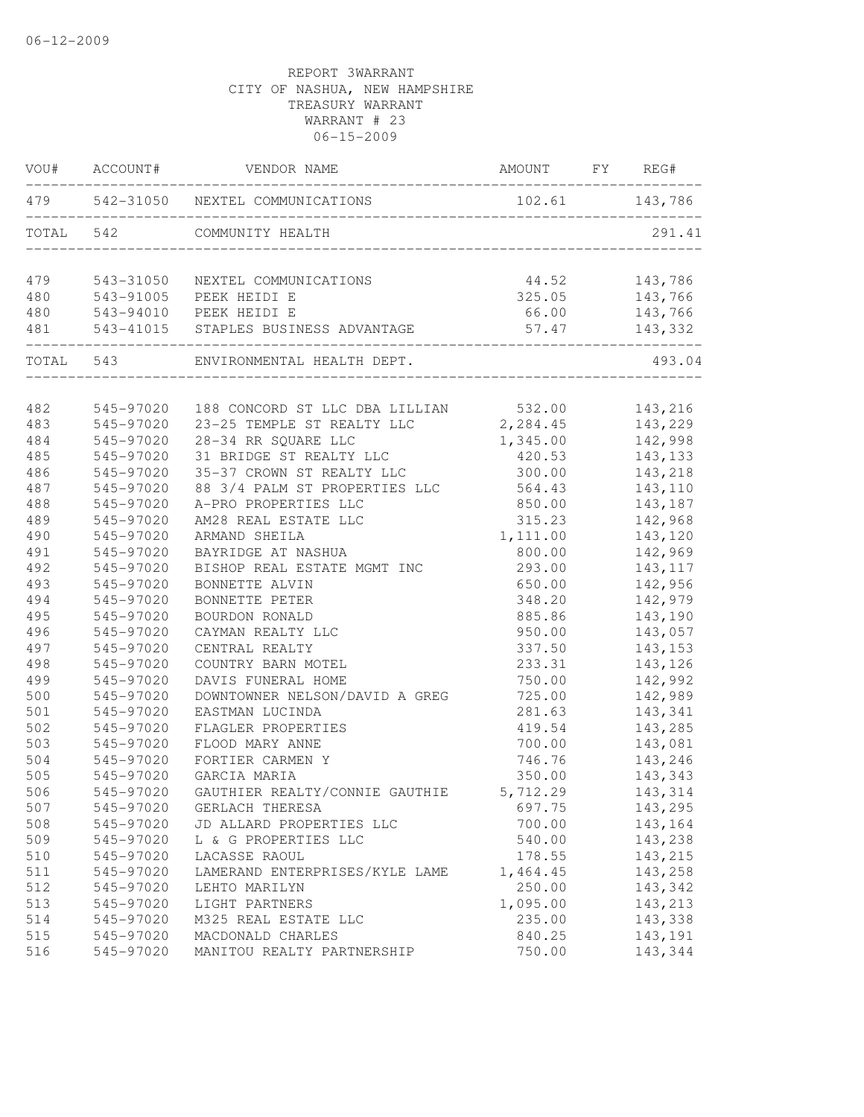|           | VOU# ACCOUNT# | VENDOR NAME                                                 | AMOUNT                          | FY REG#                                                                                 |
|-----------|---------------|-------------------------------------------------------------|---------------------------------|-----------------------------------------------------------------------------------------|
|           |               | 479 542-31050 NEXTEL COMMUNICATIONS                         | 102.61 143,786                  |                                                                                         |
| TOTAL 542 |               | COMMUNITY HEALTH                                            |                                 | 291.41                                                                                  |
| 479       | 543-31050     | NEXTEL COMMUNICATIONS                                       |                                 |                                                                                         |
| 480       |               | 543-91005 PEEK HEIDI E                                      |                                 |                                                                                         |
| 480       |               | 543-94010 PEEK HEIDI E                                      |                                 | $\begin{array}{ccc} 44.52 & 143,786 \\ 325.05 & 143,766 \\ 66.00 & 143,766 \end{array}$ |
| 481       |               | 543-41015 STAPLES BUSINESS ADVANTAGE                        | _______________________________ | 57.47 143,332                                                                           |
|           |               | TOTAL 543 ENVIRONMENTAL HEALTH DEPT.                        |                                 | 493.04                                                                                  |
| 482       | 545-97020     | 188 CONCORD ST LLC DBA LILLIAN 532.00                       |                                 | 143,216                                                                                 |
| 483       | 545-97020     |                                                             |                                 | 143,229                                                                                 |
| 484       | 545-97020     | 23-25 TEMPLE ST REALTY LLC 2, 284.45<br>28-34 RR SQUARE LLC | 1,345.00                        | 142,998                                                                                 |
| 485       | 545-97020     | 31 BRIDGE ST REALTY LLC                                     | 420.53                          | 143,133                                                                                 |
| 486       | 545-97020     | 35-37 CROWN ST REALTY LLC                                   | 300.00                          | 143,218                                                                                 |
| 487       | 545-97020     | 88 3/4 PALM ST PROPERTIES LLC                               | 564.43                          | 143,110                                                                                 |
| 488       | 545-97020     | A-PRO PROPERTIES LLC                                        | 850.00                          | 143,187                                                                                 |
| 489       | 545-97020     | AM28 REAL ESTATE LLC                                        | 315.23                          | 142,968                                                                                 |
| 490       | 545-97020     | ARMAND SHEILA                                               | 1,111.00                        | 143,120                                                                                 |
| 491       | 545-97020     | BAYRIDGE AT NASHUA                                          | 800.00                          | 142,969                                                                                 |
| 492       | 545-97020     | BISHOP REAL ESTATE MGMT INC                                 | 293.00                          | 143, 117                                                                                |
| 493       | 545-97020     | BONNETTE ALVIN                                              | 650.00                          | 142,956                                                                                 |
| 494       | 545-97020     | BONNETTE PETER                                              | 348.20                          | 142,979                                                                                 |
| 495       | 545-97020     | BOURDON RONALD                                              | 885.86                          | 143,190                                                                                 |
| 496       | 545-97020     | CAYMAN REALTY LLC                                           | 950.00                          | 143,057                                                                                 |
| 497       | 545-97020     | CENTRAL REALTY                                              | 337.50                          | 143, 153                                                                                |
| 498       | 545-97020     | COUNTRY BARN MOTEL                                          | 233.31                          | 143,126                                                                                 |
| 499       | 545-97020     | DAVIS FUNERAL HOME                                          | 750.00                          | 142,992                                                                                 |
| 500       | 545-97020     | DOWNTOWNER NELSON/DAVID A GREG                              | 725.00                          | 142,989                                                                                 |
| 501       | 545-97020     | EASTMAN LUCINDA                                             | 281.63                          | 143,341                                                                                 |
| 502       | 545-97020     | FLAGLER PROPERTIES                                          | 419.54                          | 143,285                                                                                 |
| 503       | 545-97020     | FLOOD MARY ANNE                                             | 700.00                          | 143,081                                                                                 |
| 504       | 545-97020     | FORTIER CARMEN Y                                            | 746.76                          | 143,246                                                                                 |
| 505       | 545-97020     | GARCIA MARIA                                                | 350.00                          | 143,343                                                                                 |
| 506       | 545-97020     | GAUTHIER REALTY/CONNIE GAUTHIE                              | 5,712.29                        | 143,314                                                                                 |
| 507       | 545-97020     | GERLACH THERESA                                             | 697.75                          | 143,295                                                                                 |
| 508       | 545-97020     | JD ALLARD PROPERTIES LLC                                    | 700.00                          | 143,164                                                                                 |
| 509       | 545-97020     | L & G PROPERTIES LLC                                        | 540.00                          | 143,238                                                                                 |
| 510       | 545-97020     | LACASSE RAOUL                                               | 178.55                          | 143,215                                                                                 |
| 511       | 545-97020     | LAMERAND ENTERPRISES/KYLE LAME                              | 1,464.45                        | 143,258                                                                                 |
| 512       | 545-97020     | LEHTO MARILYN                                               | 250.00                          | 143,342                                                                                 |
| 513       | 545-97020     | LIGHT PARTNERS                                              | 1,095.00                        | 143,213                                                                                 |
| 514       | 545-97020     | M325 REAL ESTATE LLC                                        | 235.00                          | 143,338                                                                                 |
| 515       | 545-97020     | MACDONALD CHARLES                                           | 840.25                          | 143,191                                                                                 |
| 516       | 545-97020     | MANITOU REALTY PARTNERSHIP                                  | 750.00                          | 143,344                                                                                 |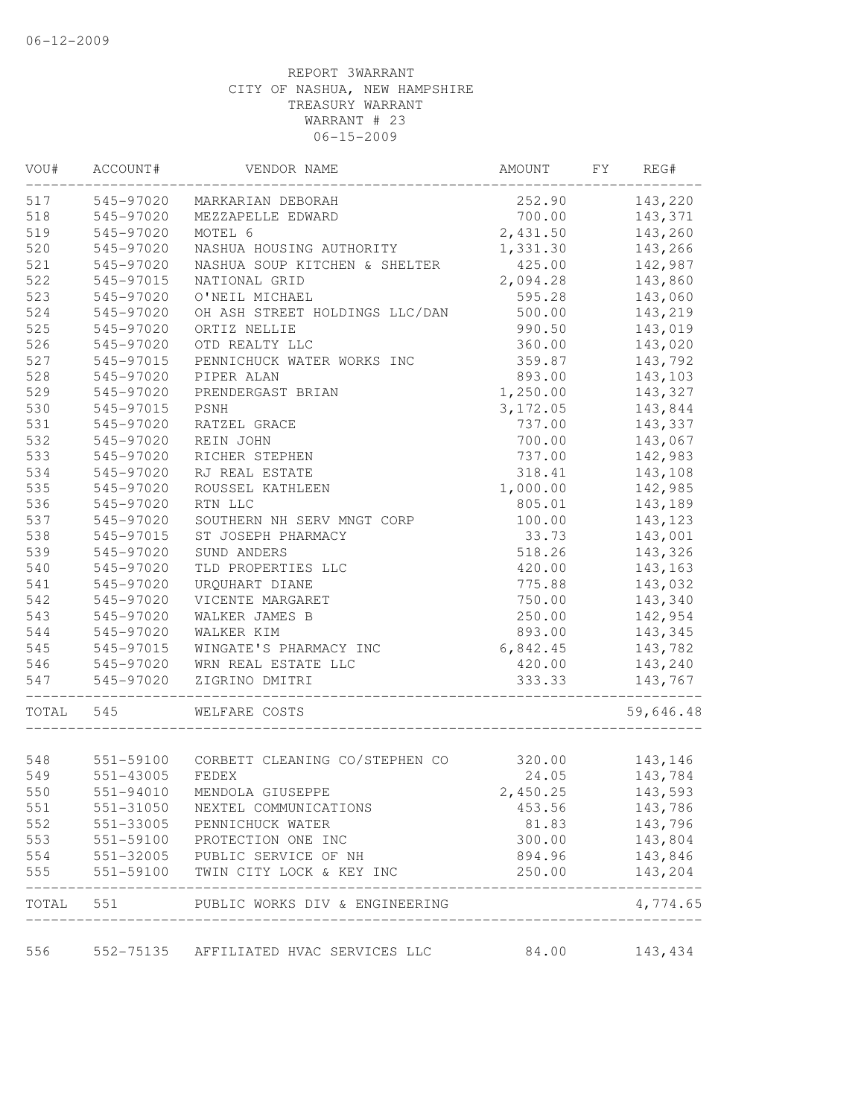| WOU#       | ACCOUNT#                            | VENDOR NAME                                           | AMOUNT   | FY | REG#      |
|------------|-------------------------------------|-------------------------------------------------------|----------|----|-----------|
| 517        | 545-97020                           | MARKARIAN DEBORAH                                     | 252.90   |    | 143,220   |
| 518        | 545-97020                           | MEZZAPELLE EDWARD                                     | 700.00   |    | 143,371   |
| 519        | 545-97020                           | MOTEL 6                                               | 2,431.50 |    | 143,260   |
| 520        | 545-97020                           | NASHUA HOUSING AUTHORITY                              | 1,331.30 |    | 143,266   |
| 521        | 545-97020                           | NASHUA SOUP KITCHEN & SHELTER                         | 425.00   |    | 142,987   |
| 522        | 545-97015                           | NATIONAL GRID                                         | 2,094.28 |    | 143,860   |
| 523        | 545-97020                           | O'NEIL MICHAEL                                        | 595.28   |    | 143,060   |
| 524        | 545-97020                           | OH ASH STREET HOLDINGS LLC/DAN                        | 500.00   |    | 143,219   |
| 525        | 545-97020                           | ORTIZ NELLIE                                          | 990.50   |    | 143,019   |
| 526        | 545-97020                           | OTD REALTY LLC                                        | 360.00   |    | 143,020   |
| 527        | 545-97015                           | PENNICHUCK WATER WORKS INC                            | 359.87   |    | 143,792   |
| 528        | 545-97020                           | PIPER ALAN                                            | 893.00   |    | 143,103   |
| 529        | 545-97020                           | PRENDERGAST BRIAN                                     | 1,250.00 |    | 143,327   |
| 530        | 545-97015                           | PSNH                                                  | 3,172.05 |    | 143,844   |
| 531        | 545-97020                           | RATZEL GRACE                                          | 737.00   |    | 143,337   |
| 532        | 545-97020                           | REIN JOHN                                             | 700.00   |    | 143,067   |
| 533        | 545-97020                           | RICHER STEPHEN                                        | 737.00   |    | 142,983   |
| 534        | 545-97020                           | RJ REAL ESTATE                                        | 318.41   |    | 143,108   |
| 535        | 545-97020                           | ROUSSEL KATHLEEN                                      | 1,000.00 |    | 142,985   |
| 536        | 545-97020                           | RTN LLC                                               | 805.01   |    | 143,189   |
| 537        | 545-97020                           | SOUTHERN NH SERV MNGT CORP                            | 100.00   |    | 143,123   |
| 538        | 545-97015                           | ST JOSEPH PHARMACY                                    | 33.73    |    | 143,001   |
| 539        | 545-97020                           | SUND ANDERS                                           | 518.26   |    | 143,326   |
| 540        | 545-97020                           | TLD PROPERTIES LLC                                    | 420.00   |    | 143,163   |
| 541        | 545-97020                           | URQUHART DIANE                                        | 775.88   |    | 143,032   |
| 542        | 545-97020                           | VICENTE MARGARET                                      | 750.00   |    | 143,340   |
| 543        | 545-97020                           | WALKER JAMES B                                        | 250.00   |    | 142,954   |
| 544        | 545-97020                           | WALKER KIM                                            | 893.00   |    | 143,345   |
|            |                                     |                                                       |          |    |           |
| 545        | 545-97015                           | WINGATE'S PHARMACY INC                                | 6,842.45 |    | 143,782   |
| 546        | 545-97020                           | WRN REAL ESTATE LLC                                   | 420.00   |    | 143,240   |
| 547        | 545-97020                           | ZIGRINO DMITRI<br>___________________________________ | 333.33   |    | 143,767   |
| TOTAL      | 545                                 | WELFARE COSTS                                         |          |    | 59,646.48 |
|            |                                     |                                                       |          |    |           |
| 548<br>549 |                                     | 551-59100 CORBETT CLEANING CO/STEPHEN CO<br>FEDEX     | 320.00   |    | 143,146   |
|            | 551-43005                           |                                                       | 24.05    |    | 143,784   |
| 550        | 551-94010                           | MENDOLA GIUSEPPE                                      | 2,450.25 |    | 143,593   |
| 551        | 551-31050                           | NEXTEL COMMUNICATIONS                                 | 453.56   |    | 143,786   |
| 552        | 551-33005                           | PENNICHUCK WATER                                      | 81.83    |    | 143,796   |
| 553        | 551-59100<br>551-32005<br>551-59100 | PROTECTION ONE INC                                    | 300.00   |    | 143,804   |
| 554        |                                     | PUBLIC SERVICE OF NH                                  | 894.96   |    | 143,846   |
| 555        | 551-59100                           | TWIN CITY LOCK & KEY INC                              | 250.00   |    | 143,204   |
|            |                                     | TOTAL 551 PUBLIC WORKS DIV & ENGINEERING              |          |    | 4,774.65  |
| 556        |                                     | 552-75135 AFFILIATED HVAC SERVICES LLC                | 84.00    |    | 143,434   |
|            |                                     |                                                       |          |    |           |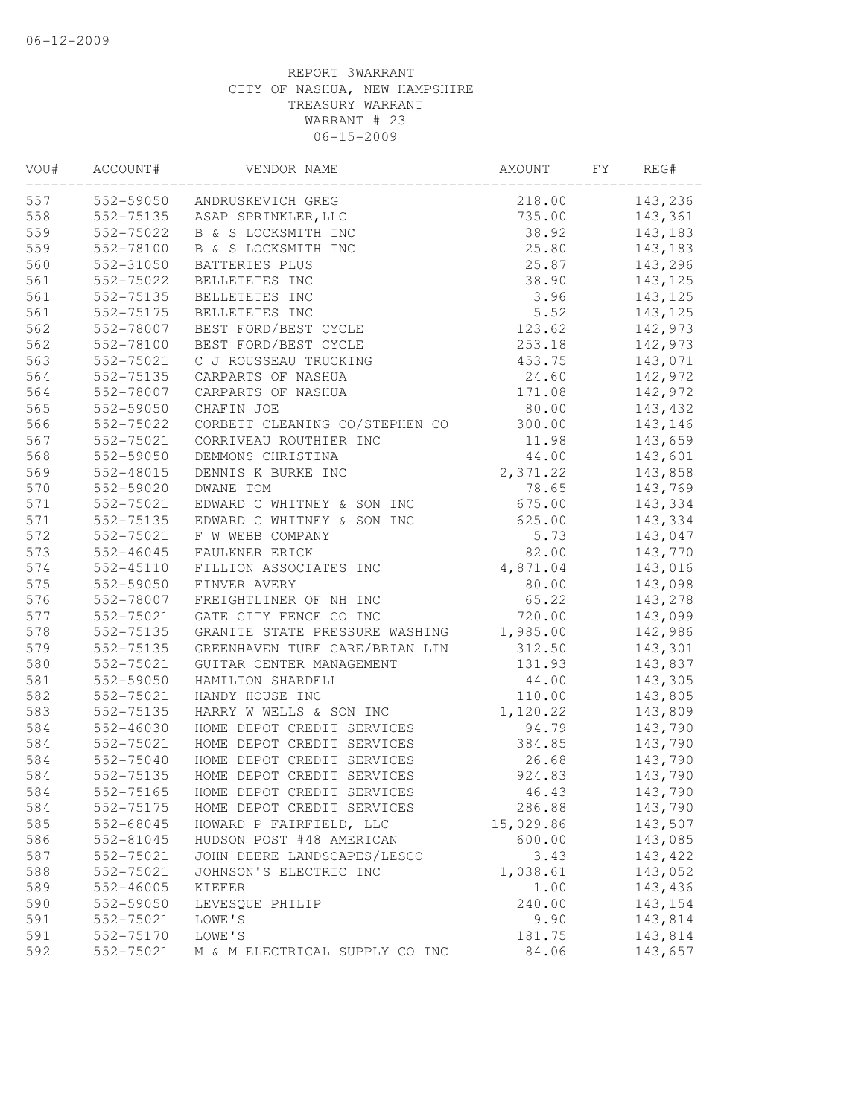| VOU# | ACCOUNT#      | VENDOR NAME                    | AMOUNT    | FY | REG#     |
|------|---------------|--------------------------------|-----------|----|----------|
| 557  | 552-59050     | ANDRUSKEVICH GREG              | 218.00    |    | 143,236  |
| 558  | 552-75135     | ASAP SPRINKLER, LLC            | 735.00    |    | 143,361  |
| 559  | 552-75022     | B & S LOCKSMITH INC            | 38.92     |    | 143,183  |
| 559  | 552-78100     | B & S LOCKSMITH INC            | 25.80     |    | 143,183  |
| 560  | 552-31050     | BATTERIES PLUS                 | 25.87     |    | 143,296  |
| 561  | 552-75022     | BELLETETES INC                 | 38.90     |    | 143,125  |
| 561  | 552-75135     | BELLETETES INC                 | 3.96      |    | 143,125  |
| 561  | 552-75175     | BELLETETES INC                 | 5.52      |    | 143,125  |
| 562  | 552-78007     | BEST FORD/BEST CYCLE           | 123.62    |    | 142,973  |
| 562  | 552-78100     | BEST FORD/BEST CYCLE           | 253.18    |    | 142,973  |
| 563  | 552-75021     | C J ROUSSEAU TRUCKING          | 453.75    |    | 143,071  |
| 564  | 552-75135     | CARPARTS OF NASHUA             | 24.60     |    | 142,972  |
| 564  | 552-78007     | CARPARTS OF NASHUA             | 171.08    |    | 142,972  |
| 565  | 552-59050     | CHAFIN JOE                     | 80.00     |    | 143,432  |
| 566  | 552-75022     | CORBETT CLEANING CO/STEPHEN CO | 300.00    |    | 143,146  |
| 567  | 552-75021     | CORRIVEAU ROUTHIER INC         | 11.98     |    | 143,659  |
| 568  | 552-59050     | DEMMONS CHRISTINA              | 44.00     |    | 143,601  |
| 569  | 552-48015     | DENNIS K BURKE INC             | 2,371.22  |    | 143,858  |
| 570  | 552-59020     | DWANE TOM                      | 78.65     |    | 143,769  |
| 571  | 552-75021     | EDWARD C WHITNEY & SON INC     | 675.00    |    | 143,334  |
| 571  | 552-75135     | EDWARD C WHITNEY & SON INC     | 625.00    |    | 143,334  |
| 572  | 552-75021     | F W WEBB COMPANY               | 5.73      |    | 143,047  |
| 573  | 552-46045     | FAULKNER ERICK                 | 82.00     |    | 143,770  |
| 574  | $552 - 45110$ | FILLION ASSOCIATES INC         | 4,871.04  |    | 143,016  |
| 575  | 552-59050     | FINVER AVERY                   | 80.00     |    | 143,098  |
| 576  | 552-78007     | FREIGHTLINER OF NH INC         | 65.22     |    | 143,278  |
| 577  | 552-75021     | GATE CITY FENCE CO INC         | 720.00    |    | 143,099  |
| 578  | 552-75135     | GRANITE STATE PRESSURE WASHING | 1,985.00  |    | 142,986  |
| 579  | 552-75135     | GREENHAVEN TURF CARE/BRIAN LIN | 312.50    |    | 143,301  |
| 580  | 552-75021     | GUITAR CENTER MANAGEMENT       | 131.93    |    | 143,837  |
| 581  | 552-59050     | HAMILTON SHARDELL              | 44.00     |    | 143,305  |
| 582  | 552-75021     | HANDY HOUSE INC                | 110.00    |    | 143,805  |
| 583  | 552-75135     | HARRY W WELLS & SON INC        | 1,120.22  |    | 143,809  |
| 584  | 552-46030     | HOME DEPOT CREDIT SERVICES     | 94.79     |    | 143,790  |
| 584  | 552-75021     | HOME DEPOT CREDIT SERVICES     | 384.85    |    | 143,790  |
| 584  | 552-75040     | HOME DEPOT CREDIT SERVICES     | 26.68     |    | 143,790  |
| 584  | 552-75135     | HOME DEPOT CREDIT SERVICES     | 924.83    |    | 143,790  |
| 584  | 552-75165     | HOME DEPOT CREDIT SERVICES     | 46.43     |    | 143,790  |
| 584  | 552-75175     | HOME DEPOT CREDIT SERVICES     | 286.88    |    | 143,790  |
| 585  | 552-68045     | HOWARD P FAIRFIELD, LLC        | 15,029.86 |    | 143,507  |
| 586  | 552-81045     | HUDSON POST #48 AMERICAN       | 600.00    |    | 143,085  |
| 587  | 552-75021     | JOHN DEERE LANDSCAPES/LESCO    | 3.43      |    | 143,422  |
| 588  | 552-75021     | JOHNSON'S ELECTRIC INC         | 1,038.61  |    | 143,052  |
| 589  | 552-46005     | KIEFER                         | 1.00      |    | 143,436  |
| 590  | 552-59050     | LEVESQUE PHILIP                | 240.00    |    | 143, 154 |
| 591  | 552-75021     | LOWE'S                         | 9.90      |    | 143,814  |
| 591  | 552-75170     | LOWE'S                         | 181.75    |    | 143,814  |
| 592  | 552-75021     | M & M ELECTRICAL SUPPLY CO INC | 84.06     |    | 143,657  |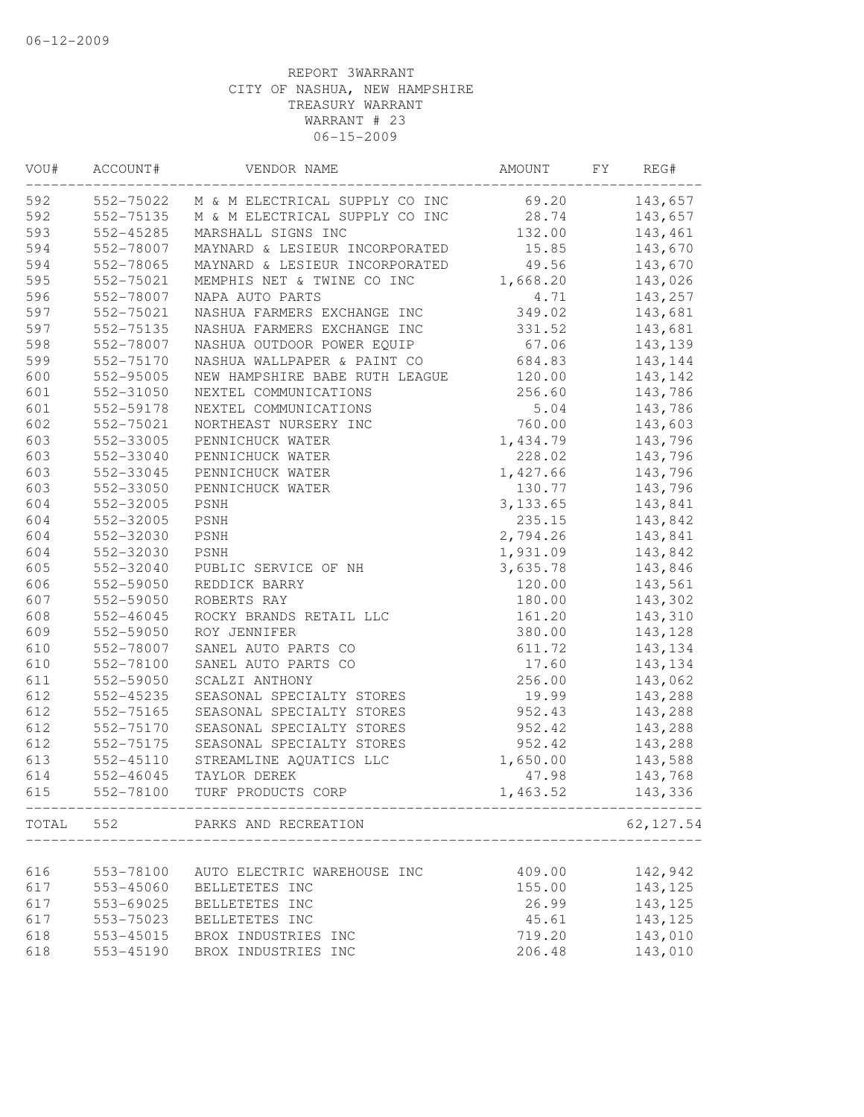| VOU# | ACCOUNT#  | VENDOR NAME                              | AMOUNT   | FY | REG#      |
|------|-----------|------------------------------------------|----------|----|-----------|
| 592  |           | 552-75022 M & M ELECTRICAL SUPPLY CO INC | 69.20    |    | 143,657   |
| 592  | 552-75135 | M & M ELECTRICAL SUPPLY CO INC           | 28.74    |    | 143,657   |
| 593  | 552-45285 | MARSHALL SIGNS INC                       | 132.00   |    | 143,461   |
| 594  | 552-78007 | MAYNARD & LESIEUR INCORPORATED           | 15.85    |    | 143,670   |
| 594  | 552-78065 | MAYNARD & LESIEUR INCORPORATED           | 49.56    |    | 143,670   |
| 595  | 552-75021 | MEMPHIS NET & TWINE CO INC               | 1,668.20 |    | 143,026   |
| 596  | 552-78007 | NAPA AUTO PARTS                          | 4.71     |    | 143,257   |
| 597  | 552-75021 | NASHUA FARMERS EXCHANGE INC              | 349.02   |    | 143,681   |
| 597  | 552-75135 | NASHUA FARMERS EXCHANGE INC              | 331.52   |    | 143,681   |
| 598  | 552-78007 | NASHUA OUTDOOR POWER EQUIP               | 67.06    |    | 143,139   |
| 599  | 552-75170 | NASHUA WALLPAPER & PAINT CO              | 684.83   |    | 143,144   |
| 600  | 552-95005 | NEW HAMPSHIRE BABE RUTH LEAGUE           | 120.00   |    | 143,142   |
| 601  | 552-31050 | NEXTEL COMMUNICATIONS                    | 256.60   |    | 143,786   |
| 601  | 552-59178 | NEXTEL COMMUNICATIONS                    | 5.04     |    | 143,786   |
| 602  | 552-75021 | NORTHEAST NURSERY INC                    | 760.00   |    | 143,603   |
| 603  | 552-33005 | PENNICHUCK WATER                         | 1,434.79 |    | 143,796   |
| 603  | 552-33040 | PENNICHUCK WATER                         | 228.02   |    | 143,796   |
| 603  | 552-33045 | PENNICHUCK WATER                         | 1,427.66 |    | 143,796   |
| 603  | 552-33050 | PENNICHUCK WATER                         | 130.77   |    | 143,796   |
| 604  | 552-32005 | PSNH                                     | 3,133.65 |    | 143,841   |
| 604  | 552-32005 | PSNH                                     | 235.15   |    | 143,842   |
| 604  | 552-32030 | PSNH                                     | 2,794.26 |    | 143,841   |
| 604  | 552-32030 | PSNH                                     | 1,931.09 |    | 143,842   |
| 605  | 552-32040 | PUBLIC SERVICE OF NH                     | 3,635.78 |    | 143,846   |
| 606  | 552-59050 | REDDICK BARRY                            | 120.00   |    | 143,561   |
| 607  | 552-59050 | ROBERTS RAY                              | 180.00   |    | 143,302   |
| 608  | 552-46045 | ROCKY BRANDS RETAIL LLC                  | 161.20   |    | 143,310   |
| 609  | 552-59050 | ROY JENNIFER                             | 380.00   |    | 143,128   |
| 610  | 552-78007 | SANEL AUTO PARTS CO                      | 611.72   |    | 143,134   |
| 610  | 552-78100 | SANEL AUTO PARTS CO                      | 17.60    |    | 143,134   |
| 611  | 552-59050 | SCALZI ANTHONY                           | 256.00   |    | 143,062   |
| 612  | 552-45235 | SEASONAL SPECIALTY STORES                | 19.99    |    | 143,288   |
| 612  | 552-75165 | SEASONAL SPECIALTY STORES                | 952.43   |    | 143,288   |
| 612  | 552-75170 | SEASONAL SPECIALTY STORES                | 952.42   |    | 143,288   |
| 612  | 552-75175 | SEASONAL SPECIALTY STORES                | 952.42   |    | 143,288   |
| 613  | 552-45110 | STREAMLINE AQUATICS LLC                  | 1,650.00 |    | 143,588   |
| 614  | 552-46045 | TAYLOR DEREK                             | 47.98    |    | 143,768   |
| 615  | 552-78100 | TURF PRODUCTS CORP                       | 1,463.52 |    | 143,336   |
|      |           | TOTAL 552 PARKS AND RECREATION           |          |    | 62,127.54 |
|      |           |                                          |          |    |           |
| 616  | 553-78100 | AUTO ELECTRIC WAREHOUSE INC              | 409.00   |    | 142,942   |
| 617  | 553-45060 | BELLETETES INC                           | 155.00   |    | 143,125   |
| 617  | 553-69025 | BELLETETES INC                           | 26.99    |    | 143,125   |
| 617  | 553-75023 | BELLETETES INC                           | 45.61    |    | 143,125   |
| 618  | 553-45015 | BROX INDUSTRIES INC                      | 719.20   |    | 143,010   |
| 618  | 553-45190 | BROX INDUSTRIES INC                      | 206.48   |    | 143,010   |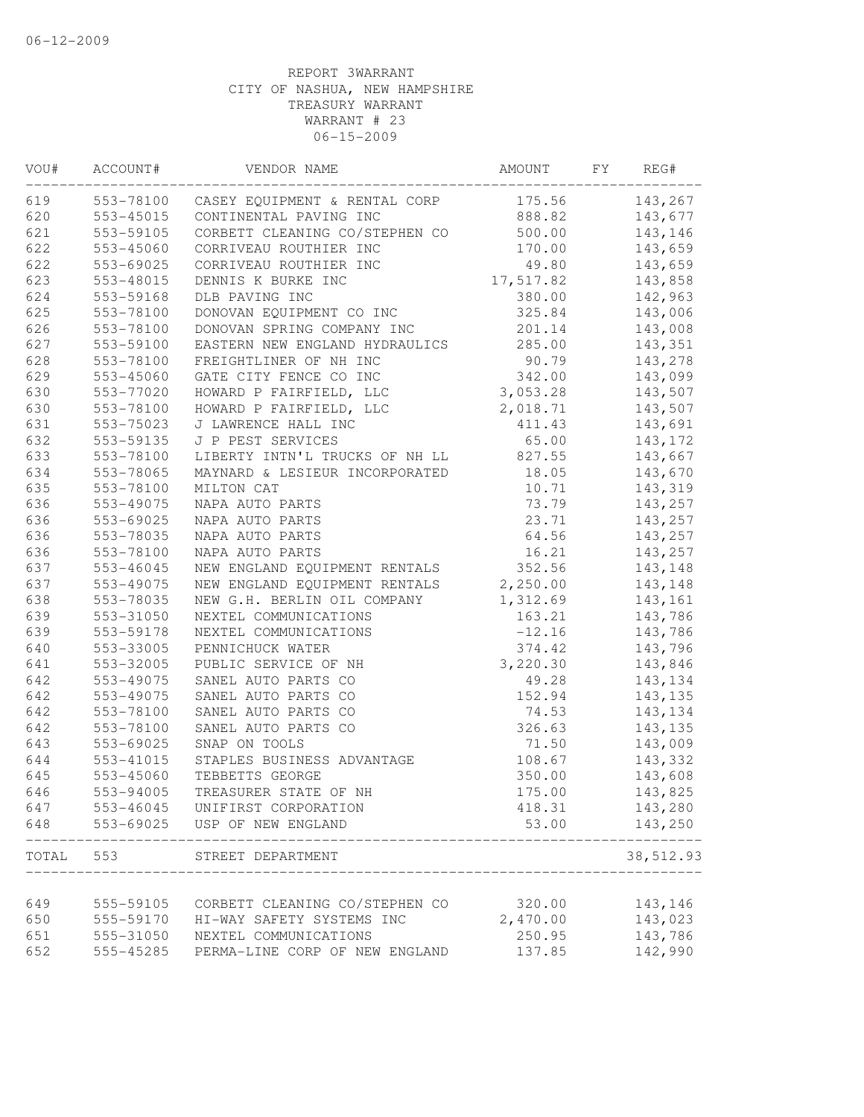| VOU#  | ACCOUNT#  | VENDOR NAME                             | AMOUNT    | FY | REG#      |
|-------|-----------|-----------------------------------------|-----------|----|-----------|
| 619   |           | 553-78100 CASEY EQUIPMENT & RENTAL CORP | 175.56    |    | 143,267   |
| 620   | 553-45015 | CONTINENTAL PAVING INC                  | 888.82    |    | 143,677   |
| 621   | 553-59105 | CORBETT CLEANING CO/STEPHEN CO          | 500.00    |    | 143,146   |
| 622   | 553-45060 | CORRIVEAU ROUTHIER INC                  | 170.00    |    | 143,659   |
| 622   | 553-69025 | CORRIVEAU ROUTHIER INC                  | 49.80     |    | 143,659   |
| 623   | 553-48015 | DENNIS K BURKE INC                      | 17,517.82 |    | 143,858   |
| 624   | 553-59168 | DLB PAVING INC                          | 380.00    |    | 142,963   |
| 625   | 553-78100 | DONOVAN EQUIPMENT CO INC                | 325.84    |    | 143,006   |
| 626   | 553-78100 | DONOVAN SPRING COMPANY INC              | 201.14    |    | 143,008   |
| 627   | 553-59100 | EASTERN NEW ENGLAND HYDRAULICS          | 285.00    |    | 143,351   |
| 628   | 553-78100 | FREIGHTLINER OF NH INC                  | 90.79     |    | 143,278   |
| 629   | 553-45060 | GATE CITY FENCE CO INC                  | 342.00    |    | 143,099   |
| 630   | 553-77020 | HOWARD P FAIRFIELD, LLC                 | 3,053.28  |    | 143,507   |
| 630   | 553-78100 | HOWARD P FAIRFIELD, LLC                 | 2,018.71  |    | 143,507   |
| 631   | 553-75023 | J LAWRENCE HALL INC                     | 411.43    |    | 143,691   |
| 632   | 553-59135 | J P PEST SERVICES                       | 65.00     |    | 143,172   |
| 633   | 553-78100 | LIBERTY INTN'L TRUCKS OF NH LL          | 827.55    |    | 143,667   |
| 634   | 553-78065 | MAYNARD & LESIEUR INCORPORATED          | 18.05     |    | 143,670   |
| 635   | 553-78100 | MILTON CAT                              | 10.71     |    | 143,319   |
| 636   | 553-49075 | NAPA AUTO PARTS                         | 73.79     |    | 143,257   |
| 636   | 553-69025 | NAPA AUTO PARTS                         | 23.71     |    | 143,257   |
| 636   | 553-78035 | NAPA AUTO PARTS                         | 64.56     |    | 143,257   |
| 636   | 553-78100 | NAPA AUTO PARTS                         | 16.21     |    | 143,257   |
| 637   | 553-46045 | NEW ENGLAND EQUIPMENT RENTALS           | 352.56    |    | 143,148   |
| 637   | 553-49075 | NEW ENGLAND EQUIPMENT RENTALS           | 2,250.00  |    | 143,148   |
| 638   | 553-78035 | NEW G.H. BERLIN OIL COMPANY             | 1,312.69  |    | 143,161   |
| 639   | 553-31050 | NEXTEL COMMUNICATIONS                   | 163.21    |    | 143,786   |
| 639   | 553-59178 | NEXTEL COMMUNICATIONS                   | $-12.16$  |    | 143,786   |
| 640   | 553-33005 | PENNICHUCK WATER                        | 374.42    |    | 143,796   |
| 641   | 553-32005 | PUBLIC SERVICE OF NH                    | 3,220.30  |    | 143,846   |
| 642   | 553-49075 | SANEL AUTO PARTS CO                     | 49.28     |    | 143,134   |
| 642   | 553-49075 | SANEL AUTO PARTS CO                     | 152.94    |    | 143,135   |
| 642   | 553-78100 | SANEL AUTO PARTS CO                     | 74.53     |    | 143,134   |
| 642   | 553-78100 | SANEL AUTO PARTS CO                     | 326.63    |    | 143,135   |
| 643   | 553-69025 | SNAP ON TOOLS                           | 71.50     |    | 143,009   |
| 644   | 553-41015 | STAPLES BUSINESS ADVANTAGE              | 108.67    |    | 143,332   |
| 645   | 553-45060 | TEBBETTS GEORGE                         | 350.00    |    | 143,608   |
| 646   | 553-94005 | TREASURER STATE OF NH                   | 175.00    |    | 143,825   |
| 647   | 553-46045 | UNIFIRST CORPORATION                    | 418.31    |    | 143,280   |
| 648   | 553-69025 | USP OF NEW ENGLAND                      | 53.00     |    | 143,250   |
| TOTAL | 553       | STREET DEPARTMENT<br>________________   |           |    | 38,512.93 |
|       |           |                                         |           |    |           |
| 649   | 555-59105 | CORBETT CLEANING CO/STEPHEN CO          | 320.00    |    | 143,146   |
| 650   | 555-59170 | HI-WAY SAFETY SYSTEMS INC               | 2,470.00  |    | 143,023   |
| 651   | 555-31050 | NEXTEL COMMUNICATIONS                   | 250.95    |    | 143,786   |
| 652   | 555-45285 | PERMA-LINE CORP OF NEW ENGLAND          | 137.85    |    | 142,990   |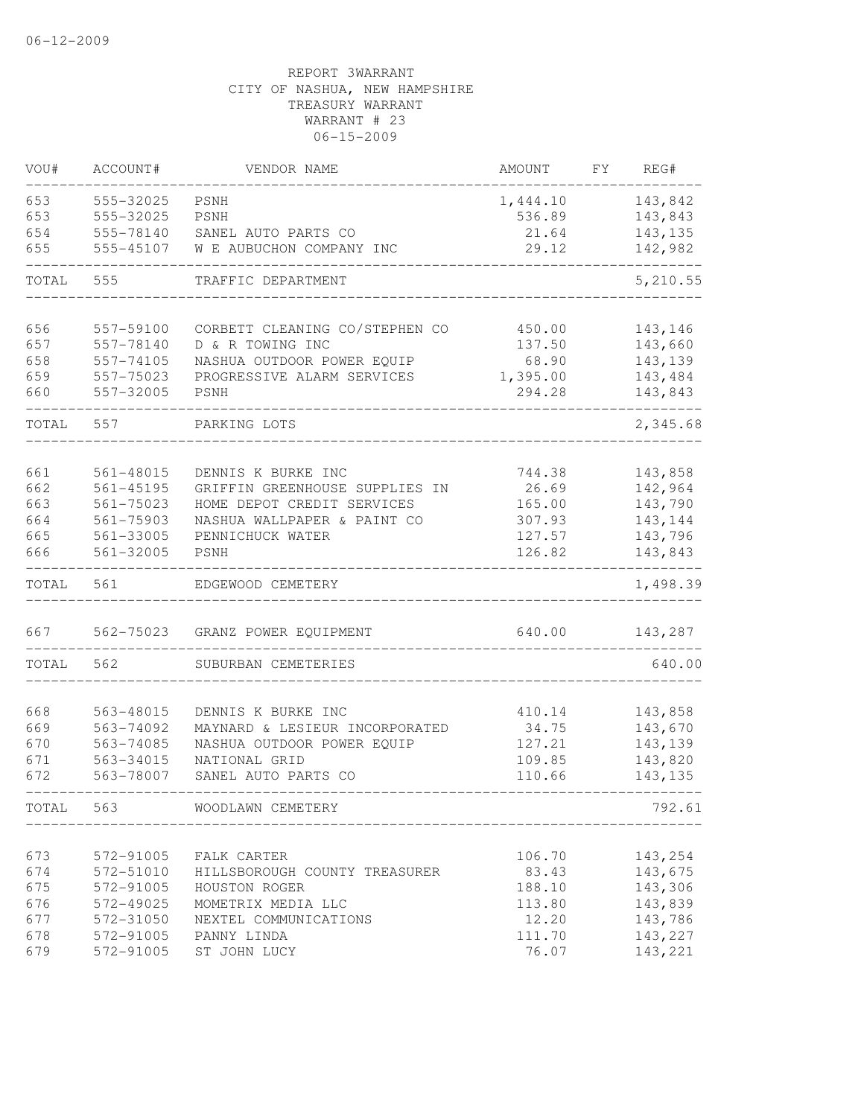| 653<br>555-32025<br>PSNH<br>143,842<br>1,444.10<br>555-32025<br>143,843<br>PSNH<br>536.89<br>143,135<br>555-78140<br>SANEL AUTO PARTS CO<br>21.64<br>655<br>142,982<br>555-45107<br>W E AUBUCHON COMPANY INC<br>29.12<br>5,210.55<br>TOTAL<br>555<br>TRAFFIC DEPARTMENT<br>656<br>557-59100<br>CORBETT CLEANING CO/STEPHEN CO<br>143,146<br>450.00<br>657<br>D & R TOWING INC<br>143,660<br>557-78140<br>137.50<br>658<br>NASHUA OUTDOOR POWER EQUIP<br>143,139<br>557-74105<br>68.90<br>659<br>143,484<br>557-75023<br>PROGRESSIVE ALARM SERVICES<br>1,395.00<br>660<br>557-32005<br><b>PSNH</b><br>294.28<br>143,843<br>557<br>2,345.68<br>TOTAL<br>PARKING LOTS<br>661<br>561-48015<br>DENNIS K BURKE INC<br>744.38<br>143,858<br>142,964<br>662<br>561-45195<br>26.69<br>GRIFFIN GREENHOUSE SUPPLIES IN<br>663<br>HOME DEPOT CREDIT SERVICES<br>165.00<br>143,790<br>$561 - 75023$<br>664<br>143,144<br>$561 - 75903$<br>NASHUA WALLPAPER & PAINT CO<br>307.93<br>665<br>143,796<br>561-33005<br>PENNICHUCK WATER<br>127.57<br>666<br>143,843<br>561-32005<br>126.82<br>PSNH<br>TOTAL<br>561<br>1,498.39<br>EDGEWOOD CEMETERY<br>640.00<br>667<br>562-75023<br>143,287<br>GRANZ POWER EQUIPMENT<br>TOTAL<br>562<br>640.00<br>SUBURBAN CEMETERIES<br>563-48015<br>DENNIS K BURKE INC<br>410.14<br>143,858<br>143,670<br>563-74092<br>MAYNARD & LESIEUR INCORPORATED<br>34.75<br>143,139<br>563-74085<br>NASHUA OUTDOOR POWER EQUIP<br>127.21<br>563-34015<br>NATIONAL GRID<br>109.85<br>143,820<br>563-78007<br>110.66<br>143, 135<br>SANEL AUTO PARTS CO<br>TOTAL 563<br>WOODLAWN CEMETERY<br>792.61<br>673<br>572-91005<br>106.70<br>143,254<br>FALK CARTER<br>83.43<br>143,675<br>674<br>572-51010<br>HILLSBOROUGH COUNTY TREASURER<br>675<br>143,306<br>572-91005<br>HOUSTON ROGER<br>188.10<br>143,839<br>676<br>572-49025<br>MOMETRIX MEDIA LLC<br>113.80<br>143,786<br>677<br>572-31050<br>12.20<br>NEXTEL COMMUNICATIONS<br>678<br>572-91005<br>111.70<br>143,227<br>PANNY LINDA<br>143,221<br>679<br>572-91005<br>76.07<br>ST JOHN LUCY | VOU# | ACCOUNT# | VENDOR NAME | AMOUNT | FY | REG# |
|-----------------------------------------------------------------------------------------------------------------------------------------------------------------------------------------------------------------------------------------------------------------------------------------------------------------------------------------------------------------------------------------------------------------------------------------------------------------------------------------------------------------------------------------------------------------------------------------------------------------------------------------------------------------------------------------------------------------------------------------------------------------------------------------------------------------------------------------------------------------------------------------------------------------------------------------------------------------------------------------------------------------------------------------------------------------------------------------------------------------------------------------------------------------------------------------------------------------------------------------------------------------------------------------------------------------------------------------------------------------------------------------------------------------------------------------------------------------------------------------------------------------------------------------------------------------------------------------------------------------------------------------------------------------------------------------------------------------------------------------------------------------------------------------------------------------------------------------------------------------------------------------------------------------------------------------------------------------------------------------------------------------------------------------------------|------|----------|-------------|--------|----|------|
|                                                                                                                                                                                                                                                                                                                                                                                                                                                                                                                                                                                                                                                                                                                                                                                                                                                                                                                                                                                                                                                                                                                                                                                                                                                                                                                                                                                                                                                                                                                                                                                                                                                                                                                                                                                                                                                                                                                                                                                                                                                     |      |          |             |        |    |      |
|                                                                                                                                                                                                                                                                                                                                                                                                                                                                                                                                                                                                                                                                                                                                                                                                                                                                                                                                                                                                                                                                                                                                                                                                                                                                                                                                                                                                                                                                                                                                                                                                                                                                                                                                                                                                                                                                                                                                                                                                                                                     | 653  |          |             |        |    |      |
|                                                                                                                                                                                                                                                                                                                                                                                                                                                                                                                                                                                                                                                                                                                                                                                                                                                                                                                                                                                                                                                                                                                                                                                                                                                                                                                                                                                                                                                                                                                                                                                                                                                                                                                                                                                                                                                                                                                                                                                                                                                     | 654  |          |             |        |    |      |
|                                                                                                                                                                                                                                                                                                                                                                                                                                                                                                                                                                                                                                                                                                                                                                                                                                                                                                                                                                                                                                                                                                                                                                                                                                                                                                                                                                                                                                                                                                                                                                                                                                                                                                                                                                                                                                                                                                                                                                                                                                                     |      |          |             |        |    |      |
|                                                                                                                                                                                                                                                                                                                                                                                                                                                                                                                                                                                                                                                                                                                                                                                                                                                                                                                                                                                                                                                                                                                                                                                                                                                                                                                                                                                                                                                                                                                                                                                                                                                                                                                                                                                                                                                                                                                                                                                                                                                     |      |          |             |        |    |      |
|                                                                                                                                                                                                                                                                                                                                                                                                                                                                                                                                                                                                                                                                                                                                                                                                                                                                                                                                                                                                                                                                                                                                                                                                                                                                                                                                                                                                                                                                                                                                                                                                                                                                                                                                                                                                                                                                                                                                                                                                                                                     |      |          |             |        |    |      |
|                                                                                                                                                                                                                                                                                                                                                                                                                                                                                                                                                                                                                                                                                                                                                                                                                                                                                                                                                                                                                                                                                                                                                                                                                                                                                                                                                                                                                                                                                                                                                                                                                                                                                                                                                                                                                                                                                                                                                                                                                                                     |      |          |             |        |    |      |
|                                                                                                                                                                                                                                                                                                                                                                                                                                                                                                                                                                                                                                                                                                                                                                                                                                                                                                                                                                                                                                                                                                                                                                                                                                                                                                                                                                                                                                                                                                                                                                                                                                                                                                                                                                                                                                                                                                                                                                                                                                                     |      |          |             |        |    |      |
|                                                                                                                                                                                                                                                                                                                                                                                                                                                                                                                                                                                                                                                                                                                                                                                                                                                                                                                                                                                                                                                                                                                                                                                                                                                                                                                                                                                                                                                                                                                                                                                                                                                                                                                                                                                                                                                                                                                                                                                                                                                     |      |          |             |        |    |      |
|                                                                                                                                                                                                                                                                                                                                                                                                                                                                                                                                                                                                                                                                                                                                                                                                                                                                                                                                                                                                                                                                                                                                                                                                                                                                                                                                                                                                                                                                                                                                                                                                                                                                                                                                                                                                                                                                                                                                                                                                                                                     |      |          |             |        |    |      |
|                                                                                                                                                                                                                                                                                                                                                                                                                                                                                                                                                                                                                                                                                                                                                                                                                                                                                                                                                                                                                                                                                                                                                                                                                                                                                                                                                                                                                                                                                                                                                                                                                                                                                                                                                                                                                                                                                                                                                                                                                                                     |      |          |             |        |    |      |
|                                                                                                                                                                                                                                                                                                                                                                                                                                                                                                                                                                                                                                                                                                                                                                                                                                                                                                                                                                                                                                                                                                                                                                                                                                                                                                                                                                                                                                                                                                                                                                                                                                                                                                                                                                                                                                                                                                                                                                                                                                                     |      |          |             |        |    |      |
|                                                                                                                                                                                                                                                                                                                                                                                                                                                                                                                                                                                                                                                                                                                                                                                                                                                                                                                                                                                                                                                                                                                                                                                                                                                                                                                                                                                                                                                                                                                                                                                                                                                                                                                                                                                                                                                                                                                                                                                                                                                     |      |          |             |        |    |      |
|                                                                                                                                                                                                                                                                                                                                                                                                                                                                                                                                                                                                                                                                                                                                                                                                                                                                                                                                                                                                                                                                                                                                                                                                                                                                                                                                                                                                                                                                                                                                                                                                                                                                                                                                                                                                                                                                                                                                                                                                                                                     |      |          |             |        |    |      |
|                                                                                                                                                                                                                                                                                                                                                                                                                                                                                                                                                                                                                                                                                                                                                                                                                                                                                                                                                                                                                                                                                                                                                                                                                                                                                                                                                                                                                                                                                                                                                                                                                                                                                                                                                                                                                                                                                                                                                                                                                                                     |      |          |             |        |    |      |
|                                                                                                                                                                                                                                                                                                                                                                                                                                                                                                                                                                                                                                                                                                                                                                                                                                                                                                                                                                                                                                                                                                                                                                                                                                                                                                                                                                                                                                                                                                                                                                                                                                                                                                                                                                                                                                                                                                                                                                                                                                                     |      |          |             |        |    |      |
|                                                                                                                                                                                                                                                                                                                                                                                                                                                                                                                                                                                                                                                                                                                                                                                                                                                                                                                                                                                                                                                                                                                                                                                                                                                                                                                                                                                                                                                                                                                                                                                                                                                                                                                                                                                                                                                                                                                                                                                                                                                     |      |          |             |        |    |      |
|                                                                                                                                                                                                                                                                                                                                                                                                                                                                                                                                                                                                                                                                                                                                                                                                                                                                                                                                                                                                                                                                                                                                                                                                                                                                                                                                                                                                                                                                                                                                                                                                                                                                                                                                                                                                                                                                                                                                                                                                                                                     |      |          |             |        |    |      |
|                                                                                                                                                                                                                                                                                                                                                                                                                                                                                                                                                                                                                                                                                                                                                                                                                                                                                                                                                                                                                                                                                                                                                                                                                                                                                                                                                                                                                                                                                                                                                                                                                                                                                                                                                                                                                                                                                                                                                                                                                                                     |      |          |             |        |    |      |
|                                                                                                                                                                                                                                                                                                                                                                                                                                                                                                                                                                                                                                                                                                                                                                                                                                                                                                                                                                                                                                                                                                                                                                                                                                                                                                                                                                                                                                                                                                                                                                                                                                                                                                                                                                                                                                                                                                                                                                                                                                                     |      |          |             |        |    |      |
|                                                                                                                                                                                                                                                                                                                                                                                                                                                                                                                                                                                                                                                                                                                                                                                                                                                                                                                                                                                                                                                                                                                                                                                                                                                                                                                                                                                                                                                                                                                                                                                                                                                                                                                                                                                                                                                                                                                                                                                                                                                     |      |          |             |        |    |      |
|                                                                                                                                                                                                                                                                                                                                                                                                                                                                                                                                                                                                                                                                                                                                                                                                                                                                                                                                                                                                                                                                                                                                                                                                                                                                                                                                                                                                                                                                                                                                                                                                                                                                                                                                                                                                                                                                                                                                                                                                                                                     | 668  |          |             |        |    |      |
|                                                                                                                                                                                                                                                                                                                                                                                                                                                                                                                                                                                                                                                                                                                                                                                                                                                                                                                                                                                                                                                                                                                                                                                                                                                                                                                                                                                                                                                                                                                                                                                                                                                                                                                                                                                                                                                                                                                                                                                                                                                     | 669  |          |             |        |    |      |
|                                                                                                                                                                                                                                                                                                                                                                                                                                                                                                                                                                                                                                                                                                                                                                                                                                                                                                                                                                                                                                                                                                                                                                                                                                                                                                                                                                                                                                                                                                                                                                                                                                                                                                                                                                                                                                                                                                                                                                                                                                                     | 670  |          |             |        |    |      |
|                                                                                                                                                                                                                                                                                                                                                                                                                                                                                                                                                                                                                                                                                                                                                                                                                                                                                                                                                                                                                                                                                                                                                                                                                                                                                                                                                                                                                                                                                                                                                                                                                                                                                                                                                                                                                                                                                                                                                                                                                                                     | 671  |          |             |        |    |      |
|                                                                                                                                                                                                                                                                                                                                                                                                                                                                                                                                                                                                                                                                                                                                                                                                                                                                                                                                                                                                                                                                                                                                                                                                                                                                                                                                                                                                                                                                                                                                                                                                                                                                                                                                                                                                                                                                                                                                                                                                                                                     | 672  |          |             |        |    |      |
|                                                                                                                                                                                                                                                                                                                                                                                                                                                                                                                                                                                                                                                                                                                                                                                                                                                                                                                                                                                                                                                                                                                                                                                                                                                                                                                                                                                                                                                                                                                                                                                                                                                                                                                                                                                                                                                                                                                                                                                                                                                     |      |          |             |        |    |      |
|                                                                                                                                                                                                                                                                                                                                                                                                                                                                                                                                                                                                                                                                                                                                                                                                                                                                                                                                                                                                                                                                                                                                                                                                                                                                                                                                                                                                                                                                                                                                                                                                                                                                                                                                                                                                                                                                                                                                                                                                                                                     |      |          |             |        |    |      |
|                                                                                                                                                                                                                                                                                                                                                                                                                                                                                                                                                                                                                                                                                                                                                                                                                                                                                                                                                                                                                                                                                                                                                                                                                                                                                                                                                                                                                                                                                                                                                                                                                                                                                                                                                                                                                                                                                                                                                                                                                                                     |      |          |             |        |    |      |
|                                                                                                                                                                                                                                                                                                                                                                                                                                                                                                                                                                                                                                                                                                                                                                                                                                                                                                                                                                                                                                                                                                                                                                                                                                                                                                                                                                                                                                                                                                                                                                                                                                                                                                                                                                                                                                                                                                                                                                                                                                                     |      |          |             |        |    |      |
|                                                                                                                                                                                                                                                                                                                                                                                                                                                                                                                                                                                                                                                                                                                                                                                                                                                                                                                                                                                                                                                                                                                                                                                                                                                                                                                                                                                                                                                                                                                                                                                                                                                                                                                                                                                                                                                                                                                                                                                                                                                     |      |          |             |        |    |      |
|                                                                                                                                                                                                                                                                                                                                                                                                                                                                                                                                                                                                                                                                                                                                                                                                                                                                                                                                                                                                                                                                                                                                                                                                                                                                                                                                                                                                                                                                                                                                                                                                                                                                                                                                                                                                                                                                                                                                                                                                                                                     |      |          |             |        |    |      |
|                                                                                                                                                                                                                                                                                                                                                                                                                                                                                                                                                                                                                                                                                                                                                                                                                                                                                                                                                                                                                                                                                                                                                                                                                                                                                                                                                                                                                                                                                                                                                                                                                                                                                                                                                                                                                                                                                                                                                                                                                                                     |      |          |             |        |    |      |
|                                                                                                                                                                                                                                                                                                                                                                                                                                                                                                                                                                                                                                                                                                                                                                                                                                                                                                                                                                                                                                                                                                                                                                                                                                                                                                                                                                                                                                                                                                                                                                                                                                                                                                                                                                                                                                                                                                                                                                                                                                                     |      |          |             |        |    |      |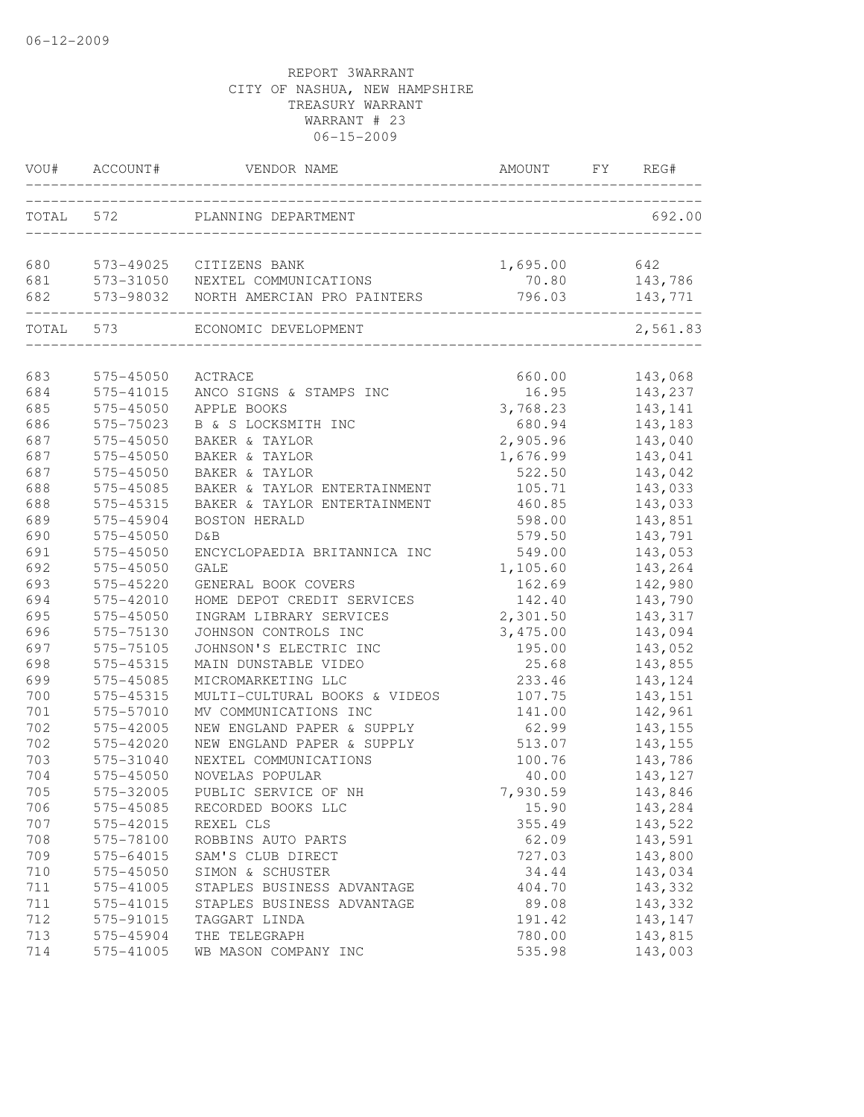|           | VOU# ACCOUNT#           | VENDOR NAME                     | AMOUNT   | FY. | REG#     |
|-----------|-------------------------|---------------------------------|----------|-----|----------|
| TOTAL 572 |                         | PLANNING DEPARTMENT             |          |     | 692.00   |
| 680       | 573-49025               | CITIZENS BANK                   | 1,695.00 |     | 642      |
| 681       |                         | 573-31050 NEXTEL COMMUNICATIONS | 70.80    |     | 143,786  |
| 682       | 573-98032               | NORTH AMERCIAN PRO PAINTERS     | 796.03   |     | 143,771  |
| TOTAL 573 | _______________________ | ECONOMIC DEVELOPMENT            |          |     | 2,561.83 |
|           |                         |                                 |          |     |          |
| 683       | 575-45050               | ACTRACE                         | 660.00   |     | 143,068  |
| 684       | 575-41015               | ANCO SIGNS & STAMPS INC         | 16.95    |     | 143,237  |
| 685       | 575-45050               | APPLE BOOKS                     | 3,768.23 |     | 143,141  |
| 686       | 575-75023               | B & S LOCKSMITH INC             | 680.94   |     | 143,183  |
| 687       | 575-45050               | BAKER & TAYLOR                  | 2,905.96 |     | 143,040  |
| 687       | 575-45050               | BAKER & TAYLOR                  | 1,676.99 |     | 143,041  |
| 687       | 575-45050               | BAKER & TAYLOR                  | 522.50   |     | 143,042  |
| 688       | 575-45085               | BAKER & TAYLOR ENTERTAINMENT    | 105.71   |     | 143,033  |
| 688       | 575-45315               | BAKER & TAYLOR ENTERTAINMENT    | 460.85   |     | 143,033  |
| 689       | 575-45904               | <b>BOSTON HERALD</b>            | 598.00   |     | 143,851  |
| 690       | 575-45050               | D&B                             | 579.50   |     | 143,791  |
| 691       | 575-45050               | ENCYCLOPAEDIA BRITANNICA INC    | 549.00   |     | 143,053  |
| 692       | 575-45050               | <b>GALE</b>                     | 1,105.60 |     | 143,264  |
| 693       | 575-45220               | GENERAL BOOK COVERS             | 162.69   |     | 142,980  |
| 694       | 575-42010               | HOME DEPOT CREDIT SERVICES      | 142.40   |     | 143,790  |
| 695       | 575-45050               | INGRAM LIBRARY SERVICES         | 2,301.50 |     | 143,317  |
| 696       | 575-75130               | JOHNSON CONTROLS INC            | 3,475.00 |     | 143,094  |
| 697       | 575-75105               | JOHNSON'S ELECTRIC INC          | 195.00   |     | 143,052  |
| 698       | 575-45315               | MAIN DUNSTABLE VIDEO            | 25.68    |     | 143,855  |
| 699       | 575-45085               | MICROMARKETING LLC              | 233.46   |     | 143,124  |
| 700       | 575-45315               | MULTI-CULTURAL BOOKS & VIDEOS   | 107.75   |     | 143, 151 |
| 701       | 575-57010               | MV COMMUNICATIONS INC           | 141.00   |     | 142,961  |
| 702       | 575-42005               | NEW ENGLAND PAPER & SUPPLY      | 62.99    |     | 143,155  |
| 702       | 575-42020               | NEW ENGLAND PAPER & SUPPLY      | 513.07   |     | 143,155  |
| 703       | 575-31040               | NEXTEL COMMUNICATIONS           | 100.76   |     | 143,786  |
| 704       | 575-45050               | NOVELAS POPULAR                 | 40.00    |     | 143,127  |
| 705       | 575-32005               | PUBLIC SERVICE OF NH            | 7,930.59 |     | 143,846  |
| 706       | 575-45085               | RECORDED BOOKS LLC              | 15.90    |     | 143,284  |
| 707       | 575-42015               | REXEL CLS                       | 355.49   |     | 143,522  |
| 708       | 575-78100               | ROBBINS AUTO PARTS              | 62.09    |     | 143,591  |
| 709       | 575-64015               | SAM'S CLUB DIRECT               | 727.03   |     | 143,800  |
| 710       | 575-45050               | SIMON & SCHUSTER                | 34.44    |     | 143,034  |
| 711       | 575-41005               | STAPLES BUSINESS ADVANTAGE      | 404.70   |     | 143,332  |
| 711       | 575-41015               | STAPLES BUSINESS ADVANTAGE      | 89.08    |     | 143,332  |
| 712       | 575-91015               | TAGGART LINDA                   | 191.42   |     | 143, 147 |
| 713       | 575-45904               | THE TELEGRAPH                   | 780.00   |     | 143,815  |
| 714       | 575-41005               | WB MASON COMPANY INC            | 535.98   |     | 143,003  |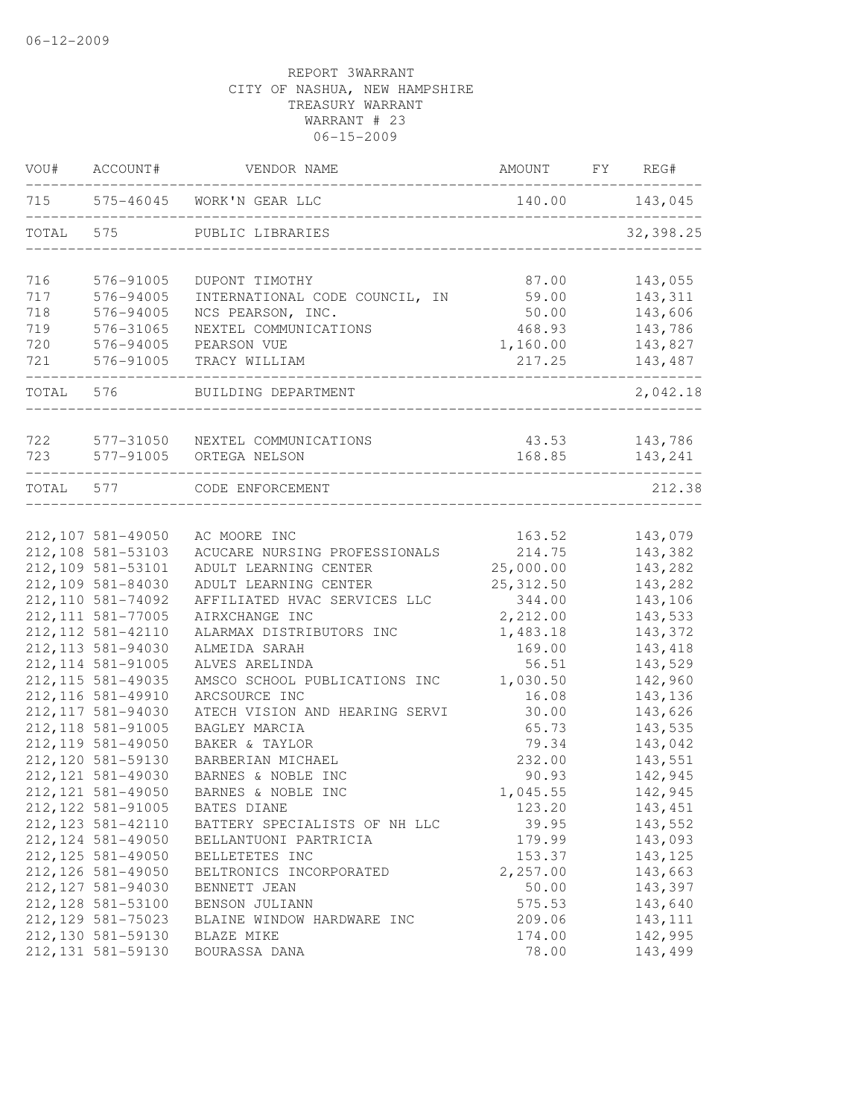| TOTAL<br>716<br>717<br>718<br>719       | 575<br>576-91005<br>576-94005<br>576-94005<br>576-31065<br>576-94005<br>576-91005<br>576<br>577-31050 | 715 575-46045 WORK'N GEAR LLC<br>PUBLIC LIBRARIES<br>DUPONT TIMOTHY<br>INTERNATIONAL CODE COUNCIL, IN<br>NCS PEARSON, INC.<br>NEXTEL COMMUNICATIONS<br>PEARSON VUE<br>TRACY WILLIAM<br>BUILDING DEPARTMENT | 140.00<br>87.00<br>59.00<br>50.00<br>468.93<br>1,160.00<br>217.25 | 143,045<br>32,398.25<br>143,055<br>143,311<br>143,606<br>143,786<br>143,827<br>143,487 |
|-----------------------------------------|-------------------------------------------------------------------------------------------------------|------------------------------------------------------------------------------------------------------------------------------------------------------------------------------------------------------------|-------------------------------------------------------------------|----------------------------------------------------------------------------------------|
|                                         |                                                                                                       |                                                                                                                                                                                                            |                                                                   |                                                                                        |
|                                         |                                                                                                       |                                                                                                                                                                                                            |                                                                   |                                                                                        |
|                                         |                                                                                                       |                                                                                                                                                                                                            |                                                                   |                                                                                        |
|                                         |                                                                                                       |                                                                                                                                                                                                            |                                                                   |                                                                                        |
|                                         |                                                                                                       |                                                                                                                                                                                                            |                                                                   |                                                                                        |
|                                         |                                                                                                       |                                                                                                                                                                                                            |                                                                   |                                                                                        |
| 720                                     |                                                                                                       |                                                                                                                                                                                                            |                                                                   |                                                                                        |
| 721                                     |                                                                                                       |                                                                                                                                                                                                            |                                                                   |                                                                                        |
| TOTAL                                   |                                                                                                       |                                                                                                                                                                                                            |                                                                   | 2,042.18                                                                               |
| 722                                     |                                                                                                       | NEXTEL COMMUNICATIONS                                                                                                                                                                                      | 43.53                                                             | 143,786                                                                                |
| 723                                     | 577-91005                                                                                             | ORTEGA NELSON                                                                                                                                                                                              | 168.85                                                            | 143,241                                                                                |
| TOTAL 577                               |                                                                                                       | CODE ENFORCEMENT                                                                                                                                                                                           |                                                                   | 212.38                                                                                 |
|                                         |                                                                                                       |                                                                                                                                                                                                            |                                                                   |                                                                                        |
| 212, 107 581-49050                      |                                                                                                       | AC MOORE INC                                                                                                                                                                                               | 163.52                                                            | 143,079                                                                                |
| 212, 108 581-53103                      |                                                                                                       | ACUCARE NURSING PROFESSIONALS                                                                                                                                                                              | 214.75                                                            | 143,382                                                                                |
| 212,109 581-53101                       |                                                                                                       | ADULT LEARNING CENTER                                                                                                                                                                                      | 25,000.00                                                         | 143,282                                                                                |
| 212,109 581-84030<br>212, 110 581-74092 |                                                                                                       | ADULT LEARNING CENTER                                                                                                                                                                                      | 25, 312.50                                                        | 143,282<br>143,106                                                                     |
| 212, 111 581-77005                      |                                                                                                       | AFFILIATED HVAC SERVICES LLC<br>AIRXCHANGE INC                                                                                                                                                             | 344.00<br>2,212.00                                                | 143,533                                                                                |
| 212, 112 581-42110                      |                                                                                                       | ALARMAX DISTRIBUTORS INC                                                                                                                                                                                   | 1,483.18                                                          | 143,372                                                                                |
| 212, 113 581-94030                      |                                                                                                       | ALMEIDA SARAH                                                                                                                                                                                              | 169.00                                                            | 143,418                                                                                |
| 212, 114 581-91005                      |                                                                                                       | ALVES ARELINDA                                                                                                                                                                                             | 56.51                                                             | 143,529                                                                                |
| 212, 115 581-49035                      |                                                                                                       | AMSCO SCHOOL PUBLICATIONS INC                                                                                                                                                                              | 1,030.50                                                          | 142,960                                                                                |
| 212, 116 581-49910                      |                                                                                                       | ARCSOURCE INC                                                                                                                                                                                              | 16.08                                                             | 143,136                                                                                |
| 212, 117 581-94030                      |                                                                                                       | ATECH VISION AND HEARING SERVI                                                                                                                                                                             | 30.00                                                             | 143,626                                                                                |
| 212, 118 581-91005                      |                                                                                                       | BAGLEY MARCIA                                                                                                                                                                                              | 65.73                                                             | 143,535                                                                                |
| 212, 119 581-49050                      |                                                                                                       | BAKER & TAYLOR                                                                                                                                                                                             | 79.34                                                             | 143,042                                                                                |
| 212, 120 581-59130                      |                                                                                                       | BARBERIAN MICHAEL                                                                                                                                                                                          | 232.00                                                            | 143,551                                                                                |
| 212, 121 581-49030                      |                                                                                                       | BARNES & NOBLE INC                                                                                                                                                                                         | 90.93                                                             | 142,945                                                                                |
| 212, 121 581-49050                      |                                                                                                       | BARNES & NOBLE INC                                                                                                                                                                                         | 1,045.55                                                          | 142,945                                                                                |
| 212, 122 581-91005                      |                                                                                                       | BATES DIANE                                                                                                                                                                                                | 123.20                                                            | 143,451                                                                                |
| 212, 123 581-42110                      |                                                                                                       | BATTERY SPECIALISTS OF NH LLC                                                                                                                                                                              | 39.95                                                             | 143,552                                                                                |
| 212, 124 581-49050                      |                                                                                                       | BELLANTUONI PARTRICIA                                                                                                                                                                                      | 179.99                                                            | 143,093                                                                                |
| 212, 125 581-49050                      |                                                                                                       | BELLETETES INC                                                                                                                                                                                             | 153.37                                                            | 143, 125                                                                               |
| 212, 126 581-49050                      |                                                                                                       | BELTRONICS INCORPORATED                                                                                                                                                                                    | 2,257.00                                                          | 143,663                                                                                |
| 212, 127 581-94030                      |                                                                                                       | BENNETT JEAN                                                                                                                                                                                               | 50.00                                                             | 143,397                                                                                |
| 212, 128 581-53100                      |                                                                                                       | BENSON JULIANN                                                                                                                                                                                             | 575.53                                                            | 143,640                                                                                |
| 212, 129 581-75023                      |                                                                                                       | BLAINE WINDOW HARDWARE INC                                                                                                                                                                                 | 209.06                                                            | 143, 111                                                                               |
| 212, 130 581-59130                      |                                                                                                       | BLAZE MIKE                                                                                                                                                                                                 | 174.00                                                            | 142,995                                                                                |
| 212, 131 581-59130                      |                                                                                                       | BOURASSA DANA                                                                                                                                                                                              | 78.00                                                             | 143,499                                                                                |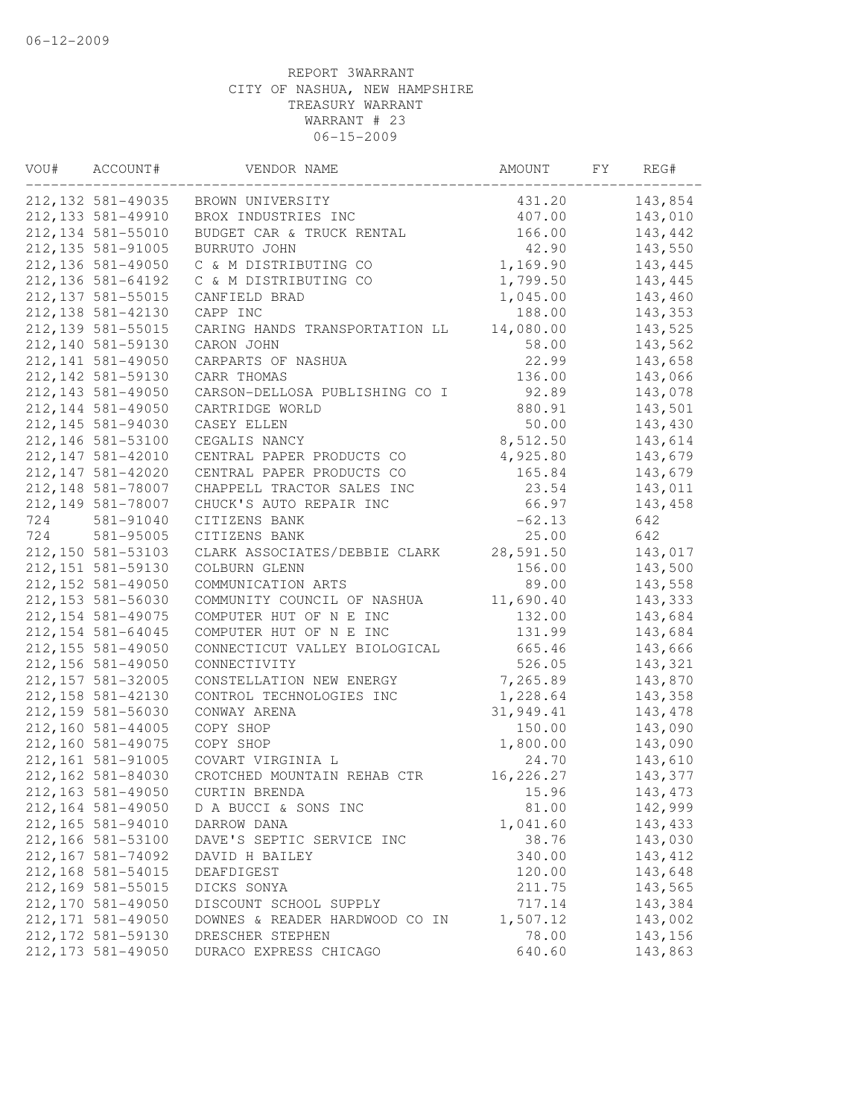| VOU# | ACCOUNT#           | VENDOR NAME                    | AMOUNT           | FY | REG#     |
|------|--------------------|--------------------------------|------------------|----|----------|
|      | 212, 132 581-49035 | BROWN UNIVERSITY               | 431.20           |    | 143,854  |
|      | 212, 133 581-49910 | BROX INDUSTRIES INC            | 407.00           |    | 143,010  |
|      | 212, 134 581-55010 | BUDGET CAR & TRUCK RENTAL      | 166.00           |    | 143,442  |
|      | 212, 135 581-91005 | BURRUTO JOHN                   | 42.90            |    | 143,550  |
|      | 212, 136 581-49050 | C & M DISTRIBUTING CO          | 1,169.90         |    | 143,445  |
|      | 212, 136 581-64192 | C & M DISTRIBUTING CO          | 1,799.50         |    | 143,445  |
|      | 212, 137 581-55015 | CANFIELD BRAD                  | 1,045.00         |    | 143,460  |
|      | 212, 138 581-42130 | CAPP INC                       | 188.00           |    | 143,353  |
|      | 212, 139 581-55015 | CARING HANDS TRANSPORTATION LL | 14,080.00        |    | 143,525  |
|      | 212,140 581-59130  | CARON JOHN                     | 58.00            |    | 143,562  |
|      | 212, 141 581-49050 | CARPARTS OF NASHUA             | 22.99            |    | 143,658  |
|      | 212, 142 581-59130 | CARR THOMAS                    | 136.00           |    | 143,066  |
|      | 212, 143 581-49050 | CARSON-DELLOSA PUBLISHING CO I | 92.89            |    | 143,078  |
|      | 212, 144 581-49050 | CARTRIDGE WORLD                | 880.91           |    | 143,501  |
|      | 212, 145 581-94030 | CASEY ELLEN                    | 50.00            |    | 143,430  |
|      | 212, 146 581-53100 | CEGALIS NANCY                  | 8,512.50         |    | 143,614  |
|      | 212, 147 581-42010 | CENTRAL PAPER PRODUCTS CO      | 4,925.80         |    | 143,679  |
|      | 212, 147 581-42020 | CENTRAL PAPER PRODUCTS CO      | 165.84           |    | 143,679  |
|      | 212, 148 581-78007 | CHAPPELL TRACTOR SALES INC     | 23.54            |    | 143,011  |
|      | 212, 149 581-78007 | CHUCK'S AUTO REPAIR INC        | 66.97            |    | 143,458  |
| 724  | 581-91040          | CITIZENS BANK                  | $-62.13$         |    | 642      |
| 724  | 581-95005          | CITIZENS BANK                  | 25.00            |    | 642      |
|      | 212,150 581-53103  | CLARK ASSOCIATES/DEBBIE CLARK  | 28,591.50        |    | 143,017  |
|      | 212, 151 581-59130 | COLBURN GLENN                  | 156.00           |    | 143,500  |
|      | 212, 152 581-49050 | COMMUNICATION ARTS             | 89.00            |    | 143,558  |
|      | 212, 153 581-56030 | COMMUNITY COUNCIL OF NASHUA    | 11,690.40        |    | 143,333  |
|      | 212, 154 581-49075 | COMPUTER HUT OF N E INC        | 132.00           |    | 143,684  |
|      | 212, 154 581-64045 | COMPUTER HUT OF N E INC        | 131.99           |    | 143,684  |
|      | 212, 155 581-49050 |                                |                  |    |          |
|      | 212, 156 581-49050 | CONNECTICUT VALLEY BIOLOGICAL  | 665.46<br>526.05 |    | 143,666  |
|      |                    | CONNECTIVITY                   |                  |    | 143,321  |
|      | 212, 157 581-32005 | CONSTELLATION NEW ENERGY       | 7,265.89         |    | 143,870  |
|      | 212, 158 581-42130 | CONTROL TECHNOLOGIES INC       | 1,228.64         |    | 143,358  |
|      | 212, 159 581-56030 | CONWAY ARENA                   | 31,949.41        |    | 143,478  |
|      | 212,160 581-44005  | COPY SHOP                      | 150.00           |    | 143,090  |
|      | 212,160 581-49075  | COPY SHOP                      | 1,800.00         |    | 143,090  |
|      | 212,161 581-91005  | COVART VIRGINIA L              | 24.70            |    | 143,610  |
|      | 212, 162 581-84030 | CROTCHED MOUNTAIN REHAB CTR    | 16,226.27        |    | 143,377  |
|      | 212, 163 581-49050 | CURTIN BRENDA                  | 15.96            |    | 143,473  |
|      | 212, 164 581-49050 | D A BUCCI & SONS INC           | 81.00            |    | 142,999  |
|      | 212, 165 581-94010 | DARROW DANA                    | 1,041.60         |    | 143,433  |
|      | 212,166 581-53100  | DAVE'S SEPTIC SERVICE INC      | 38.76            |    | 143,030  |
|      | 212, 167 581-74092 | DAVID H BAILEY                 | 340.00           |    | 143, 412 |
|      | 212, 168 581-54015 | DEAFDIGEST                     | 120.00           |    | 143,648  |
|      | 212, 169 581-55015 | DICKS SONYA                    | 211.75           |    | 143,565  |
|      | 212,170 581-49050  | DISCOUNT SCHOOL SUPPLY         | 717.14           |    | 143,384  |
|      | 212, 171 581-49050 | DOWNES & READER HARDWOOD CO IN | 1,507.12         |    | 143,002  |
|      | 212, 172 581-59130 | DRESCHER STEPHEN               | 78.00            |    | 143,156  |
|      | 212, 173 581-49050 | DURACO EXPRESS CHICAGO         | 640.60           |    | 143,863  |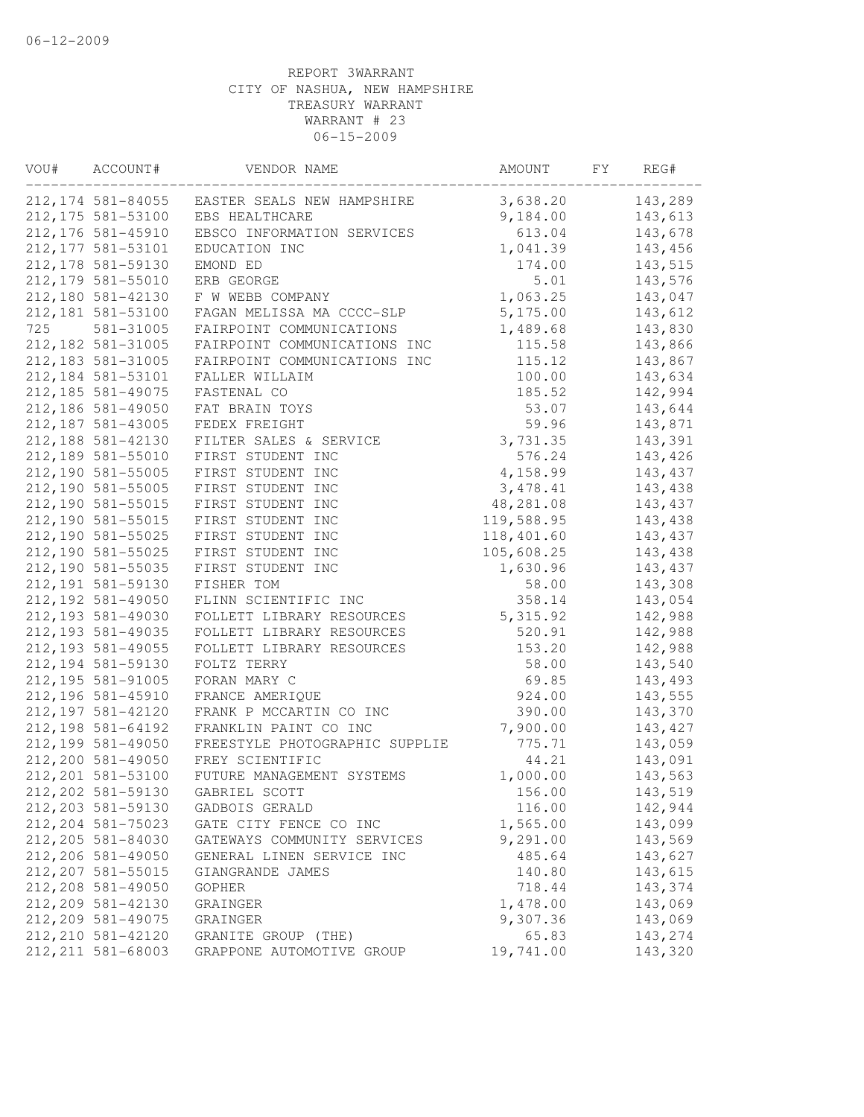| VOU# | ACCOUNT#           | VENDOR NAME                    | AMOUNT     | FY | REG#     |
|------|--------------------|--------------------------------|------------|----|----------|
|      | 212, 174 581-84055 | EASTER SEALS NEW HAMPSHIRE     | 3,638.20   |    | 143,289  |
|      | 212, 175 581-53100 | EBS HEALTHCARE                 | 9,184.00   |    | 143,613  |
|      | 212, 176 581-45910 | EBSCO INFORMATION SERVICES     | 613.04     |    | 143,678  |
|      | 212, 177 581-53101 | EDUCATION INC                  | 1,041.39   |    | 143,456  |
|      | 212, 178 581-59130 | EMOND ED                       | 174.00     |    | 143,515  |
|      | 212, 179 581-55010 | ERB GEORGE                     | 5.01       |    | 143,576  |
|      | 212,180 581-42130  | F W WEBB COMPANY               | 1,063.25   |    | 143,047  |
|      | 212, 181 581-53100 | FAGAN MELISSA MA CCCC-SLP      | 5,175.00   |    | 143,612  |
| 725  | 581-31005          | FAIRPOINT COMMUNICATIONS       | 1,489.68   |    | 143,830  |
|      | 212, 182 581-31005 | FAIRPOINT COMMUNICATIONS INC   | 115.58     |    | 143,866  |
|      | 212, 183 581-31005 | FAIRPOINT COMMUNICATIONS INC   | 115.12     |    | 143,867  |
|      | 212, 184 581-53101 | FALLER WILLAIM                 | 100.00     |    | 143,634  |
|      | 212, 185 581-49075 | FASTENAL CO                    | 185.52     |    | 142,994  |
|      | 212,186 581-49050  | FAT BRAIN TOYS                 | 53.07      |    | 143,644  |
|      | 212, 187 581-43005 | FEDEX FREIGHT                  | 59.96      |    | 143,871  |
|      | 212, 188 581-42130 | FILTER SALES & SERVICE         | 3,731.35   |    | 143,391  |
|      | 212, 189 581-55010 | FIRST STUDENT INC              | 576.24     |    | 143,426  |
|      | 212,190 581-55005  | FIRST STUDENT INC              | 4,158.99   |    | 143,437  |
|      | 212,190 581-55005  | FIRST STUDENT INC              | 3, 478.41  |    | 143,438  |
|      | 212,190 581-55015  | FIRST STUDENT INC              | 48,281.08  |    | 143, 437 |
|      | 212,190 581-55015  | FIRST STUDENT INC              | 119,588.95 |    | 143,438  |
|      | 212,190 581-55025  | FIRST STUDENT INC              | 118,401.60 |    | 143,437  |
|      | 212,190 581-55025  | FIRST STUDENT INC              | 105,608.25 |    | 143,438  |
|      | 212,190 581-55035  | FIRST STUDENT INC              | 1,630.96   |    | 143,437  |
|      | 212, 191 581-59130 | FISHER TOM                     | 58.00      |    | 143,308  |
|      | 212, 192 581-49050 | FLINN SCIENTIFIC INC           | 358.14     |    | 143,054  |
|      | 212, 193 581-49030 | FOLLETT LIBRARY RESOURCES      | 5, 315.92  |    | 142,988  |
|      | 212, 193 581-49035 | FOLLETT LIBRARY RESOURCES      | 520.91     |    | 142,988  |
|      | 212, 193 581-49055 | FOLLETT LIBRARY RESOURCES      | 153.20     |    | 142,988  |
|      | 212, 194 581-59130 | FOLTZ TERRY                    | 58.00      |    | 143,540  |
|      | 212, 195 581-91005 | FORAN MARY C                   | 69.85      |    | 143,493  |
|      | 212, 196 581-45910 | FRANCE AMERIQUE                | 924.00     |    | 143,555  |
|      | 212, 197 581-42120 | FRANK P MCCARTIN CO INC        | 390.00     |    | 143,370  |
|      | 212, 198 581-64192 | FRANKLIN PAINT CO INC          | 7,900.00   |    | 143, 427 |
|      | 212, 199 581-49050 | FREESTYLE PHOTOGRAPHIC SUPPLIE | 775.71     |    | 143,059  |
|      | 212,200 581-49050  | FREY SCIENTIFIC                | 44.21      |    | 143,091  |
|      | 212, 201 581-53100 | FUTURE MANAGEMENT SYSTEMS      | 1,000.00   |    | 143,563  |
|      | 212, 202 581-59130 | GABRIEL SCOTT                  | 156.00     |    | 143,519  |
|      | 212, 203 581-59130 | GADBOIS GERALD                 | 116.00     |    | 142,944  |
|      | 212, 204 581-75023 | GATE CITY FENCE CO INC         | 1,565.00   |    | 143,099  |
|      | 212, 205 581-84030 | GATEWAYS COMMUNITY SERVICES    | 9,291.00   |    | 143,569  |
|      | 212,206 581-49050  | GENERAL LINEN SERVICE INC      | 485.64     |    | 143,627  |
|      | 212, 207 581-55015 | GIANGRANDE JAMES               | 140.80     |    | 143,615  |
|      | 212,208 581-49050  | GOPHER                         | 718.44     |    | 143,374  |
|      | 212, 209 581-42130 | GRAINGER                       | 1,478.00   |    | 143,069  |
|      | 212, 209 581-49075 | GRAINGER                       | 9,307.36   |    | 143,069  |
|      | 212, 210 581-42120 | GRANITE GROUP (THE)            | 65.83      |    | 143,274  |
|      | 212, 211 581-68003 | GRAPPONE AUTOMOTIVE GROUP      | 19,741.00  |    | 143,320  |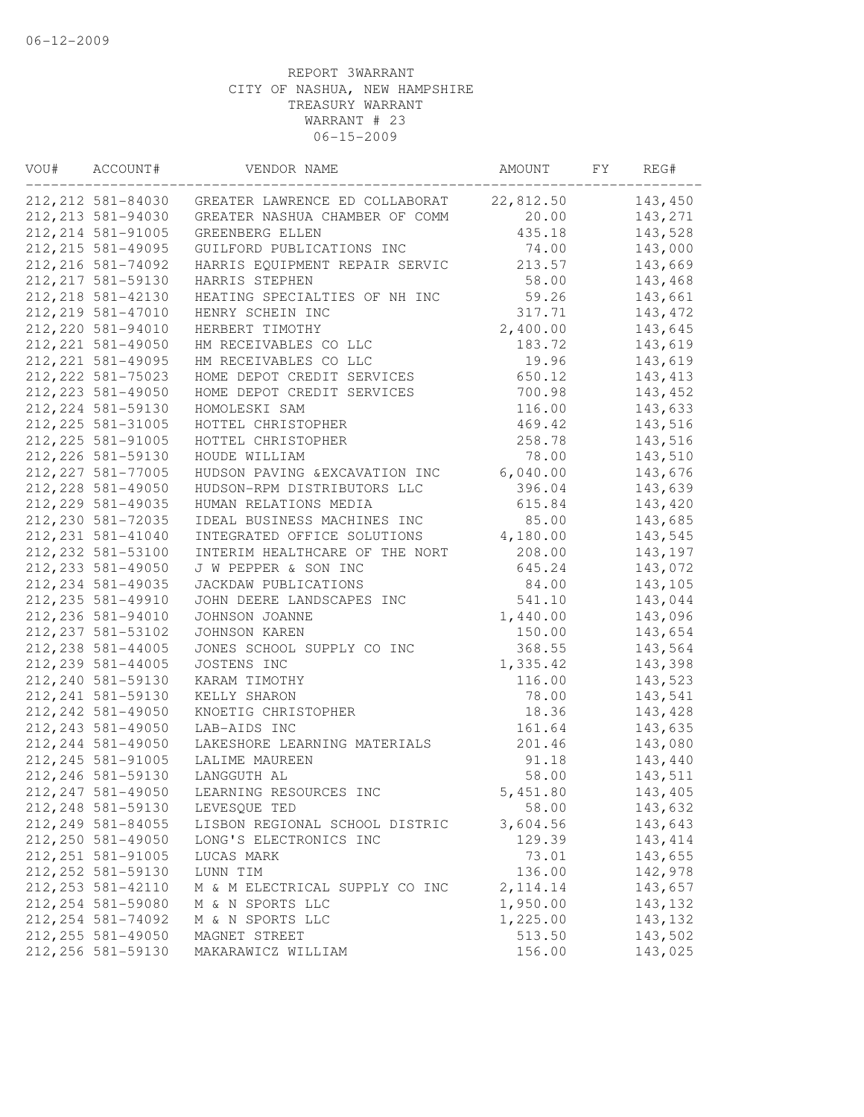| VOU# | ACCOUNT#           | VENDOR NAME                    | AMOUNT    | FY | REG#     |
|------|--------------------|--------------------------------|-----------|----|----------|
|      | 212, 212 581-84030 | GREATER LAWRENCE ED COLLABORAT | 22,812.50 |    | 143,450  |
|      | 212, 213 581-94030 | GREATER NASHUA CHAMBER OF COMM | 20.00     |    | 143,271  |
|      | 212, 214 581-91005 | GREENBERG ELLEN                | 435.18    |    | 143,528  |
|      | 212, 215 581-49095 | GUILFORD PUBLICATIONS INC      | 74.00     |    | 143,000  |
|      | 212, 216 581-74092 | HARRIS EQUIPMENT REPAIR SERVIC | 213.57    |    | 143,669  |
|      | 212, 217 581-59130 | HARRIS STEPHEN                 | 58.00     |    | 143,468  |
|      | 212, 218 581-42130 | HEATING SPECIALTIES OF NH INC  | 59.26     |    | 143,661  |
|      | 212, 219 581-47010 | HENRY SCHEIN INC               | 317.71    |    | 143, 472 |
|      | 212, 220 581-94010 | HERBERT TIMOTHY                | 2,400.00  |    | 143,645  |
|      | 212, 221 581-49050 | HM RECEIVABLES CO LLC          | 183.72    |    | 143,619  |
|      | 212, 221 581-49095 | HM RECEIVABLES CO LLC          | 19.96     |    | 143,619  |
|      | 212, 222 581-75023 | HOME DEPOT CREDIT SERVICES     | 650.12    |    | 143, 413 |
|      | 212, 223 581-49050 | HOME DEPOT CREDIT SERVICES     | 700.98    |    | 143,452  |
|      | 212, 224 581-59130 | HOMOLESKI SAM                  | 116.00    |    | 143,633  |
|      | 212, 225 581-31005 | HOTTEL CHRISTOPHER             | 469.42    |    | 143,516  |
|      | 212, 225 581-91005 | HOTTEL CHRISTOPHER             | 258.78    |    | 143,516  |
|      | 212, 226 581-59130 | HOUDE WILLIAM                  | 78.00     |    | 143,510  |
|      | 212, 227 581-77005 | HUDSON PAVING & EXCAVATION INC | 6,040.00  |    | 143,676  |
|      | 212, 228 581-49050 | HUDSON-RPM DISTRIBUTORS LLC    | 396.04    |    | 143,639  |
|      | 212, 229 581-49035 | HUMAN RELATIONS MEDIA          | 615.84    |    | 143,420  |
|      | 212, 230 581-72035 | IDEAL BUSINESS MACHINES INC    | 85.00     |    | 143,685  |
|      | 212, 231 581-41040 | INTEGRATED OFFICE SOLUTIONS    | 4,180.00  |    | 143,545  |
|      | 212, 232 581-53100 | INTERIM HEALTHCARE OF THE NORT | 208.00    |    | 143,197  |
|      | 212, 233 581-49050 | J W PEPPER & SON INC           | 645.24    |    | 143,072  |
|      | 212, 234 581-49035 | JACKDAW PUBLICATIONS           | 84.00     |    | 143,105  |
|      | 212, 235 581-49910 | JOHN DEERE LANDSCAPES INC      | 541.10    |    | 143,044  |
|      | 212, 236 581-94010 | JOHNSON JOANNE                 | 1,440.00  |    | 143,096  |
|      | 212, 237 581-53102 | JOHNSON KAREN                  | 150.00    |    | 143,654  |
|      | 212, 238 581-44005 | JONES SCHOOL SUPPLY CO INC     | 368.55    |    | 143,564  |
|      | 212, 239 581-44005 | JOSTENS INC                    | 1,335.42  |    | 143,398  |
|      | 212, 240 581-59130 | KARAM TIMOTHY                  | 116.00    |    | 143,523  |
|      | 212, 241 581-59130 | KELLY SHARON                   | 78.00     |    | 143,541  |
|      | 212, 242 581-49050 | KNOETIG CHRISTOPHER            | 18.36     |    | 143,428  |
|      | 212, 243 581-49050 | LAB-AIDS INC                   | 161.64    |    | 143,635  |
|      | 212, 244 581-49050 | LAKESHORE LEARNING MATERIALS   | 201.46    |    | 143,080  |
|      | 212, 245 581-91005 | LALIME MAUREEN                 | 91.18     |    | 143,440  |
|      | 212, 246 581-59130 | LANGGUTH AL                    | 58.00     |    | 143,511  |
|      | 212, 247 581-49050 | LEARNING RESOURCES INC         | 5,451.80  |    | 143,405  |
|      | 212, 248 581-59130 | LEVESQUE TED                   | 58.00     |    | 143,632  |
|      | 212, 249 581-84055 | LISBON REGIONAL SCHOOL DISTRIC | 3,604.56  |    | 143,643  |
|      | 212, 250 581-49050 | LONG'S ELECTRONICS INC         | 129.39    |    | 143, 414 |
|      | 212, 251 581-91005 | LUCAS MARK                     | 73.01     |    | 143,655  |
|      | 212, 252 581-59130 | LUNN TIM                       | 136.00    |    | 142,978  |
|      | 212, 253 581-42110 | M & M ELECTRICAL SUPPLY CO INC | 2, 114.14 |    | 143,657  |
|      | 212, 254 581-59080 | M & N SPORTS LLC               | 1,950.00  |    | 143,132  |
|      | 212, 254 581-74092 | M & N SPORTS LLC               | 1,225.00  |    | 143,132  |
|      | 212, 255 581-49050 | MAGNET STREET                  | 513.50    |    | 143,502  |
|      | 212, 256 581-59130 | MAKARAWICZ WILLIAM             | 156.00    |    | 143,025  |
|      |                    |                                |           |    |          |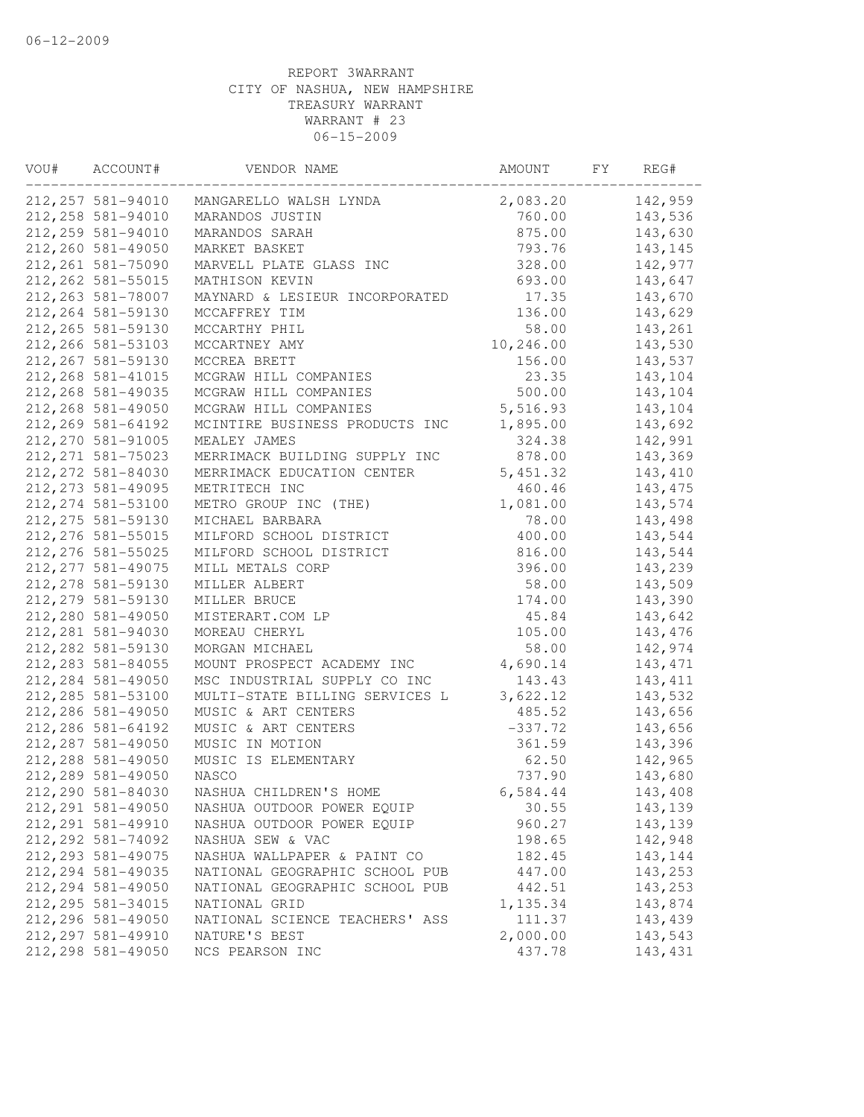| VOU# | ACCOUNT#           | VENDOR NAME                    | AMOUNT    | FY | REG#     |
|------|--------------------|--------------------------------|-----------|----|----------|
|      | 212, 257 581-94010 | MANGARELLO WALSH LYNDA         | 2,083.20  |    | 142,959  |
|      | 212, 258 581-94010 | MARANDOS JUSTIN                | 760.00    |    | 143,536  |
|      | 212, 259 581-94010 | MARANDOS SARAH                 | 875.00    |    | 143,630  |
|      | 212,260 581-49050  | MARKET BASKET                  | 793.76    |    | 143,145  |
|      | 212, 261 581-75090 | MARVELL PLATE GLASS INC        | 328.00    |    | 142,977  |
|      | 212, 262 581-55015 | MATHISON KEVIN                 | 693.00    |    | 143,647  |
|      | 212, 263 581-78007 | MAYNARD & LESIEUR INCORPORATED | 17.35     |    | 143,670  |
|      | 212, 264 581-59130 | MCCAFFREY TIM                  | 136.00    |    | 143,629  |
|      | 212, 265 581-59130 | MCCARTHY PHIL                  | 58.00     |    | 143,261  |
|      | 212, 266 581-53103 | MCCARTNEY AMY                  | 10,246.00 |    | 143,530  |
|      | 212, 267 581-59130 | MCCREA BRETT                   | 156.00    |    | 143,537  |
|      | 212, 268 581-41015 | MCGRAW HILL COMPANIES          | 23.35     |    | 143,104  |
|      | 212, 268 581-49035 | MCGRAW HILL COMPANIES          | 500.00    |    | 143,104  |
|      | 212, 268 581-49050 | MCGRAW HILL COMPANIES          | 5,516.93  |    | 143,104  |
|      | 212, 269 581-64192 | MCINTIRE BUSINESS PRODUCTS INC | 1,895.00  |    | 143,692  |
|      | 212, 270 581-91005 | MEALEY JAMES                   | 324.38    |    | 142,991  |
|      | 212, 271 581-75023 | MERRIMACK BUILDING SUPPLY INC  | 878.00    |    | 143,369  |
|      | 212, 272 581-84030 | MERRIMACK EDUCATION CENTER     | 5, 451.32 |    | 143,410  |
|      | 212, 273 581-49095 | METRITECH INC                  | 460.46    |    | 143, 475 |
|      | 212, 274 581-53100 | METRO GROUP INC (THE)          | 1,081.00  |    | 143,574  |
|      | 212, 275 581-59130 | MICHAEL BARBARA                | 78.00     |    | 143,498  |
|      | 212, 276 581-55015 | MILFORD SCHOOL DISTRICT        | 400.00    |    | 143,544  |
|      | 212, 276 581-55025 | MILFORD SCHOOL DISTRICT        | 816.00    |    | 143,544  |
|      | 212, 277 581-49075 | MILL METALS CORP               | 396.00    |    | 143,239  |
|      | 212, 278 581-59130 | MILLER ALBERT                  | 58.00     |    | 143,509  |
|      | 212, 279 581-59130 | MILLER BRUCE                   | 174.00    |    | 143,390  |
|      | 212,280 581-49050  | MISTERART.COM LP               | 45.84     |    | 143,642  |
|      | 212, 281 581-94030 | MOREAU CHERYL                  | 105.00    |    | 143,476  |
|      | 212, 282 581-59130 | MORGAN MICHAEL                 | 58.00     |    | 142,974  |
|      | 212, 283 581-84055 | MOUNT PROSPECT ACADEMY INC     | 4,690.14  |    | 143, 471 |
|      | 212, 284 581-49050 | MSC INDUSTRIAL SUPPLY CO INC   | 143.43    |    | 143, 411 |
|      | 212, 285 581-53100 | MULTI-STATE BILLING SERVICES L | 3,622.12  |    | 143,532  |
|      | 212,286 581-49050  |                                | 485.52    |    |          |
|      |                    | MUSIC & ART CENTERS            |           |    | 143,656  |
|      | 212, 286 581-64192 | MUSIC & ART CENTERS            | $-337.72$ |    | 143,656  |
|      | 212, 287 581-49050 | MUSIC IN MOTION                | 361.59    |    | 143,396  |
|      | 212, 288 581-49050 | MUSIC IS ELEMENTARY            | 62.50     |    | 142,965  |
|      | 212, 289 581-49050 | <b>NASCO</b>                   | 737.90    |    | 143,680  |
|      | 212,290 581-84030  | NASHUA CHILDREN'S HOME         | 6,584.44  |    | 143,408  |
|      | 212, 291 581-49050 | NASHUA OUTDOOR POWER EQUIP     | 30.55     |    | 143,139  |
|      | 212, 291 581-49910 | NASHUA OUTDOOR POWER EQUIP     | 960.27    |    | 143,139  |
|      | 212, 292 581-74092 | NASHUA SEW & VAC               | 198.65    |    | 142,948  |
|      | 212, 293 581-49075 | NASHUA WALLPAPER & PAINT CO    | 182.45    |    | 143,144  |
|      | 212, 294 581-49035 | NATIONAL GEOGRAPHIC SCHOOL PUB | 447.00    |    | 143,253  |
|      | 212, 294 581-49050 | NATIONAL GEOGRAPHIC SCHOOL PUB | 442.51    |    | 143,253  |
|      | 212, 295 581-34015 | NATIONAL GRID                  | 1,135.34  |    | 143,874  |
|      | 212,296 581-49050  | NATIONAL SCIENCE TEACHERS' ASS | 111.37    |    | 143,439  |
|      | 212, 297 581-49910 | NATURE'S BEST                  | 2,000.00  |    | 143,543  |
|      | 212, 298 581-49050 | NCS PEARSON INC                | 437.78    |    | 143,431  |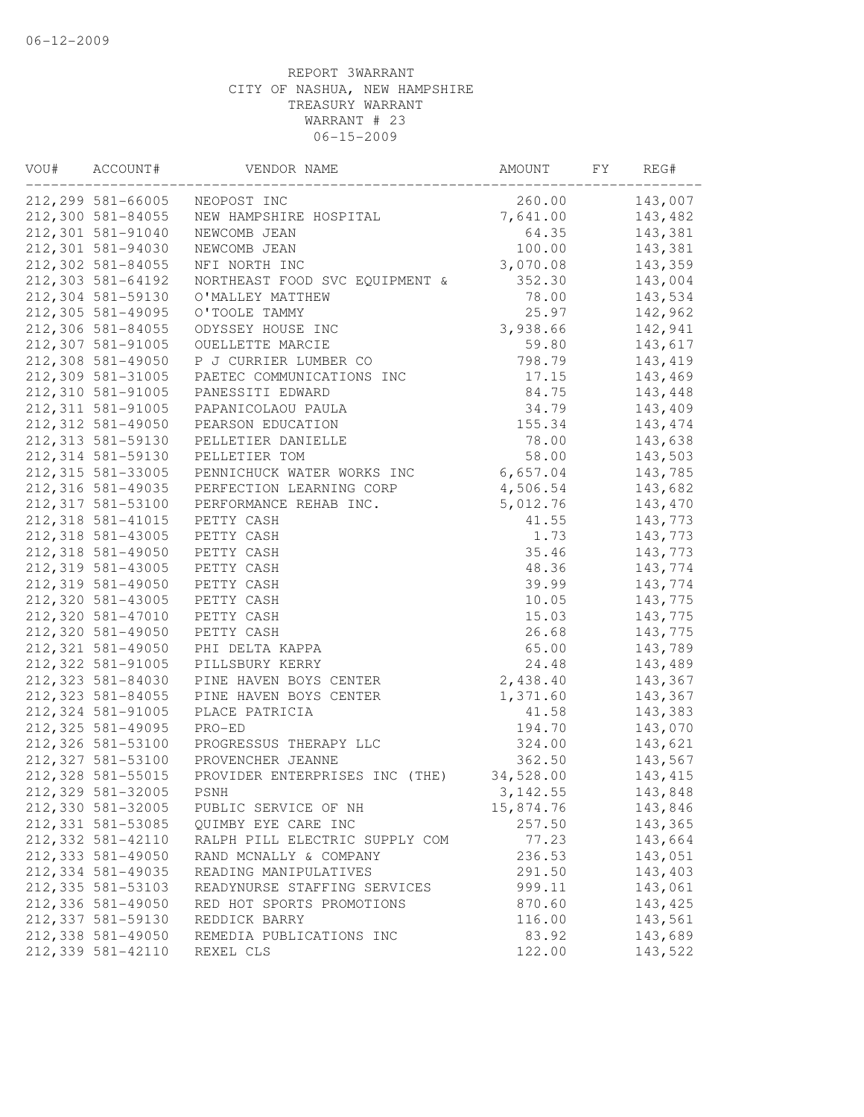| VOU# | ACCOUNT#          | VENDOR NAME                    | AMOUNT    | FY | REG#     |
|------|-------------------|--------------------------------|-----------|----|----------|
|      | 212,299 581-66005 | NEOPOST INC                    | 260.00    |    | 143,007  |
|      | 212,300 581-84055 | NEW HAMPSHIRE HOSPITAL         | 7,641.00  |    | 143,482  |
|      | 212,301 581-91040 | NEWCOMB JEAN                   | 64.35     |    | 143,381  |
|      | 212,301 581-94030 | NEWCOMB JEAN                   | 100.00    |    | 143,381  |
|      | 212,302 581-84055 | NFI NORTH INC                  | 3,070.08  |    | 143,359  |
|      | 212,303 581-64192 | NORTHEAST FOOD SVC EQUIPMENT & | 352.30    |    | 143,004  |
|      | 212,304 581-59130 | O'MALLEY MATTHEW               | 78.00     |    | 143,534  |
|      | 212,305 581-49095 | O'TOOLE TAMMY                  | 25.97     |    | 142,962  |
|      | 212,306 581-84055 | ODYSSEY HOUSE INC              | 3,938.66  |    | 142,941  |
|      | 212,307 581-91005 | OUELLETTE MARCIE               | 59.80     |    | 143,617  |
|      | 212,308 581-49050 | P J CURRIER LUMBER CO          | 798.79    |    | 143,419  |
|      | 212,309 581-31005 | PAETEC COMMUNICATIONS INC      | 17.15     |    | 143,469  |
|      | 212,310 581-91005 | PANESSITI EDWARD               | 84.75     |    | 143,448  |
|      | 212,311 581-91005 | PAPANICOLAOU PAULA             | 34.79     |    | 143,409  |
|      | 212,312 581-49050 | PEARSON EDUCATION              | 155.34    |    | 143, 474 |
|      | 212,313 581-59130 | PELLETIER DANIELLE             | 78.00     |    | 143,638  |
|      | 212,314 581-59130 | PELLETIER TOM                  | 58.00     |    | 143,503  |
|      | 212,315 581-33005 | PENNICHUCK WATER WORKS INC     | 6,657.04  |    | 143,785  |
|      | 212,316 581-49035 | PERFECTION LEARNING CORP       | 4,506.54  |    | 143,682  |
|      | 212,317 581-53100 | PERFORMANCE REHAB INC.         | 5,012.76  |    | 143,470  |
|      | 212,318 581-41015 | PETTY CASH                     | 41.55     |    | 143,773  |
|      | 212,318 581-43005 | PETTY CASH                     | 1.73      |    | 143,773  |
|      | 212,318 581-49050 | PETTY CASH                     | 35.46     |    | 143,773  |
|      | 212,319 581-43005 | PETTY CASH                     | 48.36     |    | 143,774  |
|      | 212,319 581-49050 | PETTY CASH                     | 39.99     |    | 143,774  |
|      | 212,320 581-43005 | PETTY CASH                     | 10.05     |    | 143,775  |
|      | 212,320 581-47010 | PETTY CASH                     | 15.03     |    | 143,775  |
|      | 212,320 581-49050 | PETTY CASH                     | 26.68     |    | 143,775  |
|      | 212,321 581-49050 | PHI DELTA KAPPA                | 65.00     |    | 143,789  |
|      | 212,322 581-91005 | PILLSBURY KERRY                | 24.48     |    | 143,489  |
|      | 212,323 581-84030 | PINE HAVEN BOYS CENTER         | 2,438.40  |    | 143,367  |
|      | 212,323 581-84055 | PINE HAVEN BOYS CENTER         | 1,371.60  |    | 143,367  |
|      | 212,324 581-91005 | PLACE PATRICIA                 | 41.58     |    | 143,383  |
|      | 212,325 581-49095 | PRO-ED                         | 194.70    |    | 143,070  |
|      | 212,326 581-53100 | PROGRESSUS THERAPY LLC         | 324.00    |    | 143,621  |
|      | 212,327 581-53100 | PROVENCHER JEANNE              | 362.50    |    | 143,567  |
|      | 212,328 581-55015 | PROVIDER ENTERPRISES INC (THE) | 34,528.00 |    | 143, 415 |
|      | 212,329 581-32005 | PSNH                           | 3, 142.55 |    | 143,848  |
|      | 212,330 581-32005 | PUBLIC SERVICE OF NH           | 15,874.76 |    | 143,846  |
|      | 212,331 581-53085 | QUIMBY EYE CARE INC            | 257.50    |    | 143,365  |
|      | 212,332 581-42110 | RALPH PILL ELECTRIC SUPPLY COM | 77.23     |    | 143,664  |
|      | 212,333 581-49050 | RAND MCNALLY & COMPANY         | 236.53    |    | 143,051  |
|      | 212,334 581-49035 | READING MANIPULATIVES          | 291.50    |    | 143,403  |
|      | 212,335 581-53103 | READYNURSE STAFFING SERVICES   | 999.11    |    | 143,061  |
|      | 212,336 581-49050 | RED HOT SPORTS PROMOTIONS      | 870.60    |    | 143,425  |
|      | 212,337 581-59130 | REDDICK BARRY                  | 116.00    |    | 143,561  |
|      | 212,338 581-49050 | REMEDIA PUBLICATIONS INC       | 83.92     |    | 143,689  |
|      | 212,339 581-42110 | REXEL CLS                      | 122.00    |    | 143,522  |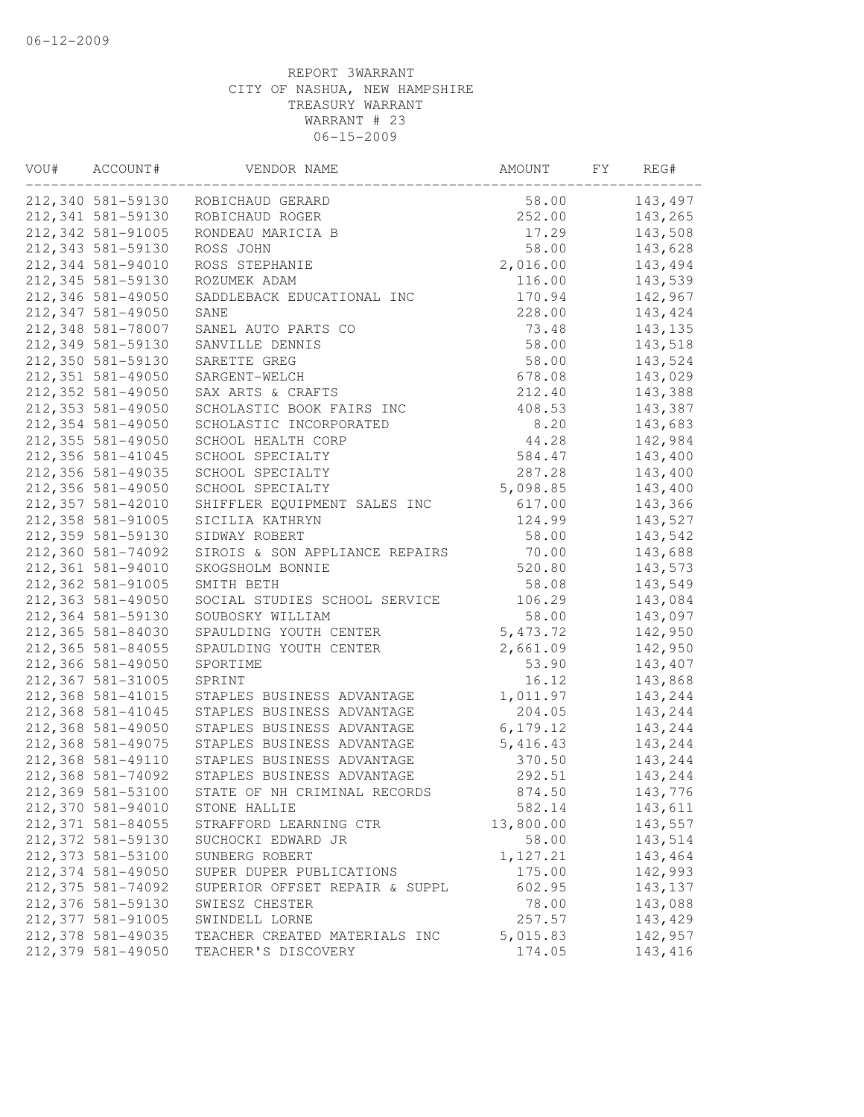| VOU# | ACCOUNT#           | VENDOR NAME                    | AMOUNT    | FY | REG#    |
|------|--------------------|--------------------------------|-----------|----|---------|
|      | 212,340 581-59130  | ROBICHAUD GERARD               | 58.00     |    | 143,497 |
|      | 212,341 581-59130  | ROBICHAUD ROGER                | 252.00    |    | 143,265 |
|      | 212,342 581-91005  | RONDEAU MARICIA B              | 17.29     |    | 143,508 |
|      | 212,343 581-59130  | ROSS JOHN                      | 58.00     |    | 143,628 |
|      | 212,344 581-94010  | ROSS STEPHANIE                 | 2,016.00  |    | 143,494 |
|      | 212,345 581-59130  | ROZUMEK ADAM                   | 116.00    |    | 143,539 |
|      | 212,346 581-49050  | SADDLEBACK EDUCATIONAL INC     | 170.94    |    | 142,967 |
|      | 212,347 581-49050  | SANE                           | 228.00    |    | 143,424 |
|      | 212,348 581-78007  | SANEL AUTO PARTS CO            | 73.48     |    | 143,135 |
|      | 212,349 581-59130  | SANVILLE DENNIS                | 58.00     |    | 143,518 |
|      | 212,350 581-59130  | SARETTE GREG                   | 58.00     |    | 143,524 |
|      | 212,351 581-49050  | SARGENT-WELCH                  | 678.08    |    | 143,029 |
|      | 212,352 581-49050  | SAX ARTS & CRAFTS              | 212.40    |    | 143,388 |
|      | 212,353 581-49050  | SCHOLASTIC BOOK FAIRS INC      | 408.53    |    | 143,387 |
|      | 212,354 581-49050  | SCHOLASTIC INCORPORATED        | 8.20      |    | 143,683 |
|      | 212,355 581-49050  | SCHOOL HEALTH CORP             | 44.28     |    | 142,984 |
|      | 212,356 581-41045  | SCHOOL SPECIALTY               | 584.47    |    | 143,400 |
|      | 212,356 581-49035  | SCHOOL SPECIALTY               | 287.28    |    | 143,400 |
|      | 212,356 581-49050  | SCHOOL SPECIALTY               | 5,098.85  |    | 143,400 |
|      | 212,357 581-42010  | SHIFFLER EQUIPMENT SALES INC   | 617.00    |    | 143,366 |
|      | 212,358 581-91005  | SICILIA KATHRYN                | 124.99    |    | 143,527 |
|      | 212,359 581-59130  | SIDWAY ROBERT                  | 58.00     |    | 143,542 |
|      | 212,360 581-74092  | SIROIS & SON APPLIANCE REPAIRS | 70.00     |    | 143,688 |
|      | 212,361 581-94010  | SKOGSHOLM BONNIE               | 520.80    |    | 143,573 |
|      | 212,362 581-91005  | SMITH BETH                     | 58.08     |    | 143,549 |
|      | 212,363 581-49050  | SOCIAL STUDIES SCHOOL SERVICE  | 106.29    |    | 143,084 |
|      | 212,364 581-59130  | SOUBOSKY WILLIAM               | 58.00     |    | 143,097 |
|      | 212,365 581-84030  | SPAULDING YOUTH CENTER         | 5, 473.72 |    | 142,950 |
|      | 212,365 581-84055  | SPAULDING YOUTH CENTER         | 2,661.09  |    | 142,950 |
|      | 212,366 581-49050  | SPORTIME                       | 53.90     |    | 143,407 |
|      | 212,367 581-31005  | SPRINT                         | 16.12     |    | 143,868 |
|      | 212,368 581-41015  | STAPLES BUSINESS ADVANTAGE     | 1,011.97  |    | 143,244 |
|      | 212,368 581-41045  | STAPLES BUSINESS ADVANTAGE     | 204.05    |    | 143,244 |
|      | 212,368 581-49050  | STAPLES BUSINESS ADVANTAGE     | 6, 179.12 |    | 143,244 |
|      | 212,368 581-49075  | STAPLES BUSINESS ADVANTAGE     | 5,416.43  |    | 143,244 |
|      | 212,368 581-49110  | STAPLES BUSINESS ADVANTAGE     | 370.50    |    | 143,244 |
|      | 212,368 581-74092  | STAPLES BUSINESS ADVANTAGE     | 292.51    |    | 143,244 |
|      | 212,369 581-53100  | STATE OF NH CRIMINAL RECORDS   | 874.50    |    | 143,776 |
|      | 212,370 581-94010  | STONE HALLIE                   | 582.14    |    | 143,611 |
|      | 212, 371 581-84055 | STRAFFORD LEARNING CTR         | 13,800.00 |    | 143,557 |
|      | 212,372 581-59130  | SUCHOCKI EDWARD JR             | 58.00     |    | 143,514 |
|      | 212,373 581-53100  | SUNBERG ROBERT                 | 1,127.21  |    | 143,464 |
|      | 212,374 581-49050  | SUPER DUPER PUBLICATIONS       | 175.00    |    | 142,993 |
|      | 212,375 581-74092  | SUPERIOR OFFSET REPAIR & SUPPL | 602.95    |    | 143,137 |
|      | 212,376 581-59130  | SWIESZ CHESTER                 | 78.00     |    | 143,088 |
|      | 212,377 581-91005  | SWINDELL LORNE                 | 257.57    |    | 143,429 |
|      | 212,378 581-49035  | TEACHER CREATED MATERIALS INC  | 5,015.83  |    | 142,957 |
|      | 212,379 581-49050  | TEACHER'S DISCOVERY            | 174.05    |    | 143,416 |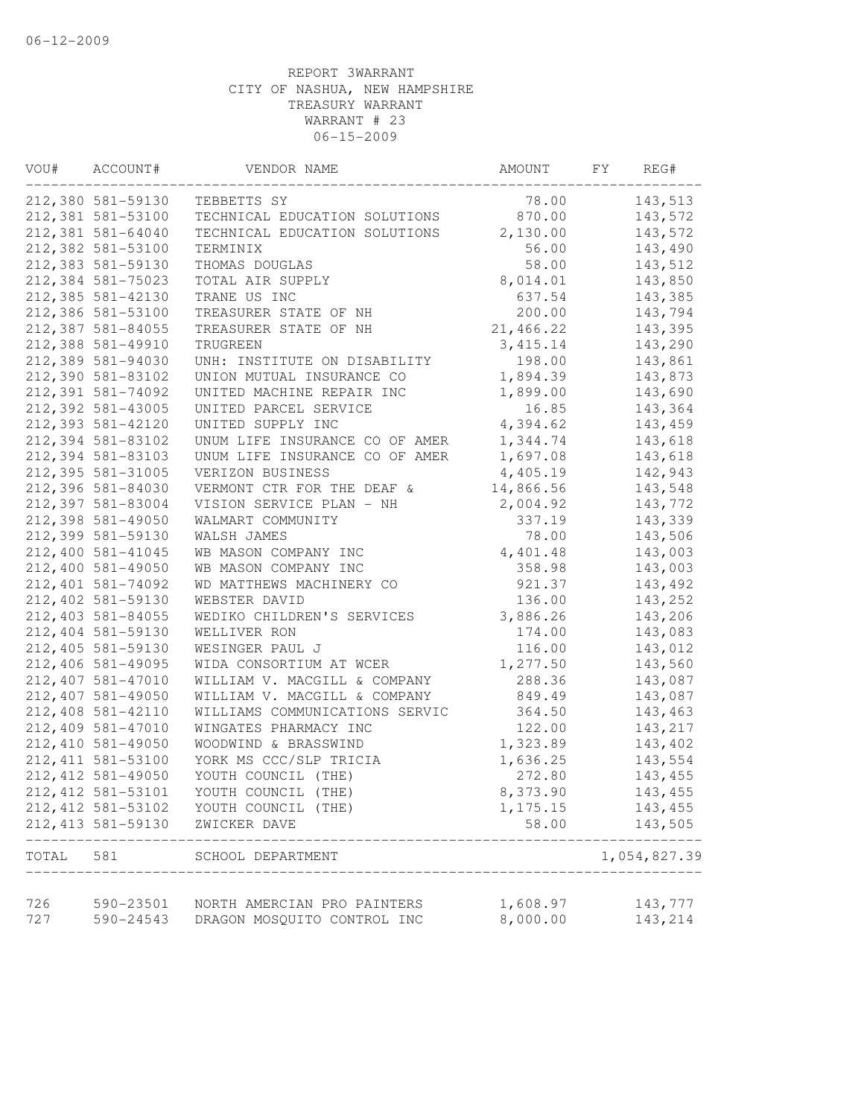| VOU#  | ACCOUNT#                                 | VENDOR NAME                         | AMOUNT             | FY | REG#               |
|-------|------------------------------------------|-------------------------------------|--------------------|----|--------------------|
|       | 212,380 581-59130                        | TEBBETTS SY                         | 78.00              |    | 143,513            |
|       | 212,381 581-53100                        | TECHNICAL EDUCATION SOLUTIONS       | 870.00             |    | 143,572            |
|       | 212,381 581-64040                        | TECHNICAL EDUCATION SOLUTIONS       | 2,130.00           |    | 143,572            |
|       | 212,382 581-53100                        | TERMINIX                            | 56.00              |    | 143,490            |
|       | 212,383 581-59130                        | THOMAS DOUGLAS                      | 58.00              |    | 143,512            |
|       | 212,384 581-75023                        | TOTAL AIR SUPPLY                    | 8,014.01           |    | 143,850            |
|       | 212,385 581-42130                        | TRANE US INC                        | 637.54             |    | 143,385            |
|       | 212,386 581-53100                        | TREASURER STATE OF NH               | 200.00             |    | 143,794            |
|       | 212,387 581-84055                        | TREASURER STATE OF NH               | 21,466.22          |    | 143,395            |
|       | 212,388 581-49910                        | TRUGREEN                            | 3,415.14           |    | 143,290            |
|       | 212,389 581-94030                        | UNH: INSTITUTE ON DISABILITY        | 198.00             |    | 143,861            |
|       | 212,390 581-83102                        | UNION MUTUAL INSURANCE CO           | 1,894.39           |    | 143,873            |
|       | 212,391 581-74092                        | UNITED MACHINE REPAIR INC           | 1,899.00           |    | 143,690            |
|       | 212,392 581-43005                        | UNITED PARCEL SERVICE               | 16.85              |    | 143,364            |
|       | 212,393 581-42120                        | UNITED SUPPLY INC                   | 4,394.62           |    | 143,459            |
|       | 212,394 581-83102                        | UNUM LIFE INSURANCE CO OF AMER      | 1,344.74           |    | 143,618            |
|       | 212,394 581-83103                        | UNUM LIFE INSURANCE CO OF AMER      | 1,697.08           |    | 143,618            |
|       | 212,395 581-31005                        | VERIZON BUSINESS                    | 4,405.19           |    | 142,943            |
|       | 212,396 581-84030                        | VERMONT CTR FOR THE DEAF &          | 14,866.56          |    | 143,548            |
|       | 212,397 581-83004                        | VISION SERVICE PLAN - NH            | 2,004.92           |    | 143,772            |
|       | 212,398 581-49050                        | WALMART COMMUNITY                   | 337.19             |    | 143,339            |
|       | 212,399 581-59130                        | WALSH JAMES                         | 78.00              |    | 143,506            |
|       | 212,400 581-41045                        | WB MASON COMPANY INC                | 4,401.48           |    | 143,003            |
|       | 212,400 581-49050                        | WB MASON COMPANY INC                | 358.98             |    | 143,003            |
|       | 212, 401 581-74092                       | WD MATTHEWS MACHINERY CO            | 921.37             |    | 143,492            |
|       | 212, 402 581-59130                       | WEBSTER DAVID                       | 136.00             |    | 143,252            |
|       | 212, 403 581-84055                       | WEDIKO CHILDREN'S SERVICES          | 3,886.26           |    | 143,206            |
|       | 212, 404 581-59130                       | WELLIVER RON                        | 174.00             |    | 143,083            |
|       | 212,405 581-59130                        | WESINGER PAUL J                     | 116.00             |    | 143,012            |
|       | 212,406 581-49095                        | WIDA CONSORTIUM AT WCER             | 1,277.50           |    | 143,560            |
|       | 212, 407 581-47010                       | WILLIAM V. MACGILL & COMPANY        | 288.36             |    | 143,087            |
|       | 212, 407 581-49050                       | WILLIAM V. MACGILL & COMPANY        | 849.49             |    | 143,087            |
|       | 212, 408 581-42110                       | WILLIAMS COMMUNICATIONS SERVIC      | 364.50             |    | 143,463            |
|       | 212,409 581-47010                        | WINGATES PHARMACY INC               | 122.00             |    | 143,217            |
|       | 212,410 581-49050                        | WOODWIND & BRASSWIND                | 1,323.89           |    | 143,402            |
|       | 212, 411 581-53100                       | YORK MS CCC/SLP TRICIA              | 1,636.25           |    | 143,554            |
|       | 212, 412 581-49050                       | YOUTH COUNCIL (THE)                 | 272.80             |    | 143,455            |
|       | 212, 412 581-53101                       | YOUTH COUNCIL (THE)                 | 8,373.90           |    |                    |
|       |                                          |                                     |                    |    | 143, 455           |
|       | 212, 412 581-53102<br>212, 413 581-59130 | YOUTH COUNCIL (THE)<br>ZWICKER DAVE | 1, 175.15<br>58.00 |    | 143,455<br>143,505 |
| TOTAL | 581                                      | SCHOOL DEPARTMENT                   |                    |    | 1,054,827.39       |
| 726   | 590-23501                                | NORTH AMERCIAN PRO PAINTERS         | 1,608.97           |    | 143,777            |
| 727   | 590-24543                                | DRAGON MOSQUITO CONTROL INC         | 8,000.00           |    | 143,214            |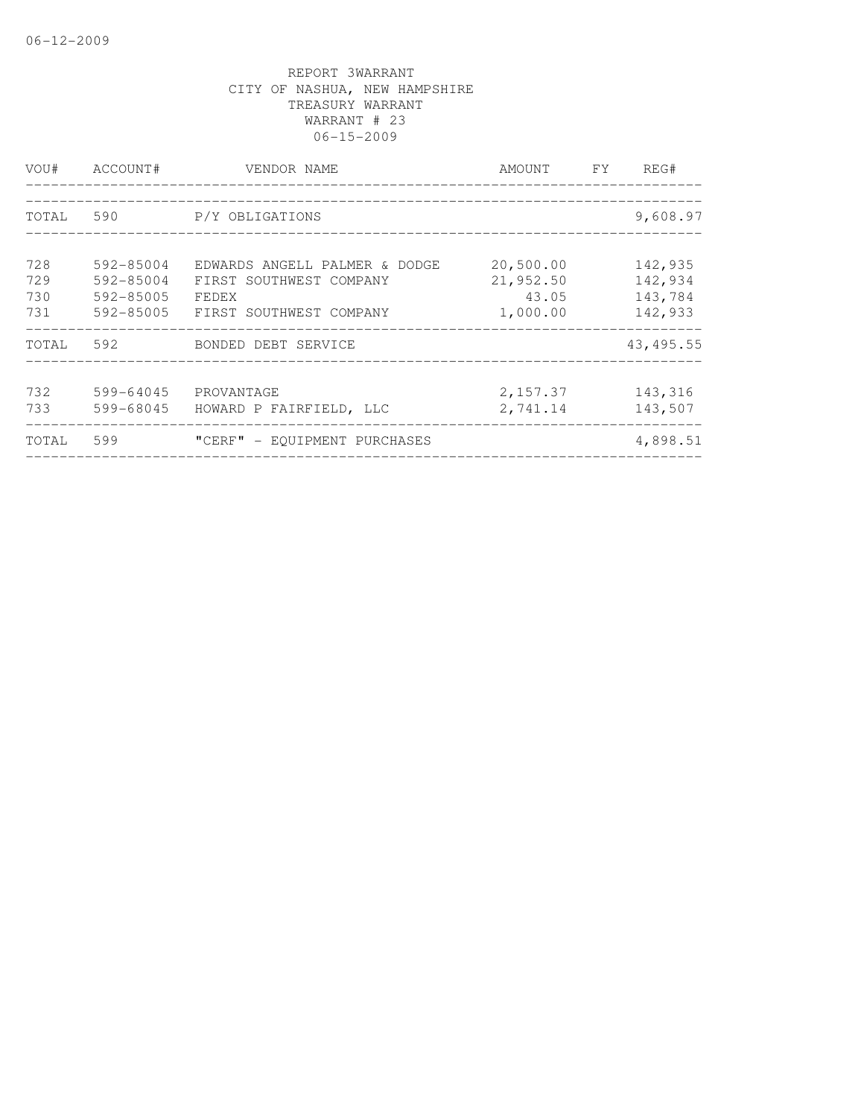| VOU#                     | ACCOUNT#                                             | VENDOR NAME                                                                                  | AMOUNT FY                                   | REG#                                     |
|--------------------------|------------------------------------------------------|----------------------------------------------------------------------------------------------|---------------------------------------------|------------------------------------------|
| TOTAL                    | 590                                                  | P/Y OBLIGATIONS                                                                              |                                             | 9,608.97                                 |
| 728<br>729<br>730<br>731 | 592-85004<br>$592 - 85004$<br>592-85005<br>592-85005 | EDWARDS ANGELL PALMER & DODGE<br>FIRST SOUTHWEST COMPANY<br>FEDEX<br>FIRST SOUTHWEST COMPANY | 20,500.00<br>21,952.50<br>43.05<br>1,000.00 | 142,935<br>142,934<br>143,784<br>142,933 |
| TOTAL                    | 592                                                  | BONDED DEBT SERVICE                                                                          |                                             | 43, 495.55                               |
| 732<br>733               | 599-64045<br>599-68045                               | PROVANTAGE<br>HOWARD P FAIRFIELD, LLC                                                        | 2,157.37<br>2,741.14                        | 143,316<br>143,507                       |
| TOTAL                    | 599                                                  | "CERF" - EQUIPMENT PURCHASES                                                                 |                                             | 4,898.51                                 |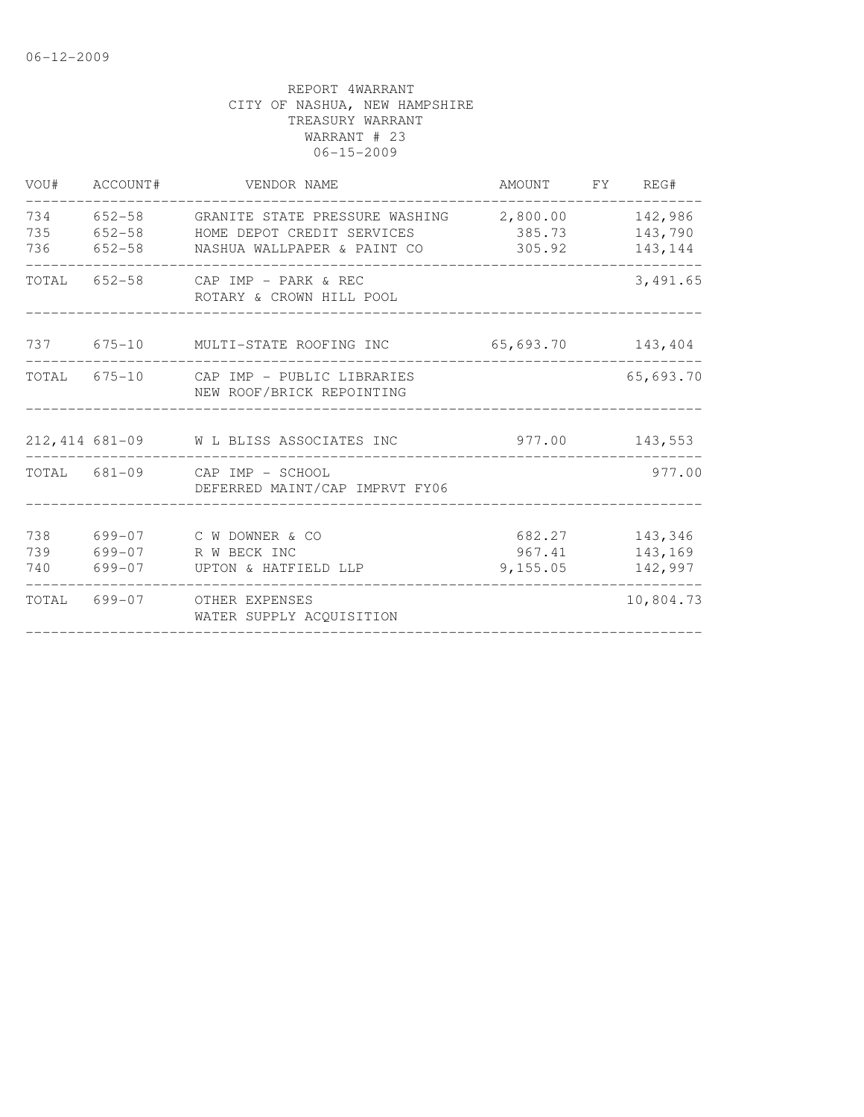| VOU#              | ACCOUNT#   | VENDOR NAME                                                                           | AMOUNT FY REG#               |                               |
|-------------------|------------|---------------------------------------------------------------------------------------|------------------------------|-------------------------------|
| 734<br>735<br>736 |            | 652-58     GRANITE STATE PRESSURE WASHING<br>652-58 HOME DEPOT CREDIT SERVICES 385.73 | 2,800.00<br>305.92           | 142,986<br>143,790<br>143,144 |
|                   |            | TOTAL 652-58 CAP IMP - PARK & REC<br>ROTARY & CROWN HILL POOL                         |                              | 3,491.65                      |
|                   |            | 737 675-10 MULTI-STATE ROOFING INC 65,693.70 143,404                                  |                              |                               |
|                   |            | TOTAL 675-10 CAP IMP - PUBLIC LIBRARIES<br>NEW ROOF/BRICK REPOINTING                  |                              | 65,693.70                     |
|                   |            | 212,414 681-09 W L BLISS ASSOCIATES INC                                               |                              | 977.00 143,553                |
|                   |            | TOTAL 681-09 CAP IMP - SCHOOL<br>DEFERRED MAINT/CAP IMPRVT FY06                       |                              | 977.00                        |
| 738<br>739<br>740 | $699 - 07$ | 699-07 C W DOWNER & CO<br>R W BECK INC<br>699-07 UPTON & HATFIELD LLP                 | 682.27<br>967.41<br>9,155.05 | 143,346<br>143,169<br>142,997 |
|                   |            | TOTAL 699-07 OTHER EXPENSES<br>WATER SUPPLY ACQUISITION                               |                              | 10,804.73                     |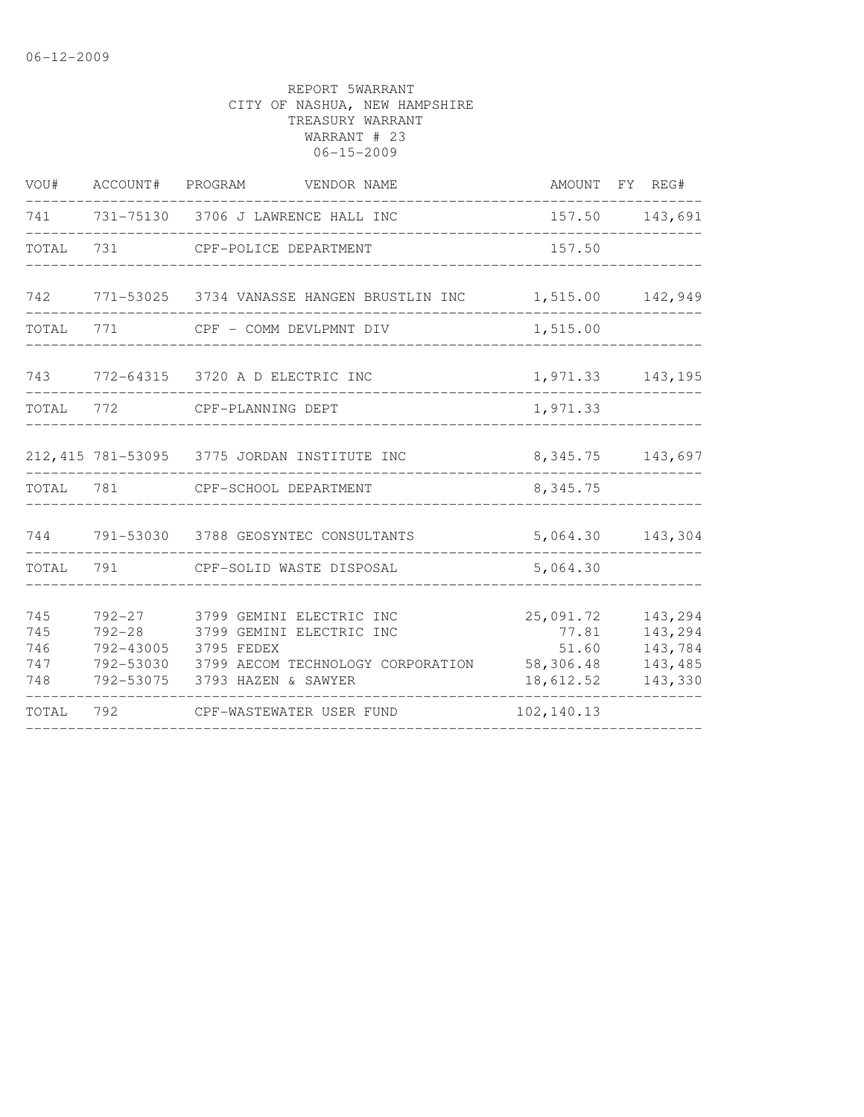| VOU#                            |                          | ACCOUNT# PROGRAM VENDOR NAME                                                                                                                                 |                                                       | AMOUNT FY REG#                                      |
|---------------------------------|--------------------------|--------------------------------------------------------------------------------------------------------------------------------------------------------------|-------------------------------------------------------|-----------------------------------------------------|
| 741                             |                          | 731-75130 3706 J LAWRENCE HALL INC                                                                                                                           |                                                       | 157.50 143,691                                      |
| TOTAL                           | 731                      | CPF-POLICE DEPARTMENT                                                                                                                                        | 157.50                                                |                                                     |
|                                 |                          | 742 771-53025 3734 VANASSE HANGEN BRUSTLIN INC                                                                                                               | 1,515.00                                              | 142,949                                             |
| TOTAL                           | 771                      | CPF - COMM DEVLPMNT DIV                                                                                                                                      | 1,515.00                                              |                                                     |
| 743                             |                          | 772-64315 3720 A D ELECTRIC INC                                                                                                                              |                                                       | 1,971.33 143,195                                    |
| TOTAL 772                       |                          | CPF-PLANNING DEPT                                                                                                                                            | 1,971.33                                              |                                                     |
|                                 |                          | 212, 415 781-53095 3775 JORDAN INSTITUTE INC                                                                                                                 |                                                       | 8, 345. 75 143, 697                                 |
| TOTAL 781                       |                          | CPF-SCHOOL DEPARTMENT                                                                                                                                        | 8,345.75                                              |                                                     |
|                                 |                          | 744 791-53030 3788 GEOSYNTEC CONSULTANTS                                                                                                                     |                                                       | 5,064.30 143,304                                    |
| TOTAL                           | 791                      | CPF-SOLID WASTE DISPOSAL                                                                                                                                     | 5,064.30                                              |                                                     |
| 745<br>745<br>746<br>747<br>748 | $792 - 27$<br>$792 - 28$ | 3799 GEMINI ELECTRIC INC<br>3799 GEMINI ELECTRIC INC<br>792-43005 3795 FEDEX<br>792-53030 3799 AECOM TECHNOLOGY CORPORATION<br>792-53075 3793 HAZEN & SAWYER | 25,091.72<br>77.81<br>51.60<br>58,306.48<br>18,612.52 | 143,294<br>143,294<br>143,784<br>143,485<br>143,330 |
| TOTAL                           | 792                      | CPF-WASTEWATER USER FUND                                                                                                                                     | 102,140.13                                            |                                                     |
|                                 |                          |                                                                                                                                                              |                                                       |                                                     |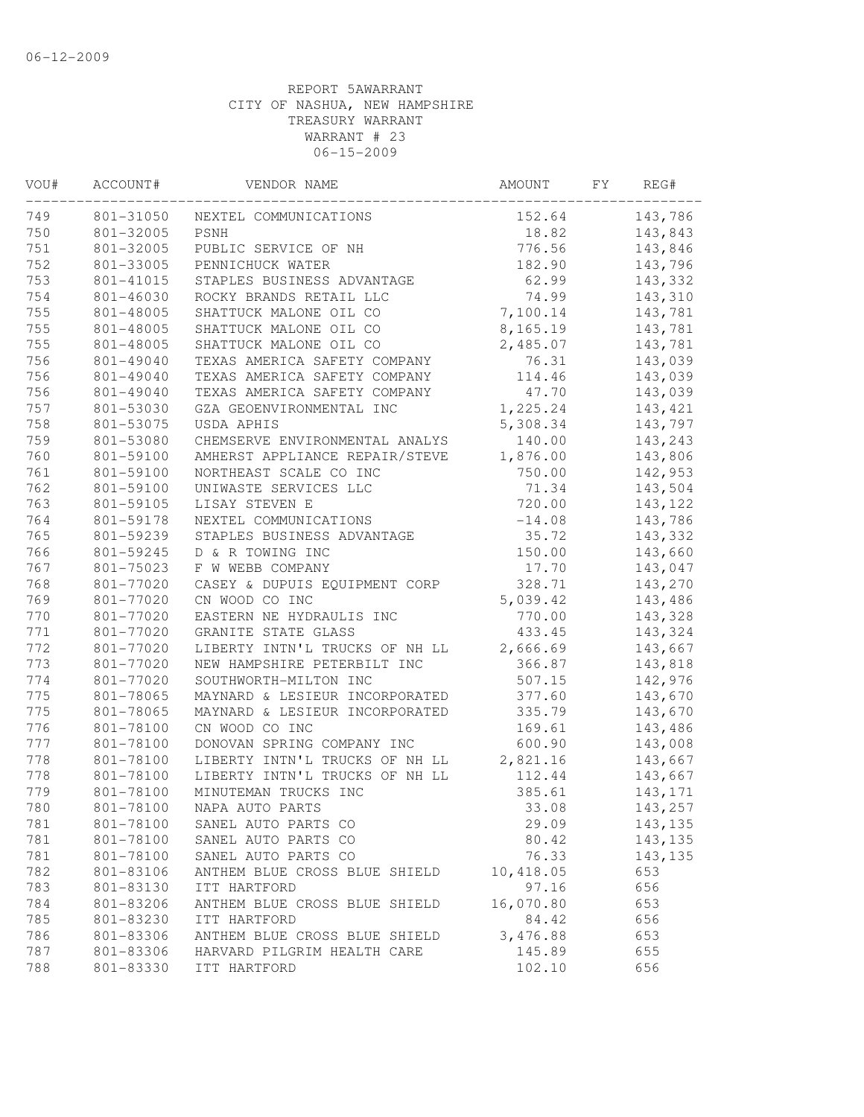| 801-31050<br>152.64<br>143,786<br>NEXTEL COMMUNICATIONS<br>801-32005<br>PSNH<br>18.82<br>143,843<br>751<br>776.56<br>801-32005<br>PUBLIC SERVICE OF NH<br>143,846<br>752<br>801-33005<br>PENNICHUCK WATER<br>182.90<br>143,796<br>STAPLES BUSINESS ADVANTAGE<br>62.99<br>143,332<br>801-41015<br>754<br>801-46030<br>74.99<br>143,310<br>ROCKY BRANDS RETAIL LLC<br>755<br>7,100.14<br>143,781<br>801-48005<br>SHATTUCK MALONE OIL CO<br>8,165.19<br>143,781<br>801-48005<br>SHATTUCK MALONE OIL CO<br>SHATTUCK MALONE OIL CO<br>2,485.07<br>801-48005<br>143,781<br>TEXAS AMERICA SAFETY COMPANY<br>143,039<br>801-49040<br>76.31<br>TEXAS AMERICA SAFETY COMPANY<br>143,039<br>801-49040<br>114.46<br>801-49040<br>TEXAS AMERICA SAFETY COMPANY<br>47.70<br>143,039<br>1,225.24<br>801-53030<br>GZA GEOENVIRONMENTAL INC<br>143,421<br>801-53075<br>USDA APHIS<br>143,797<br>5,308.34<br>801-53080<br>140.00<br>143,243<br>CHEMSERVE ENVIRONMENTAL ANALYS<br>801-59100<br>AMHERST APPLIANCE REPAIR/STEVE<br>1,876.00<br>143,806<br>750.00<br>801-59100<br>NORTHEAST SCALE CO INC<br>142,953<br>801-59100<br>UNIWASTE SERVICES LLC<br>71.34<br>143,504<br>763<br>720.00<br>801-59105<br>LISAY STEVEN E<br>143, 122<br>764<br>801-59178<br>NEXTEL COMMUNICATIONS<br>$-14.08$<br>143,786<br>765<br>STAPLES BUSINESS ADVANTAGE<br>35.72<br>801-59239<br>143,332<br>766<br>150.00<br>801-59245<br>D & R TOWING INC<br>143,660<br>767<br>801-75023<br>F W WEBB COMPANY<br>143,047<br>17.70<br>768<br>328.71<br>143,270<br>801-77020<br>CASEY & DUPUIS EQUIPMENT CORP<br>769<br>5,039.42<br>801-77020<br>CN WOOD CO INC<br>143,486<br>770<br>770.00<br>143,328<br>801-77020<br>EASTERN NE HYDRAULIS INC<br>771<br>433.45<br>801-77020<br>GRANITE STATE GLASS<br>143,324<br>772<br>801-77020<br>2,666.69<br>143,667<br>LIBERTY INTN'L TRUCKS OF NH LL<br>773<br>801-77020<br>NEW HAMPSHIRE PETERBILT INC<br>366.87<br>143,818<br>774<br>801-77020<br>SOUTHWORTH-MILTON INC<br>507.15<br>142,976<br>775<br>801-78065<br>MAYNARD & LESIEUR INCORPORATED<br>377.60<br>143,670<br>775<br>801-78065<br>MAYNARD & LESIEUR INCORPORATED<br>335.79<br>143,670<br>776<br>801-78100<br>CN WOOD CO INC<br>169.61<br>143,486<br>777<br>801-78100<br>DONOVAN SPRING COMPANY INC<br>600.90<br>143,008<br>778<br>801-78100<br>2,821.16<br>LIBERTY INTN'L TRUCKS OF NH LL<br>143,667<br>778<br>801-78100<br>LIBERTY INTN'L TRUCKS OF NH LL<br>112.44<br>143,667<br>779<br>801-78100<br>MINUTEMAN TRUCKS INC<br>385.61<br>143,171<br>780<br>801-78100<br>NAPA AUTO PARTS<br>33.08<br>143,257<br>781<br>801-78100<br>SANEL AUTO PARTS CO<br>29.09<br>143,135<br>781<br>80.42<br>801-78100<br>SANEL AUTO PARTS CO<br>143,135<br>781<br>76.33<br>801-78100<br>SANEL AUTO PARTS CO<br>143, 135<br>782<br>801-83106<br>ANTHEM BLUE CROSS BLUE SHIELD<br>10,418.05<br>653<br>97.16<br>783<br>801-83130<br>ITT HARTFORD<br>656<br>16,070.80<br>784<br>801-83206<br>ANTHEM BLUE CROSS BLUE SHIELD<br>653<br>785<br>801-83230<br>ITT HARTFORD<br>84.42<br>656<br>786<br>801-83306<br>3,476.88<br>653<br>ANTHEM BLUE CROSS BLUE SHIELD<br>787<br>801-83306<br>HARVARD PILGRIM HEALTH CARE<br>145.89<br>655<br>788<br>801-83330<br>ITT HARTFORD<br>102.10<br>656 | VOU# | ACCOUNT# | VENDOR NAME | AMOUNT | FY. | REG# |
|--------------------------------------------------------------------------------------------------------------------------------------------------------------------------------------------------------------------------------------------------------------------------------------------------------------------------------------------------------------------------------------------------------------------------------------------------------------------------------------------------------------------------------------------------------------------------------------------------------------------------------------------------------------------------------------------------------------------------------------------------------------------------------------------------------------------------------------------------------------------------------------------------------------------------------------------------------------------------------------------------------------------------------------------------------------------------------------------------------------------------------------------------------------------------------------------------------------------------------------------------------------------------------------------------------------------------------------------------------------------------------------------------------------------------------------------------------------------------------------------------------------------------------------------------------------------------------------------------------------------------------------------------------------------------------------------------------------------------------------------------------------------------------------------------------------------------------------------------------------------------------------------------------------------------------------------------------------------------------------------------------------------------------------------------------------------------------------------------------------------------------------------------------------------------------------------------------------------------------------------------------------------------------------------------------------------------------------------------------------------------------------------------------------------------------------------------------------------------------------------------------------------------------------------------------------------------------------------------------------------------------------------------------------------------------------------------------------------------------------------------------------------------------------------------------------------------------------------------------------------------------------------------------------------------------------------------------------------------------------------------------------------------------------------------------------------------------------------------------------------------------------------------------------------------------------------------------------------------------|------|----------|-------------|--------|-----|------|
|                                                                                                                                                                                                                                                                                                                                                                                                                                                                                                                                                                                                                                                                                                                                                                                                                                                                                                                                                                                                                                                                                                                                                                                                                                                                                                                                                                                                                                                                                                                                                                                                                                                                                                                                                                                                                                                                                                                                                                                                                                                                                                                                                                                                                                                                                                                                                                                                                                                                                                                                                                                                                                                                                                                                                                                                                                                                                                                                                                                                                                                                                                                                                                                                                                | 749  |          |             |        |     |      |
|                                                                                                                                                                                                                                                                                                                                                                                                                                                                                                                                                                                                                                                                                                                                                                                                                                                                                                                                                                                                                                                                                                                                                                                                                                                                                                                                                                                                                                                                                                                                                                                                                                                                                                                                                                                                                                                                                                                                                                                                                                                                                                                                                                                                                                                                                                                                                                                                                                                                                                                                                                                                                                                                                                                                                                                                                                                                                                                                                                                                                                                                                                                                                                                                                                | 750  |          |             |        |     |      |
|                                                                                                                                                                                                                                                                                                                                                                                                                                                                                                                                                                                                                                                                                                                                                                                                                                                                                                                                                                                                                                                                                                                                                                                                                                                                                                                                                                                                                                                                                                                                                                                                                                                                                                                                                                                                                                                                                                                                                                                                                                                                                                                                                                                                                                                                                                                                                                                                                                                                                                                                                                                                                                                                                                                                                                                                                                                                                                                                                                                                                                                                                                                                                                                                                                |      |          |             |        |     |      |
|                                                                                                                                                                                                                                                                                                                                                                                                                                                                                                                                                                                                                                                                                                                                                                                                                                                                                                                                                                                                                                                                                                                                                                                                                                                                                                                                                                                                                                                                                                                                                                                                                                                                                                                                                                                                                                                                                                                                                                                                                                                                                                                                                                                                                                                                                                                                                                                                                                                                                                                                                                                                                                                                                                                                                                                                                                                                                                                                                                                                                                                                                                                                                                                                                                |      |          |             |        |     |      |
|                                                                                                                                                                                                                                                                                                                                                                                                                                                                                                                                                                                                                                                                                                                                                                                                                                                                                                                                                                                                                                                                                                                                                                                                                                                                                                                                                                                                                                                                                                                                                                                                                                                                                                                                                                                                                                                                                                                                                                                                                                                                                                                                                                                                                                                                                                                                                                                                                                                                                                                                                                                                                                                                                                                                                                                                                                                                                                                                                                                                                                                                                                                                                                                                                                | 753  |          |             |        |     |      |
|                                                                                                                                                                                                                                                                                                                                                                                                                                                                                                                                                                                                                                                                                                                                                                                                                                                                                                                                                                                                                                                                                                                                                                                                                                                                                                                                                                                                                                                                                                                                                                                                                                                                                                                                                                                                                                                                                                                                                                                                                                                                                                                                                                                                                                                                                                                                                                                                                                                                                                                                                                                                                                                                                                                                                                                                                                                                                                                                                                                                                                                                                                                                                                                                                                |      |          |             |        |     |      |
|                                                                                                                                                                                                                                                                                                                                                                                                                                                                                                                                                                                                                                                                                                                                                                                                                                                                                                                                                                                                                                                                                                                                                                                                                                                                                                                                                                                                                                                                                                                                                                                                                                                                                                                                                                                                                                                                                                                                                                                                                                                                                                                                                                                                                                                                                                                                                                                                                                                                                                                                                                                                                                                                                                                                                                                                                                                                                                                                                                                                                                                                                                                                                                                                                                |      |          |             |        |     |      |
|                                                                                                                                                                                                                                                                                                                                                                                                                                                                                                                                                                                                                                                                                                                                                                                                                                                                                                                                                                                                                                                                                                                                                                                                                                                                                                                                                                                                                                                                                                                                                                                                                                                                                                                                                                                                                                                                                                                                                                                                                                                                                                                                                                                                                                                                                                                                                                                                                                                                                                                                                                                                                                                                                                                                                                                                                                                                                                                                                                                                                                                                                                                                                                                                                                | 755  |          |             |        |     |      |
|                                                                                                                                                                                                                                                                                                                                                                                                                                                                                                                                                                                                                                                                                                                                                                                                                                                                                                                                                                                                                                                                                                                                                                                                                                                                                                                                                                                                                                                                                                                                                                                                                                                                                                                                                                                                                                                                                                                                                                                                                                                                                                                                                                                                                                                                                                                                                                                                                                                                                                                                                                                                                                                                                                                                                                                                                                                                                                                                                                                                                                                                                                                                                                                                                                | 755  |          |             |        |     |      |
|                                                                                                                                                                                                                                                                                                                                                                                                                                                                                                                                                                                                                                                                                                                                                                                                                                                                                                                                                                                                                                                                                                                                                                                                                                                                                                                                                                                                                                                                                                                                                                                                                                                                                                                                                                                                                                                                                                                                                                                                                                                                                                                                                                                                                                                                                                                                                                                                                                                                                                                                                                                                                                                                                                                                                                                                                                                                                                                                                                                                                                                                                                                                                                                                                                | 756  |          |             |        |     |      |
|                                                                                                                                                                                                                                                                                                                                                                                                                                                                                                                                                                                                                                                                                                                                                                                                                                                                                                                                                                                                                                                                                                                                                                                                                                                                                                                                                                                                                                                                                                                                                                                                                                                                                                                                                                                                                                                                                                                                                                                                                                                                                                                                                                                                                                                                                                                                                                                                                                                                                                                                                                                                                                                                                                                                                                                                                                                                                                                                                                                                                                                                                                                                                                                                                                | 756  |          |             |        |     |      |
|                                                                                                                                                                                                                                                                                                                                                                                                                                                                                                                                                                                                                                                                                                                                                                                                                                                                                                                                                                                                                                                                                                                                                                                                                                                                                                                                                                                                                                                                                                                                                                                                                                                                                                                                                                                                                                                                                                                                                                                                                                                                                                                                                                                                                                                                                                                                                                                                                                                                                                                                                                                                                                                                                                                                                                                                                                                                                                                                                                                                                                                                                                                                                                                                                                | 756  |          |             |        |     |      |
|                                                                                                                                                                                                                                                                                                                                                                                                                                                                                                                                                                                                                                                                                                                                                                                                                                                                                                                                                                                                                                                                                                                                                                                                                                                                                                                                                                                                                                                                                                                                                                                                                                                                                                                                                                                                                                                                                                                                                                                                                                                                                                                                                                                                                                                                                                                                                                                                                                                                                                                                                                                                                                                                                                                                                                                                                                                                                                                                                                                                                                                                                                                                                                                                                                | 757  |          |             |        |     |      |
|                                                                                                                                                                                                                                                                                                                                                                                                                                                                                                                                                                                                                                                                                                                                                                                                                                                                                                                                                                                                                                                                                                                                                                                                                                                                                                                                                                                                                                                                                                                                                                                                                                                                                                                                                                                                                                                                                                                                                                                                                                                                                                                                                                                                                                                                                                                                                                                                                                                                                                                                                                                                                                                                                                                                                                                                                                                                                                                                                                                                                                                                                                                                                                                                                                | 758  |          |             |        |     |      |
|                                                                                                                                                                                                                                                                                                                                                                                                                                                                                                                                                                                                                                                                                                                                                                                                                                                                                                                                                                                                                                                                                                                                                                                                                                                                                                                                                                                                                                                                                                                                                                                                                                                                                                                                                                                                                                                                                                                                                                                                                                                                                                                                                                                                                                                                                                                                                                                                                                                                                                                                                                                                                                                                                                                                                                                                                                                                                                                                                                                                                                                                                                                                                                                                                                | 759  |          |             |        |     |      |
|                                                                                                                                                                                                                                                                                                                                                                                                                                                                                                                                                                                                                                                                                                                                                                                                                                                                                                                                                                                                                                                                                                                                                                                                                                                                                                                                                                                                                                                                                                                                                                                                                                                                                                                                                                                                                                                                                                                                                                                                                                                                                                                                                                                                                                                                                                                                                                                                                                                                                                                                                                                                                                                                                                                                                                                                                                                                                                                                                                                                                                                                                                                                                                                                                                | 760  |          |             |        |     |      |
|                                                                                                                                                                                                                                                                                                                                                                                                                                                                                                                                                                                                                                                                                                                                                                                                                                                                                                                                                                                                                                                                                                                                                                                                                                                                                                                                                                                                                                                                                                                                                                                                                                                                                                                                                                                                                                                                                                                                                                                                                                                                                                                                                                                                                                                                                                                                                                                                                                                                                                                                                                                                                                                                                                                                                                                                                                                                                                                                                                                                                                                                                                                                                                                                                                | 761  |          |             |        |     |      |
|                                                                                                                                                                                                                                                                                                                                                                                                                                                                                                                                                                                                                                                                                                                                                                                                                                                                                                                                                                                                                                                                                                                                                                                                                                                                                                                                                                                                                                                                                                                                                                                                                                                                                                                                                                                                                                                                                                                                                                                                                                                                                                                                                                                                                                                                                                                                                                                                                                                                                                                                                                                                                                                                                                                                                                                                                                                                                                                                                                                                                                                                                                                                                                                                                                | 762  |          |             |        |     |      |
|                                                                                                                                                                                                                                                                                                                                                                                                                                                                                                                                                                                                                                                                                                                                                                                                                                                                                                                                                                                                                                                                                                                                                                                                                                                                                                                                                                                                                                                                                                                                                                                                                                                                                                                                                                                                                                                                                                                                                                                                                                                                                                                                                                                                                                                                                                                                                                                                                                                                                                                                                                                                                                                                                                                                                                                                                                                                                                                                                                                                                                                                                                                                                                                                                                |      |          |             |        |     |      |
|                                                                                                                                                                                                                                                                                                                                                                                                                                                                                                                                                                                                                                                                                                                                                                                                                                                                                                                                                                                                                                                                                                                                                                                                                                                                                                                                                                                                                                                                                                                                                                                                                                                                                                                                                                                                                                                                                                                                                                                                                                                                                                                                                                                                                                                                                                                                                                                                                                                                                                                                                                                                                                                                                                                                                                                                                                                                                                                                                                                                                                                                                                                                                                                                                                |      |          |             |        |     |      |
|                                                                                                                                                                                                                                                                                                                                                                                                                                                                                                                                                                                                                                                                                                                                                                                                                                                                                                                                                                                                                                                                                                                                                                                                                                                                                                                                                                                                                                                                                                                                                                                                                                                                                                                                                                                                                                                                                                                                                                                                                                                                                                                                                                                                                                                                                                                                                                                                                                                                                                                                                                                                                                                                                                                                                                                                                                                                                                                                                                                                                                                                                                                                                                                                                                |      |          |             |        |     |      |
|                                                                                                                                                                                                                                                                                                                                                                                                                                                                                                                                                                                                                                                                                                                                                                                                                                                                                                                                                                                                                                                                                                                                                                                                                                                                                                                                                                                                                                                                                                                                                                                                                                                                                                                                                                                                                                                                                                                                                                                                                                                                                                                                                                                                                                                                                                                                                                                                                                                                                                                                                                                                                                                                                                                                                                                                                                                                                                                                                                                                                                                                                                                                                                                                                                |      |          |             |        |     |      |
|                                                                                                                                                                                                                                                                                                                                                                                                                                                                                                                                                                                                                                                                                                                                                                                                                                                                                                                                                                                                                                                                                                                                                                                                                                                                                                                                                                                                                                                                                                                                                                                                                                                                                                                                                                                                                                                                                                                                                                                                                                                                                                                                                                                                                                                                                                                                                                                                                                                                                                                                                                                                                                                                                                                                                                                                                                                                                                                                                                                                                                                                                                                                                                                                                                |      |          |             |        |     |      |
|                                                                                                                                                                                                                                                                                                                                                                                                                                                                                                                                                                                                                                                                                                                                                                                                                                                                                                                                                                                                                                                                                                                                                                                                                                                                                                                                                                                                                                                                                                                                                                                                                                                                                                                                                                                                                                                                                                                                                                                                                                                                                                                                                                                                                                                                                                                                                                                                                                                                                                                                                                                                                                                                                                                                                                                                                                                                                                                                                                                                                                                                                                                                                                                                                                |      |          |             |        |     |      |
|                                                                                                                                                                                                                                                                                                                                                                                                                                                                                                                                                                                                                                                                                                                                                                                                                                                                                                                                                                                                                                                                                                                                                                                                                                                                                                                                                                                                                                                                                                                                                                                                                                                                                                                                                                                                                                                                                                                                                                                                                                                                                                                                                                                                                                                                                                                                                                                                                                                                                                                                                                                                                                                                                                                                                                                                                                                                                                                                                                                                                                                                                                                                                                                                                                |      |          |             |        |     |      |
|                                                                                                                                                                                                                                                                                                                                                                                                                                                                                                                                                                                                                                                                                                                                                                                                                                                                                                                                                                                                                                                                                                                                                                                                                                                                                                                                                                                                                                                                                                                                                                                                                                                                                                                                                                                                                                                                                                                                                                                                                                                                                                                                                                                                                                                                                                                                                                                                                                                                                                                                                                                                                                                                                                                                                                                                                                                                                                                                                                                                                                                                                                                                                                                                                                |      |          |             |        |     |      |
|                                                                                                                                                                                                                                                                                                                                                                                                                                                                                                                                                                                                                                                                                                                                                                                                                                                                                                                                                                                                                                                                                                                                                                                                                                                                                                                                                                                                                                                                                                                                                                                                                                                                                                                                                                                                                                                                                                                                                                                                                                                                                                                                                                                                                                                                                                                                                                                                                                                                                                                                                                                                                                                                                                                                                                                                                                                                                                                                                                                                                                                                                                                                                                                                                                |      |          |             |        |     |      |
|                                                                                                                                                                                                                                                                                                                                                                                                                                                                                                                                                                                                                                                                                                                                                                                                                                                                                                                                                                                                                                                                                                                                                                                                                                                                                                                                                                                                                                                                                                                                                                                                                                                                                                                                                                                                                                                                                                                                                                                                                                                                                                                                                                                                                                                                                                                                                                                                                                                                                                                                                                                                                                                                                                                                                                                                                                                                                                                                                                                                                                                                                                                                                                                                                                |      |          |             |        |     |      |
|                                                                                                                                                                                                                                                                                                                                                                                                                                                                                                                                                                                                                                                                                                                                                                                                                                                                                                                                                                                                                                                                                                                                                                                                                                                                                                                                                                                                                                                                                                                                                                                                                                                                                                                                                                                                                                                                                                                                                                                                                                                                                                                                                                                                                                                                                                                                                                                                                                                                                                                                                                                                                                                                                                                                                                                                                                                                                                                                                                                                                                                                                                                                                                                                                                |      |          |             |        |     |      |
|                                                                                                                                                                                                                                                                                                                                                                                                                                                                                                                                                                                                                                                                                                                                                                                                                                                                                                                                                                                                                                                                                                                                                                                                                                                                                                                                                                                                                                                                                                                                                                                                                                                                                                                                                                                                                                                                                                                                                                                                                                                                                                                                                                                                                                                                                                                                                                                                                                                                                                                                                                                                                                                                                                                                                                                                                                                                                                                                                                                                                                                                                                                                                                                                                                |      |          |             |        |     |      |
|                                                                                                                                                                                                                                                                                                                                                                                                                                                                                                                                                                                                                                                                                                                                                                                                                                                                                                                                                                                                                                                                                                                                                                                                                                                                                                                                                                                                                                                                                                                                                                                                                                                                                                                                                                                                                                                                                                                                                                                                                                                                                                                                                                                                                                                                                                                                                                                                                                                                                                                                                                                                                                                                                                                                                                                                                                                                                                                                                                                                                                                                                                                                                                                                                                |      |          |             |        |     |      |
|                                                                                                                                                                                                                                                                                                                                                                                                                                                                                                                                                                                                                                                                                                                                                                                                                                                                                                                                                                                                                                                                                                                                                                                                                                                                                                                                                                                                                                                                                                                                                                                                                                                                                                                                                                                                                                                                                                                                                                                                                                                                                                                                                                                                                                                                                                                                                                                                                                                                                                                                                                                                                                                                                                                                                                                                                                                                                                                                                                                                                                                                                                                                                                                                                                |      |          |             |        |     |      |
|                                                                                                                                                                                                                                                                                                                                                                                                                                                                                                                                                                                                                                                                                                                                                                                                                                                                                                                                                                                                                                                                                                                                                                                                                                                                                                                                                                                                                                                                                                                                                                                                                                                                                                                                                                                                                                                                                                                                                                                                                                                                                                                                                                                                                                                                                                                                                                                                                                                                                                                                                                                                                                                                                                                                                                                                                                                                                                                                                                                                                                                                                                                                                                                                                                |      |          |             |        |     |      |
|                                                                                                                                                                                                                                                                                                                                                                                                                                                                                                                                                                                                                                                                                                                                                                                                                                                                                                                                                                                                                                                                                                                                                                                                                                                                                                                                                                                                                                                                                                                                                                                                                                                                                                                                                                                                                                                                                                                                                                                                                                                                                                                                                                                                                                                                                                                                                                                                                                                                                                                                                                                                                                                                                                                                                                                                                                                                                                                                                                                                                                                                                                                                                                                                                                |      |          |             |        |     |      |
|                                                                                                                                                                                                                                                                                                                                                                                                                                                                                                                                                                                                                                                                                                                                                                                                                                                                                                                                                                                                                                                                                                                                                                                                                                                                                                                                                                                                                                                                                                                                                                                                                                                                                                                                                                                                                                                                                                                                                                                                                                                                                                                                                                                                                                                                                                                                                                                                                                                                                                                                                                                                                                                                                                                                                                                                                                                                                                                                                                                                                                                                                                                                                                                                                                |      |          |             |        |     |      |
|                                                                                                                                                                                                                                                                                                                                                                                                                                                                                                                                                                                                                                                                                                                                                                                                                                                                                                                                                                                                                                                                                                                                                                                                                                                                                                                                                                                                                                                                                                                                                                                                                                                                                                                                                                                                                                                                                                                                                                                                                                                                                                                                                                                                                                                                                                                                                                                                                                                                                                                                                                                                                                                                                                                                                                                                                                                                                                                                                                                                                                                                                                                                                                                                                                |      |          |             |        |     |      |
|                                                                                                                                                                                                                                                                                                                                                                                                                                                                                                                                                                                                                                                                                                                                                                                                                                                                                                                                                                                                                                                                                                                                                                                                                                                                                                                                                                                                                                                                                                                                                                                                                                                                                                                                                                                                                                                                                                                                                                                                                                                                                                                                                                                                                                                                                                                                                                                                                                                                                                                                                                                                                                                                                                                                                                                                                                                                                                                                                                                                                                                                                                                                                                                                                                |      |          |             |        |     |      |
|                                                                                                                                                                                                                                                                                                                                                                                                                                                                                                                                                                                                                                                                                                                                                                                                                                                                                                                                                                                                                                                                                                                                                                                                                                                                                                                                                                                                                                                                                                                                                                                                                                                                                                                                                                                                                                                                                                                                                                                                                                                                                                                                                                                                                                                                                                                                                                                                                                                                                                                                                                                                                                                                                                                                                                                                                                                                                                                                                                                                                                                                                                                                                                                                                                |      |          |             |        |     |      |
|                                                                                                                                                                                                                                                                                                                                                                                                                                                                                                                                                                                                                                                                                                                                                                                                                                                                                                                                                                                                                                                                                                                                                                                                                                                                                                                                                                                                                                                                                                                                                                                                                                                                                                                                                                                                                                                                                                                                                                                                                                                                                                                                                                                                                                                                                                                                                                                                                                                                                                                                                                                                                                                                                                                                                                                                                                                                                                                                                                                                                                                                                                                                                                                                                                |      |          |             |        |     |      |
|                                                                                                                                                                                                                                                                                                                                                                                                                                                                                                                                                                                                                                                                                                                                                                                                                                                                                                                                                                                                                                                                                                                                                                                                                                                                                                                                                                                                                                                                                                                                                                                                                                                                                                                                                                                                                                                                                                                                                                                                                                                                                                                                                                                                                                                                                                                                                                                                                                                                                                                                                                                                                                                                                                                                                                                                                                                                                                                                                                                                                                                                                                                                                                                                                                |      |          |             |        |     |      |
|                                                                                                                                                                                                                                                                                                                                                                                                                                                                                                                                                                                                                                                                                                                                                                                                                                                                                                                                                                                                                                                                                                                                                                                                                                                                                                                                                                                                                                                                                                                                                                                                                                                                                                                                                                                                                                                                                                                                                                                                                                                                                                                                                                                                                                                                                                                                                                                                                                                                                                                                                                                                                                                                                                                                                                                                                                                                                                                                                                                                                                                                                                                                                                                                                                |      |          |             |        |     |      |
|                                                                                                                                                                                                                                                                                                                                                                                                                                                                                                                                                                                                                                                                                                                                                                                                                                                                                                                                                                                                                                                                                                                                                                                                                                                                                                                                                                                                                                                                                                                                                                                                                                                                                                                                                                                                                                                                                                                                                                                                                                                                                                                                                                                                                                                                                                                                                                                                                                                                                                                                                                                                                                                                                                                                                                                                                                                                                                                                                                                                                                                                                                                                                                                                                                |      |          |             |        |     |      |
|                                                                                                                                                                                                                                                                                                                                                                                                                                                                                                                                                                                                                                                                                                                                                                                                                                                                                                                                                                                                                                                                                                                                                                                                                                                                                                                                                                                                                                                                                                                                                                                                                                                                                                                                                                                                                                                                                                                                                                                                                                                                                                                                                                                                                                                                                                                                                                                                                                                                                                                                                                                                                                                                                                                                                                                                                                                                                                                                                                                                                                                                                                                                                                                                                                |      |          |             |        |     |      |
|                                                                                                                                                                                                                                                                                                                                                                                                                                                                                                                                                                                                                                                                                                                                                                                                                                                                                                                                                                                                                                                                                                                                                                                                                                                                                                                                                                                                                                                                                                                                                                                                                                                                                                                                                                                                                                                                                                                                                                                                                                                                                                                                                                                                                                                                                                                                                                                                                                                                                                                                                                                                                                                                                                                                                                                                                                                                                                                                                                                                                                                                                                                                                                                                                                |      |          |             |        |     |      |
|                                                                                                                                                                                                                                                                                                                                                                                                                                                                                                                                                                                                                                                                                                                                                                                                                                                                                                                                                                                                                                                                                                                                                                                                                                                                                                                                                                                                                                                                                                                                                                                                                                                                                                                                                                                                                                                                                                                                                                                                                                                                                                                                                                                                                                                                                                                                                                                                                                                                                                                                                                                                                                                                                                                                                                                                                                                                                                                                                                                                                                                                                                                                                                                                                                |      |          |             |        |     |      |
|                                                                                                                                                                                                                                                                                                                                                                                                                                                                                                                                                                                                                                                                                                                                                                                                                                                                                                                                                                                                                                                                                                                                                                                                                                                                                                                                                                                                                                                                                                                                                                                                                                                                                                                                                                                                                                                                                                                                                                                                                                                                                                                                                                                                                                                                                                                                                                                                                                                                                                                                                                                                                                                                                                                                                                                                                                                                                                                                                                                                                                                                                                                                                                                                                                |      |          |             |        |     |      |
|                                                                                                                                                                                                                                                                                                                                                                                                                                                                                                                                                                                                                                                                                                                                                                                                                                                                                                                                                                                                                                                                                                                                                                                                                                                                                                                                                                                                                                                                                                                                                                                                                                                                                                                                                                                                                                                                                                                                                                                                                                                                                                                                                                                                                                                                                                                                                                                                                                                                                                                                                                                                                                                                                                                                                                                                                                                                                                                                                                                                                                                                                                                                                                                                                                |      |          |             |        |     |      |
|                                                                                                                                                                                                                                                                                                                                                                                                                                                                                                                                                                                                                                                                                                                                                                                                                                                                                                                                                                                                                                                                                                                                                                                                                                                                                                                                                                                                                                                                                                                                                                                                                                                                                                                                                                                                                                                                                                                                                                                                                                                                                                                                                                                                                                                                                                                                                                                                                                                                                                                                                                                                                                                                                                                                                                                                                                                                                                                                                                                                                                                                                                                                                                                                                                |      |          |             |        |     |      |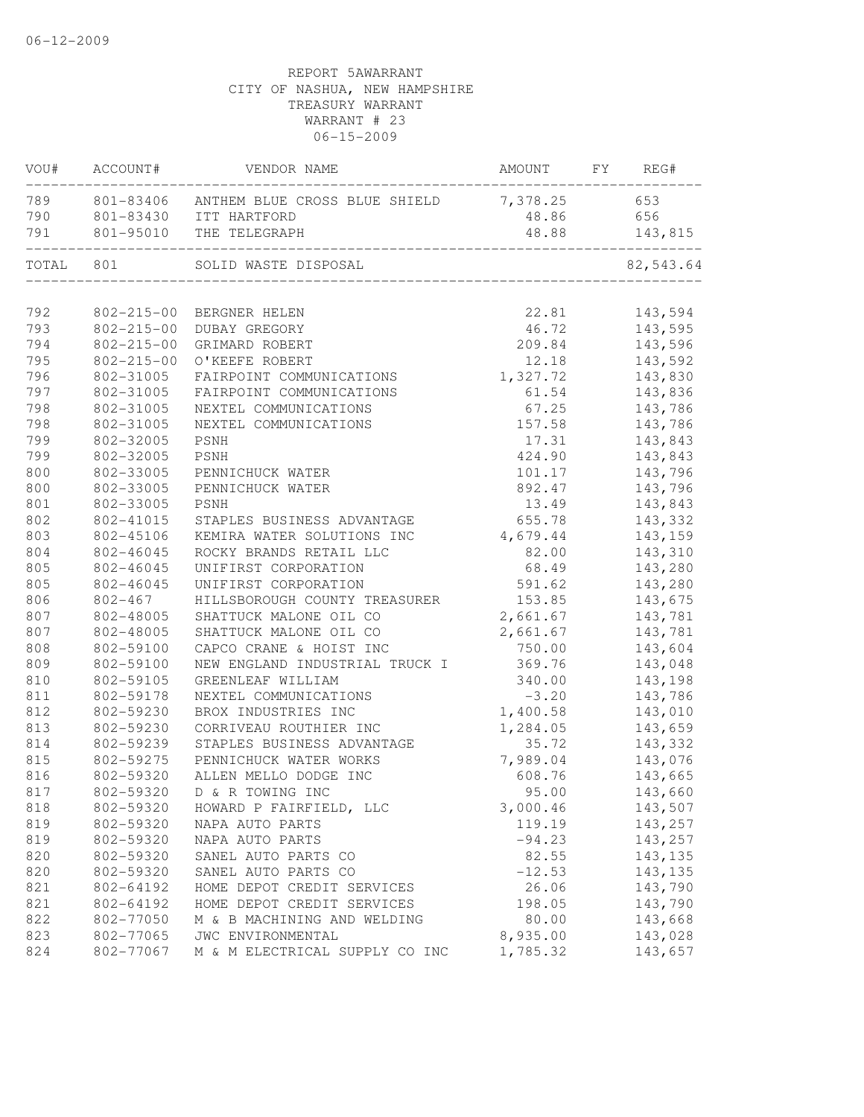| 789<br>801-83406 ANTHEM BLUE CROSS BLUE SHIELD<br>7,378.25<br>653<br>801-83430 ITT HARTFORD<br>48.86<br>656<br>801-95010 THE TELEGRAPH<br>48.88<br>143,815<br>TOTAL 801<br>82,543.64<br>SOLID WASTE DISPOSAL<br>792<br>802-215-00 BERGNER HELEN<br>22.81<br>143,594<br>793<br>$802 - 215 - 00$<br>46.72<br>143,595<br>DUBAY GREGORY<br>794<br>$802 - 215 - 00$<br>209.84<br>143,596<br>GRIMARD ROBERT<br>795<br>$802 - 215 - 00$<br>O'KEEFE ROBERT<br>12.18<br>143,592<br>1,327.72<br>796<br>802-31005<br>143,830<br>FAIRPOINT COMMUNICATIONS<br>797<br>61.54<br>802-31005<br>143,836<br>FAIRPOINT COMMUNICATIONS<br>798<br>802-31005<br>NEXTEL COMMUNICATIONS<br>67.25<br>143,786<br>798<br>802-31005<br>NEXTEL COMMUNICATIONS<br>157.58<br>143,786<br>799<br>802-32005<br>PSNH<br>17.31<br>143,843<br>799<br>802-32005<br>PSNH<br>424.90<br>143,843<br>800<br>802-33005<br>101.17<br>143,796<br>PENNICHUCK WATER<br>800<br>802-33005<br>892.47<br>143,796<br>PENNICHUCK WATER<br>801<br>802-33005<br>13.49<br>143,843<br>PSNH<br>802<br>STAPLES BUSINESS ADVANTAGE<br>655.78<br>143,332<br>802-41015<br>803<br>4,679.44<br>802-45106<br>KEMIRA WATER SOLUTIONS INC<br>143,159<br>804<br>ROCKY BRANDS RETAIL LLC<br>82.00<br>802-46045<br>143,310<br>805<br>UNIFIRST CORPORATION<br>68.49<br>802-46045<br>143,280<br>805<br>591.62<br>802-46045<br>UNIFIRST CORPORATION<br>143,280<br>806<br>802-467<br>HILLSBOROUGH COUNTY TREASURER<br>153.85<br>143,675<br>807<br>2,661.67<br>802-48005<br>SHATTUCK MALONE OIL CO<br>143,781<br>807<br>2,661.67<br>802-48005<br>SHATTUCK MALONE OIL CO<br>143,781<br>808<br>802-59100<br>CAPCO CRANE & HOIST INC<br>750.00<br>143,604<br>809<br>369.76<br>802-59100<br>NEW ENGLAND INDUSTRIAL TRUCK I<br>143,048<br>810<br>802-59105<br>340.00<br>GREENLEAF WILLIAM<br>143,198<br>811<br>NEXTEL COMMUNICATIONS<br>802-59178<br>$-3.20$<br>143,786<br>812<br>1,400.58<br>802-59230<br>BROX INDUSTRIES INC<br>143,010<br>813<br>802-59230<br>CORRIVEAU ROUTHIER INC<br>1,284.05<br>143,659<br>814<br>802-59239<br>STAPLES BUSINESS ADVANTAGE<br>35.72<br>143,332<br>815<br>802-59275<br>PENNICHUCK WATER WORKS<br>7,989.04<br>143,076<br>143,665<br>816<br>802-59320<br>ALLEN MELLO DODGE INC<br>608.76<br>817<br>95.00<br>802-59320 D & R TOWING INC<br>143,660<br>802-59320<br>3,000.46<br>143,507<br>818<br>HOWARD P FAIRFIELD, LLC<br>819<br>802-59320<br>143,257<br>119.19<br>NAPA AUTO PARTS<br>819<br>802-59320<br>NAPA AUTO PARTS<br>$-94.23$<br>143,257<br>820<br>802-59320<br>SANEL AUTO PARTS CO<br>82.55<br>143,135<br>820<br>SANEL AUTO PARTS CO<br>$-12.53$<br>802-59320<br>143, 135<br>821<br>802-64192<br>HOME DEPOT CREDIT SERVICES<br>26.06<br>143,790<br>821<br>143,790<br>802-64192<br>HOME DEPOT CREDIT SERVICES<br>198.05<br>822<br>802-77050<br>M & B MACHINING AND WELDING<br>80.00<br>143,668<br>8,935.00<br>143,028<br>823<br>802-77065<br>JWC ENVIRONMENTAL<br>143,657<br>824<br>802-77067<br>M & M ELECTRICAL SUPPLY CO INC<br>1,785.32 |     | VOU# ACCOUNT# | VENDOR NAME | AMOUNT FY REG# |  |
|-------------------------------------------------------------------------------------------------------------------------------------------------------------------------------------------------------------------------------------------------------------------------------------------------------------------------------------------------------------------------------------------------------------------------------------------------------------------------------------------------------------------------------------------------------------------------------------------------------------------------------------------------------------------------------------------------------------------------------------------------------------------------------------------------------------------------------------------------------------------------------------------------------------------------------------------------------------------------------------------------------------------------------------------------------------------------------------------------------------------------------------------------------------------------------------------------------------------------------------------------------------------------------------------------------------------------------------------------------------------------------------------------------------------------------------------------------------------------------------------------------------------------------------------------------------------------------------------------------------------------------------------------------------------------------------------------------------------------------------------------------------------------------------------------------------------------------------------------------------------------------------------------------------------------------------------------------------------------------------------------------------------------------------------------------------------------------------------------------------------------------------------------------------------------------------------------------------------------------------------------------------------------------------------------------------------------------------------------------------------------------------------------------------------------------------------------------------------------------------------------------------------------------------------------------------------------------------------------------------------------------------------------------------------------------------------------------------------------------------------------------------------------------------------------------------------------------------------------------------------------------------------------------------------------------------------------------------------------------------------------------|-----|---------------|-------------|----------------|--|
|                                                                                                                                                                                                                                                                                                                                                                                                                                                                                                                                                                                                                                                                                                                                                                                                                                                                                                                                                                                                                                                                                                                                                                                                                                                                                                                                                                                                                                                                                                                                                                                                                                                                                                                                                                                                                                                                                                                                                                                                                                                                                                                                                                                                                                                                                                                                                                                                                                                                                                                                                                                                                                                                                                                                                                                                                                                                                                                                                                                                       |     |               |             |                |  |
|                                                                                                                                                                                                                                                                                                                                                                                                                                                                                                                                                                                                                                                                                                                                                                                                                                                                                                                                                                                                                                                                                                                                                                                                                                                                                                                                                                                                                                                                                                                                                                                                                                                                                                                                                                                                                                                                                                                                                                                                                                                                                                                                                                                                                                                                                                                                                                                                                                                                                                                                                                                                                                                                                                                                                                                                                                                                                                                                                                                                       | 790 |               |             |                |  |
|                                                                                                                                                                                                                                                                                                                                                                                                                                                                                                                                                                                                                                                                                                                                                                                                                                                                                                                                                                                                                                                                                                                                                                                                                                                                                                                                                                                                                                                                                                                                                                                                                                                                                                                                                                                                                                                                                                                                                                                                                                                                                                                                                                                                                                                                                                                                                                                                                                                                                                                                                                                                                                                                                                                                                                                                                                                                                                                                                                                                       | 791 |               |             |                |  |
|                                                                                                                                                                                                                                                                                                                                                                                                                                                                                                                                                                                                                                                                                                                                                                                                                                                                                                                                                                                                                                                                                                                                                                                                                                                                                                                                                                                                                                                                                                                                                                                                                                                                                                                                                                                                                                                                                                                                                                                                                                                                                                                                                                                                                                                                                                                                                                                                                                                                                                                                                                                                                                                                                                                                                                                                                                                                                                                                                                                                       |     |               |             |                |  |
|                                                                                                                                                                                                                                                                                                                                                                                                                                                                                                                                                                                                                                                                                                                                                                                                                                                                                                                                                                                                                                                                                                                                                                                                                                                                                                                                                                                                                                                                                                                                                                                                                                                                                                                                                                                                                                                                                                                                                                                                                                                                                                                                                                                                                                                                                                                                                                                                                                                                                                                                                                                                                                                                                                                                                                                                                                                                                                                                                                                                       |     |               |             |                |  |
|                                                                                                                                                                                                                                                                                                                                                                                                                                                                                                                                                                                                                                                                                                                                                                                                                                                                                                                                                                                                                                                                                                                                                                                                                                                                                                                                                                                                                                                                                                                                                                                                                                                                                                                                                                                                                                                                                                                                                                                                                                                                                                                                                                                                                                                                                                                                                                                                                                                                                                                                                                                                                                                                                                                                                                                                                                                                                                                                                                                                       |     |               |             |                |  |
|                                                                                                                                                                                                                                                                                                                                                                                                                                                                                                                                                                                                                                                                                                                                                                                                                                                                                                                                                                                                                                                                                                                                                                                                                                                                                                                                                                                                                                                                                                                                                                                                                                                                                                                                                                                                                                                                                                                                                                                                                                                                                                                                                                                                                                                                                                                                                                                                                                                                                                                                                                                                                                                                                                                                                                                                                                                                                                                                                                                                       |     |               |             |                |  |
|                                                                                                                                                                                                                                                                                                                                                                                                                                                                                                                                                                                                                                                                                                                                                                                                                                                                                                                                                                                                                                                                                                                                                                                                                                                                                                                                                                                                                                                                                                                                                                                                                                                                                                                                                                                                                                                                                                                                                                                                                                                                                                                                                                                                                                                                                                                                                                                                                                                                                                                                                                                                                                                                                                                                                                                                                                                                                                                                                                                                       |     |               |             |                |  |
|                                                                                                                                                                                                                                                                                                                                                                                                                                                                                                                                                                                                                                                                                                                                                                                                                                                                                                                                                                                                                                                                                                                                                                                                                                                                                                                                                                                                                                                                                                                                                                                                                                                                                                                                                                                                                                                                                                                                                                                                                                                                                                                                                                                                                                                                                                                                                                                                                                                                                                                                                                                                                                                                                                                                                                                                                                                                                                                                                                                                       |     |               |             |                |  |
|                                                                                                                                                                                                                                                                                                                                                                                                                                                                                                                                                                                                                                                                                                                                                                                                                                                                                                                                                                                                                                                                                                                                                                                                                                                                                                                                                                                                                                                                                                                                                                                                                                                                                                                                                                                                                                                                                                                                                                                                                                                                                                                                                                                                                                                                                                                                                                                                                                                                                                                                                                                                                                                                                                                                                                                                                                                                                                                                                                                                       |     |               |             |                |  |
|                                                                                                                                                                                                                                                                                                                                                                                                                                                                                                                                                                                                                                                                                                                                                                                                                                                                                                                                                                                                                                                                                                                                                                                                                                                                                                                                                                                                                                                                                                                                                                                                                                                                                                                                                                                                                                                                                                                                                                                                                                                                                                                                                                                                                                                                                                                                                                                                                                                                                                                                                                                                                                                                                                                                                                                                                                                                                                                                                                                                       |     |               |             |                |  |
|                                                                                                                                                                                                                                                                                                                                                                                                                                                                                                                                                                                                                                                                                                                                                                                                                                                                                                                                                                                                                                                                                                                                                                                                                                                                                                                                                                                                                                                                                                                                                                                                                                                                                                                                                                                                                                                                                                                                                                                                                                                                                                                                                                                                                                                                                                                                                                                                                                                                                                                                                                                                                                                                                                                                                                                                                                                                                                                                                                                                       |     |               |             |                |  |
|                                                                                                                                                                                                                                                                                                                                                                                                                                                                                                                                                                                                                                                                                                                                                                                                                                                                                                                                                                                                                                                                                                                                                                                                                                                                                                                                                                                                                                                                                                                                                                                                                                                                                                                                                                                                                                                                                                                                                                                                                                                                                                                                                                                                                                                                                                                                                                                                                                                                                                                                                                                                                                                                                                                                                                                                                                                                                                                                                                                                       |     |               |             |                |  |
|                                                                                                                                                                                                                                                                                                                                                                                                                                                                                                                                                                                                                                                                                                                                                                                                                                                                                                                                                                                                                                                                                                                                                                                                                                                                                                                                                                                                                                                                                                                                                                                                                                                                                                                                                                                                                                                                                                                                                                                                                                                                                                                                                                                                                                                                                                                                                                                                                                                                                                                                                                                                                                                                                                                                                                                                                                                                                                                                                                                                       |     |               |             |                |  |
|                                                                                                                                                                                                                                                                                                                                                                                                                                                                                                                                                                                                                                                                                                                                                                                                                                                                                                                                                                                                                                                                                                                                                                                                                                                                                                                                                                                                                                                                                                                                                                                                                                                                                                                                                                                                                                                                                                                                                                                                                                                                                                                                                                                                                                                                                                                                                                                                                                                                                                                                                                                                                                                                                                                                                                                                                                                                                                                                                                                                       |     |               |             |                |  |
|                                                                                                                                                                                                                                                                                                                                                                                                                                                                                                                                                                                                                                                                                                                                                                                                                                                                                                                                                                                                                                                                                                                                                                                                                                                                                                                                                                                                                                                                                                                                                                                                                                                                                                                                                                                                                                                                                                                                                                                                                                                                                                                                                                                                                                                                                                                                                                                                                                                                                                                                                                                                                                                                                                                                                                                                                                                                                                                                                                                                       |     |               |             |                |  |
|                                                                                                                                                                                                                                                                                                                                                                                                                                                                                                                                                                                                                                                                                                                                                                                                                                                                                                                                                                                                                                                                                                                                                                                                                                                                                                                                                                                                                                                                                                                                                                                                                                                                                                                                                                                                                                                                                                                                                                                                                                                                                                                                                                                                                                                                                                                                                                                                                                                                                                                                                                                                                                                                                                                                                                                                                                                                                                                                                                                                       |     |               |             |                |  |
|                                                                                                                                                                                                                                                                                                                                                                                                                                                                                                                                                                                                                                                                                                                                                                                                                                                                                                                                                                                                                                                                                                                                                                                                                                                                                                                                                                                                                                                                                                                                                                                                                                                                                                                                                                                                                                                                                                                                                                                                                                                                                                                                                                                                                                                                                                                                                                                                                                                                                                                                                                                                                                                                                                                                                                                                                                                                                                                                                                                                       |     |               |             |                |  |
|                                                                                                                                                                                                                                                                                                                                                                                                                                                                                                                                                                                                                                                                                                                                                                                                                                                                                                                                                                                                                                                                                                                                                                                                                                                                                                                                                                                                                                                                                                                                                                                                                                                                                                                                                                                                                                                                                                                                                                                                                                                                                                                                                                                                                                                                                                                                                                                                                                                                                                                                                                                                                                                                                                                                                                                                                                                                                                                                                                                                       |     |               |             |                |  |
|                                                                                                                                                                                                                                                                                                                                                                                                                                                                                                                                                                                                                                                                                                                                                                                                                                                                                                                                                                                                                                                                                                                                                                                                                                                                                                                                                                                                                                                                                                                                                                                                                                                                                                                                                                                                                                                                                                                                                                                                                                                                                                                                                                                                                                                                                                                                                                                                                                                                                                                                                                                                                                                                                                                                                                                                                                                                                                                                                                                                       |     |               |             |                |  |
|                                                                                                                                                                                                                                                                                                                                                                                                                                                                                                                                                                                                                                                                                                                                                                                                                                                                                                                                                                                                                                                                                                                                                                                                                                                                                                                                                                                                                                                                                                                                                                                                                                                                                                                                                                                                                                                                                                                                                                                                                                                                                                                                                                                                                                                                                                                                                                                                                                                                                                                                                                                                                                                                                                                                                                                                                                                                                                                                                                                                       |     |               |             |                |  |
|                                                                                                                                                                                                                                                                                                                                                                                                                                                                                                                                                                                                                                                                                                                                                                                                                                                                                                                                                                                                                                                                                                                                                                                                                                                                                                                                                                                                                                                                                                                                                                                                                                                                                                                                                                                                                                                                                                                                                                                                                                                                                                                                                                                                                                                                                                                                                                                                                                                                                                                                                                                                                                                                                                                                                                                                                                                                                                                                                                                                       |     |               |             |                |  |
|                                                                                                                                                                                                                                                                                                                                                                                                                                                                                                                                                                                                                                                                                                                                                                                                                                                                                                                                                                                                                                                                                                                                                                                                                                                                                                                                                                                                                                                                                                                                                                                                                                                                                                                                                                                                                                                                                                                                                                                                                                                                                                                                                                                                                                                                                                                                                                                                                                                                                                                                                                                                                                                                                                                                                                                                                                                                                                                                                                                                       |     |               |             |                |  |
|                                                                                                                                                                                                                                                                                                                                                                                                                                                                                                                                                                                                                                                                                                                                                                                                                                                                                                                                                                                                                                                                                                                                                                                                                                                                                                                                                                                                                                                                                                                                                                                                                                                                                                                                                                                                                                                                                                                                                                                                                                                                                                                                                                                                                                                                                                                                                                                                                                                                                                                                                                                                                                                                                                                                                                                                                                                                                                                                                                                                       |     |               |             |                |  |
|                                                                                                                                                                                                                                                                                                                                                                                                                                                                                                                                                                                                                                                                                                                                                                                                                                                                                                                                                                                                                                                                                                                                                                                                                                                                                                                                                                                                                                                                                                                                                                                                                                                                                                                                                                                                                                                                                                                                                                                                                                                                                                                                                                                                                                                                                                                                                                                                                                                                                                                                                                                                                                                                                                                                                                                                                                                                                                                                                                                                       |     |               |             |                |  |
|                                                                                                                                                                                                                                                                                                                                                                                                                                                                                                                                                                                                                                                                                                                                                                                                                                                                                                                                                                                                                                                                                                                                                                                                                                                                                                                                                                                                                                                                                                                                                                                                                                                                                                                                                                                                                                                                                                                                                                                                                                                                                                                                                                                                                                                                                                                                                                                                                                                                                                                                                                                                                                                                                                                                                                                                                                                                                                                                                                                                       |     |               |             |                |  |
|                                                                                                                                                                                                                                                                                                                                                                                                                                                                                                                                                                                                                                                                                                                                                                                                                                                                                                                                                                                                                                                                                                                                                                                                                                                                                                                                                                                                                                                                                                                                                                                                                                                                                                                                                                                                                                                                                                                                                                                                                                                                                                                                                                                                                                                                                                                                                                                                                                                                                                                                                                                                                                                                                                                                                                                                                                                                                                                                                                                                       |     |               |             |                |  |
|                                                                                                                                                                                                                                                                                                                                                                                                                                                                                                                                                                                                                                                                                                                                                                                                                                                                                                                                                                                                                                                                                                                                                                                                                                                                                                                                                                                                                                                                                                                                                                                                                                                                                                                                                                                                                                                                                                                                                                                                                                                                                                                                                                                                                                                                                                                                                                                                                                                                                                                                                                                                                                                                                                                                                                                                                                                                                                                                                                                                       |     |               |             |                |  |
|                                                                                                                                                                                                                                                                                                                                                                                                                                                                                                                                                                                                                                                                                                                                                                                                                                                                                                                                                                                                                                                                                                                                                                                                                                                                                                                                                                                                                                                                                                                                                                                                                                                                                                                                                                                                                                                                                                                                                                                                                                                                                                                                                                                                                                                                                                                                                                                                                                                                                                                                                                                                                                                                                                                                                                                                                                                                                                                                                                                                       |     |               |             |                |  |
|                                                                                                                                                                                                                                                                                                                                                                                                                                                                                                                                                                                                                                                                                                                                                                                                                                                                                                                                                                                                                                                                                                                                                                                                                                                                                                                                                                                                                                                                                                                                                                                                                                                                                                                                                                                                                                                                                                                                                                                                                                                                                                                                                                                                                                                                                                                                                                                                                                                                                                                                                                                                                                                                                                                                                                                                                                                                                                                                                                                                       |     |               |             |                |  |
|                                                                                                                                                                                                                                                                                                                                                                                                                                                                                                                                                                                                                                                                                                                                                                                                                                                                                                                                                                                                                                                                                                                                                                                                                                                                                                                                                                                                                                                                                                                                                                                                                                                                                                                                                                                                                                                                                                                                                                                                                                                                                                                                                                                                                                                                                                                                                                                                                                                                                                                                                                                                                                                                                                                                                                                                                                                                                                                                                                                                       |     |               |             |                |  |
|                                                                                                                                                                                                                                                                                                                                                                                                                                                                                                                                                                                                                                                                                                                                                                                                                                                                                                                                                                                                                                                                                                                                                                                                                                                                                                                                                                                                                                                                                                                                                                                                                                                                                                                                                                                                                                                                                                                                                                                                                                                                                                                                                                                                                                                                                                                                                                                                                                                                                                                                                                                                                                                                                                                                                                                                                                                                                                                                                                                                       |     |               |             |                |  |
|                                                                                                                                                                                                                                                                                                                                                                                                                                                                                                                                                                                                                                                                                                                                                                                                                                                                                                                                                                                                                                                                                                                                                                                                                                                                                                                                                                                                                                                                                                                                                                                                                                                                                                                                                                                                                                                                                                                                                                                                                                                                                                                                                                                                                                                                                                                                                                                                                                                                                                                                                                                                                                                                                                                                                                                                                                                                                                                                                                                                       |     |               |             |                |  |
|                                                                                                                                                                                                                                                                                                                                                                                                                                                                                                                                                                                                                                                                                                                                                                                                                                                                                                                                                                                                                                                                                                                                                                                                                                                                                                                                                                                                                                                                                                                                                                                                                                                                                                                                                                                                                                                                                                                                                                                                                                                                                                                                                                                                                                                                                                                                                                                                                                                                                                                                                                                                                                                                                                                                                                                                                                                                                                                                                                                                       |     |               |             |                |  |
|                                                                                                                                                                                                                                                                                                                                                                                                                                                                                                                                                                                                                                                                                                                                                                                                                                                                                                                                                                                                                                                                                                                                                                                                                                                                                                                                                                                                                                                                                                                                                                                                                                                                                                                                                                                                                                                                                                                                                                                                                                                                                                                                                                                                                                                                                                                                                                                                                                                                                                                                                                                                                                                                                                                                                                                                                                                                                                                                                                                                       |     |               |             |                |  |
|                                                                                                                                                                                                                                                                                                                                                                                                                                                                                                                                                                                                                                                                                                                                                                                                                                                                                                                                                                                                                                                                                                                                                                                                                                                                                                                                                                                                                                                                                                                                                                                                                                                                                                                                                                                                                                                                                                                                                                                                                                                                                                                                                                                                                                                                                                                                                                                                                                                                                                                                                                                                                                                                                                                                                                                                                                                                                                                                                                                                       |     |               |             |                |  |
|                                                                                                                                                                                                                                                                                                                                                                                                                                                                                                                                                                                                                                                                                                                                                                                                                                                                                                                                                                                                                                                                                                                                                                                                                                                                                                                                                                                                                                                                                                                                                                                                                                                                                                                                                                                                                                                                                                                                                                                                                                                                                                                                                                                                                                                                                                                                                                                                                                                                                                                                                                                                                                                                                                                                                                                                                                                                                                                                                                                                       |     |               |             |                |  |
|                                                                                                                                                                                                                                                                                                                                                                                                                                                                                                                                                                                                                                                                                                                                                                                                                                                                                                                                                                                                                                                                                                                                                                                                                                                                                                                                                                                                                                                                                                                                                                                                                                                                                                                                                                                                                                                                                                                                                                                                                                                                                                                                                                                                                                                                                                                                                                                                                                                                                                                                                                                                                                                                                                                                                                                                                                                                                                                                                                                                       |     |               |             |                |  |
|                                                                                                                                                                                                                                                                                                                                                                                                                                                                                                                                                                                                                                                                                                                                                                                                                                                                                                                                                                                                                                                                                                                                                                                                                                                                                                                                                                                                                                                                                                                                                                                                                                                                                                                                                                                                                                                                                                                                                                                                                                                                                                                                                                                                                                                                                                                                                                                                                                                                                                                                                                                                                                                                                                                                                                                                                                                                                                                                                                                                       |     |               |             |                |  |
|                                                                                                                                                                                                                                                                                                                                                                                                                                                                                                                                                                                                                                                                                                                                                                                                                                                                                                                                                                                                                                                                                                                                                                                                                                                                                                                                                                                                                                                                                                                                                                                                                                                                                                                                                                                                                                                                                                                                                                                                                                                                                                                                                                                                                                                                                                                                                                                                                                                                                                                                                                                                                                                                                                                                                                                                                                                                                                                                                                                                       |     |               |             |                |  |
|                                                                                                                                                                                                                                                                                                                                                                                                                                                                                                                                                                                                                                                                                                                                                                                                                                                                                                                                                                                                                                                                                                                                                                                                                                                                                                                                                                                                                                                                                                                                                                                                                                                                                                                                                                                                                                                                                                                                                                                                                                                                                                                                                                                                                                                                                                                                                                                                                                                                                                                                                                                                                                                                                                                                                                                                                                                                                                                                                                                                       |     |               |             |                |  |
|                                                                                                                                                                                                                                                                                                                                                                                                                                                                                                                                                                                                                                                                                                                                                                                                                                                                                                                                                                                                                                                                                                                                                                                                                                                                                                                                                                                                                                                                                                                                                                                                                                                                                                                                                                                                                                                                                                                                                                                                                                                                                                                                                                                                                                                                                                                                                                                                                                                                                                                                                                                                                                                                                                                                                                                                                                                                                                                                                                                                       |     |               |             |                |  |
|                                                                                                                                                                                                                                                                                                                                                                                                                                                                                                                                                                                                                                                                                                                                                                                                                                                                                                                                                                                                                                                                                                                                                                                                                                                                                                                                                                                                                                                                                                                                                                                                                                                                                                                                                                                                                                                                                                                                                                                                                                                                                                                                                                                                                                                                                                                                                                                                                                                                                                                                                                                                                                                                                                                                                                                                                                                                                                                                                                                                       |     |               |             |                |  |
|                                                                                                                                                                                                                                                                                                                                                                                                                                                                                                                                                                                                                                                                                                                                                                                                                                                                                                                                                                                                                                                                                                                                                                                                                                                                                                                                                                                                                                                                                                                                                                                                                                                                                                                                                                                                                                                                                                                                                                                                                                                                                                                                                                                                                                                                                                                                                                                                                                                                                                                                                                                                                                                                                                                                                                                                                                                                                                                                                                                                       |     |               |             |                |  |
|                                                                                                                                                                                                                                                                                                                                                                                                                                                                                                                                                                                                                                                                                                                                                                                                                                                                                                                                                                                                                                                                                                                                                                                                                                                                                                                                                                                                                                                                                                                                                                                                                                                                                                                                                                                                                                                                                                                                                                                                                                                                                                                                                                                                                                                                                                                                                                                                                                                                                                                                                                                                                                                                                                                                                                                                                                                                                                                                                                                                       |     |               |             |                |  |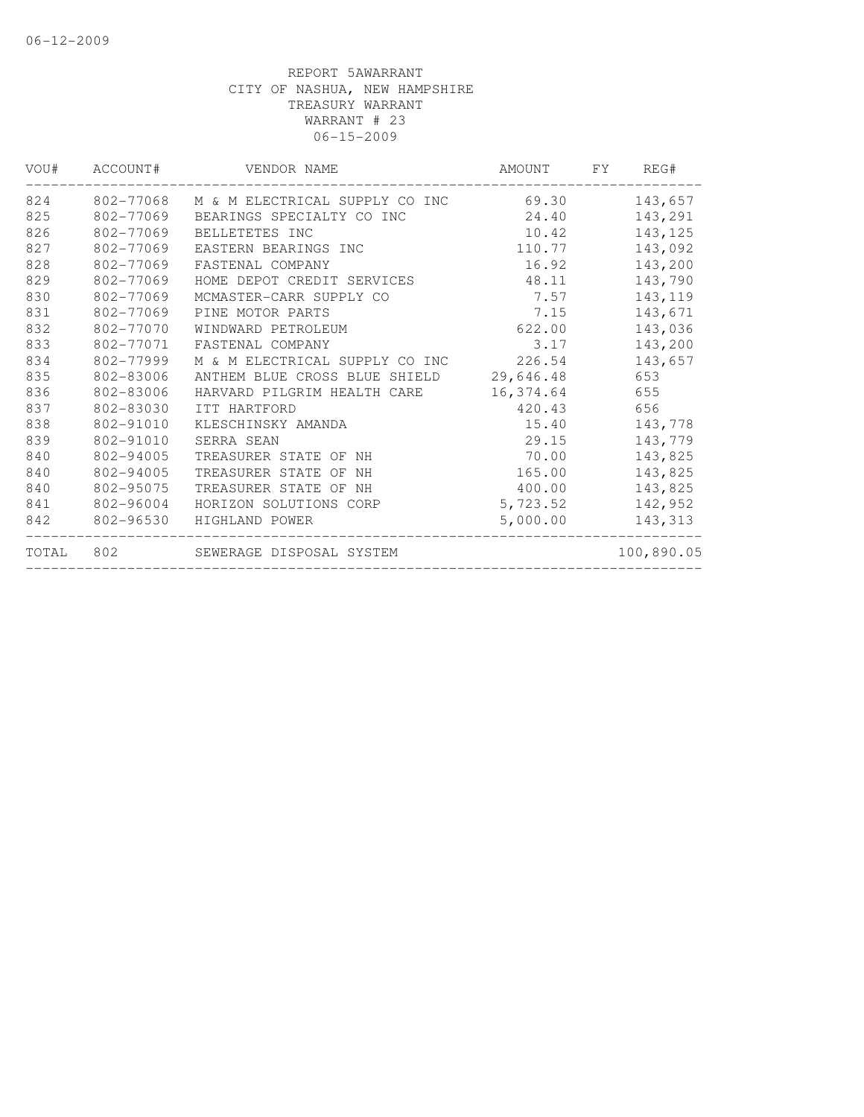| VOU# | ACCOUNT#  | VENDOR NAME                             | AMOUNT    | <b>FY</b> | REG#       |
|------|-----------|-----------------------------------------|-----------|-----------|------------|
| 824  | 802-77068 | M & M ELECTRICAL SUPPLY CO INC 69.30    |           |           | 143,657    |
| 825  | 802-77069 | BEARINGS SPECIALTY CO INC               | 24.40     |           | 143,291    |
| 826  | 802-77069 | BELLETETES INC                          | 10.42     |           | 143, 125   |
| 827  | 802-77069 | EASTERN BEARINGS INC                    | 110.77    |           | 143,092    |
| 828  | 802-77069 | FASTENAL COMPANY                        | 16.92     |           | 143,200    |
| 829  | 802-77069 | HOME DEPOT CREDIT SERVICES              | 48.11     |           | 143,790    |
| 830  | 802-77069 | MCMASTER-CARR SUPPLY CO                 | 7.57      |           | 143, 119   |
| 831  | 802-77069 | PINE MOTOR PARTS                        | 7.15      |           | 143,671    |
| 832  | 802-77070 | WINDWARD PETROLEUM                      | 622.00    |           | 143,036    |
| 833  | 802-77071 | FASTENAL COMPANY                        | 3.17      |           | 143,200    |
| 834  | 802-77999 | M & M ELECTRICAL SUPPLY CO INC 226.54   |           |           | 143,657    |
| 835  | 802-83006 | ANTHEM BLUE CROSS BLUE SHIELD 29,646.48 |           |           | 653        |
| 836  | 802-83006 | HARVARD PILGRIM HEALTH CARE             | 16,374.64 |           | 655        |
| 837  | 802-83030 | ITT HARTFORD                            | 420.43    |           | 656        |
| 838  | 802-91010 | KLESCHINSKY AMANDA                      | 15.40     |           | 143,778    |
| 839  | 802-91010 | SERRA SEAN                              | 29.15     |           | 143,779    |
| 840  | 802-94005 | TREASURER STATE OF NH                   | 70.00     |           | 143,825    |
| 840  | 802-94005 | TREASURER STATE OF NH                   | 165.00    |           | 143,825    |
| 840  | 802-95075 | TREASURER STATE OF NH                   | 400.00    |           | 143,825    |
| 841  | 802-96004 | HORIZON SOLUTIONS CORP                  | 5,723.52  |           | 142,952    |
| 842  | 802-96530 | HIGHLAND POWER                          | 5,000.00  |           | 143,313    |
|      |           | TOTAL 802 SEWERAGE DISPOSAL SYSTEM      |           |           | 100,890.05 |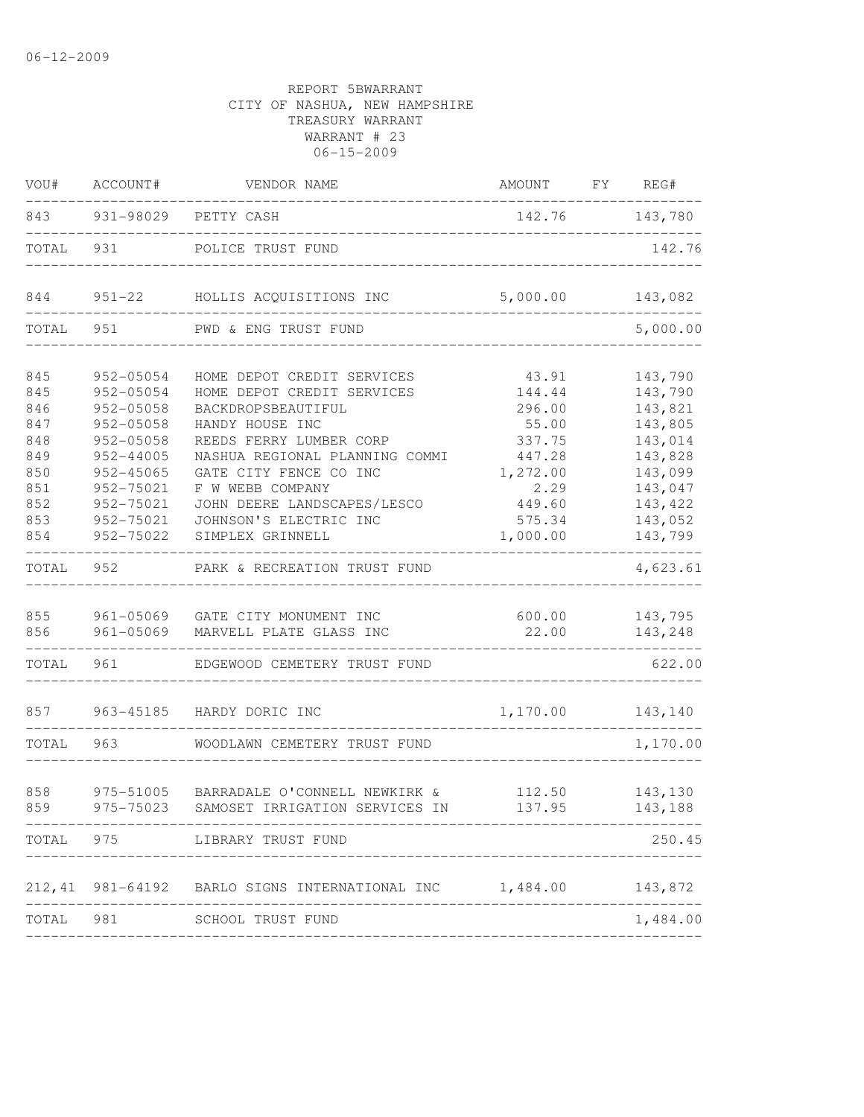| ACCOUNT#                                             | VENDOR NAME                                                                                                 | AMOUNT                                                                                                                                                                                                                            | FY REG#                                                                                                                                                                                                                    |
|------------------------------------------------------|-------------------------------------------------------------------------------------------------------------|-----------------------------------------------------------------------------------------------------------------------------------------------------------------------------------------------------------------------------------|----------------------------------------------------------------------------------------------------------------------------------------------------------------------------------------------------------------------------|
|                                                      |                                                                                                             |                                                                                                                                                                                                                                   | 142.76 143,780                                                                                                                                                                                                             |
| 931                                                  | POLICE TRUST FUND                                                                                           |                                                                                                                                                                                                                                   | 142.76                                                                                                                                                                                                                     |
|                                                      |                                                                                                             | 5,000.00                                                                                                                                                                                                                          | 143,082                                                                                                                                                                                                                    |
| 951                                                  | PWD & ENG TRUST FUND                                                                                        |                                                                                                                                                                                                                                   | 5,000.00                                                                                                                                                                                                                   |
| 952-05054<br>952-05054                               | HOME DEPOT CREDIT SERVICES<br>HOME DEPOT CREDIT SERVICES                                                    | 43.91<br>144.44                                                                                                                                                                                                                   | 143,790<br>143,790                                                                                                                                                                                                         |
| 952-05058                                            | HANDY HOUSE INC                                                                                             | 55.00                                                                                                                                                                                                                             | 143,821<br>143,805<br>143,014                                                                                                                                                                                              |
| $952 - 44005$<br>952-45065<br>952-75021<br>952-75021 | NASHUA REGIONAL PLANNING COMMI<br>GATE CITY FENCE CO INC<br>F W WEBB COMPANY<br>JOHN DEERE LANDSCAPES/LESCO | 447.28<br>1,272.00<br>2.29<br>449.60                                                                                                                                                                                              | 143,828<br>143,099<br>143,047<br>143,422                                                                                                                                                                                   |
| 952-75022                                            | SIMPLEX GRINNELL                                                                                            | 1,000.00                                                                                                                                                                                                                          | 143,052<br>143,799<br>$- - - - - -$                                                                                                                                                                                        |
| 952                                                  | PARK & RECREATION TRUST FUND                                                                                |                                                                                                                                                                                                                                   | 4,623.61                                                                                                                                                                                                                   |
|                                                      | MARVELL PLATE GLASS INC                                                                                     | 600.00<br>22.00                                                                                                                                                                                                                   | 143,795<br>143,248                                                                                                                                                                                                         |
| 961                                                  | EDGEWOOD CEMETERY TRUST FUND                                                                                |                                                                                                                                                                                                                                   | 622.00                                                                                                                                                                                                                     |
|                                                      | HARDY DORIC INC                                                                                             | 1, 170.00                                                                                                                                                                                                                         | 143,140                                                                                                                                                                                                                    |
| 963                                                  | WOODLAWN CEMETERY TRUST FUND                                                                                |                                                                                                                                                                                                                                   | 1,170.00                                                                                                                                                                                                                   |
| 975-51005<br>975-75023                               |                                                                                                             | 137.95                                                                                                                                                                                                                            | 112.50 143,130<br>143,188                                                                                                                                                                                                  |
|                                                      | LIBRARY TRUST FUND                                                                                          |                                                                                                                                                                                                                                   | 250.45                                                                                                                                                                                                                     |
|                                                      |                                                                                                             |                                                                                                                                                                                                                                   | 143,872                                                                                                                                                                                                                    |
|                                                      |                                                                                                             |                                                                                                                                                                                                                                   | 1,484.00                                                                                                                                                                                                                   |
|                                                      | 843<br>TOTAL<br>TOTAL<br>952-05058<br>952-05058<br>952-75021<br>TOTAL<br>TOTAL 981                          | 931-98029 PETTY CASH<br>951-22 HOLLIS ACQUISITIONS INC<br>BACKDROPSBEAUTIFUL<br>REEDS FERRY LUMBER CORP<br>JOHNSON'S ELECTRIC INC<br>961-05069 GATE CITY MONUMENT INC<br>961-05069<br>963-45185<br>TOTAL 975<br>SCHOOL TRUST FUND | ____________________________<br>296.00<br>337.75<br>575.34<br>BARRADALE O'CONNELL NEWKIRK &<br>SAMOSET IRRIGATION SERVICES IN<br>981-64192 BARLO SIGNS INTERNATIONAL INC 1,484.00<br>------------------------------------- |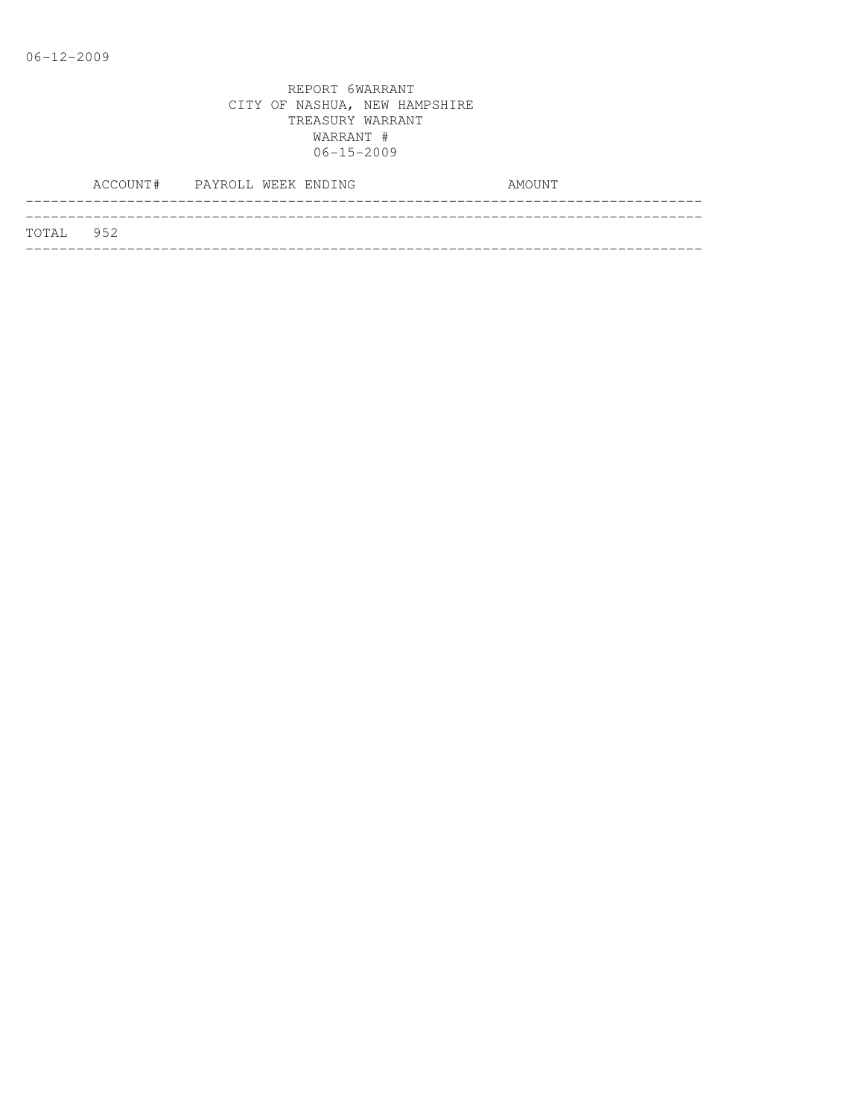|           | ACCOUNT# PAYROLL WEEK ENDING |  |  | AMOUNT |
|-----------|------------------------------|--|--|--------|
|           |                              |  |  |        |
| TOTAL 952 |                              |  |  |        |
|           |                              |  |  |        |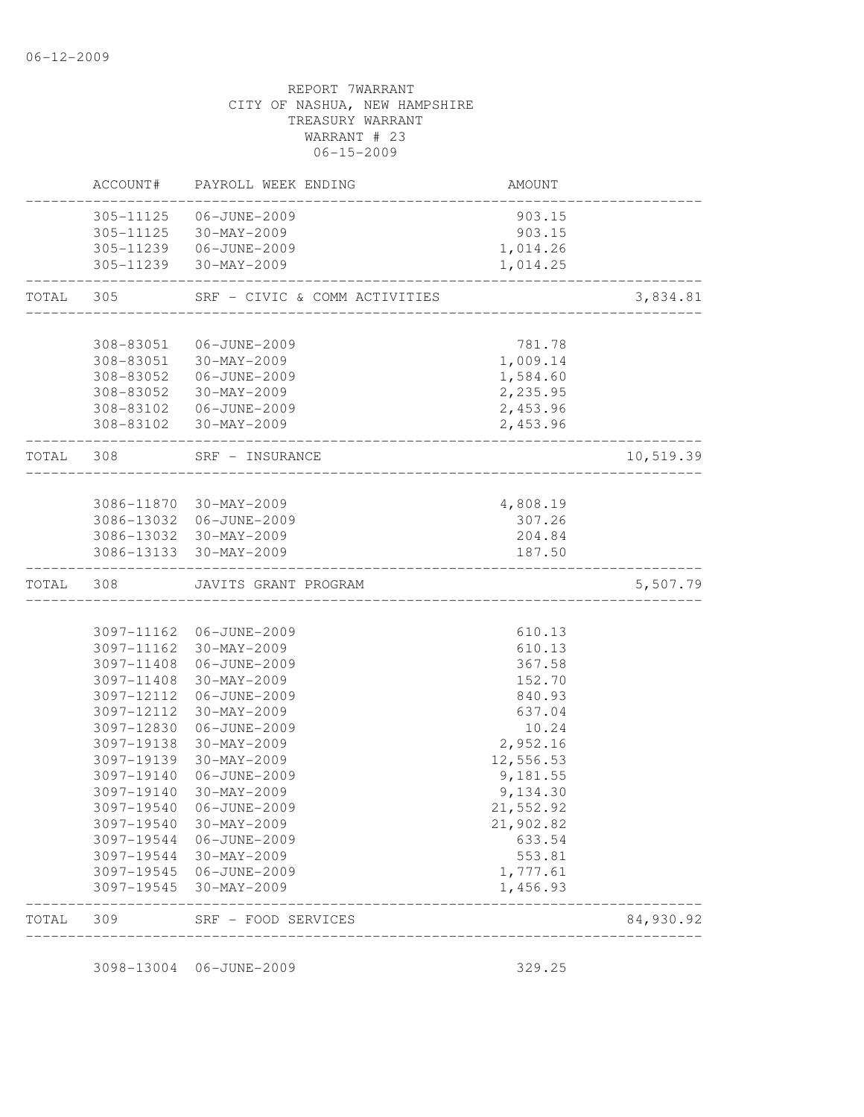# REPORT 7WARRANT CITY OF NASHUA, NEW HAMPSHIRE TREASURY WARRANT WARRANT # 23 06-15-2009 ACCOUNT# PAYROLL WEEK ENDING **AMOUNT** -------------------------------------------------------------------------------- 305-11125 06-JUNE-2009 903.15 305-11125 30-MAY-2009 903.15 305-11239 06-JUNE-2009 1,014.26 305-11239 30-MAY-2009 1,014.25 -------------------------------------------------------------------------------- TOTAL 305 SRF - CIVIC & COMM ACTIVITIES 3,834.81 -------------------------------------------------------------------------------- 308-83051 06-JUNE-2009 781.78 308-83051 30-MAY-2009 1,009.14 308-83052 06-JUNE-2009 1,584.60 308-83052 30-MAY-2009 2,235.95 308-83102 06-JUNE-2009 2,453.96 308-83102 30-MAY-2009 2,453.96 -------------------------------------------------------------------------------- TOTAL 308 SRF - INSURANCE 10,519.39 -------------------------------------------------------------------------------- 3086-11870 30-MAY-2009 4,808.19 3086-13032 06-JUNE-2009 307.26 3086-13032 30-MAY-2009 204.84 3086-13133 30-MAY-2009 187.50 -------------------------------------------------------------------------------- TOTAL 308 JAVITS GRANT PROGRAM 5,507.79 -------------------------------------------------------------------------------- 3097-11162 06-JUNE-2009 610.13 3097-11162 30-MAY-2009 610.13 3097-11408 06-JUNE-2009 367.58 3097-11408 30-MAY-2009 152.70 3097-12112 06-JUNE-2009 840.93 3097-12112 30-MAY-2009 637.04 3097-12830 06-JUNE-2009 10.24 3097-19138 30-MAY-2009 2,952.16 3097-19139 30-MAY-2009 12,556.53 3097-19140 06-JUNE-2009 9,181.55 3097-19140 30-MAY-2009 9,134.30 3097-19540 06-JUNE-2009 21,552.92 3097-19540 30-MAY-2009 21,902.82 3097-19544 06-JUNE-2009 633.54 3097-19544 30-MAY-2009 553.81 3097-19545 06-JUNE-2009 1,777.61 3097-19545 30-MAY-2009 1,456.93 -------------------------------------------------------------------------------- TOTAL 309 SRF - FOOD SERVICES 84,930.92 --------------------------------------------------------------------------------

3098-13004 06-JUNE-2009 329.25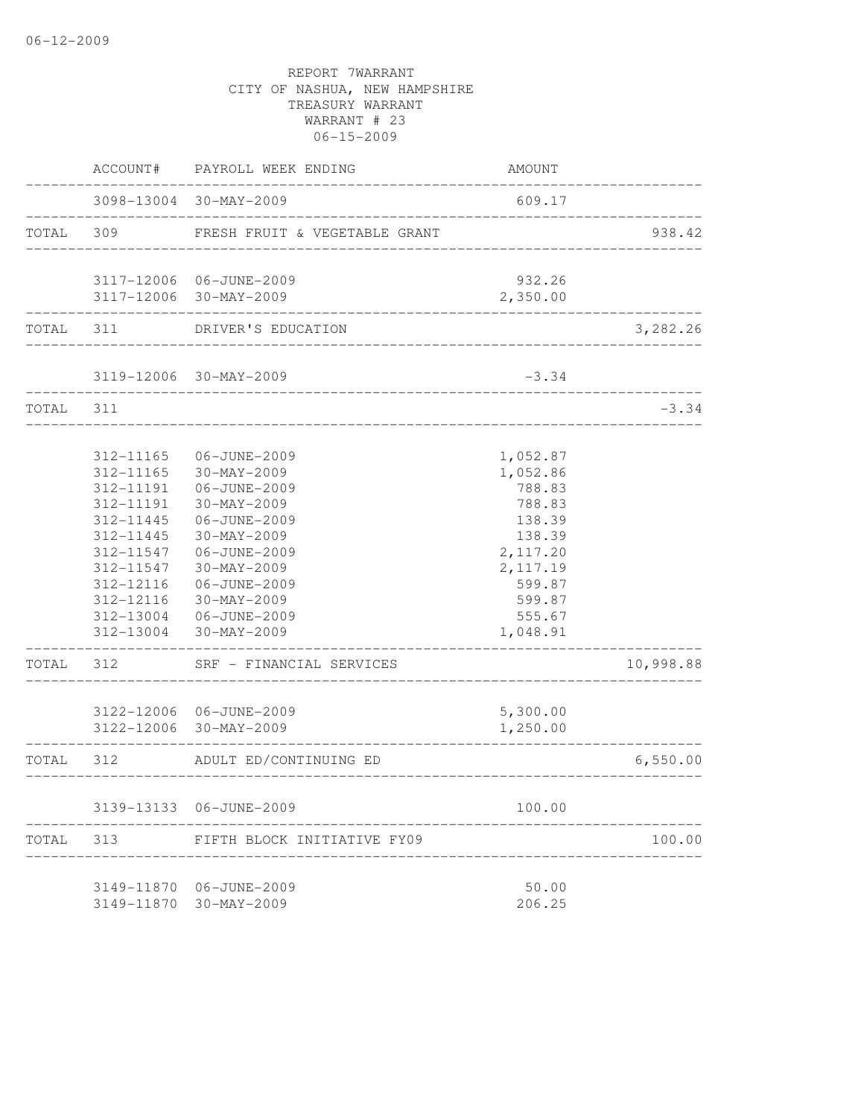|           | ACCOUNT#                                         | PAYROLL WEEK ENDING                                                | <b>AMOUNT</b>                          |           |
|-----------|--------------------------------------------------|--------------------------------------------------------------------|----------------------------------------|-----------|
|           |                                                  | 3098-13004 30-MAY-2009                                             | 609.17                                 |           |
| TOTAL     | 309                                              | FRESH FRUIT & VEGETABLE GRANT                                      |                                        | 938.42    |
|           |                                                  | 3117-12006 06-JUNE-2009                                            | 932.26                                 |           |
|           |                                                  | 3117-12006 30-MAY-2009                                             | 2,350.00                               |           |
| TOTAL 311 |                                                  | DRIVER'S EDUCATION                                                 |                                        | 3,282.26  |
|           |                                                  | 3119-12006 30-MAY-2009                                             | $-3.34$                                |           |
| TOTAL     | 311                                              |                                                                    |                                        | $-3.34$   |
|           | 312-11165<br>312-11165<br>312-11191              | 06-JUNE-2009<br>30-MAY-2009<br>06-JUNE-2009                        | 1,052.87<br>1,052.86<br>788.83         |           |
|           | 312-11191<br>312-11445<br>312-11445<br>312-11547 | $30 - MAX - 2009$<br>06-JUNE-2009<br>$30-MAY-2009$<br>06-JUNE-2009 | 788.83<br>138.39<br>138.39<br>2,117.20 |           |
|           | 312-11547<br>312-12116<br>312-12116              | 30-MAY-2009<br>06-JUNE-2009<br>30-MAY-2009                         | 2, 117.19<br>599.87<br>599.87          |           |
|           | 312-13004<br>312-13004                           | 06-JUNE-2009<br>30-MAY-2009                                        | 555.67<br>1,048.91                     |           |
| TOTAL     | 312                                              | SRF - FINANCIAL SERVICES                                           |                                        | 10,998.88 |
|           |                                                  | 3122-12006 06-JUNE-2009<br>3122-12006 30-MAY-2009                  | 5,300.00<br>1,250.00                   |           |
| TOTAL     | 312                                              | ADULT ED/CONTINUING ED                                             |                                        | 6,550.00  |
|           |                                                  | 3139-13133 06-JUNE-2009                                            | 100.00                                 |           |
| TOTAL     | 313                                              | FIFTH BLOCK INITIATIVE FY09                                        |                                        | 100.00    |
|           | 3149-11870                                       | 3149-11870 06-JUNE-2009<br>$30 - MAX - 2009$                       | 50.00<br>206.25                        |           |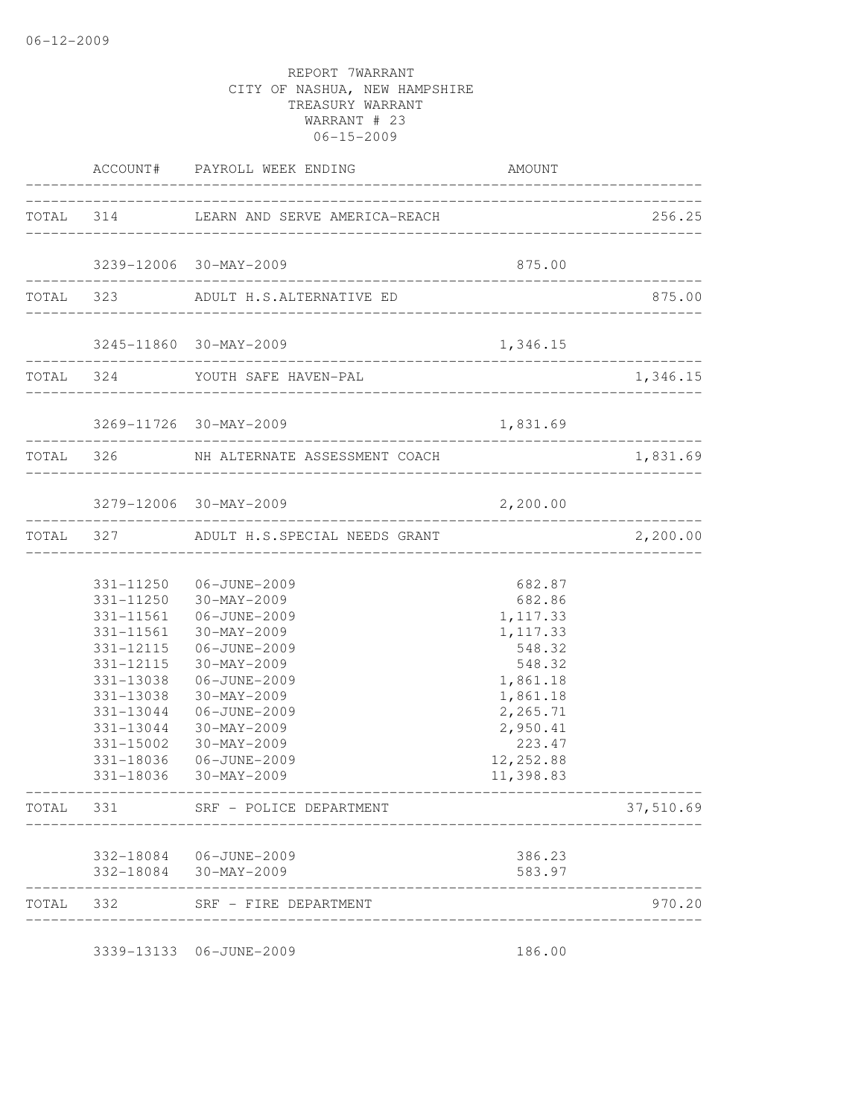|       |                                                                                                                                             | ACCOUNT# PAYROLL WEEK ENDING                                                                                                                                                                                                           | AMOUNT                                                                                                                                              |                             |
|-------|---------------------------------------------------------------------------------------------------------------------------------------------|----------------------------------------------------------------------------------------------------------------------------------------------------------------------------------------------------------------------------------------|-----------------------------------------------------------------------------------------------------------------------------------------------------|-----------------------------|
|       |                                                                                                                                             | TOTAL 314 LEARN AND SERVE AMERICA-REACH                                                                                                                                                                                                |                                                                                                                                                     | 256.25                      |
|       |                                                                                                                                             | 3239-12006 30-MAY-2009                                                                                                                                                                                                                 | 875.00                                                                                                                                              |                             |
|       |                                                                                                                                             | ---------------------------------<br>TOTAL 323 ADULT H.S.ALTERNATIVE ED                                                                                                                                                                |                                                                                                                                                     | 875.00                      |
|       |                                                                                                                                             | 3245-11860 30-MAY-2009                                                                                                                                                                                                                 | 1,346.15                                                                                                                                            |                             |
|       |                                                                                                                                             | TOTAL 324 YOUTH SAFE HAVEN-PAL                                                                                                                                                                                                         |                                                                                                                                                     | 1,346.15                    |
|       |                                                                                                                                             | 3269-11726 30-MAY-2009                                                                                                                                                                                                                 | 1,831.69                                                                                                                                            |                             |
|       |                                                                                                                                             | TOTAL 326 NH ALTERNATE ASSESSMENT COACH                                                                                                                                                                                                |                                                                                                                                                     | 1,831.69                    |
|       |                                                                                                                                             | 3279-12006 30-MAY-2009                                                                                                                                                                                                                 | 2,200.00                                                                                                                                            |                             |
|       |                                                                                                                                             | ________________________________<br>TOTAL 327 ADULT H.S.SPECIAL NEEDS GRANT                                                                                                                                                            |                                                                                                                                                     | _______________<br>2,200.00 |
|       | 331-11561<br>331-11561<br>331-12115<br>331-12115<br>331-13038<br>331-13038<br>331-13044<br>331-13044<br>331-15002<br>331-18036<br>331-18036 | 331-11250 06-JUNE-2009<br>331-11250 30-MAY-2009<br>06-JUNE-2009<br>30-MAY-2009<br>06-JUNE-2009<br>30-MAY-2009<br>06-JUNE-2009<br>30-MAY-2009<br>06-JUNE-2009<br>30-MAY-2009<br>$30 - \text{MAX} - 2009$<br>06-JUNE-2009<br>30-MAY-2009 | 682.87<br>682.86<br>1, 117.33<br>1, 117.33<br>548.32<br>548.32<br>1,861.18<br>1,861.18<br>2,265.71<br>2,950.41<br>223.47<br>12, 252.88<br>11,398.83 |                             |
| TOTAL | 331                                                                                                                                         | SRF - POLICE DEPARTMENT                                                                                                                                                                                                                |                                                                                                                                                     | 37,510.69                   |
|       |                                                                                                                                             | 332-18084 06-JUNE-2009<br>332-18084 30-MAY-2009                                                                                                                                                                                        | 386.23<br>583.97                                                                                                                                    |                             |
| TOTAL | 332                                                                                                                                         | SRF - FIRE DEPARTMENT                                                                                                                                                                                                                  |                                                                                                                                                     | 970.20                      |
|       |                                                                                                                                             | 3339-13133 06-JUNE-2009                                                                                                                                                                                                                | 186.00                                                                                                                                              |                             |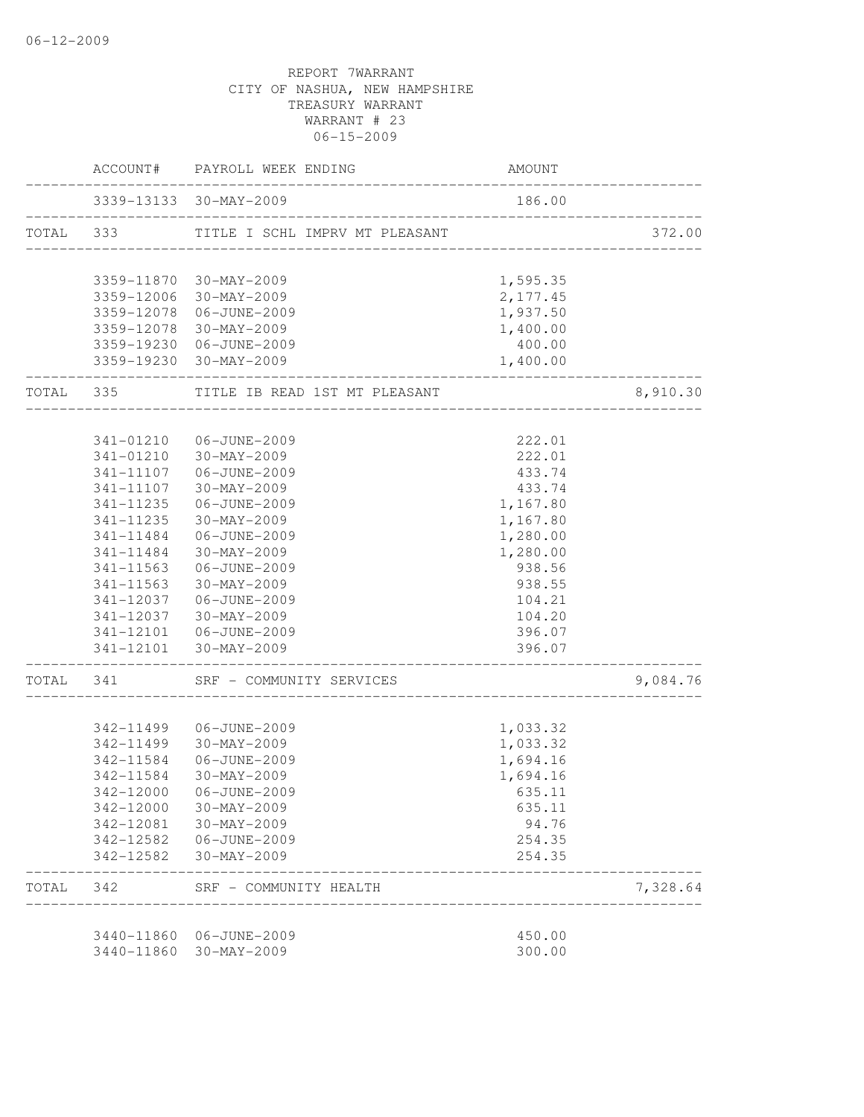|           |           | ACCOUNT# PAYROLL WEEK ENDING                | <b>AMOUNT</b> |          |
|-----------|-----------|---------------------------------------------|---------------|----------|
|           |           | 3339-13133 30-MAY-2009                      | 186.00        |          |
| TOTAL 333 |           | TITLE I SCHL IMPRV MT PLEASANT              |               | 372.00   |
|           |           | 3359-11870 30-MAY-2009                      | 1,595.35      |          |
|           |           | 3359-12006 30-MAY-2009                      | 2,177.45      |          |
|           |           | 3359-12078 06-JUNE-2009                     | 1,937.50      |          |
|           |           | 3359-12078 30-MAY-2009                      | 1,400.00      |          |
|           |           | 3359-19230 06-JUNE-2009                     | 400.00        |          |
|           |           | 3359-19230 30-MAY-2009                      | 1,400.00      |          |
| TOTAL 335 |           | TITLE IB READ 1ST MT PLEASANT               |               | 8,910.30 |
|           |           | 341-01210 06-JUNE-2009                      | 222.01        |          |
|           | 341-01210 | 30-MAY-2009                                 | 222.01        |          |
|           |           | 341-11107 06-JUNE-2009                      | 433.74        |          |
|           | 341-11107 | 30-MAY-2009                                 | 433.74        |          |
|           | 341-11235 | 06-JUNE-2009                                | 1,167.80      |          |
|           | 341-11235 | 30-MAY-2009                                 | 1,167.80      |          |
|           | 341-11484 | 06-JUNE-2009                                | 1,280.00      |          |
|           | 341-11484 | 30-MAY-2009                                 | 1,280.00      |          |
|           | 341-11563 | 06-JUNE-2009                                | 938.56        |          |
|           | 341-11563 | 30-MAY-2009                                 | 938.55        |          |
|           | 341-12037 | 06-JUNE-2009                                | 104.21        |          |
|           | 341-12037 | 30-MAY-2009                                 | 104.20        |          |
|           |           |                                             | 396.07        |          |
|           |           | 341-12101 30-MAY-2009                       | 396.07        |          |
| TOTAL     | 341       | SRF - COMMUNITY SERVICES                    |               | 9,084.76 |
|           |           |                                             |               |          |
|           |           | 342-11499 06-JUNE-2009                      | 1,033.32      |          |
|           | 342-11499 | 30-MAY-2009                                 | 1,033.32      |          |
|           | 342-11584 | 06-JUNE-2009                                | 1,694.16      |          |
|           | 342-11584 | 30-MAY-2009                                 | 1,694.16      |          |
|           |           | 342-12000 06-JUNE-2009                      | 635.11        |          |
|           |           | 342-12000 30-MAY-2009                       | 635.11        |          |
|           |           | 342-12081 30-MAY-2009                       | 94.76         |          |
|           |           | 342-12582    06-JUNE-2009                   | 254.35        |          |
|           |           | 342-12582 30-MAY-2009                       | 254.35        |          |
| TOTAL 342 |           | SRF - COMMUNITY HEALTH<br>_________________ |               | 7,328.64 |
|           |           | 3440-11860 06-JUNE-2009                     | 450.00        |          |
|           |           | 3440-11860 30-MAY-2009                      | 300.00        |          |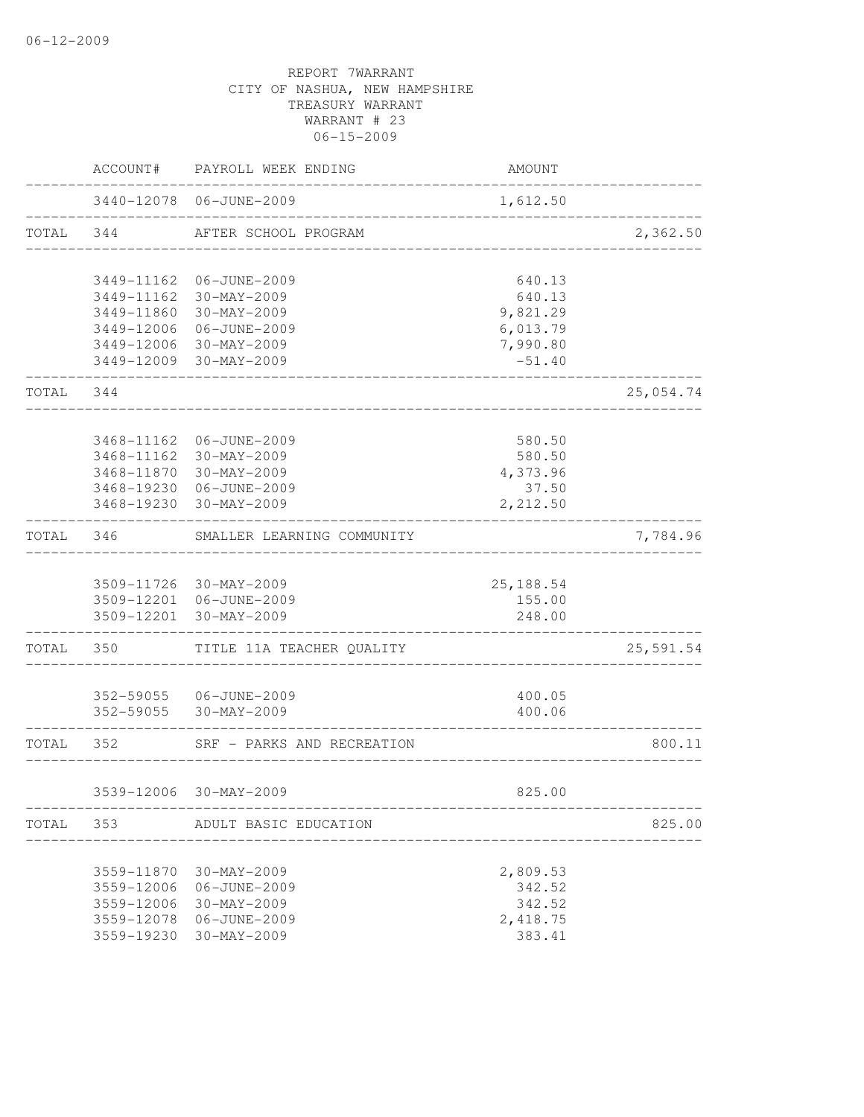|           | ACCOUNT#   | PAYROLL WEEK ENDING                               | <b>AMOUNT</b>        |           |
|-----------|------------|---------------------------------------------------|----------------------|-----------|
|           |            | 3440-12078 06-JUNE-2009                           | 1,612.50             |           |
| TOTAL     | 344        | AFTER SCHOOL PROGRAM                              |                      | 2,362.50  |
|           |            | 3449-11162 06-JUNE-2009                           | 640.13               |           |
|           |            | 3449-11162 30-MAY-2009                            | 640.13               |           |
|           | 3449-11860 | 30-MAY-2009                                       | 9,821.29             |           |
|           |            | 3449-12006 06-JUNE-2009                           | 6,013.79             |           |
|           |            | 3449-12006 30-MAY-2009                            | 7,990.80             |           |
|           |            | 3449-12009 30-MAY-2009                            | $-51.40$             |           |
| TOTAL     | 344        |                                                   |                      | 25,054.74 |
|           |            |                                                   |                      |           |
|           | 3468-11162 | 3468-11162 06-JUNE-2009<br>30-MAY-2009            | 580.50<br>580.50     |           |
|           | 3468-11870 | 30-MAY-2009                                       | 4,373.96             |           |
|           |            | 3468-19230 06-JUNE-2009                           | 37.50                |           |
|           |            | 3468-19230 30-MAY-2009                            | 2,212.50             |           |
| TOTAL     | 346        | SMALLER LEARNING COMMUNITY                        |                      | 7,784.96  |
|           |            |                                                   |                      |           |
|           |            | 3509-11726 30-MAY-2009<br>3509-12201 06-JUNE-2009 | 25, 188.54<br>155.00 |           |
|           | 3509-12201 | 30-MAY-2009                                       | 248.00               |           |
| TOTAL     | 350        | TITLE 11A TEACHER QUALITY                         |                      | 25,591.54 |
|           |            |                                                   |                      |           |
|           |            | 352-59055 06-JUNE-2009<br>352-59055 30-MAY-2009   | 400.05<br>400.06     |           |
| TOTAL 352 |            | SRF - PARKS AND RECREATION                        |                      | 800.11    |
|           |            |                                                   |                      |           |
|           |            | 3539-12006 30-MAY-2009                            | 825.00               |           |
| TOTAL     | 353        | ADULT BASIC EDUCATION                             |                      | 825.00    |
|           | 3559-11870 | 30-MAY-2009                                       | 2,809.53             |           |
|           | 3559-12006 | 06-JUNE-2009                                      | 342.52               |           |
|           | 3559-12006 | 30-MAY-2009                                       | 342.52               |           |
|           | 3559-12078 | 06-JUNE-2009                                      | 2,418.75             |           |
|           | 3559-19230 | 30-MAY-2009                                       | 383.41               |           |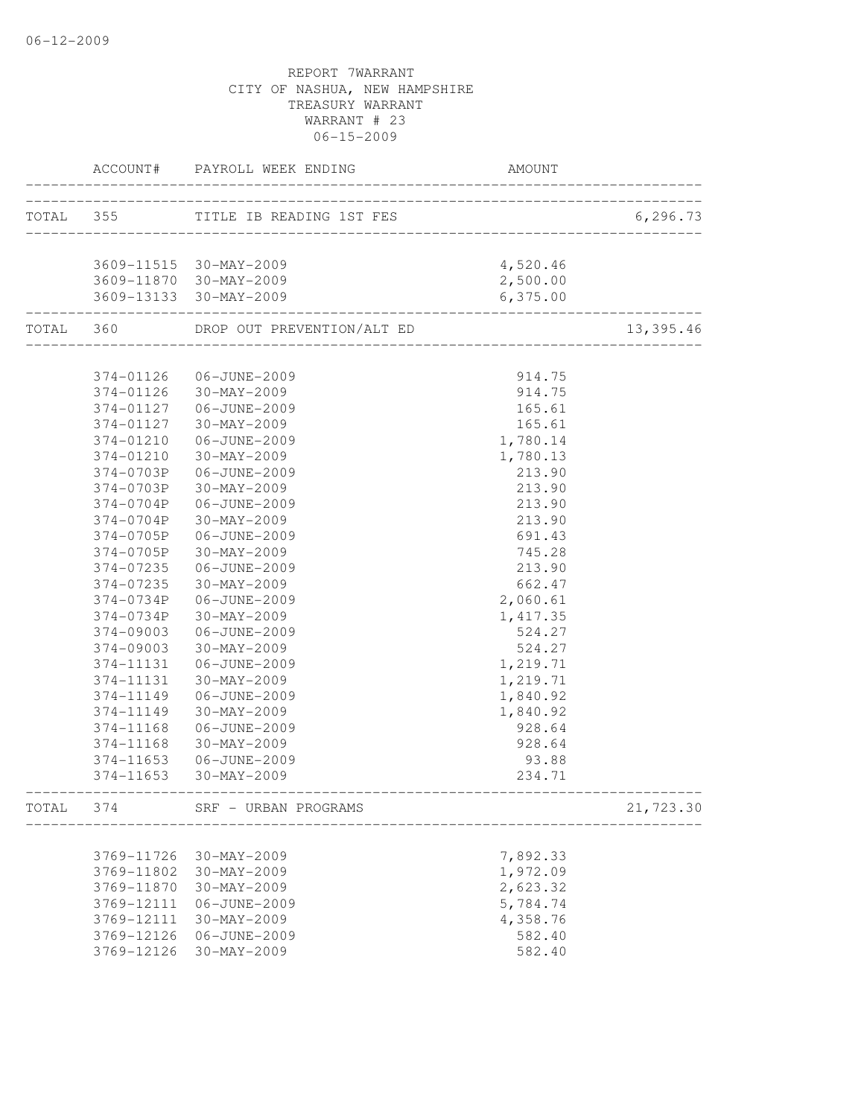|           |            | ACCOUNT# PAYROLL WEEK ENDING       | AMOUNT                   |           |
|-----------|------------|------------------------------------|--------------------------|-----------|
|           |            | TOTAL 355 TITLE IB READING 1ST FES |                          | 6, 296.73 |
|           |            |                                    | ________________________ |           |
|           |            | 3609-11515 30-MAY-2009             | 4,520.46                 |           |
|           |            | 3609-11870 30-MAY-2009             | 2,500.00                 |           |
|           |            | 3609-13133 30-MAY-2009             | 6, 375.00                |           |
| TOTAL 360 |            | DROP OUT PREVENTION/ALT ED         |                          | 13,395.46 |
|           |            |                                    |                          |           |
|           | 374-01126  | 06-JUNE-2009                       | 914.75                   |           |
|           |            | 374-01126 30-MAY-2009              | 914.75                   |           |
|           |            | 374-01127   06-JUNE-2009           | 165.61                   |           |
|           | 374-01127  | 30-MAY-2009                        | 165.61                   |           |
|           | 374-01210  | 06-JUNE-2009                       | 1,780.14                 |           |
|           | 374-01210  | 30-MAY-2009                        | 1,780.13                 |           |
|           | 374-0703P  | 06-JUNE-2009                       | 213.90                   |           |
|           | 374-0703P  | 30-MAY-2009                        | 213.90                   |           |
|           | 374-0704P  | 06-JUNE-2009                       | 213.90                   |           |
|           | 374-0704P  | $30 - MAX - 2009$                  | 213.90                   |           |
|           | 374-0705P  | 06-JUNE-2009                       | 691.43                   |           |
|           | 374-0705P  | 30-MAY-2009                        | 745.28                   |           |
|           | 374-07235  | 06-JUNE-2009                       | 213.90                   |           |
|           | 374-07235  | 30-MAY-2009                        | 662.47                   |           |
|           | 374-0734P  | 06-JUNE-2009                       | 2,060.61                 |           |
|           | 374-0734P  | 30-MAY-2009                        | 1,417.35                 |           |
|           | 374-09003  | 06-JUNE-2009                       | 524.27                   |           |
|           | 374-09003  | 30-MAY-2009                        | 524.27                   |           |
|           | 374-11131  | 06-JUNE-2009                       | 1,219.71                 |           |
|           | 374-11131  | 30-MAY-2009                        | 1,219.71                 |           |
|           | 374-11149  | 06-JUNE-2009                       | 1,840.92                 |           |
|           | 374-11149  | 30-MAY-2009                        | 1,840.92                 |           |
|           | 374-11168  | 06-JUNE-2009                       | 928.64                   |           |
|           | 374-11168  | 30-MAY-2009                        | 928.64                   |           |
|           | 374-11653  | 06-JUNE-2009                       | 93.88                    |           |
|           | 374-11653  | 30-MAY-2009                        | 234.71                   |           |
| TOTAL     | 374        | SRF - URBAN PROGRAMS               |                          | 21,723.30 |
|           |            |                                    |                          |           |
|           | 3769-11726 | 30-MAY-2009                        | 7,892.33                 |           |
|           | 3769-11802 | 30-MAY-2009                        | 1,972.09                 |           |
|           | 3769-11870 | $30 - MAX - 2009$                  | 2,623.32                 |           |
|           | 3769-12111 | 06-JUNE-2009                       | 5,784.74                 |           |
|           | 3769-12111 | 30-MAY-2009                        | 4,358.76                 |           |
|           | 3769-12126 | 06-JUNE-2009                       | 582.40                   |           |
|           | 3769-12126 | 30-MAY-2009                        | 582.40                   |           |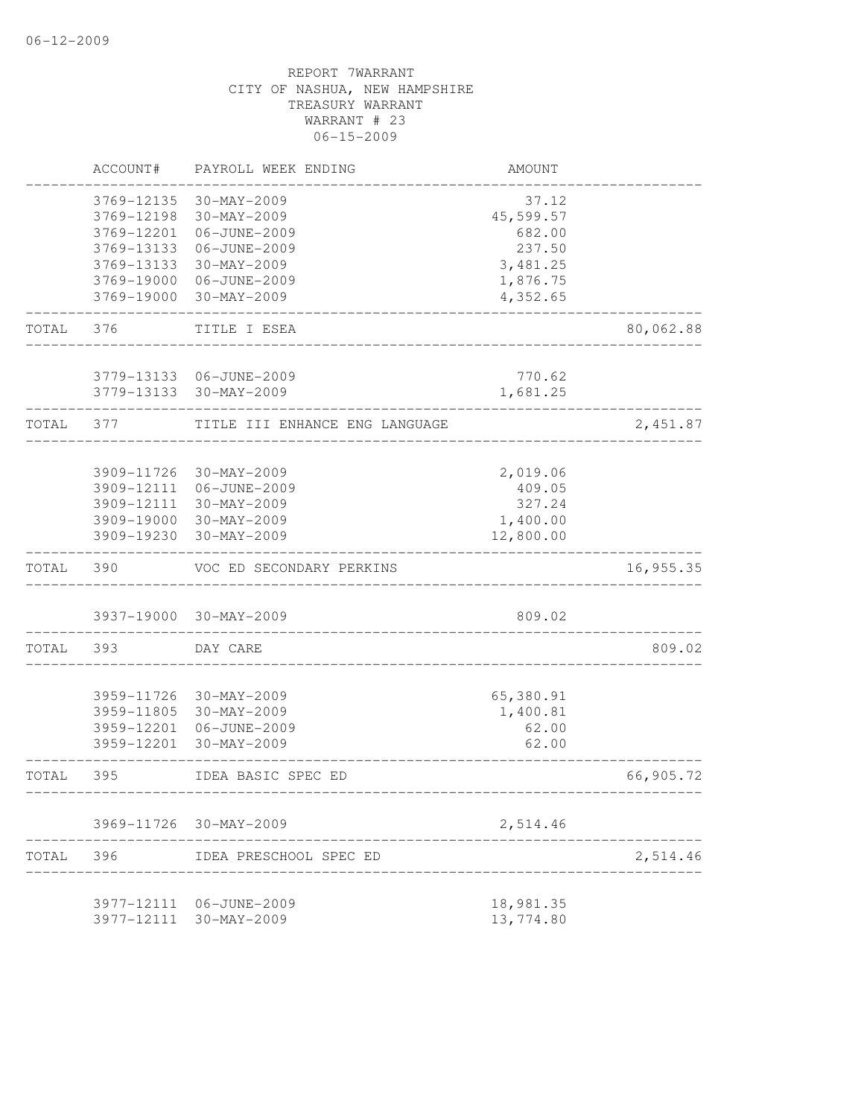|       | ACCOUNT#   | PAYROLL WEEK ENDING                  | AMOUNT    |           |
|-------|------------|--------------------------------------|-----------|-----------|
|       | 3769-12135 | 30-MAY-2009                          | 37.12     |           |
|       | 3769-12198 | 30-MAY-2009                          | 45,599.57 |           |
|       | 3769-12201 | 06-JUNE-2009                         | 682.00    |           |
|       | 3769-13133 | 06-JUNE-2009                         | 237.50    |           |
|       | 3769-13133 | 30-MAY-2009                          | 3,481.25  |           |
|       | 3769-19000 | 06-JUNE-2009                         | 1,876.75  |           |
|       | 3769-19000 | 30-MAY-2009                          | 4,352.65  |           |
| TOTAL | 376        | TITLE I ESEA                         |           | 80,062.88 |
|       |            | 3779-13133 06-JUNE-2009              | 770.62    |           |
|       |            | 3779-13133 30-MAY-2009               | 1,681.25  |           |
| TOTAL | 377        | TITLE III ENHANCE ENG LANGUAGE       |           | 2,451.87  |
|       |            |                                      |           |           |
|       | 3909-11726 | $30 - MAX - 2009$                    | 2,019.06  |           |
|       | 3909-12111 | 06-JUNE-2009                         | 409.05    |           |
|       |            | 3909-12111 30-MAY-2009               | 327.24    |           |
|       |            | 3909-19000 30-MAY-2009               | 1,400.00  |           |
|       | 3909-19230 | 30-MAY-2009                          | 12,800.00 |           |
| TOTAL | 390        | VOC ED SECONDARY PERKINS             |           | 16,955.35 |
|       |            | 3937-19000 30-MAY-2009               | 809.02    |           |
| TOTAL | 393        | DAY CARE                             |           | 809.02    |
|       |            |                                      |           |           |
|       | 3959-11726 | 30-MAY-2009                          | 65,380.91 |           |
|       | 3959-11805 | 30-MAY-2009                          | 1,400.81  |           |
|       | 3959-12201 | 06-JUNE-2009                         | 62.00     |           |
|       | 3959-12201 | 30-MAY-2009                          | 62.00     |           |
| TOTAL | 395        | IDEA BASIC SPEC ED<br>-------------- |           | 66,905.72 |
|       |            | 3969-11726 30-MAY-2009               | 2,514.46  |           |
| TOTAL | 396        | IDEA PRESCHOOL SPEC ED               |           | 2,514.46  |
|       |            | 3977-12111 06-JUNE-2009              | 18,981.35 |           |
|       | 3977-12111 | 30-MAY-2009                          | 13,774.80 |           |
|       |            |                                      |           |           |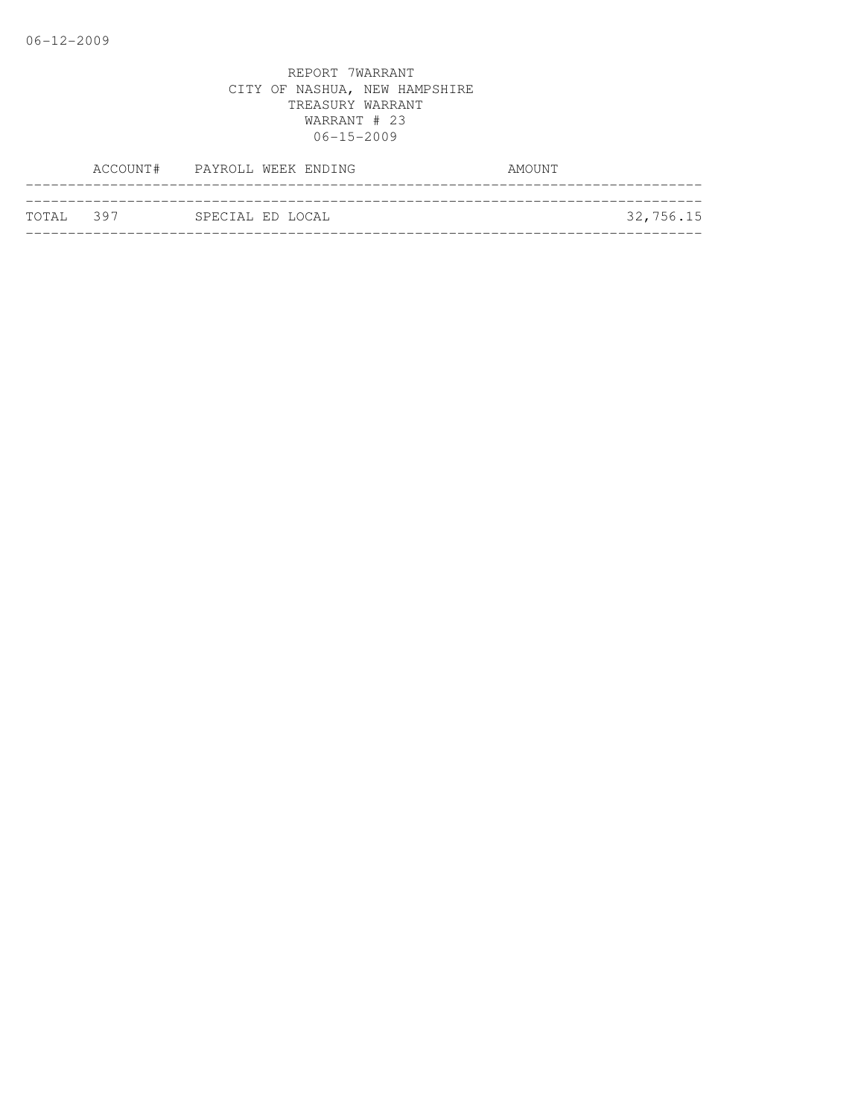|           | ACCOUNT# PAYROLL WEEK ENDING | AMOUNT    |
|-----------|------------------------------|-----------|
|           |                              |           |
| TOTAL 397 | SPECIAL ED LOCAL             | 32,756.15 |
|           |                              |           |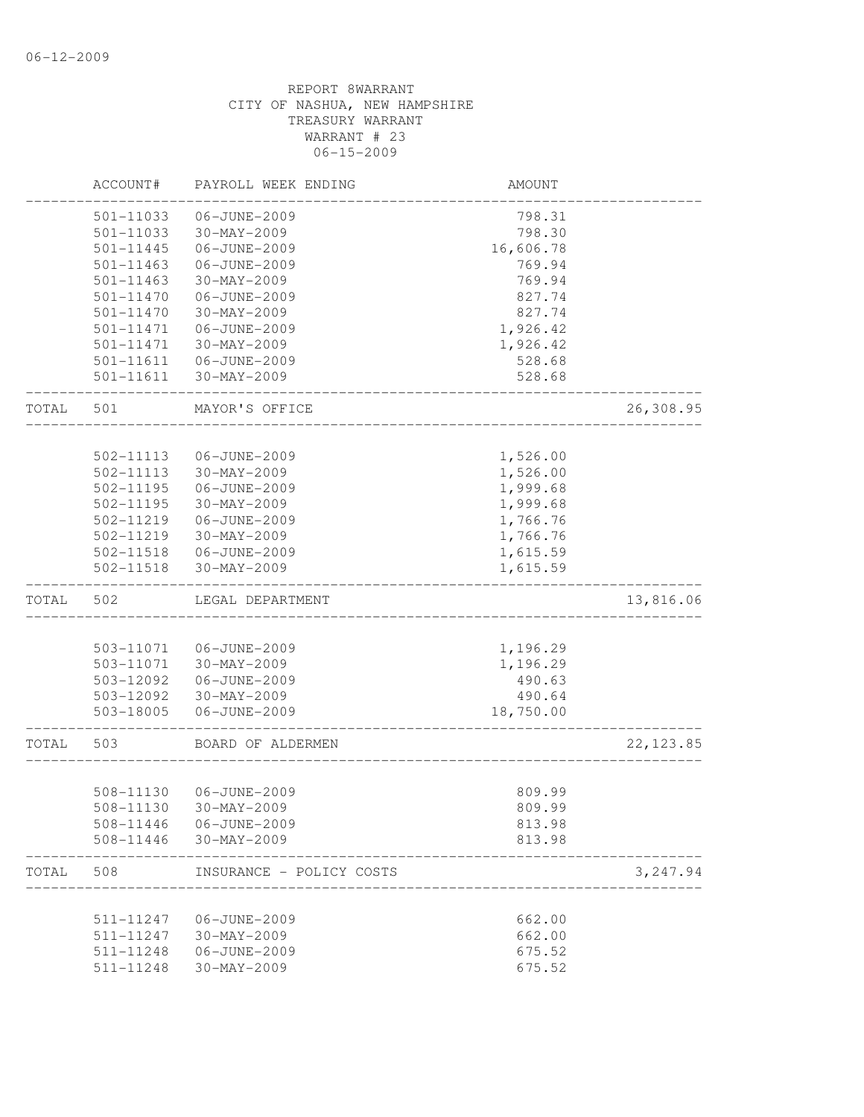|       | ACCOUNT#               | PAYROLL WEEK ENDING               | AMOUNT    |            |
|-------|------------------------|-----------------------------------|-----------|------------|
|       | 501-11033              | 06-JUNE-2009                      | 798.31    |            |
|       | 501-11033              | 30-MAY-2009                       | 798.30    |            |
|       | 501-11445              | 06-JUNE-2009                      | 16,606.78 |            |
|       | $501 - 11463$          | 06-JUNE-2009                      | 769.94    |            |
|       | $501 - 11463$          | 30-MAY-2009                       | 769.94    |            |
|       | 501-11470              | 06-JUNE-2009                      | 827.74    |            |
|       | 501-11470              | 30-MAY-2009                       | 827.74    |            |
|       | 501-11471              | 06-JUNE-2009                      | 1,926.42  |            |
|       | 501-11471              | 30-MAY-2009                       | 1,926.42  |            |
|       | 501-11611              | 06-JUNE-2009                      | 528.68    |            |
|       | 501-11611              | 30-MAY-2009                       | 528.68    |            |
| TOTAL | 501                    | MAYOR'S OFFICE                    |           | 26,308.95  |
|       |                        |                                   |           |            |
|       | 502-11113<br>502-11113 | 06-JUNE-2009<br>30-MAY-2009       | 1,526.00  |            |
|       |                        |                                   | 1,526.00  |            |
|       | 502-11195              | 06-JUNE-2009<br>$30 - MAX - 2009$ | 1,999.68  |            |
|       | 502-11195              |                                   | 1,999.68  |            |
|       | 502-11219              | 06-JUNE-2009                      | 1,766.76  |            |
|       | 502-11219              | 30-MAY-2009                       | 1,766.76  |            |
|       | 502-11518              | 06-JUNE-2009                      | 1,615.59  |            |
|       | 502-11518              | 30-MAY-2009                       | 1,615.59  |            |
| TOTAL | 502                    | LEGAL DEPARTMENT                  |           | 13,816.06  |
|       |                        |                                   |           |            |
|       | 503-11071              | 06-JUNE-2009                      | 1,196.29  |            |
|       | 503-11071              | 30-MAY-2009                       | 1,196.29  |            |
|       | 503-12092              | 06-JUNE-2009                      | 490.63    |            |
|       | 503-12092              | 30-MAY-2009                       | 490.64    |            |
|       | 503-18005              | 06-JUNE-2009                      | 18,750.00 |            |
| TOTAL | 503                    | BOARD OF ALDERMEN                 |           | 22, 123.85 |
|       |                        |                                   |           |            |
|       | 508-11130              | 06-JUNE-2009                      | 809.99    |            |
|       | 508-11130              | $30 - MAX - 2009$                 | 809.99    |            |
|       | 508-11446              | 06-JUNE-2009                      | 813.98    |            |
|       | 508-11446              | 30-MAY-2009                       | 813.98    |            |
| TOTAL | 508                    | INSURANCE - POLICY COSTS          |           | 3,247.94   |
|       | 511-11247              | 06-JUNE-2009                      | 662.00    |            |
|       | 511-11247              | $30 - MAX - 2009$                 | 662.00    |            |
|       | 511-11248              | 06-JUNE-2009                      | 675.52    |            |
|       | 511-11248              | 30-MAY-2009                       | 675.52    |            |
|       |                        |                                   |           |            |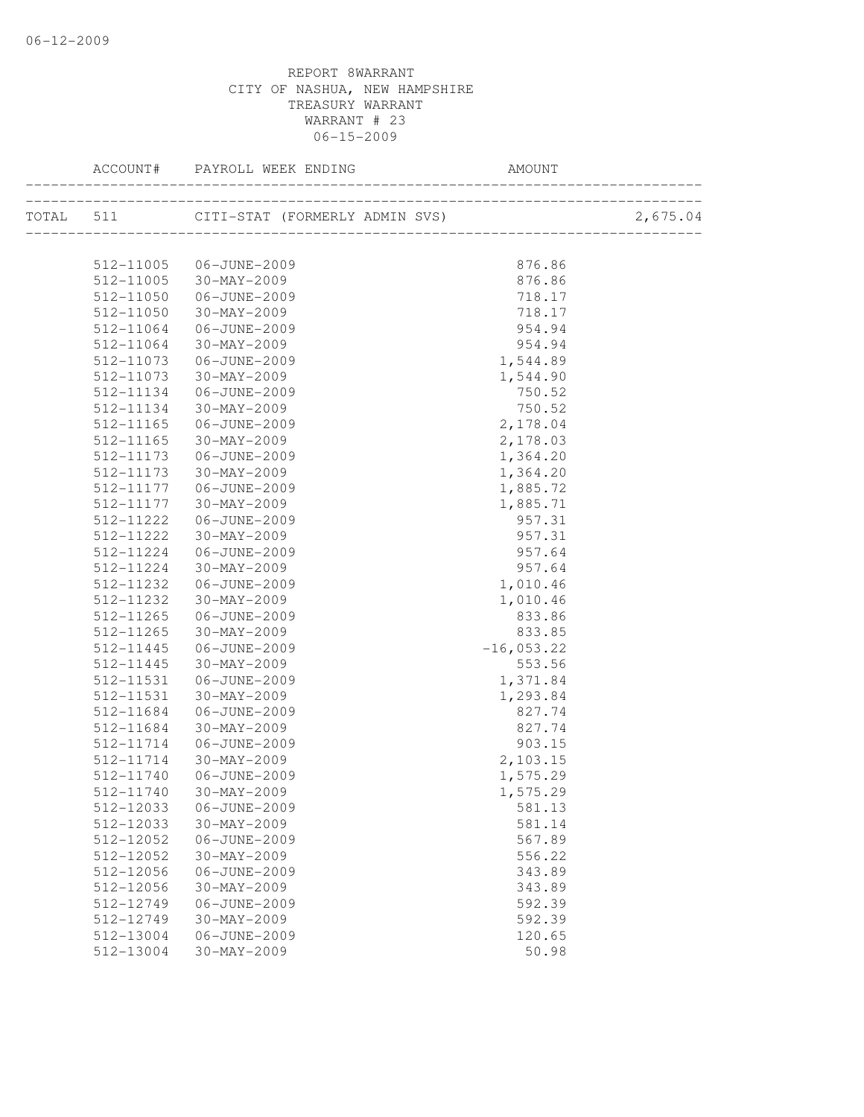|           | ACCOUNT# PAYROLL WEEK ENDING             | AMOUNT                           |          |
|-----------|------------------------------------------|----------------------------------|----------|
|           | TOTAL 511 CITI-STAT (FORMERLY ADMIN SVS) | ________________________________ | 2,675.04 |
|           |                                          |                                  |          |
| 512-11005 | 06-JUNE-2009                             | 876.86                           |          |
|           | 512-11005 30-MAY-2009                    | 876.86                           |          |
| 512-11050 | 06-JUNE-2009                             | 718.17                           |          |
| 512-11050 | 30-MAY-2009                              | 718.17                           |          |
| 512-11064 | 06-JUNE-2009                             | 954.94                           |          |
| 512-11064 | 30-MAY-2009                              | 954.94                           |          |
| 512-11073 | 06-JUNE-2009                             | 1,544.89                         |          |
| 512-11073 | 30-MAY-2009                              | 1,544.90                         |          |
| 512-11134 | 06-JUNE-2009                             | 750.52                           |          |
| 512-11134 | 30-MAY-2009                              | 750.52                           |          |
| 512-11165 | 06-JUNE-2009                             | 2,178.04                         |          |
| 512-11165 | 30-MAY-2009                              | 2,178.03                         |          |
| 512-11173 | 06-JUNE-2009                             | 1,364.20                         |          |
| 512-11173 | 30-MAY-2009                              | 1,364.20                         |          |
| 512-11177 | 06-JUNE-2009                             | 1,885.72                         |          |
| 512-11177 | 30-MAY-2009                              | 1,885.71                         |          |
| 512-11222 | 06-JUNE-2009                             | 957.31                           |          |
| 512-11222 | 30-MAY-2009                              | 957.31                           |          |
| 512-11224 | 06-JUNE-2009                             | 957.64                           |          |
| 512-11224 | 30-MAY-2009                              | 957.64                           |          |
| 512-11232 | 06-JUNE-2009                             | 1,010.46                         |          |
| 512-11232 | 30-MAY-2009                              | 1,010.46                         |          |
| 512-11265 | 06-JUNE-2009                             | 833.86                           |          |
| 512-11265 | 30-MAY-2009                              | 833.85                           |          |
| 512-11445 | 06-JUNE-2009                             | $-16,053.22$                     |          |
| 512-11445 | 30-MAY-2009                              | 553.56                           |          |
| 512-11531 | 06-JUNE-2009                             | 1,371.84                         |          |
| 512-11531 | 30-MAY-2009                              | 1,293.84                         |          |
| 512-11684 | 06-JUNE-2009                             | 827.74                           |          |
| 512-11684 | $30 - MAX - 2009$                        | 827.74                           |          |
| 512-11714 | 06-JUNE-2009                             | 903.15                           |          |
| 512-11714 | 30-MAY-2009                              | 2,103.15                         |          |
| 512-11740 | 06-JUNE-2009                             | 1,575.29                         |          |
|           | 512-11740 30-MAY-2009                    | 1,575.29                         |          |
| 512-12033 | 06-JUNE-2009                             | 581.13                           |          |
| 512-12033 | $30-MAY-2009$                            | 581.14                           |          |
| 512-12052 | 06-JUNE-2009                             | 567.89                           |          |
| 512-12052 | $30 - MAX - 2009$                        | 556.22                           |          |
| 512-12056 | 06-JUNE-2009                             | 343.89                           |          |
| 512-12056 | $30 - MAX - 2009$                        | 343.89                           |          |
| 512-12749 | 06-JUNE-2009                             | 592.39                           |          |
| 512-12749 | $30 - MAX - 2009$                        | 592.39                           |          |
| 512-13004 | 06-JUNE-2009                             | 120.65                           |          |
| 512-13004 | $30 - MAX - 2009$                        | 50.98                            |          |
|           |                                          |                                  |          |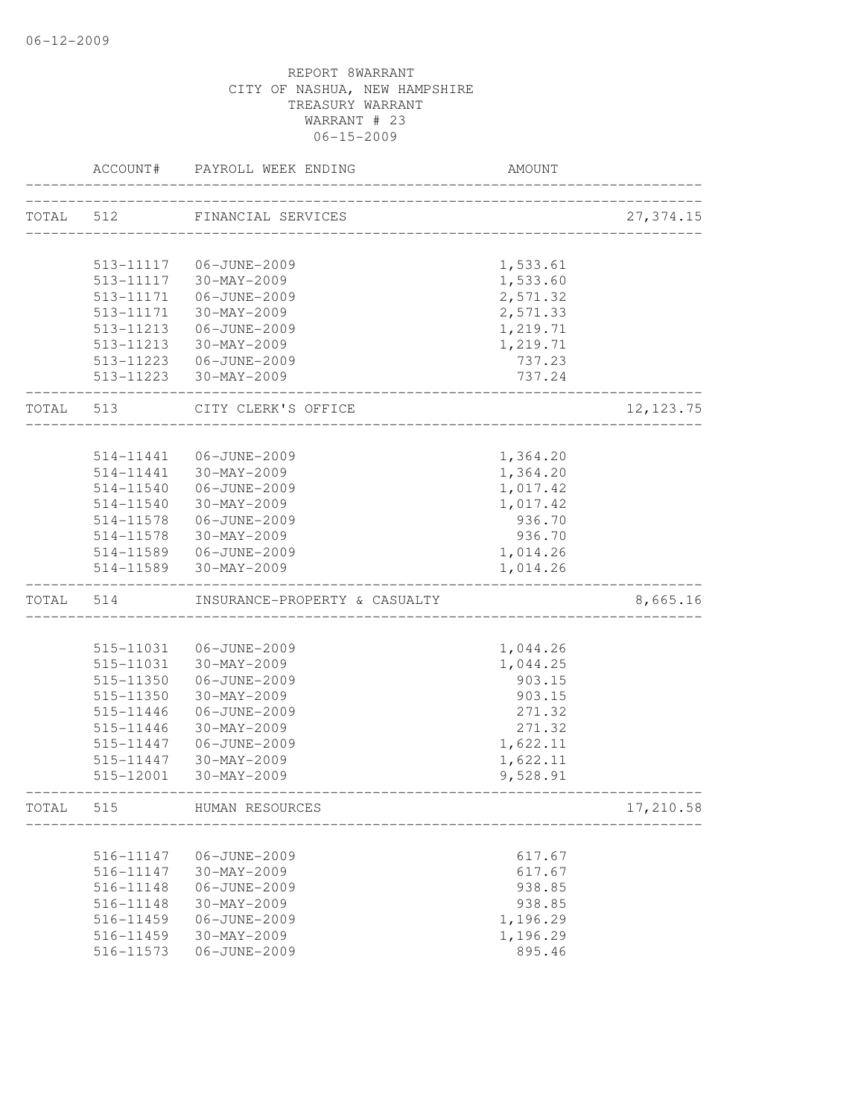|       | ACCOUNT#               | PAYROLL WEEK ENDING           | AMOUNT               |            |
|-------|------------------------|-------------------------------|----------------------|------------|
| TOTAL | 512                    | FINANCIAL SERVICES            |                      | 27, 374.15 |
|       |                        |                               |                      |            |
|       | 513-11117              | 06-JUNE-2009                  | 1,533.61             |            |
|       | 513-11117              | 30-MAY-2009                   | 1,533.60             |            |
|       | 513-11171              | 06-JUNE-2009                  | 2,571.32             |            |
|       | 513-11171              | 30-MAY-2009                   | 2,571.33             |            |
|       | 513-11213              | 06-JUNE-2009                  | 1,219.71             |            |
|       | 513-11213              | 30-MAY-2009                   | 1,219.71             |            |
|       | 513-11223              | 06-JUNE-2009                  | 737.23               |            |
|       | 513-11223              | 30-MAY-2009                   | 737.24               |            |
| TOTAL | 513                    | CITY CLERK'S OFFICE           |                      | 12, 123.75 |
|       | 514-11441              | 06-JUNE-2009                  |                      |            |
|       | $514 - 11441$          | 30-MAY-2009                   | 1,364.20<br>1,364.20 |            |
|       |                        | 06-JUNE-2009                  |                      |            |
|       | 514-11540<br>514-11540 | 30-MAY-2009                   | 1,017.42             |            |
|       |                        | 06-JUNE-2009                  | 1,017.42<br>936.70   |            |
|       | 514-11578              |                               |                      |            |
|       | 514-11578              | 30-MAY-2009<br>06-JUNE-2009   | 936.70               |            |
|       | 514-11589<br>514-11589 | 30-MAY-2009                   | 1,014.26<br>1,014.26 |            |
| TOTAL | 514                    | INSURANCE-PROPERTY & CASUALTY |                      | 8,665.16   |
|       |                        |                               |                      |            |
|       | 515-11031              | 06-JUNE-2009                  | 1,044.26             |            |
|       | 515-11031              | 30-MAY-2009                   | 1,044.25             |            |
|       | 515-11350              | 06-JUNE-2009                  | 903.15               |            |
|       | 515-11350              | 30-MAY-2009                   | 903.15               |            |
|       | 515-11446              | 06-JUNE-2009                  | 271.32               |            |
|       | 515-11446              | $30 - MAX - 2009$             | 271.32               |            |
|       | 515-11447              | 06-JUNE-2009                  | 1,622.11             |            |
|       | 515-11447              | 30-MAY-2009                   | 1,622.11             |            |
|       | 515-12001              | 30-MAY-2009                   | 9,528.91             |            |
| TOTAL | 515                    | HUMAN RESOURCES               |                      | 17,210.58  |
|       |                        |                               |                      |            |
|       | 516-11147              | 06-JUNE-2009                  | 617.67               |            |
|       | 516-11147              | 30-MAY-2009                   | 617.67               |            |
|       | 516-11148              | 06-JUNE-2009                  | 938.85               |            |
|       | 516-11148              | $30 - MAX - 2009$             | 938.85               |            |
|       | 516-11459              | 06-JUNE-2009                  | 1,196.29             |            |
|       | 516-11459              | 30-MAY-2009                   | 1,196.29             |            |
|       | 516-11573              | 06-JUNE-2009                  | 895.46               |            |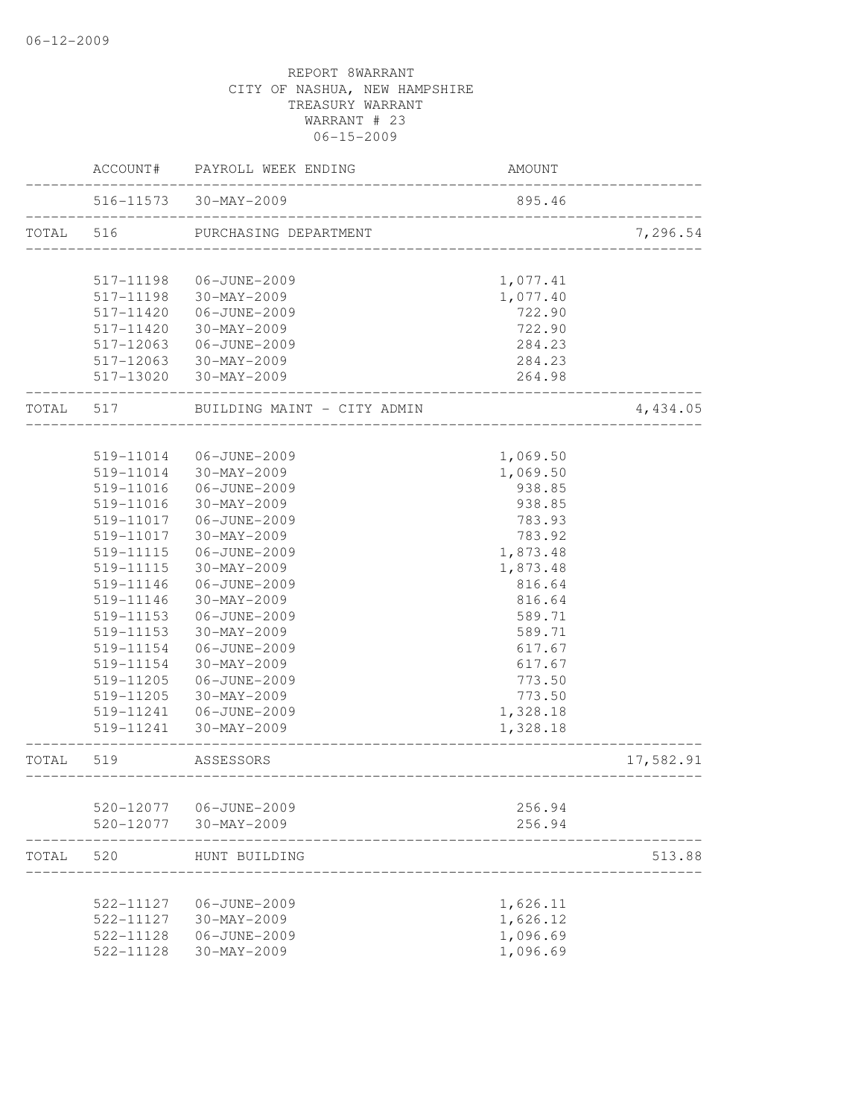|           | ACCOUNT#  | PAYROLL WEEK ENDING                        | AMOUNT   |           |
|-----------|-----------|--------------------------------------------|----------|-----------|
|           |           | 516-11573 30-MAY-2009                      | 895.46   |           |
| TOTAL     | 516       | PURCHASING DEPARTMENT                      |          | 7,296.54  |
|           | 517-11198 | 06-JUNE-2009                               | 1,077.41 |           |
|           | 517-11198 | 30-MAY-2009                                | 1,077.40 |           |
|           | 517-11420 | 06-JUNE-2009                               | 722.90   |           |
|           | 517-11420 | 30-MAY-2009                                | 722.90   |           |
|           | 517-12063 | 06-JUNE-2009                               | 284.23   |           |
|           |           | 517-12063 30-MAY-2009                      | 284.23   |           |
|           |           | 517-13020 30-MAY-2009                      | 264.98   |           |
| TOTAL 517 |           | BUILDING MAINT - CITY ADMIN                |          | 4,434.05  |
|           |           |                                            |          |           |
|           | 519-11014 | 06-JUNE-2009                               | 1,069.50 |           |
|           | 519-11014 | 30-MAY-2009                                | 1,069.50 |           |
|           | 519-11016 | 06-JUNE-2009                               | 938.85   |           |
|           | 519-11016 | 30-MAY-2009                                | 938.85   |           |
|           | 519-11017 | 06-JUNE-2009                               | 783.93   |           |
|           | 519-11017 | 30-MAY-2009                                | 783.92   |           |
|           | 519-11115 | 06-JUNE-2009                               | 1,873.48 |           |
|           | 519-11115 | 30-MAY-2009                                | 1,873.48 |           |
|           | 519-11146 | 06-JUNE-2009                               | 816.64   |           |
|           | 519-11146 | 30-MAY-2009                                | 816.64   |           |
|           | 519-11153 | 06-JUNE-2009                               | 589.71   |           |
|           | 519-11153 | 30-MAY-2009                                | 589.71   |           |
|           | 519-11154 | 06-JUNE-2009                               | 617.67   |           |
|           | 519-11154 | 30-MAY-2009                                | 617.67   |           |
|           | 519-11205 | 06-JUNE-2009                               | 773.50   |           |
|           | 519-11205 | 30-MAY-2009                                | 773.50   |           |
|           | 519-11241 | 06-JUNE-2009                               | 1,328.18 |           |
|           | 519-11241 | 30-MAY-2009                                | 1,328.18 |           |
| TOTAL     | 519       | ASSESSORS<br>_____________________________ |          | 17,582.91 |
|           |           |                                            |          |           |
|           | 520-12077 | 06-JUNE-2009                               | 256.94   |           |
|           | 520-12077 | 30-MAY-2009                                | 256.94   |           |
| TOTAL     | 520       | HUNT BUILDING                              |          | 513.88    |
|           | 522-11127 | 06-JUNE-2009                               | 1,626.11 |           |
|           | 522-11127 | $30 - MAX - 2009$                          | 1,626.12 |           |
|           | 522-11128 | 06-JUNE-2009                               | 1,096.69 |           |
|           | 522-11128 | 30-MAY-2009                                | 1,096.69 |           |
|           |           |                                            |          |           |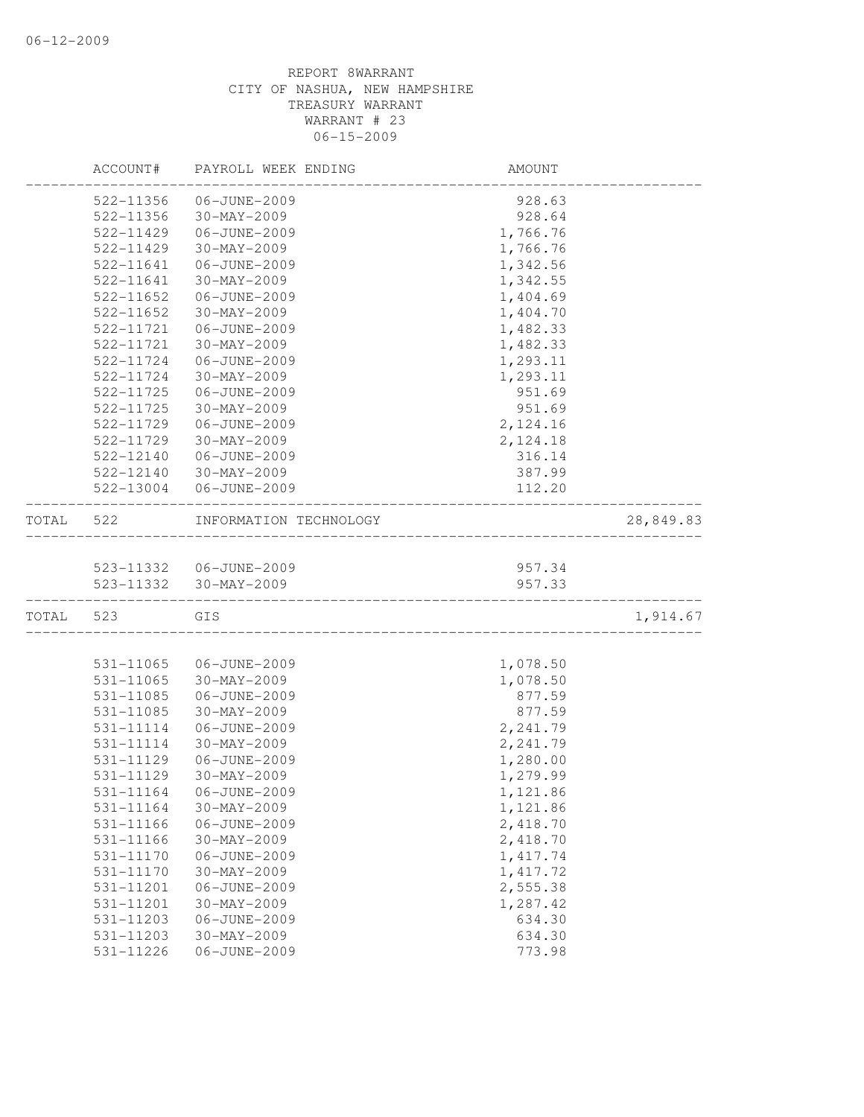|       | ACCOUNT#  | PAYROLL WEEK ENDING       | AMOUNT    |           |
|-------|-----------|---------------------------|-----------|-----------|
|       | 522-11356 | 06-JUNE-2009              | 928.63    |           |
|       | 522-11356 | 30-MAY-2009               | 928.64    |           |
|       | 522-11429 | 06-JUNE-2009              | 1,766.76  |           |
|       | 522-11429 | 30-MAY-2009               | 1,766.76  |           |
|       | 522-11641 | 06-JUNE-2009              | 1,342.56  |           |
|       | 522-11641 | 30-MAY-2009               | 1,342.55  |           |
|       | 522-11652 | 06-JUNE-2009              | 1,404.69  |           |
|       | 522-11652 | $30 - MAX - 2009$         | 1,404.70  |           |
|       | 522-11721 | 06-JUNE-2009              | 1,482.33  |           |
|       | 522-11721 | 30-MAY-2009               | 1,482.33  |           |
|       | 522-11724 | 06-JUNE-2009              | 1,293.11  |           |
|       | 522-11724 | 30-MAY-2009               | 1,293.11  |           |
|       | 522-11725 | 06-JUNE-2009              | 951.69    |           |
|       | 522-11725 | $30 - MAX - 2009$         | 951.69    |           |
|       | 522-11729 | 06-JUNE-2009              | 2,124.16  |           |
|       | 522-11729 | $30-MAY-2009$             | 2,124.18  |           |
|       | 522-12140 | 06-JUNE-2009              | 316.14    |           |
|       | 522-12140 | $30-MAY-2009$             | 387.99    |           |
|       | 522-13004 | 06-JUNE-2009              | 112.20    |           |
| TOTAL | 522       | INFORMATION TECHNOLOGY    |           | 28,849.83 |
|       |           |                           |           |           |
|       |           | 523-11332    06-JUNE-2009 | 957.34    |           |
|       | 523-11332 | 30-MAY-2009               | 957.33    |           |
| TOTAL | 523       | GIS                       |           | 1,914.67  |
|       |           |                           |           |           |
|       | 531-11065 | 06-JUNE-2009              | 1,078.50  |           |
|       | 531-11065 | 30-MAY-2009               | 1,078.50  |           |
|       | 531-11085 | 06-JUNE-2009              | 877.59    |           |
|       | 531-11085 | $30 - MAX - 2009$         | 877.59    |           |
|       | 531-11114 | 06-JUNE-2009              | 2,241.79  |           |
|       | 531-11114 | $30 - MAX - 2009$         | 2,241.79  |           |
|       | 531-11129 | 06-JUNE-2009              | 1,280.00  |           |
|       | 531-11129 | 30-MAY-2009               | 1,279.99  |           |
|       | 531-11164 | 06-JUNE-2009              | 1,121.86  |           |
|       | 531-11164 | 30-MAY-2009               | 1,121.86  |           |
|       | 531-11166 | 06-JUNE-2009              | 2,418.70  |           |
|       | 531-11166 | $30 - MAX - 2009$         | 2,418.70  |           |
|       | 531-11170 | 06-JUNE-2009              | 1, 417.74 |           |
|       | 531-11170 | $30 - MAX - 2009$         | 1, 417.72 |           |
|       | 531-11201 | 06-JUNE-2009              | 2,555.38  |           |
|       | 531-11201 | $30 - MAX - 2009$         | 1,287.42  |           |
|       | 531-11203 | 06-JUNE-2009              | 634.30    |           |
|       | 531-11203 | 30-MAY-2009               | 634.30    |           |
|       | 531-11226 | 06-JUNE-2009              | 773.98    |           |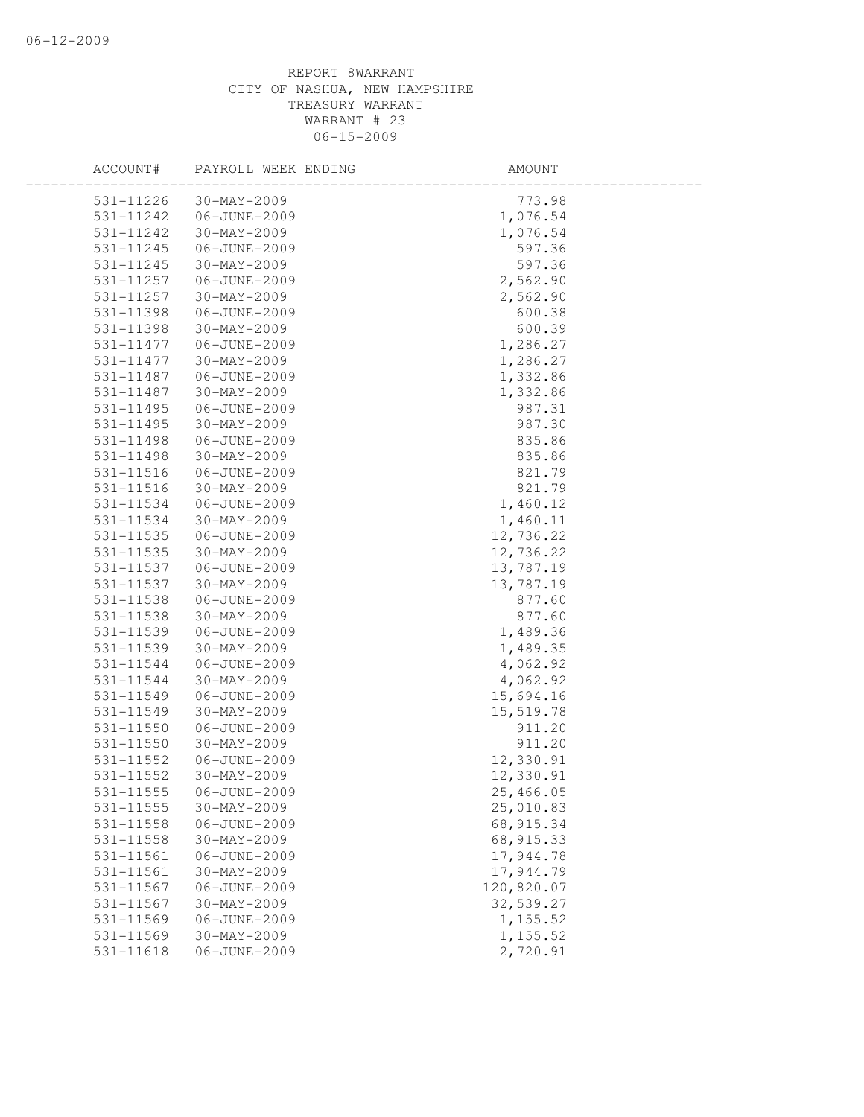| ACCOUNT#      | PAYROLL WEEK ENDING | AMOUNT     |  |
|---------------|---------------------|------------|--|
| 531-11226     | $30 - MAX - 2009$   | 773.98     |  |
| 531-11242     | 06-JUNE-2009        | 1,076.54   |  |
| 531-11242     | $30 - MAX - 2009$   | 1,076.54   |  |
| 531-11245     | 06-JUNE-2009        | 597.36     |  |
| 531-11245     | 30-MAY-2009         | 597.36     |  |
| 531-11257     | 06-JUNE-2009        | 2,562.90   |  |
| 531-11257     | $30 - MAX - 2009$   | 2,562.90   |  |
| 531-11398     | 06-JUNE-2009        | 600.38     |  |
| 531-11398     | 30-MAY-2009         | 600.39     |  |
| 531-11477     | 06-JUNE-2009        | 1,286.27   |  |
| 531-11477     | 30-MAY-2009         | 1,286.27   |  |
| 531-11487     | 06-JUNE-2009        | 1,332.86   |  |
| 531-11487     | 30-MAY-2009         | 1,332.86   |  |
| 531-11495     | 06-JUNE-2009        | 987.31     |  |
| 531-11495     | $30 - MAX - 2009$   | 987.30     |  |
| 531-11498     | 06-JUNE-2009        | 835.86     |  |
| 531-11498     | $30 - MAX - 2009$   | 835.86     |  |
| $531 - 11516$ | 06-JUNE-2009        | 821.79     |  |
| 531-11516     | $30 - MAX - 2009$   | 821.79     |  |
| 531-11534     | 06-JUNE-2009        | 1,460.12   |  |
| 531-11534     | 30-MAY-2009         | 1,460.11   |  |
| 531-11535     | 06-JUNE-2009        | 12,736.22  |  |
| 531-11535     | 30-MAY-2009         | 12,736.22  |  |
| 531-11537     | 06-JUNE-2009        | 13,787.19  |  |
| 531-11537     | 30-MAY-2009         | 13,787.19  |  |
| 531-11538     | 06-JUNE-2009        | 877.60     |  |
| 531-11538     | $30 - MAX - 2009$   | 877.60     |  |
| 531-11539     | 06-JUNE-2009        | 1,489.36   |  |
| 531-11539     | 30-MAY-2009         | 1,489.35   |  |
| 531-11544     | 06-JUNE-2009        | 4,062.92   |  |
| 531-11544     | 30-MAY-2009         | 4,062.92   |  |
| 531-11549     | 06-JUNE-2009        | 15,694.16  |  |
| 531-11549     | 30-MAY-2009         | 15,519.78  |  |
| $531 - 11550$ | 06-JUNE-2009        | 911.20     |  |
| $531 - 11550$ | $30 - MAX - 2009$   | 911.20     |  |
| 531-11552     | 06-JUNE-2009        | 12,330.91  |  |
| 531-11552     | $30 - MAX - 2009$   | 12,330.91  |  |
| 531-11555     | 06-JUNE-2009        | 25,466.05  |  |
| 531-11555     | 30-MAY-2009         | 25,010.83  |  |
| 531-11558     | 06-JUNE-2009        | 68, 915.34 |  |
| 531-11558     | 30-MAY-2009         | 68, 915.33 |  |
| 531-11561     | 06-JUNE-2009        | 17,944.78  |  |
| 531-11561     | $30 - MAX - 2009$   | 17,944.79  |  |
| 531-11567     | 06-JUNE-2009        | 120,820.07 |  |
| 531-11567     | 30-MAY-2009         | 32,539.27  |  |
| 531-11569     | 06-JUNE-2009        | 1,155.52   |  |
| 531-11569     | $30 - MAX - 2009$   | 1, 155.52  |  |
| 531-11618     | 06-JUNE-2009        | 2,720.91   |  |
|               |                     |            |  |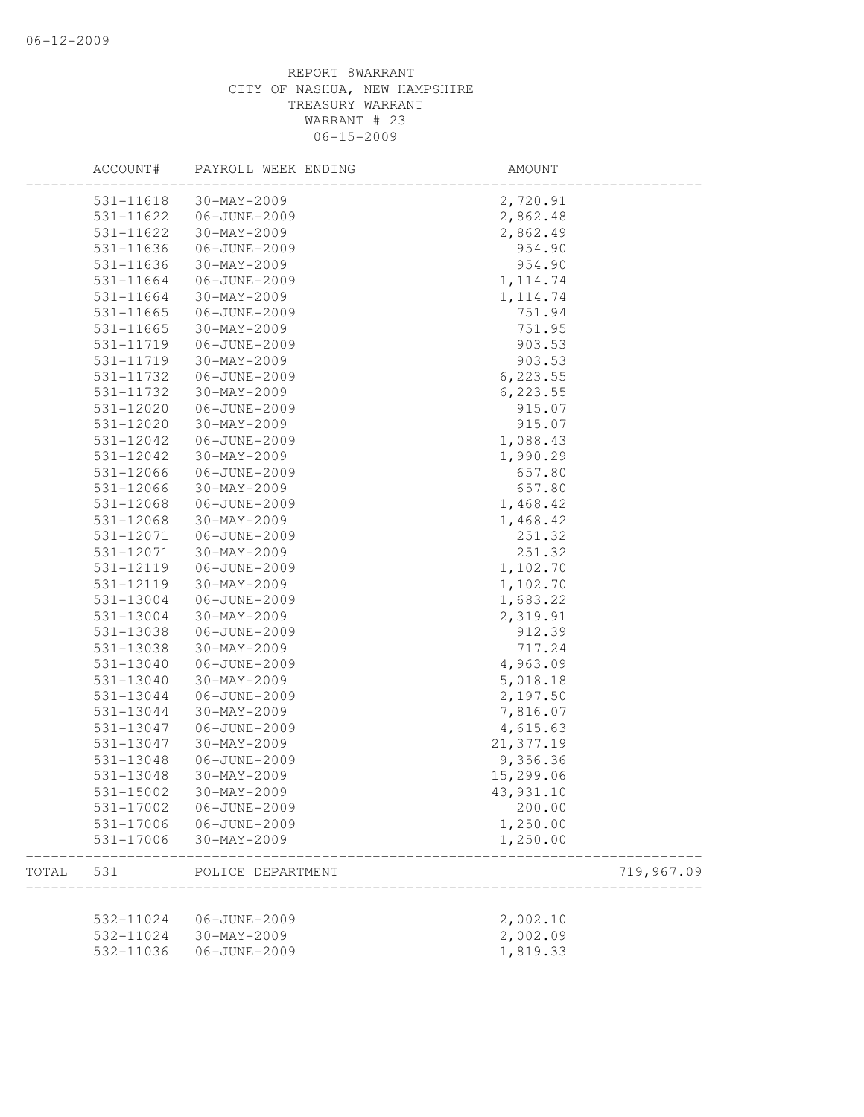|       | ACCOUNT#  | PAYROLL WEEK ENDING | AMOUNT     |            |
|-------|-----------|---------------------|------------|------------|
|       | 531-11618 | $30 - MAX - 2009$   | 2,720.91   |            |
|       | 531-11622 | 06-JUNE-2009        | 2,862.48   |            |
|       | 531-11622 | $30 - MAX - 2009$   | 2,862.49   |            |
|       | 531-11636 | 06-JUNE-2009        | 954.90     |            |
|       | 531-11636 | 30-MAY-2009         | 954.90     |            |
|       | 531-11664 | 06-JUNE-2009        | 1, 114.74  |            |
|       | 531-11664 | $30 - MAX - 2009$   | 1, 114.74  |            |
|       | 531-11665 | 06-JUNE-2009        | 751.94     |            |
|       | 531-11665 | 30-MAY-2009         | 751.95     |            |
|       | 531-11719 | 06-JUNE-2009        | 903.53     |            |
|       | 531-11719 | $30 - MAX - 2009$   | 903.53     |            |
|       | 531-11732 | 06-JUNE-2009        | 6, 223.55  |            |
|       | 531-11732 | 30-MAY-2009         | 6, 223.55  |            |
|       | 531-12020 | 06-JUNE-2009        | 915.07     |            |
|       | 531-12020 | $30 - MAX - 2009$   | 915.07     |            |
|       | 531-12042 | 06-JUNE-2009        | 1,088.43   |            |
|       | 531-12042 | $30 - MAX - 2009$   | 1,990.29   |            |
|       | 531-12066 | 06-JUNE-2009        | 657.80     |            |
|       | 531-12066 | 30-MAY-2009         | 657.80     |            |
|       | 531-12068 | 06-JUNE-2009        | 1,468.42   |            |
|       | 531-12068 | $30 - MAX - 2009$   | 1,468.42   |            |
|       | 531-12071 | 06-JUNE-2009        | 251.32     |            |
|       | 531-12071 | 30-MAY-2009         | 251.32     |            |
|       | 531-12119 | 06-JUNE-2009        | 1,102.70   |            |
|       | 531-12119 | $30 - MAX - 2009$   | 1,102.70   |            |
|       | 531-13004 | 06-JUNE-2009        | 1,683.22   |            |
|       | 531-13004 | $30 - MAX - 2009$   | 2,319.91   |            |
|       | 531-13038 | 06-JUNE-2009        | 912.39     |            |
|       | 531-13038 | 30-MAY-2009         | 717.24     |            |
|       | 531-13040 | 06-JUNE-2009        | 4,963.09   |            |
|       | 531-13040 | 30-MAY-2009         | 5,018.18   |            |
|       | 531-13044 | 06-JUNE-2009        | 2,197.50   |            |
|       | 531-13044 | $30 - MAX - 2009$   | 7,816.07   |            |
|       | 531-13047 | 06-JUNE-2009        | 4,615.63   |            |
|       | 531-13047 | $30 - MAX - 2009$   | 21, 377.19 |            |
|       | 531-13048 | 06-JUNE-2009        | 9,356.36   |            |
|       | 531-13048 | $30 - MAX - 2009$   | 15,299.06  |            |
|       | 531-15002 | $30 - MAX - 2009$   | 43,931.10  |            |
|       | 531-17002 | 06-JUNE-2009        | 200.00     |            |
|       | 531-17006 | 06-JUNE-2009        | 1,250.00   |            |
|       | 531-17006 | 30-MAY-2009         | 1,250.00   |            |
| TOTAL | 531       | POLICE DEPARTMENT   |            | 719,967.09 |
|       | 532-11024 | 06-JUNE-2009        | 2,002.10   |            |
|       | 532-11024 | $30 - MAX - 2009$   | 2,002.09   |            |
|       | 532-11036 | 06-JUNE-2009        |            |            |
|       |           |                     | 1,819.33   |            |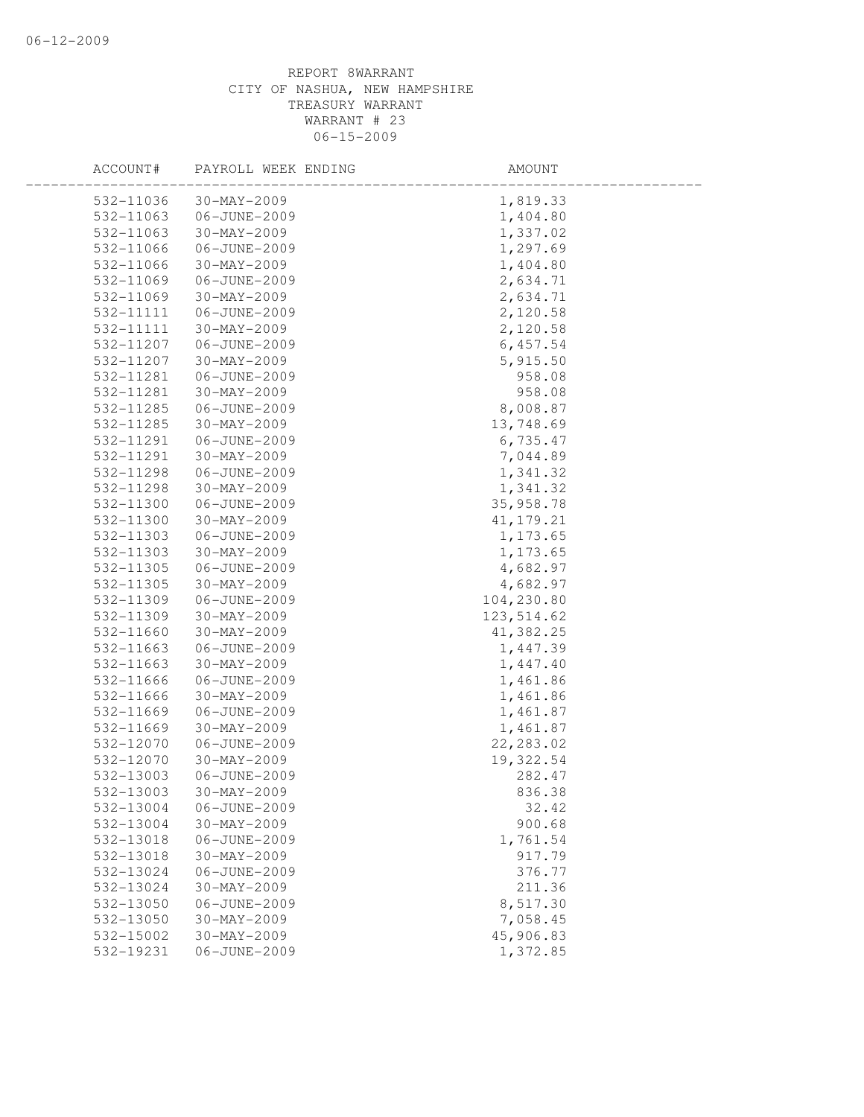| ACCOUNT#               | PAYROLL WEEK ENDING         | AMOUNT             |  |
|------------------------|-----------------------------|--------------------|--|
| 532-11036              | $30 - MAX - 2009$           | 1,819.33           |  |
| 532-11063              | 06-JUNE-2009                | 1,404.80           |  |
| 532-11063              | $30 - MAX - 2009$           | 1,337.02           |  |
| 532-11066              | 06-JUNE-2009                | 1,297.69           |  |
| 532-11066              | 30-MAY-2009                 | 1,404.80           |  |
| 532-11069              | 06-JUNE-2009                | 2,634.71           |  |
| 532-11069              | $30 - MAX - 2009$           | 2,634.71           |  |
| 532-11111              | 06-JUNE-2009                | 2,120.58           |  |
| 532-11111              | 30-MAY-2009                 | 2,120.58           |  |
| 532-11207              | 06-JUNE-2009                | 6,457.54           |  |
| 532-11207              | 30-MAY-2009                 | 5,915.50           |  |
| 532-11281              | 06-JUNE-2009                | 958.08             |  |
| 532-11281              | $30 - MAX - 2009$           | 958.08             |  |
| 532-11285              | 06-JUNE-2009                | 8,008.87           |  |
| 532-11285              | 30-MAY-2009                 | 13,748.69          |  |
| 532-11291              | 06-JUNE-2009                | 6,735.47           |  |
| 532-11291              | $30 - MAX - 2009$           | 7,044.89           |  |
| 532-11298              | 06-JUNE-2009                | 1,341.32           |  |
| 532-11298              | 30-MAY-2009                 | 1,341.32           |  |
| 532-11300              | 06-JUNE-2009                | 35,958.78          |  |
| 532-11300              | 30-MAY-2009                 | 41, 179. 21        |  |
| 532-11303              | 06-JUNE-2009                | 1,173.65           |  |
| 532-11303              | 30-MAY-2009                 | 1,173.65           |  |
| 532-11305              | 06-JUNE-2009                | 4,682.97           |  |
| 532-11305              | 30-MAY-2009                 | 4,682.97           |  |
| 532-11309              | 06-JUNE-2009                | 104,230.80         |  |
| 532-11309              | $30 - MAX - 2009$           | 123, 514.62        |  |
| 532-11660              | $30 - MAX - 2009$           | 41,382.25          |  |
| 532-11663              | 06-JUNE-2009                | 1,447.39           |  |
| 532-11663              | $30 - MAX - 2009$           | 1,447.40           |  |
| 532-11666              | 06-JUNE-2009                | 1,461.86           |  |
| 532-11666              | $30 - MAX - 2009$           | 1,461.86           |  |
| 532-11669              | 06-JUNE-2009                | 1,461.87           |  |
| 532-11669              | $30 - MAX - 2009$           | 1,461.87           |  |
| 532-12070              | 06-JUNE-2009                | 22, 283.02         |  |
| 532-12070              | $30 - MAX - 2009$           | 19,322.54          |  |
| 532-13003              | 06-JUNE-2009                | 282.47             |  |
| 532-13003              | 30-MAY-2009                 | 836.38             |  |
| 532-13004              | 06-JUNE-2009                | 32.42              |  |
| 532-13004              | 30-MAY-2009                 | 900.68<br>1,761.54 |  |
| 532-13018<br>532-13018 | 06-JUNE-2009<br>30-MAY-2009 | 917.79             |  |
| 532-13024              | 06-JUNE-2009                | 376.77             |  |
| 532-13024              | $30 - MAX - 2009$           | 211.36             |  |
| 532-13050              | 06-JUNE-2009                | 8,517.30           |  |
| 532-13050              | $30 - MAX - 2009$           | 7,058.45           |  |
| 532-15002              | $30 - MAX - 2009$           | 45,906.83          |  |
| 532-19231              | 06-JUNE-2009                | 1,372.85           |  |
|                        |                             |                    |  |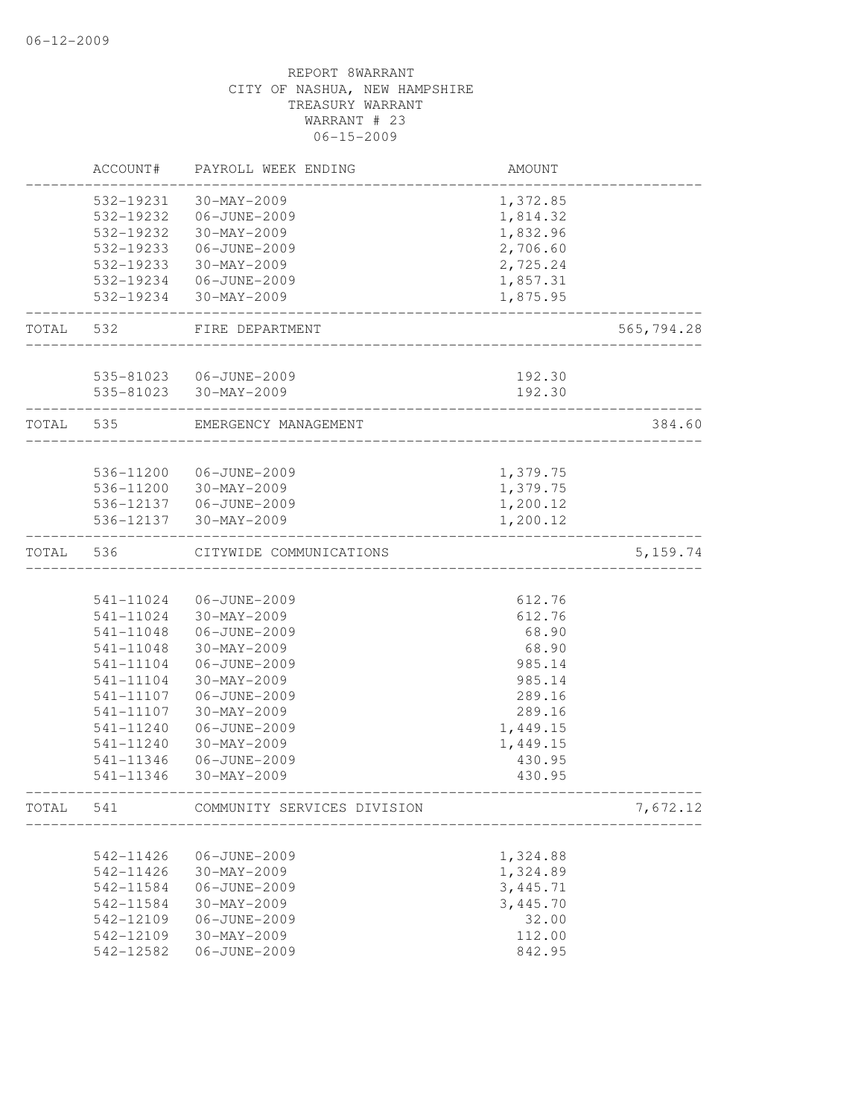|       | ACCOUNT#  | PAYROLL WEEK ENDING         | AMOUNT   |            |
|-------|-----------|-----------------------------|----------|------------|
|       | 532-19231 | $30 - MAX - 2009$           | 1,372.85 |            |
|       | 532-19232 | 06-JUNE-2009                | 1,814.32 |            |
|       | 532-19232 | $30 - MAX - 2009$           | 1,832.96 |            |
|       | 532-19233 | 06-JUNE-2009                | 2,706.60 |            |
|       | 532-19233 | 30-MAY-2009                 | 2,725.24 |            |
|       | 532-19234 | 06-JUNE-2009                | 1,857.31 |            |
|       | 532-19234 | 30-MAY-2009                 | 1,875.95 |            |
| TOTAL | 532       | FIRE DEPARTMENT             |          | 565,794.28 |
|       |           |                             |          |            |
|       |           | 535-81023  06-JUNE-2009     | 192.30   |            |
|       |           | 535-81023 30-MAY-2009       | 192.30   |            |
| TOTAL | 535       | EMERGENCY MANAGEMENT        |          | 384.60     |
|       | 536-11200 | 06-JUNE-2009                | 1,379.75 |            |
|       | 536-11200 | 30-MAY-2009                 | 1,379.75 |            |
|       |           | 536-12137 06-JUNE-2009      | 1,200.12 |            |
|       |           | 536-12137 30-MAY-2009       | 1,200.12 |            |
| TOTAL | 536       | CITYWIDE COMMUNICATIONS     |          | 5, 159.74  |
|       |           |                             |          |            |
|       | 541-11024 | 06-JUNE-2009                | 612.76   |            |
|       | 541-11024 | 30-MAY-2009                 | 612.76   |            |
|       | 541-11048 | 06-JUNE-2009                | 68.90    |            |
|       | 541-11048 | $30-MAY-2009$               | 68.90    |            |
|       | 541-11104 | 06-JUNE-2009                | 985.14   |            |
|       | 541-11104 | 30-MAY-2009                 | 985.14   |            |
|       | 541-11107 | 06-JUNE-2009                | 289.16   |            |
|       | 541-11107 | 30-MAY-2009                 | 289.16   |            |
|       | 541-11240 | 06-JUNE-2009                | 1,449.15 |            |
|       | 541-11240 | 30-MAY-2009                 | 1,449.15 |            |
|       | 541-11346 | 06-JUNE-2009                | 430.95   |            |
|       | 541-11346 | 30-MAY-2009                 | 430.95   |            |
| TOTAL | 541       | COMMUNITY SERVICES DIVISION |          | 7,672.12   |
|       | 542-11426 | 06-JUNE-2009                | 1,324.88 |            |
|       | 542-11426 | 30-MAY-2009                 | 1,324.89 |            |
|       | 542-11584 | 06-JUNE-2009                | 3,445.71 |            |
|       | 542-11584 | 30-MAY-2009                 | 3,445.70 |            |
|       | 542-12109 | 06-JUNE-2009                | 32.00    |            |
|       | 542-12109 | 30-MAY-2009                 | 112.00   |            |
|       | 542-12582 | 06-JUNE-2009                | 842.95   |            |
|       |           |                             |          |            |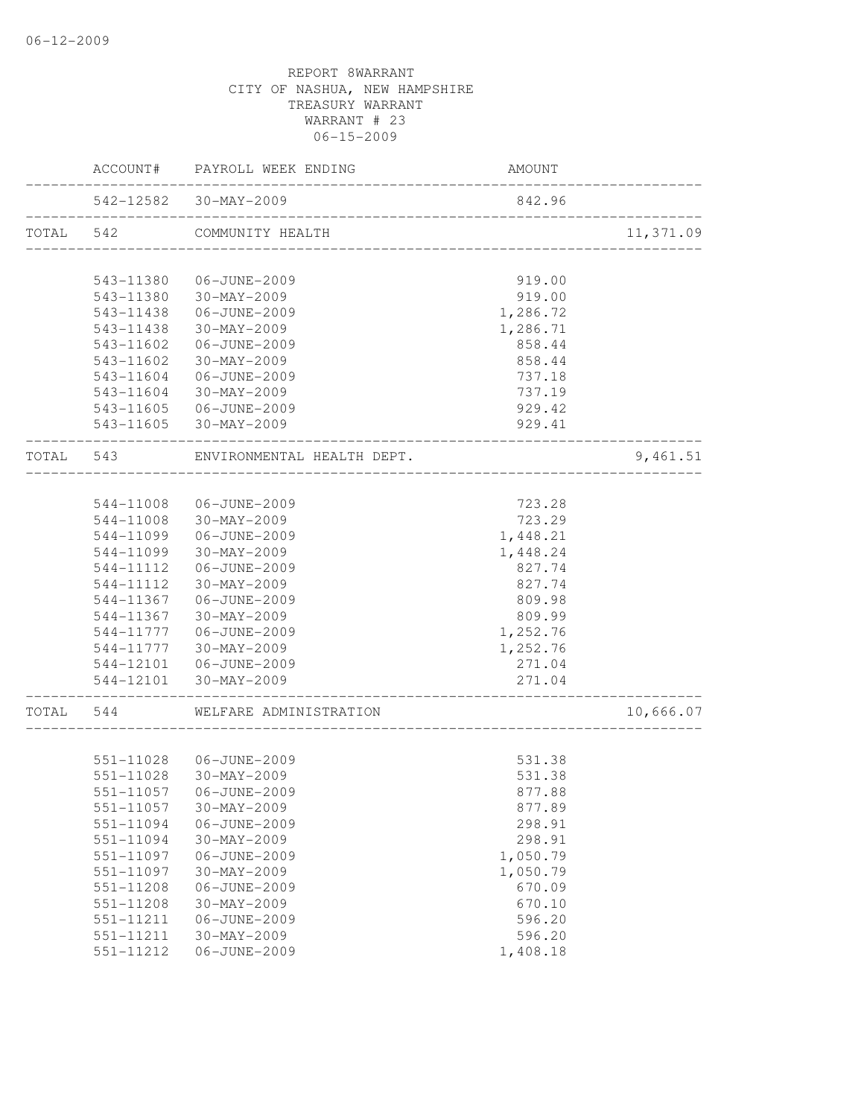|           |               | ACCOUNT# PAYROLL WEEK ENDING                              | AMOUNT                                  |           |
|-----------|---------------|-----------------------------------------------------------|-----------------------------------------|-----------|
|           |               | 542-12582 30-MAY-2009<br>________________________________ | 842.96                                  |           |
| TOTAL 542 |               | COMMUNITY HEALTH                                          |                                         | 11,371.09 |
|           | 543-11380     | 06-JUNE-2009                                              | 919.00                                  |           |
|           | 543-11380     | 30-MAY-2009                                               | 919.00                                  |           |
|           | 543-11438     | 06-JUNE-2009                                              | 1,286.72                                |           |
|           | 543-11438     | 30-MAY-2009                                               | 1,286.71                                |           |
|           | 543-11602     | 06-JUNE-2009                                              | 858.44                                  |           |
|           | $543 - 11602$ | 30-MAY-2009                                               | 858.44                                  |           |
|           | 543-11604     | 06-JUNE-2009                                              | 737.18                                  |           |
|           | 543-11604     | 30-MAY-2009                                               | 737.19                                  |           |
|           |               | 543-11605 06-JUNE-2009                                    | 929.42                                  |           |
|           |               | 543-11605 30-MAY-2009                                     | 929.41                                  |           |
| TOTAL 543 |               | ENVIRONMENTAL HEALTH DEPT.                                | ----------------                        | 9,461.51  |
|           |               |                                                           |                                         |           |
|           |               | 544-11008 06-JUNE-2009                                    | 723.28                                  |           |
|           |               | 544-11008 30-MAY-2009                                     | 723.29                                  |           |
|           |               | 544-11099   06-JUNE-2009                                  | 1,448.21                                |           |
|           | 544-11099     | 30-MAY-2009                                               | 1,448.24                                |           |
|           | 544-11112     | 06-JUNE-2009                                              | 827.74                                  |           |
|           | 544-11112     | 30-MAY-2009                                               | 827.74                                  |           |
|           | 544-11367     | 06-JUNE-2009                                              | 809.98                                  |           |
|           | 544-11367     | 30-MAY-2009                                               | 809.99                                  |           |
|           |               | 544-11777   06-JUNE-2009                                  | 1,252.76                                |           |
|           |               | 544-11777 30-MAY-2009                                     | 1,252.76                                |           |
|           |               | 544-12101    06-JUNE-2009                                 | 271.04                                  |           |
|           |               | 544-12101 30-MAY-2009                                     | 271.04<br>----------------------------- |           |
| TOTAL 544 |               | WELFARE ADMINISTRATION                                    | ___________________________             | 10,666.07 |
|           |               |                                                           |                                         |           |
|           |               | 551-11028 06-JUNE-2009                                    | 531.38                                  |           |
|           | 551-11028     | $30 - \text{MAX} - 2009$                                  | 531.38                                  |           |
|           |               |                                                           | 877.88                                  |           |
|           | 551-11057     | $30 - MAX - 2009$                                         | 877.89                                  |           |
|           | 551-11094     | 06-JUNE-2009                                              | 298.91                                  |           |
|           | 551-11094     | $30 - MAX - 2009$                                         | 298.91                                  |           |
|           | 551-11097     | 06-JUNE-2009                                              | 1,050.79                                |           |
|           | 551-11097     | $30 - MAX - 2009$                                         | 1,050.79                                |           |
|           | 551-11208     | 06-JUNE-2009                                              | 670.09                                  |           |
|           | 551-11208     | $30 - MAX - 2009$                                         | 670.10                                  |           |
|           | 551-11211     | 06-JUNE-2009                                              | 596.20                                  |           |
|           | 551-11211     | $30 - MAX - 2009$                                         | 596.20                                  |           |
|           | 551-11212     | 06-JUNE-2009                                              | 1,408.18                                |           |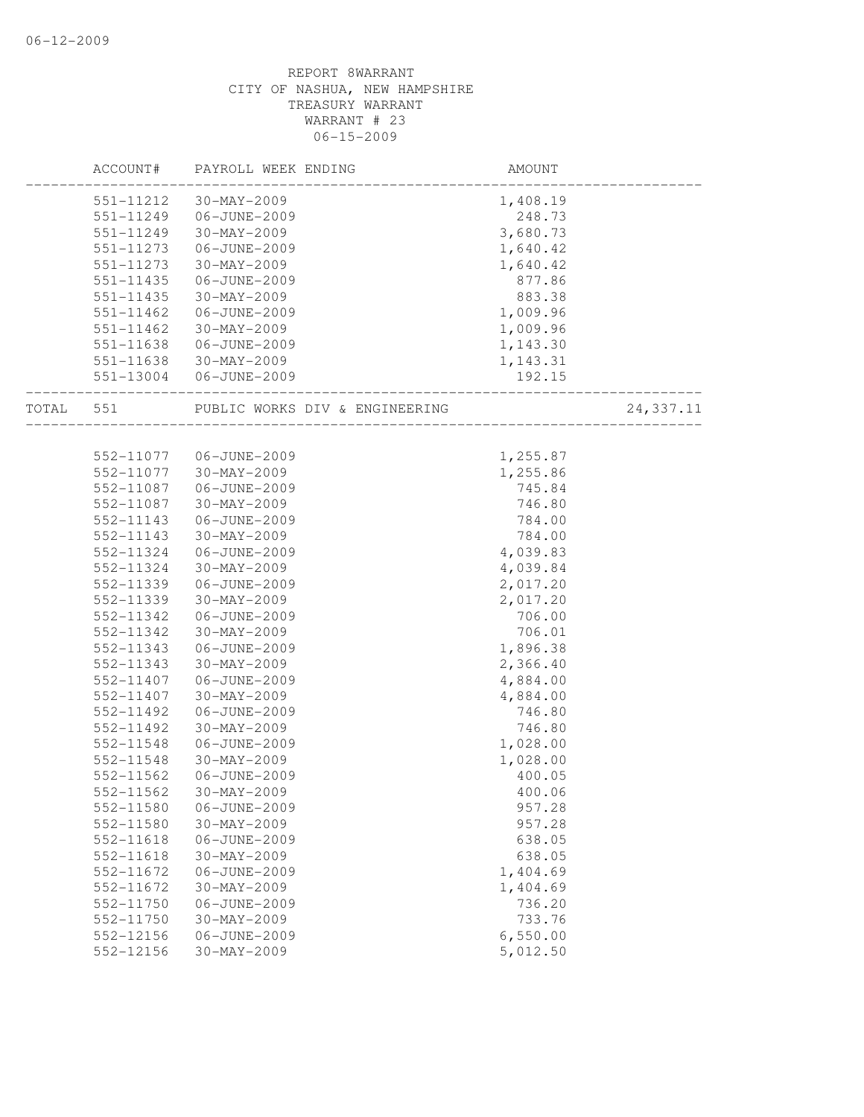|       |               | ACCOUNT# PAYROLL WEEK ENDING   | AMOUNT   |           |
|-------|---------------|--------------------------------|----------|-----------|
|       | 551-11212     | $30 - MAX - 2009$              | 1,408.19 |           |
|       | 551-11249     | 06-JUNE-2009                   | 248.73   |           |
|       | 551-11249     | $30-MAY-2009$                  | 3,680.73 |           |
|       | 551-11273     | 06-JUNE-2009                   | 1,640.42 |           |
|       | 551-11273     | $30 - MAX - 2009$              | 1,640.42 |           |
|       | 551-11435     | 06-JUNE-2009                   | 877.86   |           |
|       | 551-11435     | 30-MAY-2009                    | 883.38   |           |
|       | 551-11462     | 06-JUNE-2009                   | 1,009.96 |           |
|       | $551 - 11462$ | 30-MAY-2009                    | 1,009.96 |           |
|       | 551-11638     | 06-JUNE-2009                   | 1,143.30 |           |
|       | 551-11638     | 30-MAY-2009                    | 1,143.31 |           |
|       | 551-13004     | 06-JUNE-2009                   | 192.15   |           |
| TOTAL | 551           | PUBLIC WORKS DIV & ENGINEERING |          | 24,337.11 |
|       |               |                                |          |           |
|       | 552-11077     | 06-JUNE-2009                   | 1,255.87 |           |
|       | 552-11077     | 30-MAY-2009                    | 1,255.86 |           |
|       | 552-11087     | 06-JUNE-2009                   | 745.84   |           |
|       | 552-11087     | 30-MAY-2009                    | 746.80   |           |
|       | 552-11143     | 06-JUNE-2009                   | 784.00   |           |
|       | 552-11143     | 30-MAY-2009                    | 784.00   |           |
|       | 552-11324     | 06-JUNE-2009                   | 4,039.83 |           |
|       | 552-11324     | 30-MAY-2009                    | 4,039.84 |           |
|       | 552-11339     | 06-JUNE-2009                   | 2,017.20 |           |
|       | 552-11339     | 30-MAY-2009                    | 2,017.20 |           |
|       | 552-11342     | 06-JUNE-2009                   | 706.00   |           |
|       | 552-11342     | 30-MAY-2009                    | 706.01   |           |
|       | 552-11343     | 06-JUNE-2009                   | 1,896.38 |           |
|       | 552-11343     | 30-MAY-2009                    | 2,366.40 |           |
|       | 552-11407     | 06-JUNE-2009                   | 4,884.00 |           |
|       | 552-11407     | $30 - MAX - 2009$              | 4,884.00 |           |
|       | 552-11492     | 06-JUNE-2009                   | 746.80   |           |
|       | 552-11492     | 30-MAY-2009                    | 746.80   |           |
|       | 552-11548     | 06-JUNE-2009                   | 1,028.00 |           |
|       | 552-11548     | 30-MAY-2009                    | 1,028.00 |           |
|       | 552-11562     | 06-JUNE-2009                   | 400.05   |           |
|       | 552-11562     | $30 - MAX - 2009$              | 400.06   |           |
|       | 552-11580     | 06-JUNE-2009                   | 957.28   |           |
|       | 552-11580     | $30 - MAX - 2009$              | 957.28   |           |
|       | 552-11618     | 06-JUNE-2009                   | 638.05   |           |
|       | 552-11618     | $30 - MAX - 2009$              | 638.05   |           |
|       | 552-11672     | 06-JUNE-2009                   | 1,404.69 |           |
|       | 552-11672     | $30-MAY-2009$                  | 1,404.69 |           |
|       | 552-11750     | 06-JUNE-2009                   | 736.20   |           |
|       | 552-11750     | $30 - MAX - 2009$              | 733.76   |           |
|       | 552-12156     | 06-JUNE-2009                   | 6,550.00 |           |
|       | 552-12156     | $30 - MAX - 2009$              | 5,012.50 |           |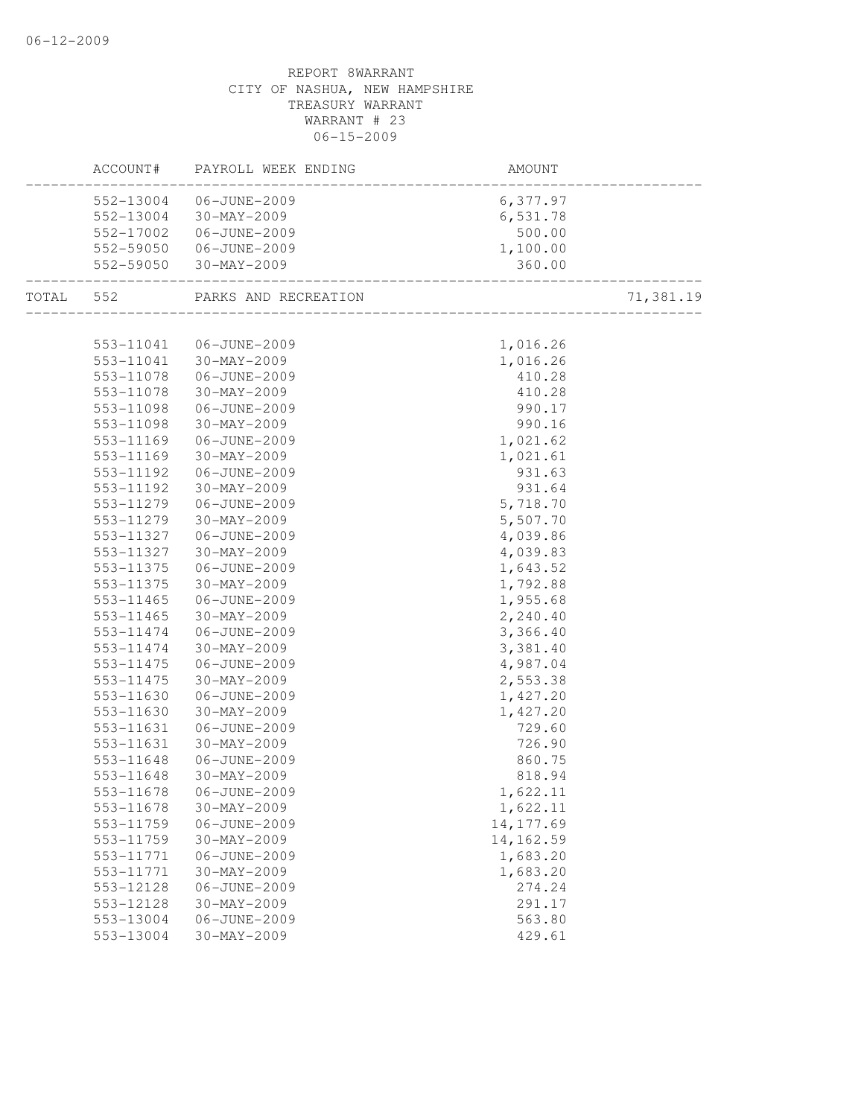|           | ACCOUNT#               | PAYROLL WEEK ENDING         | AMOUNT               |           |
|-----------|------------------------|-----------------------------|----------------------|-----------|
|           | 552-13004              | 06-JUNE-2009                | 6,377.97             |           |
|           | 552-13004              | 30-MAY-2009                 | 6,531.78             |           |
|           | 552-17002              | 06-JUNE-2009                | 500.00               |           |
|           |                        | 552-59050 06-JUNE-2009      | 1,100.00             |           |
|           | 552-59050              | $30 - \text{MAX} - 2009$    | 360.00               |           |
| TOTAL 552 |                        | PARKS AND RECREATION        |                      | 71,381.19 |
|           |                        |                             |                      |           |
|           | 553-11041              | 06-JUNE-2009                | 1,016.26             |           |
|           |                        | 553-11041 30-MAY-2009       | 1,016.26             |           |
|           | 553-11078              | 06-JUNE-2009                | 410.28               |           |
|           | 553-11078              | 30-MAY-2009                 | 410.28               |           |
|           | 553-11098              | 06-JUNE-2009                | 990.17               |           |
|           | 553-11098              | 30-MAY-2009                 | 990.16               |           |
|           | 553-11169              | 06-JUNE-2009                | 1,021.62             |           |
|           | 553-11169              | 30-MAY-2009                 | 1,021.61             |           |
|           | 553-11192              | 06-JUNE-2009                | 931.63               |           |
|           | 553-11192              | $30 - MAX - 2009$           | 931.64               |           |
|           | 553-11279              | 06-JUNE-2009                | 5,718.70             |           |
|           | 553-11279              | 30-MAY-2009                 | 5,507.70             |           |
|           | 553-11327              | 06-JUNE-2009                | 4,039.86             |           |
|           | 553-11327              | 30-MAY-2009                 | 4,039.83             |           |
|           | 553-11375              | 06-JUNE-2009                | 1,643.52             |           |
|           | 553-11375              | 30-MAY-2009                 | 1,792.88             |           |
|           | 553-11465              | 06-JUNE-2009<br>30-MAY-2009 | 1,955.68             |           |
|           | 553-11465<br>553-11474 | 06-JUNE-2009                | 2,240.40             |           |
|           | 553-11474              | 30-MAY-2009                 | 3,366.40             |           |
|           | 553-11475              |                             | 3,381.40             |           |
|           | 553-11475              | 06-JUNE-2009                | 4,987.04             |           |
|           | 553-11630              | 30-MAY-2009<br>06-JUNE-2009 | 2,553.38<br>1,427.20 |           |
|           | 553-11630              | 30-MAY-2009                 | 1,427.20             |           |
|           | 553-11631              | 06-JUNE-2009                | 729.60               |           |
|           | 553-11631              | 30-MAY-2009                 | 726.90               |           |
|           | 553-11648              | 06-JUNE-2009                | 860.75               |           |
|           | 553-11648              | 30-MAY-2009                 | 818.94               |           |
|           | 553–11678              | 06-JUNE-2009                | 1,622.11             |           |
|           | 553-11678              | $30 - MAY - 2009$           | 1,622.11             |           |
|           | 553-11759              | 06-JUNE-2009                | 14, 177.69           |           |
|           | 553-11759              | 30-MAY-2009                 | 14, 162.59           |           |
|           | 553-11771              | 06-JUNE-2009                | 1,683.20             |           |
|           | 553-11771              | 30-MAY-2009                 | 1,683.20             |           |
|           | 553-12128              | 06-JUNE-2009                | 274.24               |           |
|           | 553-12128              | $30-MAY-2009$               | 291.17               |           |
|           | 553-13004              | 06-JUNE-2009                | 563.80               |           |
|           | 553-13004              | 30-MAY-2009                 | 429.61               |           |
|           |                        |                             |                      |           |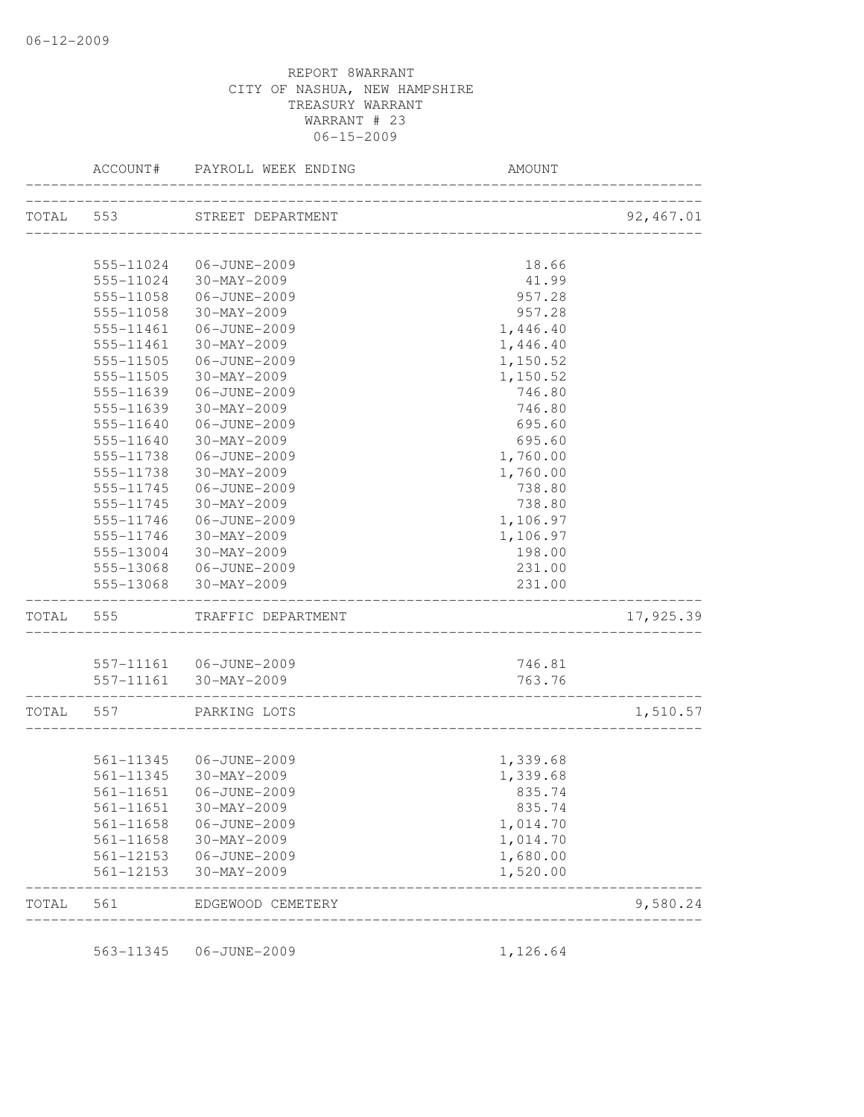|           | ACCOUNT#  | PAYROLL WEEK ENDING       | <b>AMOUNT</b>                           |            |
|-----------|-----------|---------------------------|-----------------------------------------|------------|
| TOTAL 553 |           | STREET DEPARTMENT         | ____________________________________    | 92, 467.01 |
|           |           |                           |                                         |            |
|           | 555-11024 | 06-JUNE-2009              | 18.66                                   |            |
|           | 555-11024 | 30-MAY-2009               | 41.99                                   |            |
|           | 555-11058 | 06-JUNE-2009              | 957.28                                  |            |
|           | 555-11058 | 30-MAY-2009               | 957.28                                  |            |
|           | 555-11461 | 06-JUNE-2009              | 1,446.40                                |            |
|           | 555-11461 | 30-MAY-2009               | 1,446.40                                |            |
|           | 555-11505 | 06-JUNE-2009              | 1,150.52                                |            |
|           | 555-11505 | 30-MAY-2009               | 1,150.52                                |            |
|           | 555-11639 | 06-JUNE-2009              | 746.80                                  |            |
|           | 555-11639 | 30-MAY-2009               | 746.80                                  |            |
|           | 555-11640 | 06-JUNE-2009              | 695.60                                  |            |
|           | 555-11640 | $30 - MAX - 2009$         | 695.60                                  |            |
|           | 555-11738 | 06-JUNE-2009              | 1,760.00                                |            |
|           | 555-11738 | 30-MAY-2009               | 1,760.00                                |            |
|           | 555-11745 | 06-JUNE-2009              | 738.80                                  |            |
|           | 555-11745 | $30 - MAX - 2009$         | 738.80                                  |            |
|           |           | 555-11746 06-JUNE-2009    | 1,106.97                                |            |
|           |           | 555-11746 30-MAY-2009     | 1,106.97                                |            |
|           | 555-13004 | 30-MAY-2009               | 198.00                                  |            |
|           |           | 555-13068 06-JUNE-2009    | 231.00                                  |            |
|           | 555-13068 | 30-MAY-2009               | 231.00                                  |            |
| TOTAL 555 |           | TRAFFIC DEPARTMENT        |                                         | 17,925.39  |
|           |           |                           |                                         |            |
|           |           | 557-11161    06-JUNE-2009 | 746.81                                  |            |
|           |           | 557-11161 30-MAY-2009     | 763.76<br>_____________________________ |            |
| TOTAL 557 |           | PARKING LOTS              | __________________________              | 1,510.57   |
|           |           |                           |                                         |            |
|           |           | 561-11345 06-JUNE-2009    | 1,339.68                                |            |
|           |           | 561-11345 30-MAY-2009     | 1,339.68                                |            |
|           |           |                           | 835.74                                  |            |
|           | 561-11651 | 30-MAY-2009               | 835.74                                  |            |
|           | 561-11658 | 06-JUNE-2009              | 1,014.70                                |            |
|           | 561-11658 | 30-MAY-2009               | 1,014.70                                |            |
|           | 561-12153 | 06-JUNE-2009              | 1,680.00                                |            |
|           | 561-12153 | 30-MAY-2009               | 1,520.00                                |            |
| TOTAL     | 561       | EDGEWOOD CEMETERY         |                                         | 9,580.24   |

563-11345 06-JUNE-2009 1,126.64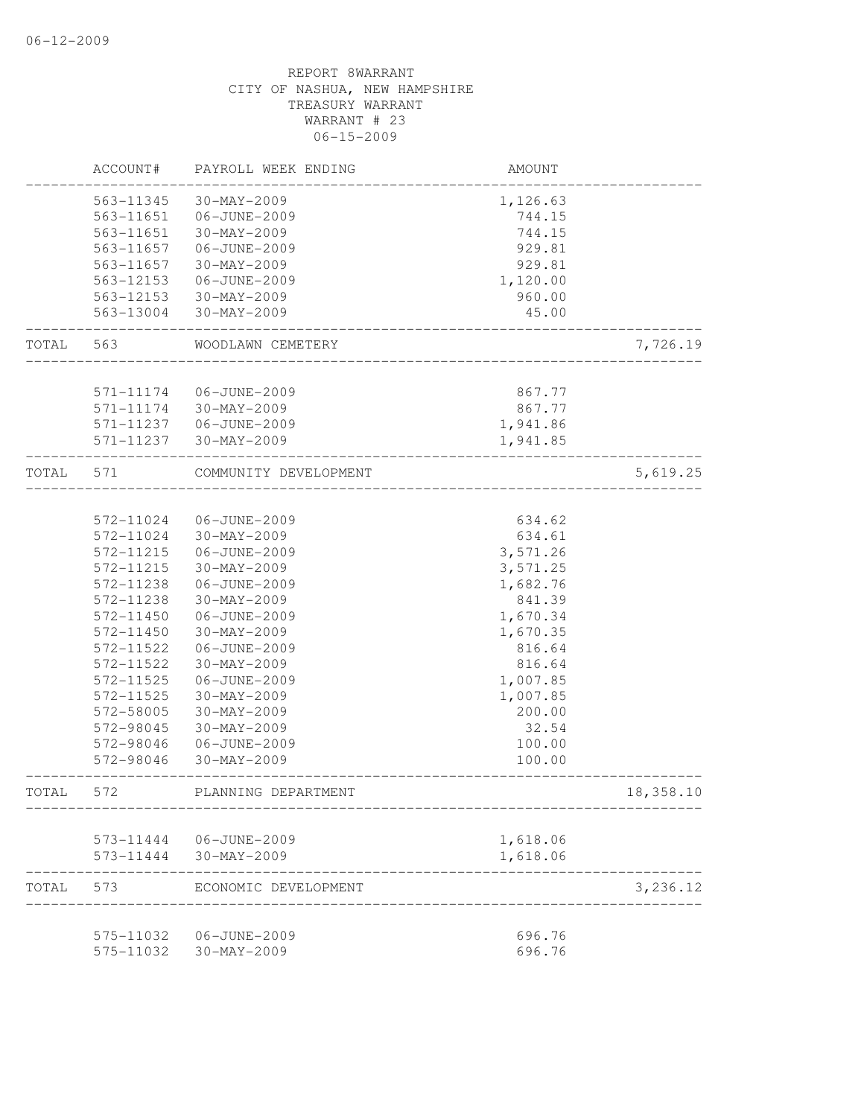|       | ACCOUNT#  | PAYROLL WEEK ENDING    | AMOUNT   |           |
|-------|-----------|------------------------|----------|-----------|
|       | 563-11345 | 30-MAY-2009            | 1,126.63 |           |
|       | 563-11651 | 06-JUNE-2009           | 744.15   |           |
|       | 563-11651 | 30-MAY-2009            | 744.15   |           |
|       | 563-11657 | 06-JUNE-2009           | 929.81   |           |
|       | 563-11657 | 30-MAY-2009            | 929.81   |           |
|       | 563-12153 | 06-JUNE-2009           | 1,120.00 |           |
|       | 563-12153 | 30-MAY-2009            | 960.00   |           |
|       | 563-13004 | 30-MAY-2009            | 45.00    |           |
| TOTAL | 563       | WOODLAWN CEMETERY      |          | 7,726.19  |
|       |           |                        |          |           |
|       | 571-11174 | 06-JUNE-2009           | 867.77   |           |
|       | 571-11174 | 30-MAY-2009            | 867.77   |           |
|       | 571-11237 | 06-JUNE-2009           | 1,941.86 |           |
|       | 571-11237 | 30-MAY-2009            | 1,941.85 |           |
| TOTAL | 571       | COMMUNITY DEVELOPMENT  |          | 5,619.25  |
|       | 572-11024 | 06-JUNE-2009           |          |           |
|       | 572-11024 | 30-MAY-2009            | 634.62   |           |
|       | 572-11215 | 06-JUNE-2009           | 634.61   |           |
|       |           |                        | 3,571.26 |           |
|       | 572-11215 | 30-MAY-2009            | 3,571.25 |           |
|       | 572-11238 | 06-JUNE-2009           | 1,682.76 |           |
|       | 572-11238 | 30-MAY-2009            | 841.39   |           |
|       | 572-11450 | 06-JUNE-2009           | 1,670.34 |           |
|       | 572-11450 | 30-MAY-2009            | 1,670.35 |           |
|       | 572-11522 | 06-JUNE-2009           | 816.64   |           |
|       | 572-11522 | 30-MAY-2009            | 816.64   |           |
|       | 572-11525 | 06-JUNE-2009           | 1,007.85 |           |
|       | 572-11525 | 30-MAY-2009            | 1,007.85 |           |
|       | 572-58005 | 30-MAY-2009            | 200.00   |           |
|       | 572-98045 | 30-MAY-2009            | 32.54    |           |
|       | 572-98046 | 06-JUNE-2009           | 100.00   |           |
|       | 572-98046 | 30-MAY-2009            | 100.00   |           |
| TOTAL | 572       | PLANNING DEPARTMENT    |          | 18,358.10 |
|       |           | 573-11444 06-JUNE-2009 | 1,618.06 |           |
|       | 573-11444 | 30-MAY-2009            | 1,618.06 |           |
| TOTAL | 573       | ECONOMIC DEVELOPMENT   |          | 3,236.12  |
|       | 575-11032 | 06-JUNE-2009           | 696.76   |           |
|       | 575-11032 | 30-MAY-2009            | 696.76   |           |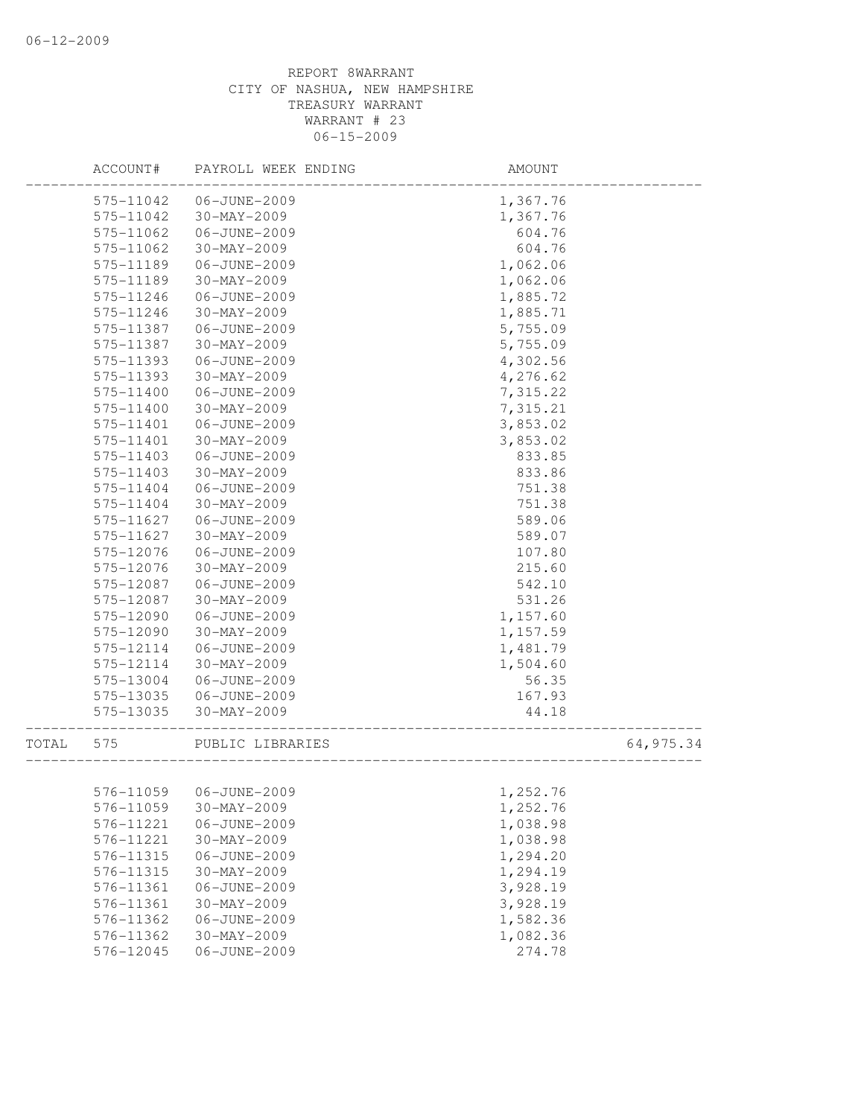|       | ACCOUNT#  | PAYROLL WEEK ENDING    | AMOUNT   |           |
|-------|-----------|------------------------|----------|-----------|
|       | 575-11042 | 06-JUNE-2009           | 1,367.76 |           |
|       | 575-11042 | 30-MAY-2009            | 1,367.76 |           |
|       | 575-11062 | 06-JUNE-2009           | 604.76   |           |
|       | 575-11062 | 30-MAY-2009            | 604.76   |           |
|       | 575-11189 | 06-JUNE-2009           | 1,062.06 |           |
|       | 575-11189 | 30-MAY-2009            | 1,062.06 |           |
|       | 575-11246 | 06-JUNE-2009           | 1,885.72 |           |
|       | 575-11246 | 30-MAY-2009            | 1,885.71 |           |
|       | 575-11387 | 06-JUNE-2009           | 5,755.09 |           |
|       | 575-11387 | 30-MAY-2009            | 5,755.09 |           |
|       | 575-11393 | 06-JUNE-2009           | 4,302.56 |           |
|       | 575-11393 | 30-MAY-2009            | 4,276.62 |           |
|       | 575-11400 | 06-JUNE-2009           | 7,315.22 |           |
|       | 575-11400 | $30 - MAX - 2009$      | 7,315.21 |           |
|       | 575-11401 | 06-JUNE-2009           | 3,853.02 |           |
|       | 575-11401 | 30-MAY-2009            | 3,853.02 |           |
|       | 575-11403 | 06-JUNE-2009           | 833.85   |           |
|       | 575-11403 | $30 - MAX - 2009$      | 833.86   |           |
|       | 575-11404 | 06-JUNE-2009           | 751.38   |           |
|       | 575-11404 | 30-MAY-2009            | 751.38   |           |
|       | 575-11627 | 06-JUNE-2009           | 589.06   |           |
|       | 575-11627 | 30-MAY-2009            | 589.07   |           |
|       | 575-12076 | 06-JUNE-2009           | 107.80   |           |
|       | 575-12076 | 30-MAY-2009            | 215.60   |           |
|       | 575-12087 | 06-JUNE-2009           | 542.10   |           |
|       | 575-12087 | 30-MAY-2009            | 531.26   |           |
|       | 575-12090 | 06-JUNE-2009           | 1,157.60 |           |
|       | 575-12090 | 30-MAY-2009            | 1,157.59 |           |
|       | 575-12114 | 06-JUNE-2009           | 1,481.79 |           |
|       | 575-12114 | 30-MAY-2009            | 1,504.60 |           |
|       | 575-13004 | 06-JUNE-2009           | 56.35    |           |
|       | 575-13035 | 06-JUNE-2009           | 167.93   |           |
|       | 575-13035 | $30 - MAX - 2009$      | 44.18    |           |
| TOTAL | 575       | PUBLIC LIBRARIES       |          | 64,975.34 |
|       |           | 576-11059 06-JUNE-2009 | 1,252.76 |           |
|       | 576-11059 | $30 - MAX - 2009$      | 1,252.76 |           |
|       | 576-11221 | 06-JUNE-2009           | 1,038.98 |           |
|       | 576-11221 | 30-MAY-2009            | 1,038.98 |           |
|       | 576-11315 | 06-JUNE-2009           | 1,294.20 |           |
|       | 576-11315 | 30-MAY-2009            | 1,294.19 |           |
|       | 576-11361 | 06-JUNE-2009           | 3,928.19 |           |
|       | 576-11361 | $30 - MAX - 2009$      | 3,928.19 |           |
|       | 576-11362 | 06-JUNE-2009           | 1,582.36 |           |
|       | 576-11362 | $30 - MAX - 2009$      | 1,082.36 |           |
|       | 576-12045 | 06-JUNE-2009           | 274.78   |           |
|       |           |                        |          |           |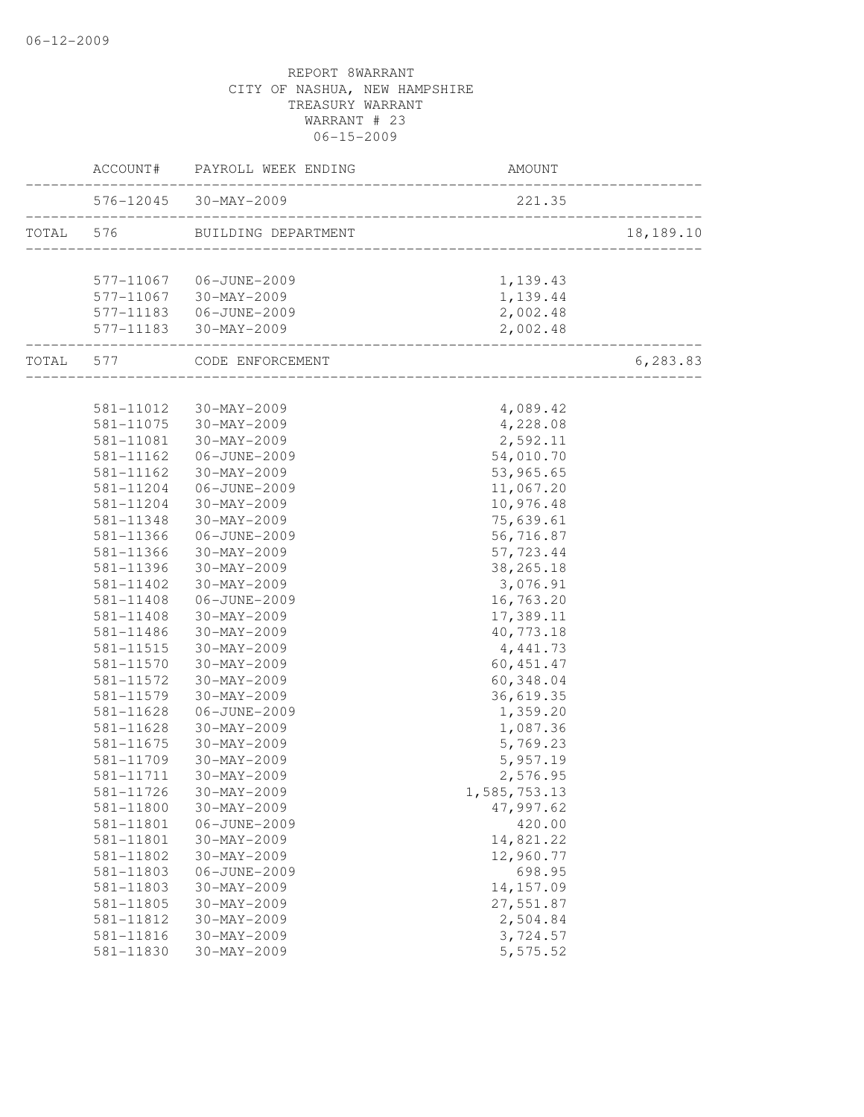| 576-12045 30-MAY-2009<br>221.35<br>___________________________________<br>TOTAL 576<br>BUILDING DEPARTMENT<br>577-11067 06-JUNE-2009<br>1,139.43<br>1,139.44<br>577-11067 30-MAY-2009<br>577-11183   06-JUNE-2009<br>2,002.48<br>577-11183 30-MAY-2009<br>2,002.48<br>----------------<br>TOTAL 577 CODE ENFORCEMENT<br>_______________________<br>581-11012 30-MAY-2009<br>4,089.42<br>4,228.08<br>581-11075 30-MAY-2009<br>2,592.11<br>581-11081<br>30-MAY-2009<br>54,010.70<br>581-11162<br>06-JUNE-2009<br>53,965.65<br>581-11162<br>30-MAY-2009<br>11,067.20<br>581-11204<br>06-JUNE-2009<br>10,976.48<br>581-11204<br>30-MAY-2009<br>581-11348<br>30-MAY-2009<br>75,639.61<br>581-11366<br>06-JUNE-2009<br>56,716.87<br>581-11366<br>$30 - MAX - 2009$<br>57,723.44<br>38, 265. 18<br>581-11396<br>30-MAY-2009<br>3,076.91<br>581-11402<br>30-MAY-2009<br>16,763.20<br>581-11408<br>06-JUNE-2009<br>581-11408<br>30-MAY-2009<br>17,389.11<br>40,773.18<br>581-11486<br>30-MAY-2009<br>581-11515<br>30-MAY-2009<br>4,441.73<br>581-11570 30-MAY-2009<br>60, 451.47<br>581-11572<br>30-MAY-2009<br>60,348.04<br>581-11579<br>30-MAY-2009<br>36,619.35<br>581-11628<br>06-JUNE-2009<br>1,359.20<br>1,087.36<br>581-11628<br>30-MAY-2009<br>5,769.23<br>581-11675<br>30-MAY-2009<br>5,957.19<br>581-11709<br>30-MAY-2009<br>581-11711<br>2,576.95<br>30-MAY-2009<br>1,585,753.13<br>581-11726 30-MAY-2009<br>581-11800<br>$30 - MAX - 2009$<br>47,997.62<br>581-11801<br>06-JUNE-2009<br>420.00<br>14,821.22<br>581-11801<br>$30 - MAX - 2009$<br>12,960.77<br>581-11802<br>$30-MAY-2009$<br>698.95<br>581-11803<br>06-JUNE-2009<br>14, 157.09<br>581-11803<br>30-MAY-2009<br>27,551.87<br>581-11805<br>$30 - MAX - 2009$<br>2,504.84<br>581-11812<br>30-MAY-2009 |           | ACCOUNT# PAYROLL WEEK ENDING | <b>AMOUNT</b> |           |
|---------------------------------------------------------------------------------------------------------------------------------------------------------------------------------------------------------------------------------------------------------------------------------------------------------------------------------------------------------------------------------------------------------------------------------------------------------------------------------------------------------------------------------------------------------------------------------------------------------------------------------------------------------------------------------------------------------------------------------------------------------------------------------------------------------------------------------------------------------------------------------------------------------------------------------------------------------------------------------------------------------------------------------------------------------------------------------------------------------------------------------------------------------------------------------------------------------------------------------------------------------------------------------------------------------------------------------------------------------------------------------------------------------------------------------------------------------------------------------------------------------------------------------------------------------------------------------------------------------------------------------------------------------------------------------------------------------------------------------------------------------------------|-----------|------------------------------|---------------|-----------|
|                                                                                                                                                                                                                                                                                                                                                                                                                                                                                                                                                                                                                                                                                                                                                                                                                                                                                                                                                                                                                                                                                                                                                                                                                                                                                                                                                                                                                                                                                                                                                                                                                                                                                                                                                                     |           |                              |               |           |
|                                                                                                                                                                                                                                                                                                                                                                                                                                                                                                                                                                                                                                                                                                                                                                                                                                                                                                                                                                                                                                                                                                                                                                                                                                                                                                                                                                                                                                                                                                                                                                                                                                                                                                                                                                     |           |                              |               | 18,189.10 |
|                                                                                                                                                                                                                                                                                                                                                                                                                                                                                                                                                                                                                                                                                                                                                                                                                                                                                                                                                                                                                                                                                                                                                                                                                                                                                                                                                                                                                                                                                                                                                                                                                                                                                                                                                                     |           |                              |               |           |
|                                                                                                                                                                                                                                                                                                                                                                                                                                                                                                                                                                                                                                                                                                                                                                                                                                                                                                                                                                                                                                                                                                                                                                                                                                                                                                                                                                                                                                                                                                                                                                                                                                                                                                                                                                     |           |                              |               |           |
|                                                                                                                                                                                                                                                                                                                                                                                                                                                                                                                                                                                                                                                                                                                                                                                                                                                                                                                                                                                                                                                                                                                                                                                                                                                                                                                                                                                                                                                                                                                                                                                                                                                                                                                                                                     |           |                              |               |           |
|                                                                                                                                                                                                                                                                                                                                                                                                                                                                                                                                                                                                                                                                                                                                                                                                                                                                                                                                                                                                                                                                                                                                                                                                                                                                                                                                                                                                                                                                                                                                                                                                                                                                                                                                                                     |           |                              |               |           |
|                                                                                                                                                                                                                                                                                                                                                                                                                                                                                                                                                                                                                                                                                                                                                                                                                                                                                                                                                                                                                                                                                                                                                                                                                                                                                                                                                                                                                                                                                                                                                                                                                                                                                                                                                                     |           |                              |               |           |
|                                                                                                                                                                                                                                                                                                                                                                                                                                                                                                                                                                                                                                                                                                                                                                                                                                                                                                                                                                                                                                                                                                                                                                                                                                                                                                                                                                                                                                                                                                                                                                                                                                                                                                                                                                     |           |                              |               | 6,283.83  |
|                                                                                                                                                                                                                                                                                                                                                                                                                                                                                                                                                                                                                                                                                                                                                                                                                                                                                                                                                                                                                                                                                                                                                                                                                                                                                                                                                                                                                                                                                                                                                                                                                                                                                                                                                                     |           |                              |               |           |
|                                                                                                                                                                                                                                                                                                                                                                                                                                                                                                                                                                                                                                                                                                                                                                                                                                                                                                                                                                                                                                                                                                                                                                                                                                                                                                                                                                                                                                                                                                                                                                                                                                                                                                                                                                     |           |                              |               |           |
|                                                                                                                                                                                                                                                                                                                                                                                                                                                                                                                                                                                                                                                                                                                                                                                                                                                                                                                                                                                                                                                                                                                                                                                                                                                                                                                                                                                                                                                                                                                                                                                                                                                                                                                                                                     |           |                              |               |           |
|                                                                                                                                                                                                                                                                                                                                                                                                                                                                                                                                                                                                                                                                                                                                                                                                                                                                                                                                                                                                                                                                                                                                                                                                                                                                                                                                                                                                                                                                                                                                                                                                                                                                                                                                                                     |           |                              |               |           |
|                                                                                                                                                                                                                                                                                                                                                                                                                                                                                                                                                                                                                                                                                                                                                                                                                                                                                                                                                                                                                                                                                                                                                                                                                                                                                                                                                                                                                                                                                                                                                                                                                                                                                                                                                                     |           |                              |               |           |
|                                                                                                                                                                                                                                                                                                                                                                                                                                                                                                                                                                                                                                                                                                                                                                                                                                                                                                                                                                                                                                                                                                                                                                                                                                                                                                                                                                                                                                                                                                                                                                                                                                                                                                                                                                     |           |                              |               |           |
|                                                                                                                                                                                                                                                                                                                                                                                                                                                                                                                                                                                                                                                                                                                                                                                                                                                                                                                                                                                                                                                                                                                                                                                                                                                                                                                                                                                                                                                                                                                                                                                                                                                                                                                                                                     |           |                              |               |           |
|                                                                                                                                                                                                                                                                                                                                                                                                                                                                                                                                                                                                                                                                                                                                                                                                                                                                                                                                                                                                                                                                                                                                                                                                                                                                                                                                                                                                                                                                                                                                                                                                                                                                                                                                                                     |           |                              |               |           |
|                                                                                                                                                                                                                                                                                                                                                                                                                                                                                                                                                                                                                                                                                                                                                                                                                                                                                                                                                                                                                                                                                                                                                                                                                                                                                                                                                                                                                                                                                                                                                                                                                                                                                                                                                                     |           |                              |               |           |
|                                                                                                                                                                                                                                                                                                                                                                                                                                                                                                                                                                                                                                                                                                                                                                                                                                                                                                                                                                                                                                                                                                                                                                                                                                                                                                                                                                                                                                                                                                                                                                                                                                                                                                                                                                     |           |                              |               |           |
|                                                                                                                                                                                                                                                                                                                                                                                                                                                                                                                                                                                                                                                                                                                                                                                                                                                                                                                                                                                                                                                                                                                                                                                                                                                                                                                                                                                                                                                                                                                                                                                                                                                                                                                                                                     |           |                              |               |           |
|                                                                                                                                                                                                                                                                                                                                                                                                                                                                                                                                                                                                                                                                                                                                                                                                                                                                                                                                                                                                                                                                                                                                                                                                                                                                                                                                                                                                                                                                                                                                                                                                                                                                                                                                                                     |           |                              |               |           |
|                                                                                                                                                                                                                                                                                                                                                                                                                                                                                                                                                                                                                                                                                                                                                                                                                                                                                                                                                                                                                                                                                                                                                                                                                                                                                                                                                                                                                                                                                                                                                                                                                                                                                                                                                                     |           |                              |               |           |
|                                                                                                                                                                                                                                                                                                                                                                                                                                                                                                                                                                                                                                                                                                                                                                                                                                                                                                                                                                                                                                                                                                                                                                                                                                                                                                                                                                                                                                                                                                                                                                                                                                                                                                                                                                     |           |                              |               |           |
|                                                                                                                                                                                                                                                                                                                                                                                                                                                                                                                                                                                                                                                                                                                                                                                                                                                                                                                                                                                                                                                                                                                                                                                                                                                                                                                                                                                                                                                                                                                                                                                                                                                                                                                                                                     |           |                              |               |           |
|                                                                                                                                                                                                                                                                                                                                                                                                                                                                                                                                                                                                                                                                                                                                                                                                                                                                                                                                                                                                                                                                                                                                                                                                                                                                                                                                                                                                                                                                                                                                                                                                                                                                                                                                                                     |           |                              |               |           |
|                                                                                                                                                                                                                                                                                                                                                                                                                                                                                                                                                                                                                                                                                                                                                                                                                                                                                                                                                                                                                                                                                                                                                                                                                                                                                                                                                                                                                                                                                                                                                                                                                                                                                                                                                                     |           |                              |               |           |
|                                                                                                                                                                                                                                                                                                                                                                                                                                                                                                                                                                                                                                                                                                                                                                                                                                                                                                                                                                                                                                                                                                                                                                                                                                                                                                                                                                                                                                                                                                                                                                                                                                                                                                                                                                     |           |                              |               |           |
|                                                                                                                                                                                                                                                                                                                                                                                                                                                                                                                                                                                                                                                                                                                                                                                                                                                                                                                                                                                                                                                                                                                                                                                                                                                                                                                                                                                                                                                                                                                                                                                                                                                                                                                                                                     |           |                              |               |           |
|                                                                                                                                                                                                                                                                                                                                                                                                                                                                                                                                                                                                                                                                                                                                                                                                                                                                                                                                                                                                                                                                                                                                                                                                                                                                                                                                                                                                                                                                                                                                                                                                                                                                                                                                                                     |           |                              |               |           |
|                                                                                                                                                                                                                                                                                                                                                                                                                                                                                                                                                                                                                                                                                                                                                                                                                                                                                                                                                                                                                                                                                                                                                                                                                                                                                                                                                                                                                                                                                                                                                                                                                                                                                                                                                                     |           |                              |               |           |
|                                                                                                                                                                                                                                                                                                                                                                                                                                                                                                                                                                                                                                                                                                                                                                                                                                                                                                                                                                                                                                                                                                                                                                                                                                                                                                                                                                                                                                                                                                                                                                                                                                                                                                                                                                     |           |                              |               |           |
|                                                                                                                                                                                                                                                                                                                                                                                                                                                                                                                                                                                                                                                                                                                                                                                                                                                                                                                                                                                                                                                                                                                                                                                                                                                                                                                                                                                                                                                                                                                                                                                                                                                                                                                                                                     |           |                              |               |           |
|                                                                                                                                                                                                                                                                                                                                                                                                                                                                                                                                                                                                                                                                                                                                                                                                                                                                                                                                                                                                                                                                                                                                                                                                                                                                                                                                                                                                                                                                                                                                                                                                                                                                                                                                                                     |           |                              |               |           |
|                                                                                                                                                                                                                                                                                                                                                                                                                                                                                                                                                                                                                                                                                                                                                                                                                                                                                                                                                                                                                                                                                                                                                                                                                                                                                                                                                                                                                                                                                                                                                                                                                                                                                                                                                                     |           |                              |               |           |
|                                                                                                                                                                                                                                                                                                                                                                                                                                                                                                                                                                                                                                                                                                                                                                                                                                                                                                                                                                                                                                                                                                                                                                                                                                                                                                                                                                                                                                                                                                                                                                                                                                                                                                                                                                     |           |                              |               |           |
|                                                                                                                                                                                                                                                                                                                                                                                                                                                                                                                                                                                                                                                                                                                                                                                                                                                                                                                                                                                                                                                                                                                                                                                                                                                                                                                                                                                                                                                                                                                                                                                                                                                                                                                                                                     |           |                              |               |           |
|                                                                                                                                                                                                                                                                                                                                                                                                                                                                                                                                                                                                                                                                                                                                                                                                                                                                                                                                                                                                                                                                                                                                                                                                                                                                                                                                                                                                                                                                                                                                                                                                                                                                                                                                                                     |           |                              |               |           |
|                                                                                                                                                                                                                                                                                                                                                                                                                                                                                                                                                                                                                                                                                                                                                                                                                                                                                                                                                                                                                                                                                                                                                                                                                                                                                                                                                                                                                                                                                                                                                                                                                                                                                                                                                                     |           |                              |               |           |
|                                                                                                                                                                                                                                                                                                                                                                                                                                                                                                                                                                                                                                                                                                                                                                                                                                                                                                                                                                                                                                                                                                                                                                                                                                                                                                                                                                                                                                                                                                                                                                                                                                                                                                                                                                     |           |                              |               |           |
|                                                                                                                                                                                                                                                                                                                                                                                                                                                                                                                                                                                                                                                                                                                                                                                                                                                                                                                                                                                                                                                                                                                                                                                                                                                                                                                                                                                                                                                                                                                                                                                                                                                                                                                                                                     |           |                              |               |           |
|                                                                                                                                                                                                                                                                                                                                                                                                                                                                                                                                                                                                                                                                                                                                                                                                                                                                                                                                                                                                                                                                                                                                                                                                                                                                                                                                                                                                                                                                                                                                                                                                                                                                                                                                                                     |           |                              |               |           |
|                                                                                                                                                                                                                                                                                                                                                                                                                                                                                                                                                                                                                                                                                                                                                                                                                                                                                                                                                                                                                                                                                                                                                                                                                                                                                                                                                                                                                                                                                                                                                                                                                                                                                                                                                                     |           |                              |               |           |
|                                                                                                                                                                                                                                                                                                                                                                                                                                                                                                                                                                                                                                                                                                                                                                                                                                                                                                                                                                                                                                                                                                                                                                                                                                                                                                                                                                                                                                                                                                                                                                                                                                                                                                                                                                     | 581-11816 | 30-MAY-2009                  | 3,724.57      |           |
| 581-11830<br>$30 - MAX - 2009$<br>5,575.52                                                                                                                                                                                                                                                                                                                                                                                                                                                                                                                                                                                                                                                                                                                                                                                                                                                                                                                                                                                                                                                                                                                                                                                                                                                                                                                                                                                                                                                                                                                                                                                                                                                                                                                          |           |                              |               |           |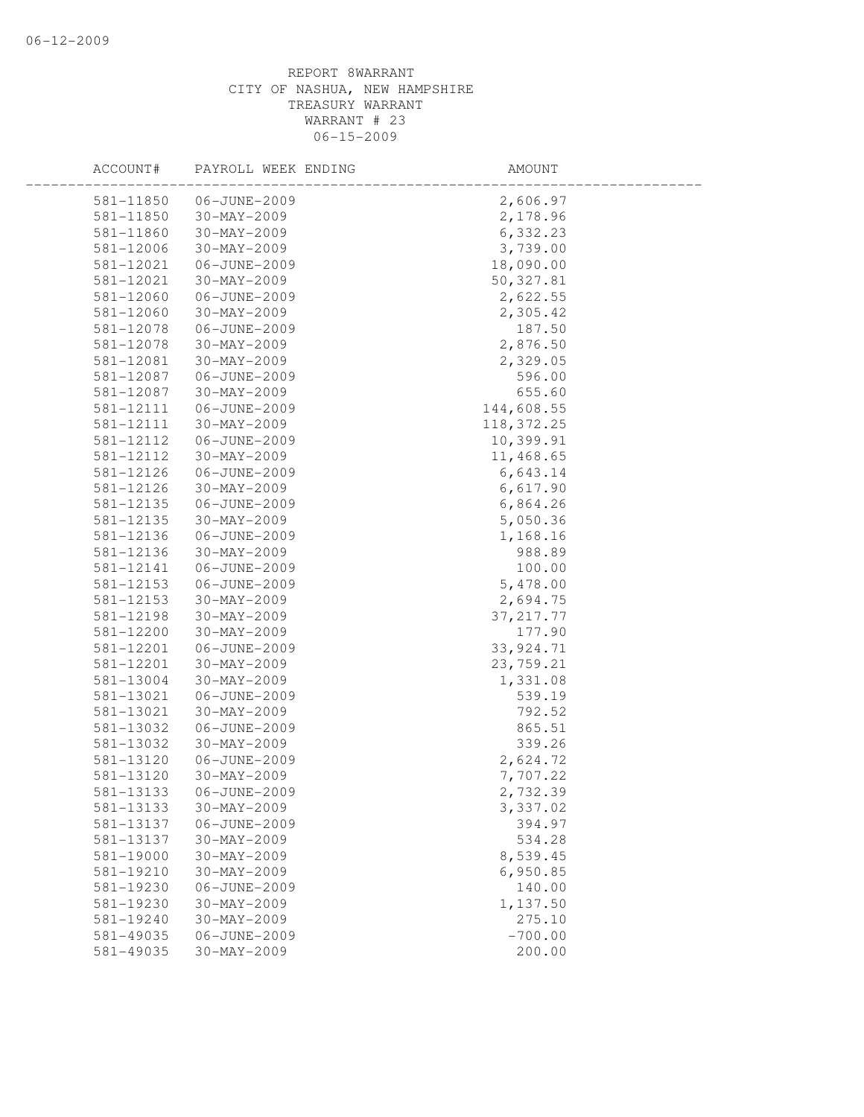| ACCOUNT#  | PAYROLL WEEK ENDING | AMOUNT     |  |
|-----------|---------------------|------------|--|
| 581-11850 | 06-JUNE-2009        | 2,606.97   |  |
| 581-11850 | 30-MAY-2009         | 2,178.96   |  |
| 581-11860 | $30 - MAX - 2009$   | 6,332.23   |  |
| 581-12006 | 30-MAY-2009         | 3,739.00   |  |
| 581-12021 | 06-JUNE-2009        | 18,090.00  |  |
| 581-12021 | $30 - MAX - 2009$   | 50,327.81  |  |
| 581-12060 | 06-JUNE-2009        | 2,622.55   |  |
| 581-12060 | $30 - MAX - 2009$   | 2,305.42   |  |
| 581-12078 | 06-JUNE-2009        | 187.50     |  |
| 581-12078 | 30-MAY-2009         | 2,876.50   |  |
| 581-12081 | $30 - MAX - 2009$   | 2,329.05   |  |
| 581-12087 | 06-JUNE-2009        | 596.00     |  |
| 581-12087 | $30 - MAX - 2009$   | 655.60     |  |
| 581-12111 | 06-JUNE-2009        | 144,608.55 |  |
| 581-12111 | $30 - MAX - 2009$   | 118,372.25 |  |
| 581-12112 | 06-JUNE-2009        | 10,399.91  |  |
| 581-12112 | $30 - MAX - 2009$   | 11,468.65  |  |
| 581-12126 | 06-JUNE-2009        | 6,643.14   |  |
| 581-12126 | 30-MAY-2009         | 6,617.90   |  |
| 581-12135 | 06-JUNE-2009        | 6,864.26   |  |
| 581-12135 | 30-MAY-2009         | 5,050.36   |  |
| 581-12136 | 06-JUNE-2009        | 1,168.16   |  |
| 581-12136 | $30 - MAX - 2009$   | 988.89     |  |
| 581-12141 | 06-JUNE-2009        | 100.00     |  |
| 581-12153 | 06-JUNE-2009        | 5,478.00   |  |
| 581-12153 | $30 - MAX - 2009$   | 2,694.75   |  |
| 581-12198 | $30 - MAX - 2009$   | 37, 217.77 |  |
| 581-12200 | $30 - MAX - 2009$   | 177.90     |  |
| 581-12201 | 06-JUNE-2009        | 33,924.71  |  |
| 581-12201 | 30-MAY-2009         | 23,759.21  |  |
| 581-13004 | 30-MAY-2009         | 1,331.08   |  |
| 581-13021 | 06-JUNE-2009        | 539.19     |  |
| 581-13021 | $30 - MAX - 2009$   | 792.52     |  |
| 581-13032 | 06-JUNE-2009        | 865.51     |  |
| 581-13032 | $30 - MAX - 2009$   | 339.26     |  |
| 581-13120 | 06-JUNE-2009        | 2,624.72   |  |
| 581-13120 | $30 - MAX - 2009$   | 7,707.22   |  |
| 581-13133 | 06-JUNE-2009        | 2,732.39   |  |
| 581-13133 | 30-MAY-2009         | 3,337.02   |  |
| 581-13137 | 06-JUNE-2009        | 394.97     |  |
| 581-13137 | $30 - MAX - 2009$   | 534.28     |  |
| 581-19000 | $30 - MAX - 2009$   | 8,539.45   |  |
| 581-19210 | 30-MAY-2009         | 6,950.85   |  |
| 581-19230 | 06-JUNE-2009        | 140.00     |  |
| 581-19230 | 30-MAY-2009         | 1,137.50   |  |
| 581-19240 | $30 - MAX - 2009$   | 275.10     |  |
| 581-49035 | 06-JUNE-2009        | $-700.00$  |  |
| 581-49035 | $30 - MAX - 2009$   | 200.00     |  |
|           |                     |            |  |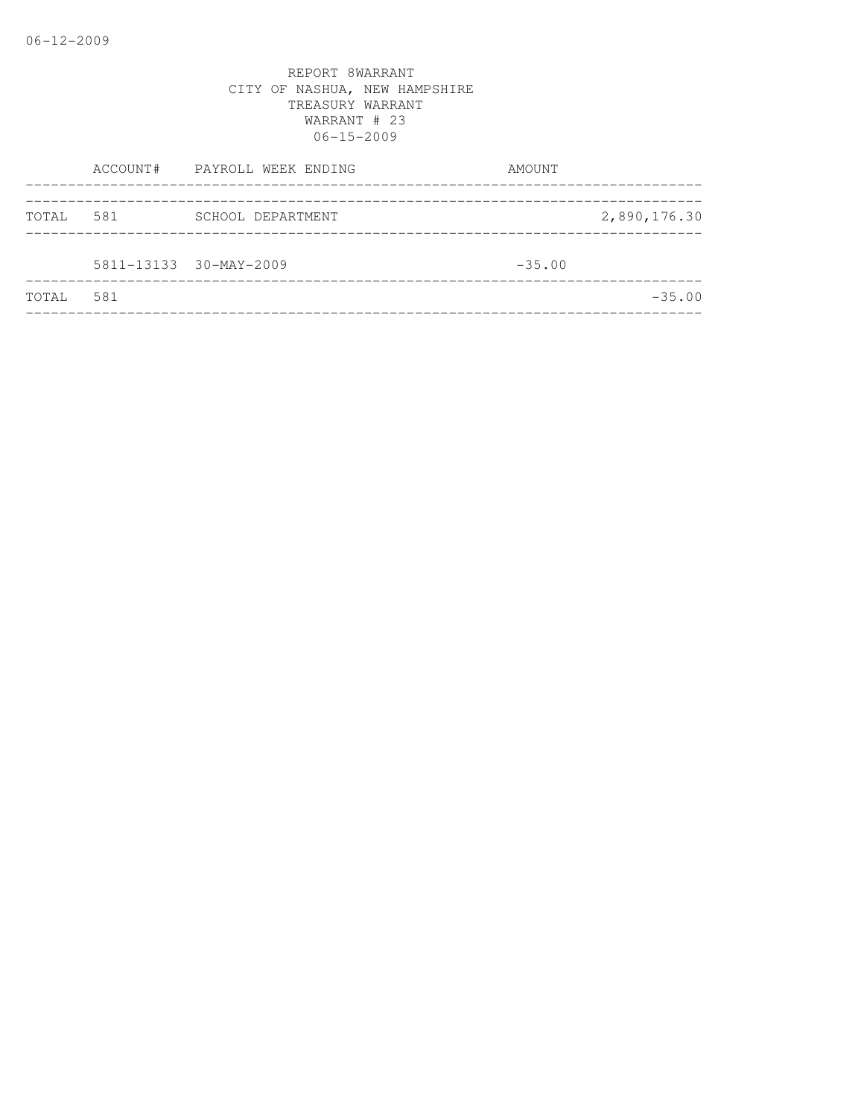|       |     | ACCOUNT# PAYROLL WEEK ENDING | AMOUNT       |  |
|-------|-----|------------------------------|--------------|--|
| TOTAL | 581 | SCHOOL DEPARTMENT            | 2,890,176.30 |  |
|       |     | 5811-13133 30-MAY-2009       | $-35.00$     |  |
| TOTAL | 581 |                              | $-35.00$     |  |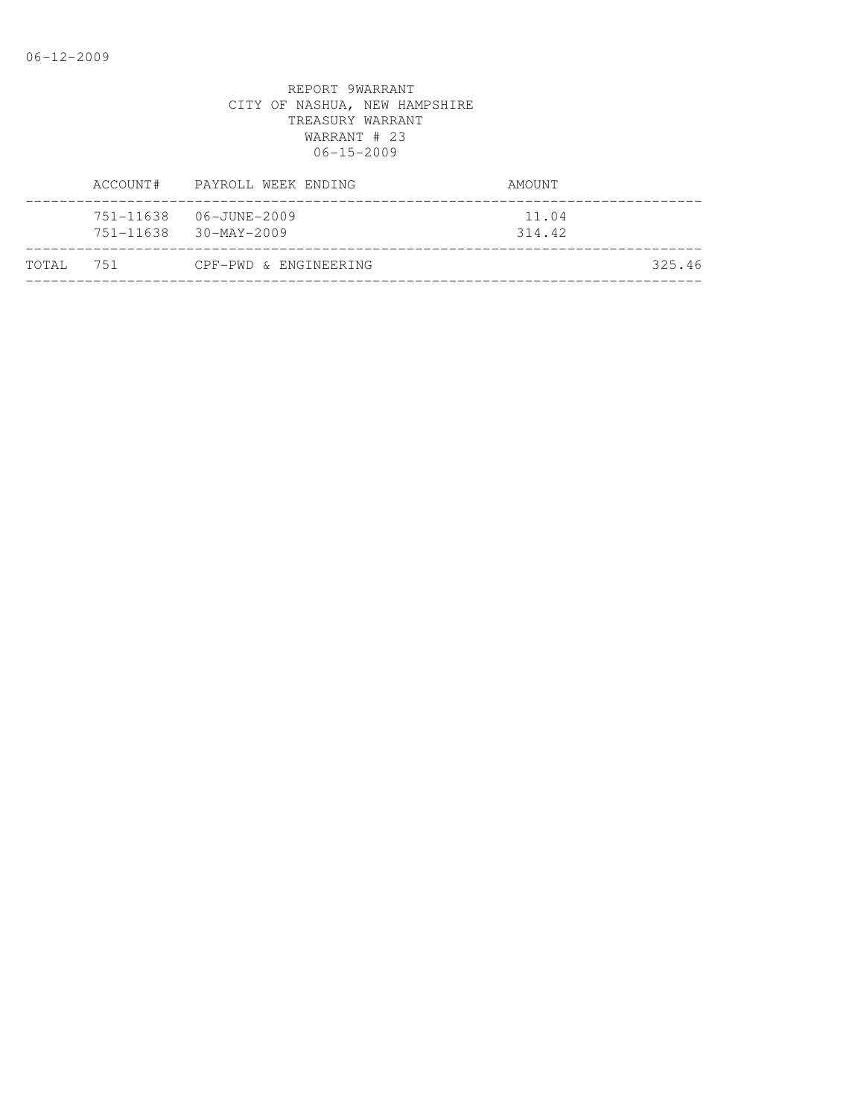| ACCOUNT#               | PAYROLL WEEK ENDING               | AMOUNT          |
|------------------------|-----------------------------------|-----------------|
| 751-11638<br>751-11638 | 06-JUNE-2009<br>$30 - MAX - 2009$ | 11.04<br>314.42 |
| TOTAL 751              | CPF-PWD & ENGINEERING             | 325.46          |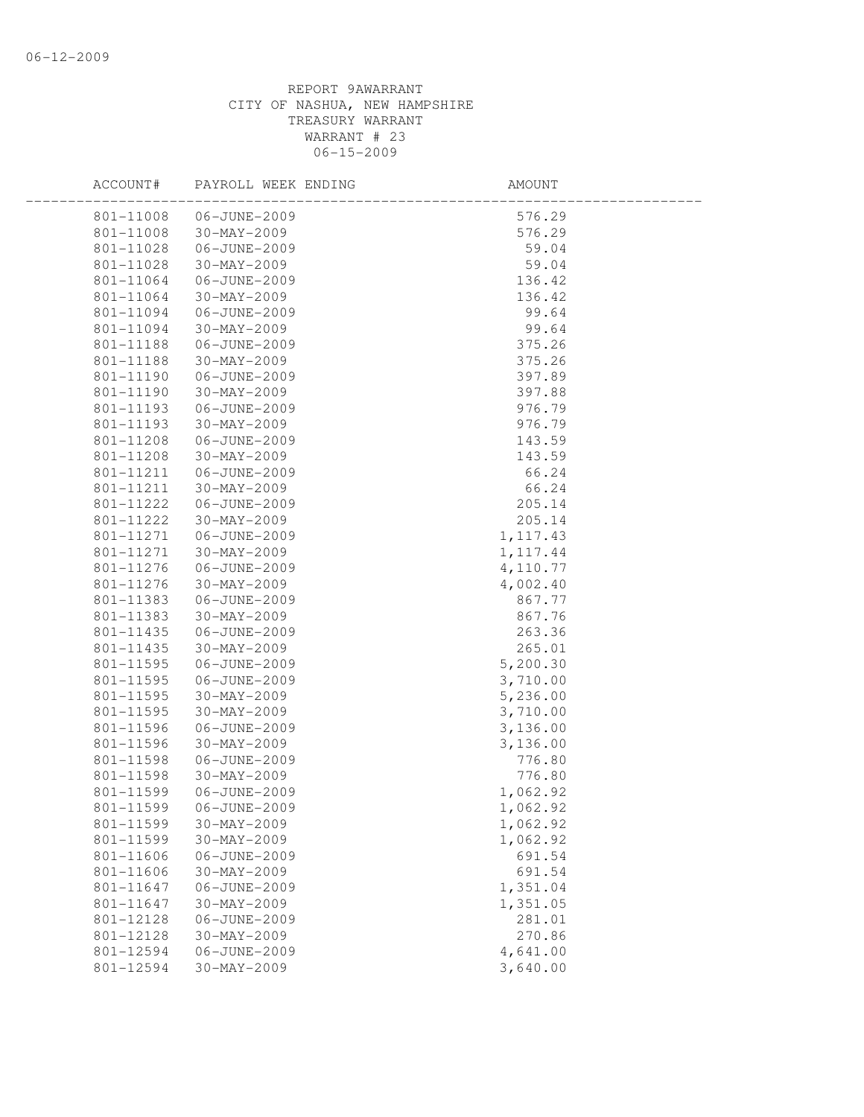| ACCOUNT#  | PAYROLL WEEK ENDING | AMOUNT    |  |
|-----------|---------------------|-----------|--|
| 801-11008 | 06-JUNE-2009        | 576.29    |  |
| 801-11008 | 30-MAY-2009         | 576.29    |  |
| 801-11028 | 06-JUNE-2009        | 59.04     |  |
| 801-11028 | 30-MAY-2009         | 59.04     |  |
| 801-11064 | 06-JUNE-2009        | 136.42    |  |
| 801-11064 | 30-MAY-2009         | 136.42    |  |
| 801-11094 | 06-JUNE-2009        | 99.64     |  |
| 801-11094 | 30-MAY-2009         | 99.64     |  |
| 801-11188 | 06-JUNE-2009        | 375.26    |  |
| 801-11188 | 30-MAY-2009         | 375.26    |  |
| 801-11190 | 06-JUNE-2009        | 397.89    |  |
| 801-11190 | 30-MAY-2009         | 397.88    |  |
| 801-11193 | 06-JUNE-2009        | 976.79    |  |
| 801-11193 | 30-MAY-2009         | 976.79    |  |
| 801-11208 | 06-JUNE-2009        | 143.59    |  |
| 801-11208 | 30-MAY-2009         | 143.59    |  |
| 801-11211 | 06-JUNE-2009        | 66.24     |  |
| 801-11211 | 30-MAY-2009         | 66.24     |  |
| 801-11222 | 06-JUNE-2009        | 205.14    |  |
| 801-11222 | 30-MAY-2009         | 205.14    |  |
| 801-11271 | 06-JUNE-2009        | 1, 117.43 |  |
| 801-11271 | 30-MAY-2009         | 1, 117.44 |  |
| 801-11276 | 06-JUNE-2009        | 4,110.77  |  |
| 801-11276 | 30-MAY-2009         | 4,002.40  |  |
| 801-11383 | 06-JUNE-2009        | 867.77    |  |
| 801-11383 | 30-MAY-2009         | 867.76    |  |
| 801-11435 | 06-JUNE-2009        | 263.36    |  |
| 801-11435 | $30 - MAX - 2009$   | 265.01    |  |
| 801-11595 | 06-JUNE-2009        | 5,200.30  |  |
| 801-11595 | 06-JUNE-2009        | 3,710.00  |  |
| 801-11595 | $30 - MAY - 2009$   | 5,236.00  |  |
| 801-11595 | 30-MAY-2009         | 3,710.00  |  |
| 801-11596 | 06-JUNE-2009        | 3,136.00  |  |
| 801-11596 | $30 - MAX - 2009$   | 3,136.00  |  |
| 801-11598 | 06-JUNE-2009        | 776.80    |  |
| 801-11598 | 30-MAY-2009         | 776.80    |  |
| 801-11599 | 06-JUNE-2009        | 1,062.92  |  |
| 801-11599 | 06-JUNE-2009        | 1,062.92  |  |
| 801-11599 | $30-MAY-2009$       | 1,062.92  |  |
| 801-11599 | $30 - MAX - 2009$   | 1,062.92  |  |
| 801-11606 | 06-JUNE-2009        | 691.54    |  |
| 801-11606 | 30-MAY-2009         | 691.54    |  |
| 801-11647 | 06-JUNE-2009        | 1,351.04  |  |
| 801-11647 | $30-MAY-2009$       | 1,351.05  |  |
| 801-12128 | 06-JUNE-2009        | 281.01    |  |
| 801-12128 | 30-MAY-2009         | 270.86    |  |
| 801-12594 | 06-JUNE-2009        | 4,641.00  |  |
| 801-12594 | $30 - MAX - 2009$   | 3,640.00  |  |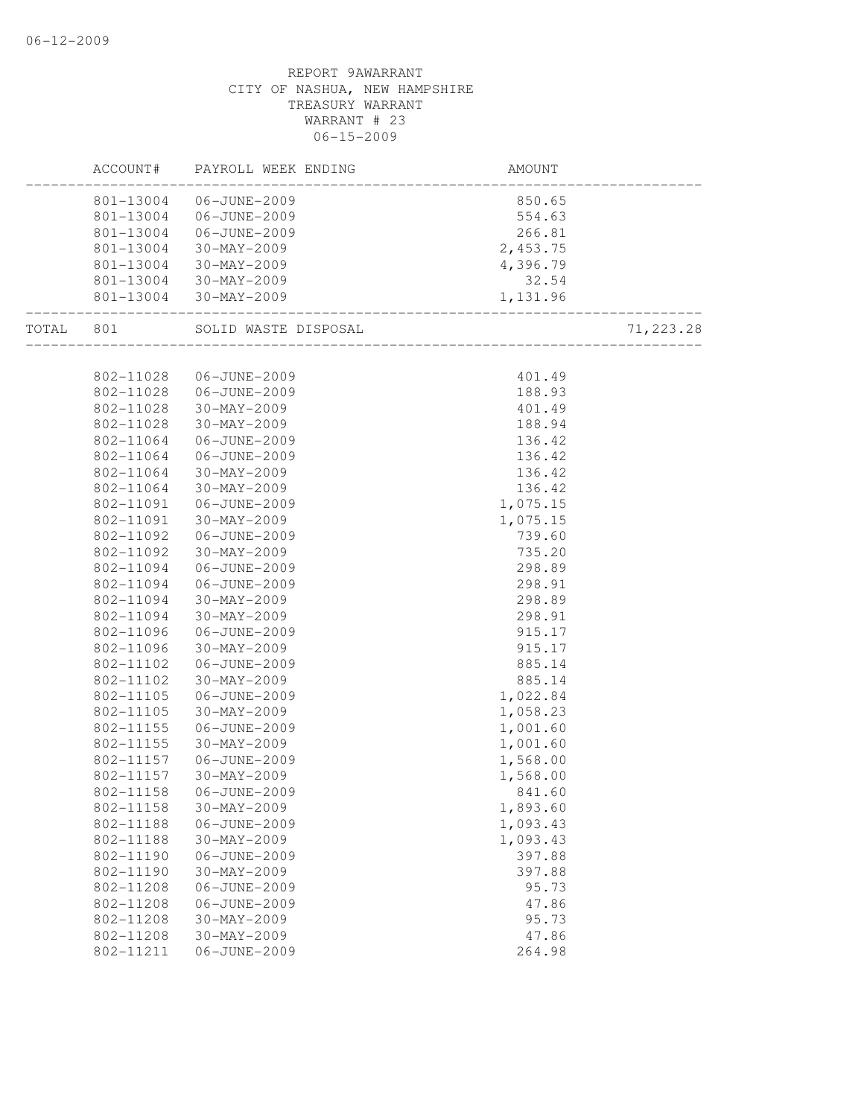|       | ACCOUNT#  | PAYROLL WEEK ENDING  | AMOUNT                    |            |
|-------|-----------|----------------------|---------------------------|------------|
|       | 801-13004 | 06-JUNE-2009         | 850.65                    |            |
|       | 801-13004 | 06-JUNE-2009         | 554.63                    |            |
|       | 801-13004 | 06-JUNE-2009         | 266.81                    |            |
|       | 801-13004 | 30-MAY-2009          | 2,453.75                  |            |
|       | 801-13004 | 30-MAY-2009          | 4,396.79                  |            |
|       | 801-13004 | 30-MAY-2009          | 32.54                     |            |
|       | 801-13004 | 30-MAY-2009          | 1,131.96                  |            |
| TOTAL | 801       | SOLID WASTE DISPOSAL | _________________________ | 71, 223.28 |
|       |           |                      |                           |            |
|       | 802-11028 | 06-JUNE-2009         | 401.49                    |            |
|       | 802-11028 | 06-JUNE-2009         | 188.93                    |            |
|       | 802-11028 | 30-MAY-2009          | 401.49                    |            |
|       | 802-11028 | 30-MAY-2009          | 188.94                    |            |
|       | 802-11064 | 06-JUNE-2009         | 136.42                    |            |
|       | 802-11064 | 06-JUNE-2009         | 136.42                    |            |
|       | 802-11064 | $30 - MAX - 2009$    | 136.42                    |            |
|       | 802-11064 | $30 - MAX - 2009$    | 136.42                    |            |
|       | 802-11091 | 06-JUNE-2009         | 1,075.15                  |            |
|       | 802-11091 | 30-MAY-2009          | 1,075.15                  |            |
|       | 802-11092 | 06-JUNE-2009         | 739.60                    |            |
|       | 802-11092 | 30-MAY-2009          | 735.20                    |            |
|       | 802-11094 | 06-JUNE-2009         | 298.89                    |            |
|       | 802-11094 | 06-JUNE-2009         | 298.91                    |            |
|       | 802-11094 | 30-MAY-2009          | 298.89                    |            |
|       | 802-11094 | 30-MAY-2009          | 298.91                    |            |
|       | 802-11096 | 06-JUNE-2009         | 915.17                    |            |
|       | 802-11096 | 30-MAY-2009          | 915.17                    |            |
|       | 802-11102 | 06-JUNE-2009         | 885.14                    |            |
|       | 802-11102 | 30-MAY-2009          | 885.14                    |            |
|       | 802-11105 | 06-JUNE-2009         | 1,022.84                  |            |
|       | 802-11105 | 30-MAY-2009          | 1,058.23                  |            |
|       | 802-11155 | 06-JUNE-2009         | 1,001.60                  |            |
|       | 802-11155 | 30-MAY-2009          | 1,001.60                  |            |
|       | 802-11157 | 06-JUNE-2009         | 1,568.00                  |            |
|       | 802-11157 | $30-MAY-2009$        | 1,568.00                  |            |
|       | 802-11158 | 06-JUNE-2009         | 841.60                    |            |
|       | 802-11158 | 30-MAY-2009          | 1,893.60                  |            |
|       | 802-11188 | 06-JUNE-2009         | 1,093.43                  |            |
|       | 802-11188 | $30 - MAX - 2009$    | 1,093.43                  |            |
|       | 802-11190 | 06-JUNE-2009         | 397.88                    |            |
|       | 802-11190 | $30 - MAX - 2009$    | 397.88                    |            |
|       | 802-11208 | 06-JUNE-2009         | 95.73                     |            |
|       | 802-11208 | 06-JUNE-2009         | 47.86                     |            |
|       | 802-11208 | $30 - MAX - 2009$    | 95.73                     |            |
|       | 802-11208 | $30-MAY-2009$        | 47.86                     |            |
|       | 802-11211 | 06-JUNE-2009         | 264.98                    |            |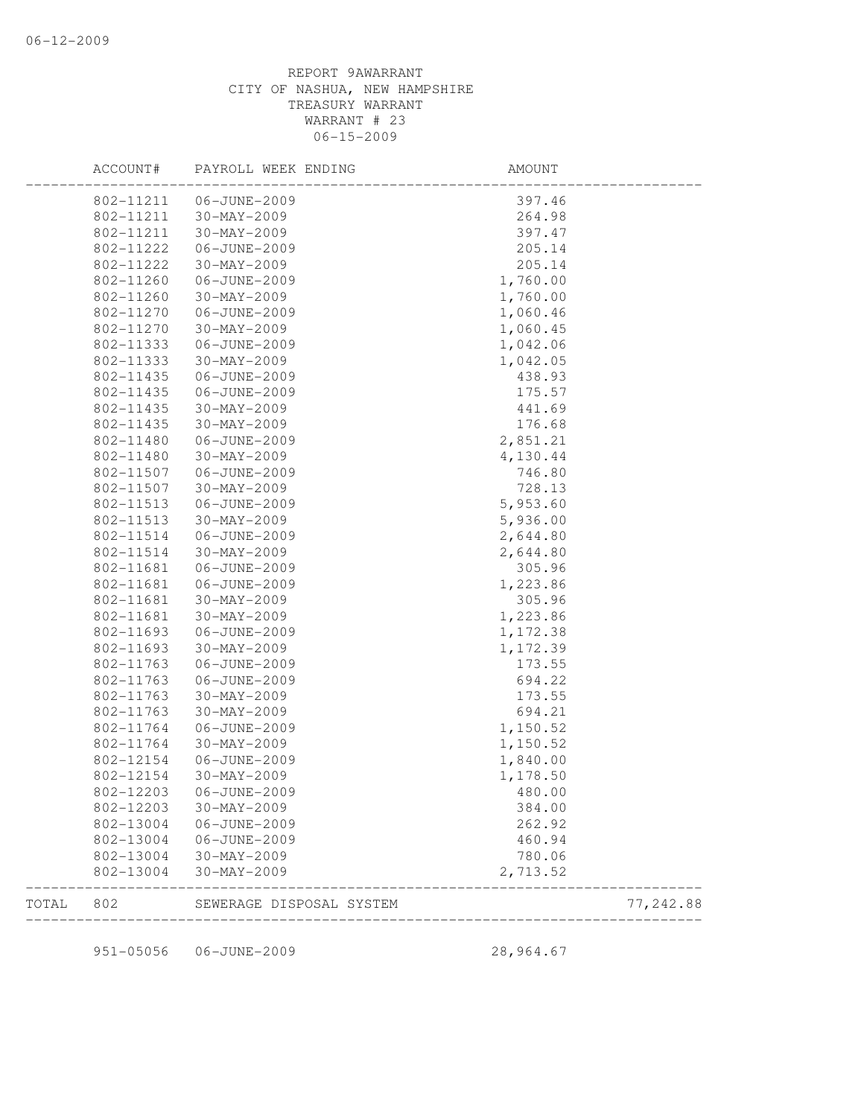|       | ACCOUNT#  | PAYROLL WEEK ENDING      | AMOUNT   |            |
|-------|-----------|--------------------------|----------|------------|
|       | 802-11211 | 06-JUNE-2009             | 397.46   |            |
|       | 802-11211 | $30 - MAX - 2009$        | 264.98   |            |
|       | 802-11211 | $30 - MAX - 2009$        | 397.47   |            |
|       | 802-11222 | 06-JUNE-2009             | 205.14   |            |
|       | 802-11222 | 30-MAY-2009              | 205.14   |            |
|       | 802-11260 | 06-JUNE-2009             | 1,760.00 |            |
|       | 802-11260 | $30 - MAX - 2009$        | 1,760.00 |            |
|       | 802-11270 | 06-JUNE-2009             | 1,060.46 |            |
|       | 802-11270 | 30-MAY-2009              | 1,060.45 |            |
|       | 802-11333 | 06-JUNE-2009             | 1,042.06 |            |
|       | 802-11333 | $30 - MAX - 2009$        | 1,042.05 |            |
|       | 802-11435 | 06-JUNE-2009             | 438.93   |            |
|       | 802-11435 | 06-JUNE-2009             | 175.57   |            |
|       | 802-11435 | $30 - MAX - 2009$        | 441.69   |            |
|       | 802-11435 | $30 - MAX - 2009$        | 176.68   |            |
|       | 802-11480 | 06-JUNE-2009             | 2,851.21 |            |
|       | 802-11480 | $30 - MAX - 2009$        | 4,130.44 |            |
|       | 802-11507 | 06-JUNE-2009             | 746.80   |            |
|       | 802-11507 | $30 - MAX - 2009$        | 728.13   |            |
|       | 802-11513 | 06-JUNE-2009             | 5,953.60 |            |
|       | 802-11513 | 30-MAY-2009              | 5,936.00 |            |
|       | 802-11514 | 06-JUNE-2009             | 2,644.80 |            |
|       | 802-11514 | $30 - MAX - 2009$        | 2,644.80 |            |
|       | 802-11681 | 06-JUNE-2009             | 305.96   |            |
|       | 802-11681 | 06-JUNE-2009             | 1,223.86 |            |
|       | 802-11681 | $30 - MAX - 2009$        | 305.96   |            |
|       | 802-11681 | $30 - MAX - 2009$        | 1,223.86 |            |
|       | 802-11693 | 06-JUNE-2009             | 1,172.38 |            |
|       | 802-11693 | $30 - MAX - 2009$        | 1,172.39 |            |
|       | 802-11763 | 06-JUNE-2009             | 173.55   |            |
|       | 802-11763 | 06-JUNE-2009             | 694.22   |            |
|       | 802-11763 | 30-MAY-2009              | 173.55   |            |
|       | 802-11763 | 30-MAY-2009              | 694.21   |            |
|       | 802-11764 | 06-JUNE-2009             | 1,150.52 |            |
|       | 802-11764 | $30 - MAX - 2009$        | 1,150.52 |            |
|       | 802-12154 | 06-JUNE-2009             | 1,840.00 |            |
|       | 802-12154 | $30 - MAX - 2009$        | 1,178.50 |            |
|       | 802-12203 | 06-JUNE-2009             | 480.00   |            |
|       | 802-12203 | 30-MAY-2009              | 384.00   |            |
|       | 802-13004 | 06-JUNE-2009             | 262.92   |            |
|       | 802-13004 | 06-JUNE-2009             | 460.94   |            |
|       | 802-13004 | 30-MAY-2009              | 780.06   |            |
|       | 802-13004 | $30-MAY-2009$            | 2,713.52 |            |
| TOTAL | 802       | SEWERAGE DISPOSAL SYSTEM |          | 77, 242.88 |

951-05056 06-JUNE-2009 28,964.67